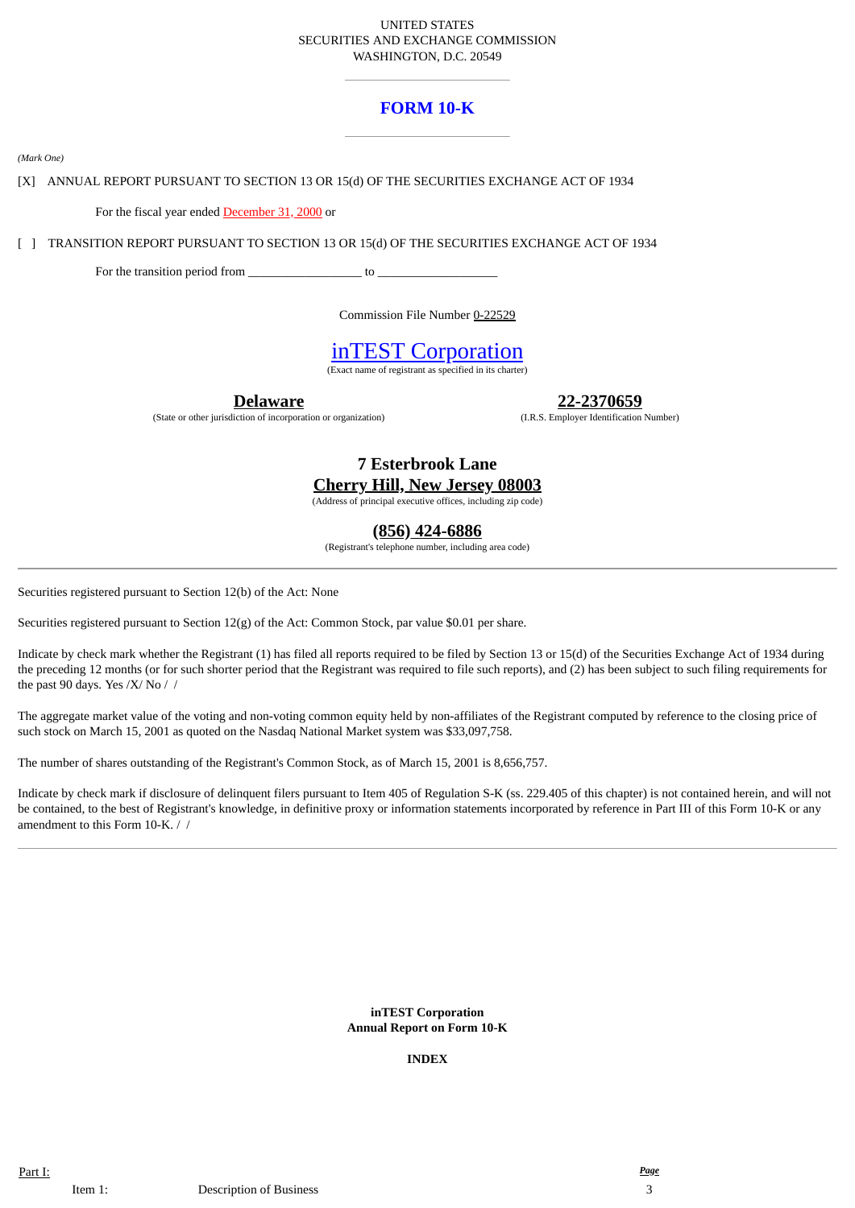## UNITED STATES SECURITIES AND EXCHANGE COMMISSION WASHINGTON, D.C. 20549

# **FORM 10-K**

*(Mark One)*

[X] ANNUAL REPORT PURSUANT TO SECTION 13 OR 15(d) OF THE SECURITIES EXCHANGE ACT OF 1934

For the fiscal year ended December 31, 2000 or

[ ] TRANSITION REPORT PURSUANT TO SECTION 13 OR 15(d) OF THE SECURITIES EXCHANGE ACT OF 1934

For the transition period from  $\_\_\_\_\_\_\_\_\_\_$  to  $\_\_\_\_$ 

Commission File Number 0-22529

# inTEST Corporation

(Exact name of registrant as specified in its charter)

**Delaware**

(State or other jurisdiction of incorporation or organization)

**22-2370659**

(I.R.S. Employer Identification Number)

# **7 Esterbrook Lane Cherry Hill, New Jersey 08003**

(Address of principal executive offices, including zip code)

**(856) 424-6886**

(Registrant's telephone number, including area code)

Securities registered pursuant to Section 12(b) of the Act: None

Securities registered pursuant to Section 12(g) of the Act: Common Stock, par value \$0.01 per share.

Indicate by check mark whether the Registrant (1) has filed all reports required to be filed by Section 13 or 15(d) of the Securities Exchange Act of 1934 during the preceding 12 months (or for such shorter period that the Registrant was required to file such reports), and (2) has been subject to such filing requirements for the past 90 days. Yes /X/ No //

The aggregate market value of the voting and non-voting common equity held by non-affiliates of the Registrant computed by reference to the closing price of such stock on March 15, 2001 as quoted on the Nasdaq National Market system was \$33,097,758.

The number of shares outstanding of the Registrant's Common Stock, as of March 15, 2001 is 8,656,757.

Indicate by check mark if disclosure of delinquent filers pursuant to Item 405 of Regulation S-K (ss. 229.405 of this chapter) is not contained herein, and will not be contained, to the best of Registrant's knowledge, in definitive proxy or information statements incorporated by reference in Part III of this Form 10-K or any amendment to this Form 10-K. //

> **inTEST Corporation Annual Report on Form 10-K**

> > **INDEX**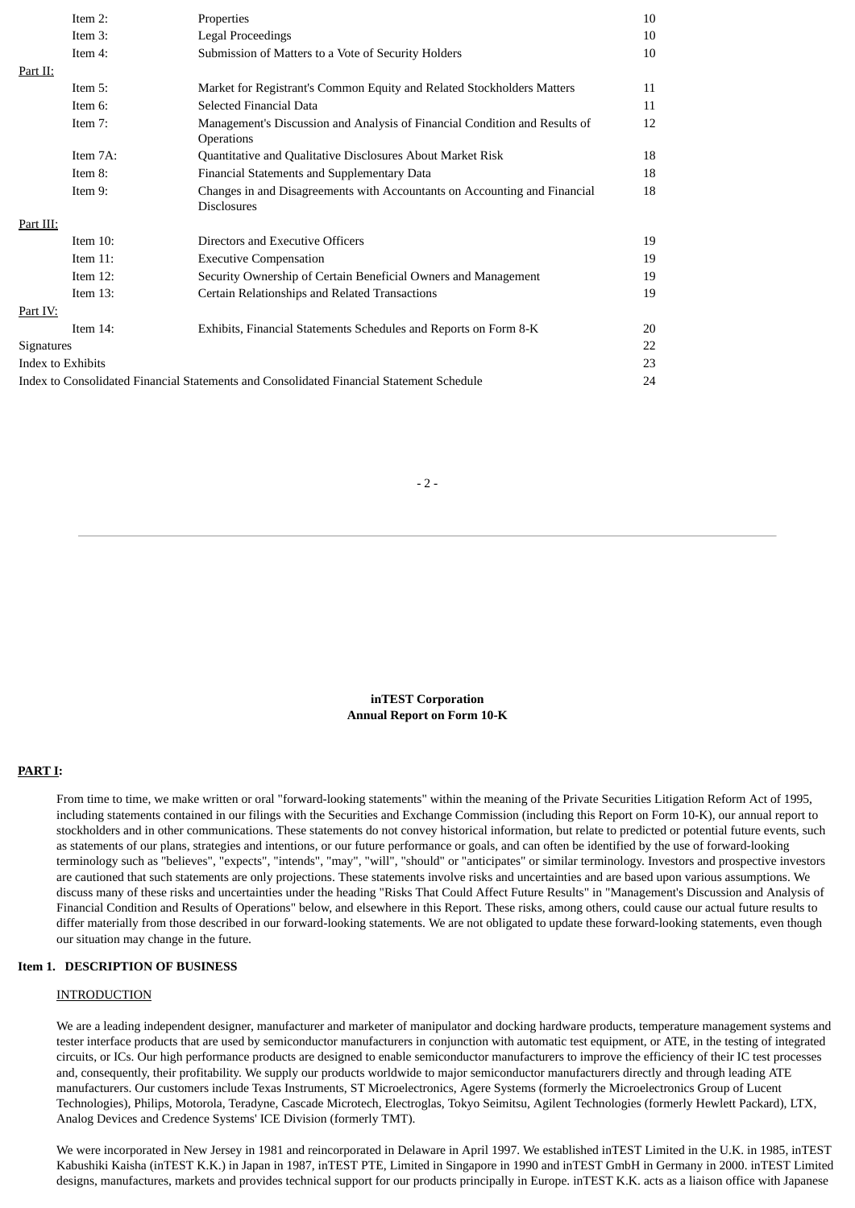|                   | Item 2:           | Properties                                                                               | 10 |
|-------------------|-------------------|------------------------------------------------------------------------------------------|----|
|                   | Item 3:           | Legal Proceedings                                                                        | 10 |
|                   | Item 4:           | Submission of Matters to a Vote of Security Holders                                      | 10 |
| Part II:          |                   |                                                                                          |    |
|                   | Item 5:           | Market for Registrant's Common Equity and Related Stockholders Matters                   | 11 |
|                   | Item 6:           | Selected Financial Data                                                                  | 11 |
|                   | Item 7:           | Management's Discussion and Analysis of Financial Condition and Results of<br>Operations | 12 |
|                   | Item 7A:          | Quantitative and Qualitative Disclosures About Market Risk                               | 18 |
|                   | Item 8:           | Financial Statements and Supplementary Data                                              | 18 |
|                   | Item 9:           | Changes in and Disagreements with Accountants on Accounting and Financial                | 18 |
|                   |                   | <b>Disclosures</b>                                                                       |    |
| Part III:         |                   |                                                                                          |    |
|                   | Item $10$ :       | Directors and Executive Officers                                                         | 19 |
|                   | Item $11$ :       | <b>Executive Compensation</b>                                                            | 19 |
|                   | Item $12$ :       | Security Ownership of Certain Beneficial Owners and Management                           | 19 |
|                   | Item $13$ :       | Certain Relationships and Related Transactions                                           | 19 |
| Part IV:          |                   |                                                                                          |    |
|                   | Item $14$ :       | Exhibits, Financial Statements Schedules and Reports on Form 8-K                         | 20 |
| <b>Signatures</b> |                   |                                                                                          | 22 |
|                   | Index to Exhibits |                                                                                          | 23 |
|                   |                   | Index to Consolidated Financial Statements and Consolidated Financial Statement Schedule | 24 |

## $-2 -$

**inTEST Corporation Annual Report on Form 10-K**

## **PART I:**

From time to time, we make written or oral "forward-looking statements" within the meaning of the Private Securities Litigation Reform Act of 1995, including statements contained in our filings with the Securities and Exchange Commission (including this Report on Form 10-K), our annual report to stockholders and in other communications. These statements do not convey historical information, but relate to predicted or potential future events, such as statements of our plans, strategies and intentions, or our future performance or goals, and can often be identified by the use of forward-looking terminology such as "believes", "expects", "intends", "may", "will", "should" or "anticipates" or similar terminology. Investors and prospective investors are cautioned that such statements are only projections. These statements involve risks and uncertainties and are based upon various assumptions. We discuss many of these risks and uncertainties under the heading "Risks That Could Affect Future Results" in "Management's Discussion and Analysis of Financial Condition and Results of Operations" below, and elsewhere in this Report. These risks, among others, could cause our actual future results to differ materially from those described in our forward-looking statements. We are not obligated to update these forward-looking statements, even though our situation may change in the future.

## **Item 1. DESCRIPTION OF BUSINESS**

### **INTRODUCTION**

We are a leading independent designer, manufacturer and marketer of manipulator and docking hardware products, temperature management systems and tester interface products that are used by semiconductor manufacturers in conjunction with automatic test equipment, or ATE, in the testing of integrated circuits, or ICs. Our high performance products are designed to enable semiconductor manufacturers to improve the efficiency of their IC test processes and, consequently, their profitability. We supply our products worldwide to major semiconductor manufacturers directly and through leading ATE manufacturers. Our customers include Texas Instruments, ST Microelectronics, Agere Systems (formerly the Microelectronics Group of Lucent Technologies), Philips, Motorola, Teradyne, Cascade Microtech, Electroglas, Tokyo Seimitsu, Agilent Technologies (formerly Hewlett Packard), LTX, Analog Devices and Credence Systems' ICE Division (formerly TMT).

We were incorporated in New Jersey in 1981 and reincorporated in Delaware in April 1997. We established inTEST Limited in the U.K. in 1985, inTEST Kabushiki Kaisha (inTEST K.K.) in Japan in 1987, inTEST PTE, Limited in Singapore in 1990 and inTEST GmbH in Germany in 2000. inTEST Limited designs, manufactures, markets and provides technical support for our products principally in Europe. inTEST K.K. acts as a liaison office with Japanese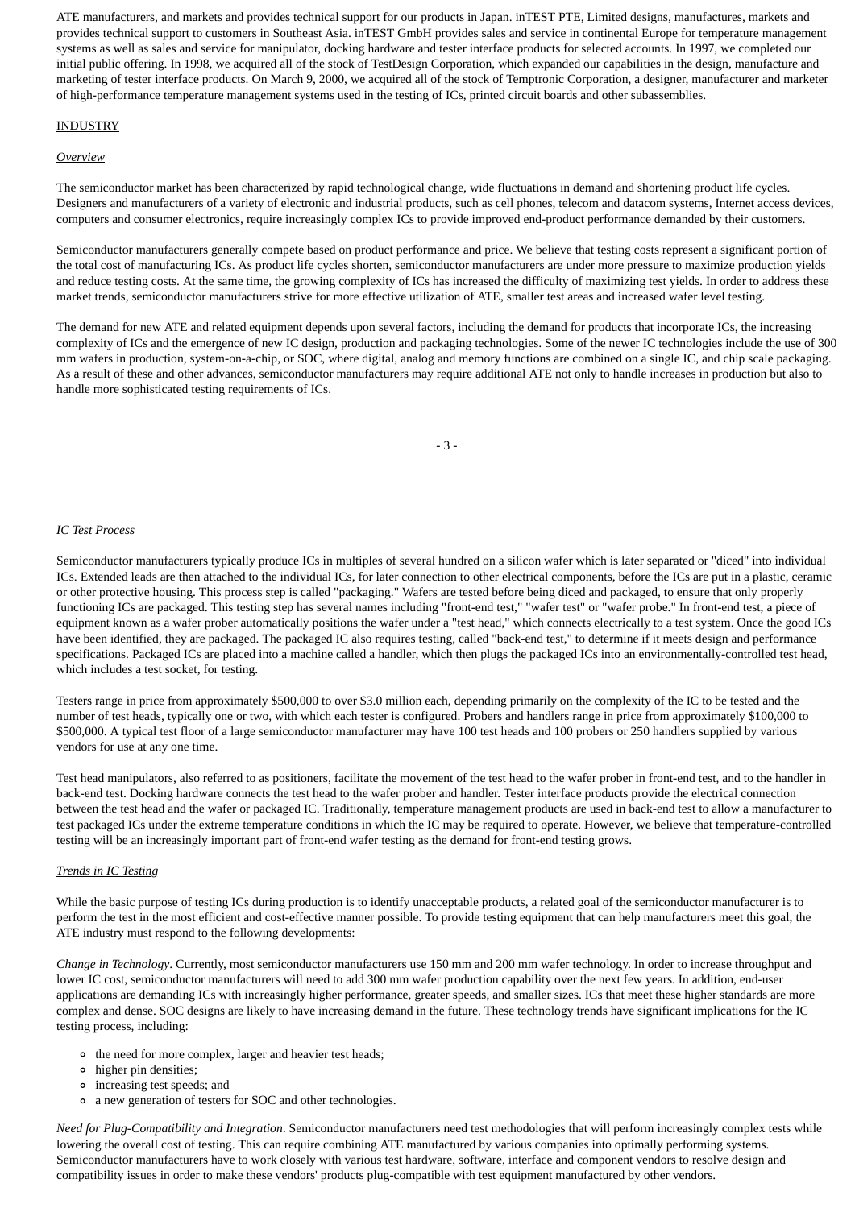ATE manufacturers, and markets and provides technical support for our products in Japan. inTEST PTE, Limited designs, manufactures, markets and provides technical support to customers in Southeast Asia. inTEST GmbH provides sales and service in continental Europe for temperature management systems as well as sales and service for manipulator, docking hardware and tester interface products for selected accounts. In 1997, we completed our initial public offering. In 1998, we acquired all of the stock of TestDesign Corporation, which expanded our capabilities in the design, manufacture and marketing of tester interface products. On March 9, 2000, we acquired all of the stock of Temptronic Corporation, a designer, manufacturer and marketer of high-performance temperature management systems used in the testing of ICs, printed circuit boards and other subassemblies.

## INDUSTRY

## *Overview*

The semiconductor market has been characterized by rapid technological change, wide fluctuations in demand and shortening product life cycles. Designers and manufacturers of a variety of electronic and industrial products, such as cell phones, telecom and datacom systems, Internet access devices, computers and consumer electronics, require increasingly complex ICs to provide improved end-product performance demanded by their customers.

Semiconductor manufacturers generally compete based on product performance and price. We believe that testing costs represent a significant portion of the total cost of manufacturing ICs. As product life cycles shorten, semiconductor manufacturers are under more pressure to maximize production yields and reduce testing costs. At the same time, the growing complexity of ICs has increased the difficulty of maximizing test yields. In order to address these market trends, semiconductor manufacturers strive for more effective utilization of ATE, smaller test areas and increased wafer level testing.

The demand for new ATE and related equipment depends upon several factors, including the demand for products that incorporate ICs, the increasing complexity of ICs and the emergence of new IC design, production and packaging technologies. Some of the newer IC technologies include the use of 300 mm wafers in production, system-on-a-chip, or SOC, where digital, analog and memory functions are combined on a single IC, and chip scale packaging. As a result of these and other advances, semiconductor manufacturers may require additional ATE not only to handle increases in production but also to handle more sophisticated testing requirements of ICs.

- 3 -

## *IC Test Process*

Semiconductor manufacturers typically produce ICs in multiples of several hundred on a silicon wafer which is later separated or "diced" into individual ICs. Extended leads are then attached to the individual ICs, for later connection to other electrical components, before the ICs are put in a plastic, ceramic or other protective housing. This process step is called "packaging." Wafers are tested before being diced and packaged, to ensure that only properly functioning ICs are packaged. This testing step has several names including "front-end test," "wafer test" or "wafer probe." In front-end test, a piece of equipment known as a wafer prober automatically positions the wafer under a "test head," which connects electrically to a test system. Once the good ICs have been identified, they are packaged. The packaged IC also requires testing, called "back-end test," to determine if it meets design and performance specifications. Packaged ICs are placed into a machine called a handler, which then plugs the packaged ICs into an environmentally-controlled test head, which includes a test socket, for testing.

Testers range in price from approximately \$500,000 to over \$3.0 million each, depending primarily on the complexity of the IC to be tested and the number of test heads, typically one or two, with which each tester is configured. Probers and handlers range in price from approximately \$100,000 to \$500,000. A typical test floor of a large semiconductor manufacturer may have 100 test heads and 100 probers or 250 handlers supplied by various vendors for use at any one time.

Test head manipulators, also referred to as positioners, facilitate the movement of the test head to the wafer prober in front-end test, and to the handler in back-end test. Docking hardware connects the test head to the wafer prober and handler. Tester interface products provide the electrical connection between the test head and the wafer or packaged IC. Traditionally, temperature management products are used in back-end test to allow a manufacturer to test packaged ICs under the extreme temperature conditions in which the IC may be required to operate. However, we believe that temperature-controlled testing will be an increasingly important part of front-end wafer testing as the demand for front-end testing grows.

## *Trends in IC Testing*

While the basic purpose of testing ICs during production is to identify unacceptable products, a related goal of the semiconductor manufacturer is to perform the test in the most efficient and cost-effective manner possible. To provide testing equipment that can help manufacturers meet this goal, the ATE industry must respond to the following developments:

*Change in Technology*. Currently, most semiconductor manufacturers use 150 mm and 200 mm wafer technology. In order to increase throughput and lower IC cost, semiconductor manufacturers will need to add 300 mm wafer production capability over the next few years. In addition, end-user applications are demanding ICs with increasingly higher performance, greater speeds, and smaller sizes. ICs that meet these higher standards are more complex and dense. SOC designs are likely to have increasing demand in the future. These technology trends have significant implications for the IC testing process, including:

- the need for more complex, larger and heavier test heads;
- higher pin densities;
- $\circ$ increasing test speeds; and
- a new generation of testers for SOC and other technologies.

*Need for Plug-Compatibility and Integration*. Semiconductor manufacturers need test methodologies that will perform increasingly complex tests while lowering the overall cost of testing. This can require combining ATE manufactured by various companies into optimally performing systems. Semiconductor manufacturers have to work closely with various test hardware, software, interface and component vendors to resolve design and compatibility issues in order to make these vendors' products plug-compatible with test equipment manufactured by other vendors.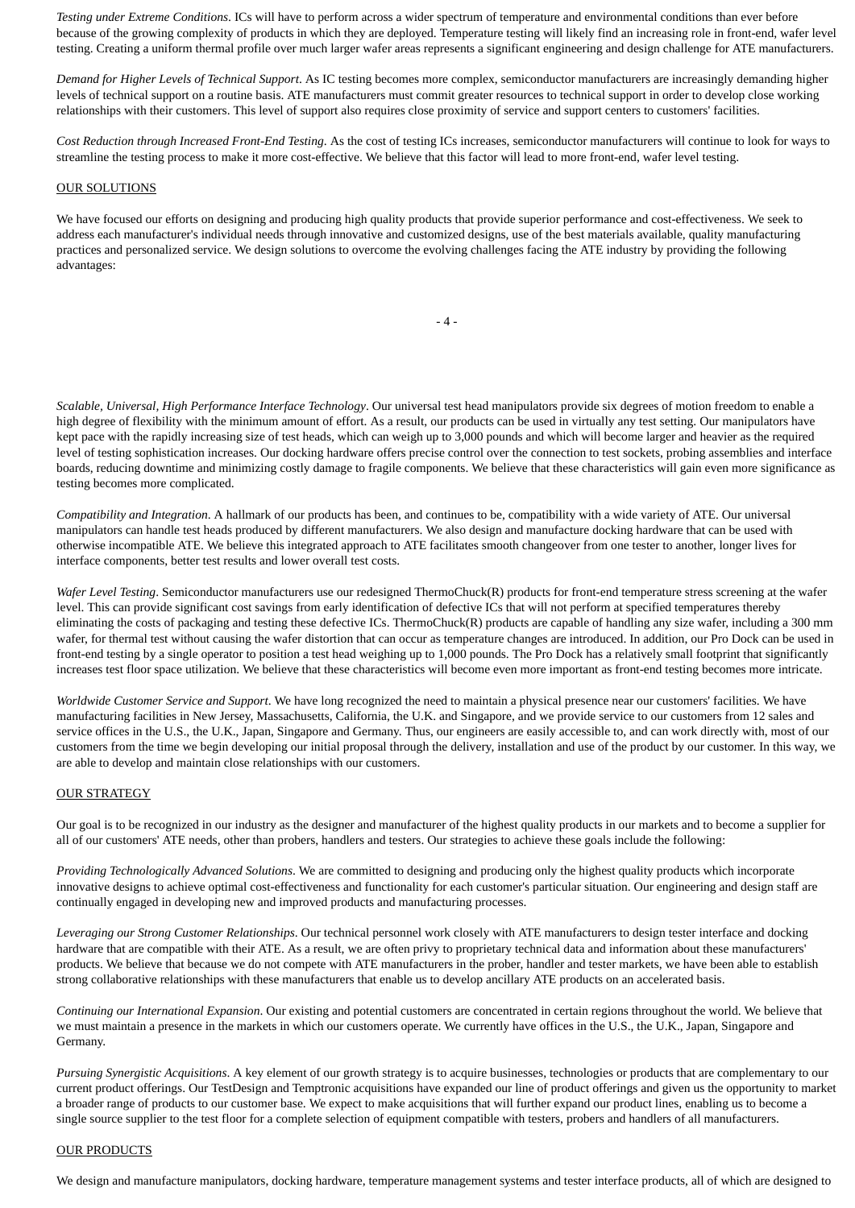*Testing under Extreme Conditions*. ICs will have to perform across a wider spectrum of temperature and environmental conditions than ever before because of the growing complexity of products in which they are deployed. Temperature testing will likely find an increasing role in front-end, wafer level testing. Creating a uniform thermal profile over much larger wafer areas represents a significant engineering and design challenge for ATE manufacturers.

*Demand for Higher Levels of Technical Support*. As IC testing becomes more complex, semiconductor manufacturers are increasingly demanding higher levels of technical support on a routine basis. ATE manufacturers must commit greater resources to technical support in order to develop close working relationships with their customers. This level of support also requires close proximity of service and support centers to customers' facilities.

*Cost Reduction through Increased Front-End Testing*. As the cost of testing ICs increases, semiconductor manufacturers will continue to look for ways to streamline the testing process to make it more cost-effective. We believe that this factor will lead to more front-end, wafer level testing.

#### OUR SOLUTIONS

We have focused our efforts on designing and producing high quality products that provide superior performance and cost-effectiveness. We seek to address each manufacturer's individual needs through innovative and customized designs, use of the best materials available, quality manufacturing practices and personalized service. We design solutions to overcome the evolving challenges facing the ATE industry by providing the following advantages:

- 4 -

*Scalable, Universal, High Performance Interface Technology*. Our universal test head manipulators provide six degrees of motion freedom to enable a high degree of flexibility with the minimum amount of effort. As a result, our products can be used in virtually any test setting. Our manipulators have kept pace with the rapidly increasing size of test heads, which can weigh up to 3,000 pounds and which will become larger and heavier as the required level of testing sophistication increases. Our docking hardware offers precise control over the connection to test sockets, probing assemblies and interface boards, reducing downtime and minimizing costly damage to fragile components. We believe that these characteristics will gain even more significance as testing becomes more complicated.

*Compatibility and Integration*. A hallmark of our products has been, and continues to be, compatibility with a wide variety of ATE. Our universal manipulators can handle test heads produced by different manufacturers. We also design and manufacture docking hardware that can be used with otherwise incompatible ATE. We believe this integrated approach to ATE facilitates smooth changeover from one tester to another, longer lives for interface components, better test results and lower overall test costs.

*Wafer Level Testing*. Semiconductor manufacturers use our redesigned ThermoChuck(R) products for front-end temperature stress screening at the wafer level. This can provide significant cost savings from early identification of defective ICs that will not perform at specified temperatures thereby eliminating the costs of packaging and testing these defective ICs. ThermoChuck(R) products are capable of handling any size wafer, including a 300 mm wafer, for thermal test without causing the wafer distortion that can occur as temperature changes are introduced. In addition, our Pro Dock can be used in front-end testing by a single operator to position a test head weighing up to 1,000 pounds. The Pro Dock has a relatively small footprint that significantly increases test floor space utilization. We believe that these characteristics will become even more important as front-end testing becomes more intricate.

*Worldwide Customer Service and Support*. We have long recognized the need to maintain a physical presence near our customers' facilities. We have manufacturing facilities in New Jersey, Massachusetts, California, the U.K. and Singapore, and we provide service to our customers from 12 sales and service offices in the U.S., the U.K., Japan, Singapore and Germany. Thus, our engineers are easily accessible to, and can work directly with, most of our customers from the time we begin developing our initial proposal through the delivery, installation and use of the product by our customer. In this way, we are able to develop and maintain close relationships with our customers.

#### OUR STRATEGY

Our goal is to be recognized in our industry as the designer and manufacturer of the highest quality products in our markets and to become a supplier for all of our customers' ATE needs, other than probers, handlers and testers. Our strategies to achieve these goals include the following:

*Providing Technologically Advanced Solutions*. We are committed to designing and producing only the highest quality products which incorporate innovative designs to achieve optimal cost-effectiveness and functionality for each customer's particular situation. Our engineering and design staff are continually engaged in developing new and improved products and manufacturing processes.

*Leveraging our Strong Customer Relationships*. Our technical personnel work closely with ATE manufacturers to design tester interface and docking hardware that are compatible with their ATE. As a result, we are often privy to proprietary technical data and information about these manufacturers' products. We believe that because we do not compete with ATE manufacturers in the prober, handler and tester markets, we have been able to establish strong collaborative relationships with these manufacturers that enable us to develop ancillary ATE products on an accelerated basis.

*Continuing our International Expansion*. Our existing and potential customers are concentrated in certain regions throughout the world. We believe that we must maintain a presence in the markets in which our customers operate. We currently have offices in the U.S., the U.K., Japan, Singapore and Germany.

*Pursuing Synergistic Acquisitions*. A key element of our growth strategy is to acquire businesses, technologies or products that are complementary to our current product offerings. Our TestDesign and Temptronic acquisitions have expanded our line of product offerings and given us the opportunity to market a broader range of products to our customer base. We expect to make acquisitions that will further expand our product lines, enabling us to become a single source supplier to the test floor for a complete selection of equipment compatible with testers, probers and handlers of all manufacturers.

#### OUR PRODUCTS

We design and manufacture manipulators, docking hardware, temperature management systems and tester interface products, all of which are designed to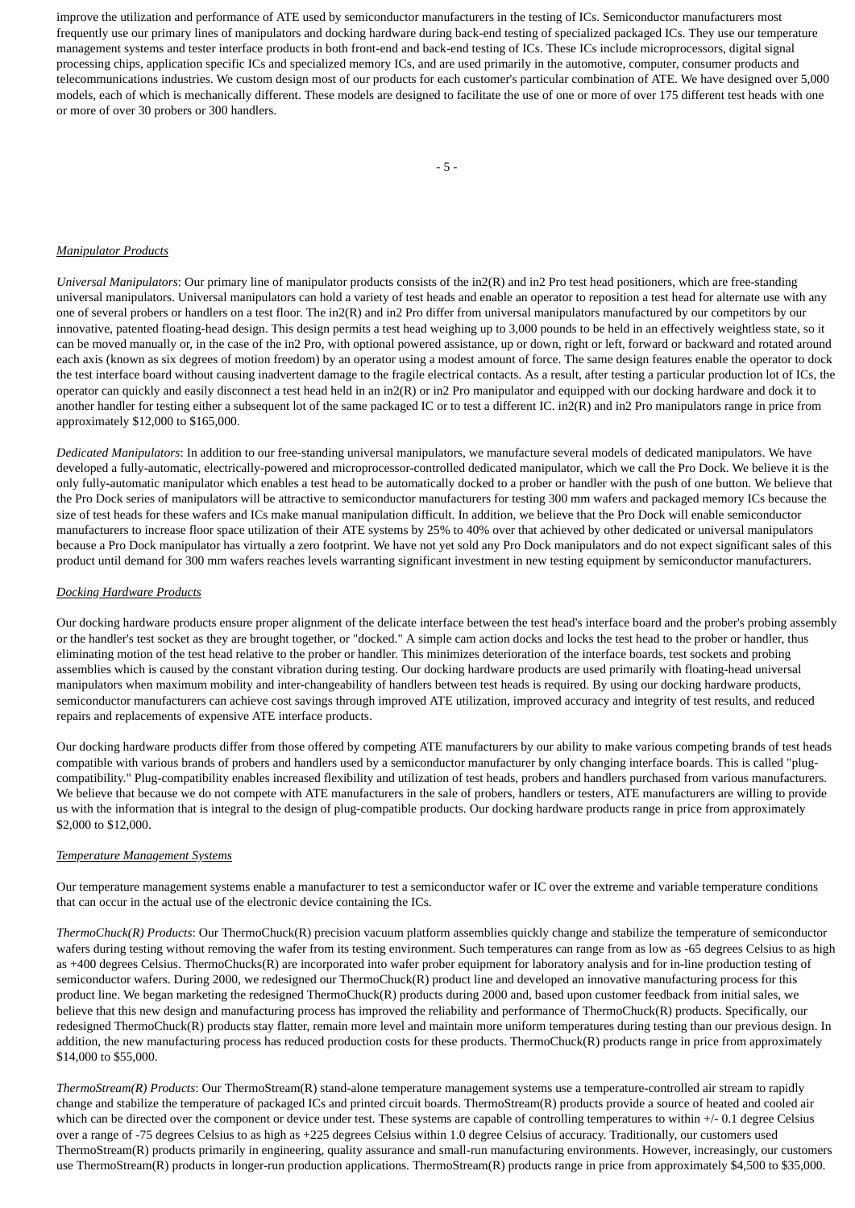improve the utilization and performance of ATE used by semiconductor manufacturers in the testing of ICs. Semiconductor manufacturers most frequently use our primary lines of manipulators and docking hardware during back-end testing of specialized packaged ICs. They use our temperature management systems and tester interface products in both front-end and back-end testing of ICs. These ICs include microprocessors, digital signal processing chips, application specific ICs and specialized memory ICs, and are used primarily in the automotive, computer, consumer products and telecommunications industries. We custom design most of our products for each customer's particular combination of ATE. We have designed over 5,000 models, each of which is mechanically different. These models are designed to facilitate the use of one or more of over 175 different test heads with one or more of over 30 probers or 300 handlers.

## *Manipulator Products*

*Universal Manipulators*: Our primary line of manipulator products consists of the in2(R) and in2 Pro test head positioners, which are free-standing universal manipulators. Universal manipulators can hold a variety of test heads and enable an operator to reposition a test head for alternate use with any one of several probers or handlers on a test floor. The in2(R) and in2 Pro differ from universal manipulators manufactured by our competitors by our innovative, patented floating-head design. This design permits a test head weighing up to 3,000 pounds to be held in an effectively weightless state, so it can be moved manually or, in the case of the in2 Pro, with optional powered assistance, up or down, right or left, forward or backward and rotated around each axis (known as six degrees of motion freedom) by an operator using a modest amount of force. The same design features enable the operator to dock the test interface board without causing inadvertent damage to the fragile electrical contacts. As a result, after testing a particular production lot of ICs, the operator can quickly and easily disconnect a test head held in an in2(R) or in2 Pro manipulator and equipped with our docking hardware and dock it to another handler for testing either a subsequent lot of the same packaged IC or to test a different IC. in2(R) and in2 Pro manipulators range in price from approximately \$12,000 to \$165,000.

*Dedicated Manipulators*: In addition to our free-standing universal manipulators, we manufacture several models of dedicated manipulators. We have developed a fully-automatic, electrically-powered and microprocessor-controlled dedicated manipulator, which we call the Pro Dock. We believe it is the only fully-automatic manipulator which enables a test head to be automatically docked to a prober or handler with the push of one button. We believe that the Pro Dock series of manipulators will be attractive to semiconductor manufacturers for testing 300 mm wafers and packaged memory ICs because the size of test heads for these wafers and ICs make manual manipulation difficult. In addition, we believe that the Pro Dock will enable semiconductor manufacturers to increase floor space utilization of their ATE systems by 25% to 40% over that achieved by other dedicated or universal manipulators because a Pro Dock manipulator has virtually a zero footprint. We have not yet sold any Pro Dock manipulators and do not expect significant sales of this product until demand for 300 mm wafers reaches levels warranting significant investment in new testing equipment by semiconductor manufacturers.

### *Docking Hardware Products*

Our docking hardware products ensure proper alignment of the delicate interface between the test head's interface board and the prober's probing assembly or the handler's test socket as they are brought together, or "docked." A simple cam action docks and locks the test head to the prober or handler, thus eliminating motion of the test head relative to the prober or handler. This minimizes deterioration of the interface boards, test sockets and probing assemblies which is caused by the constant vibration during testing. Our docking hardware products are used primarily with floating-head universal manipulators when maximum mobility and inter-changeability of handlers between test heads is required. By using our docking hardware products, semiconductor manufacturers can achieve cost savings through improved ATE utilization, improved accuracy and integrity of test results, and reduced repairs and replacements of expensive ATE interface products.

Our docking hardware products differ from those offered by competing ATE manufacturers by our ability to make various competing brands of test heads compatible with various brands of probers and handlers used by a semiconductor manufacturer by only changing interface boards. This is called "plugcompatibility." Plug-compatibility enables increased flexibility and utilization of test heads, probers and handlers purchased from various manufacturers. We believe that because we do not compete with ATE manufacturers in the sale of probers, handlers or testers, ATE manufacturers are willing to provide us with the information that is integral to the design of plug-compatible products. Our docking hardware products range in price from approximately \$2,000 to \$12,000.

#### *Temperature Management Systems*

Our temperature management systems enable a manufacturer to test a semiconductor wafer or IC over the extreme and variable temperature conditions that can occur in the actual use of the electronic device containing the ICs.

*ThermoChuck(R) Products*: Our ThermoChuck(R) precision vacuum platform assemblies quickly change and stabilize the temperature of semiconductor wafers during testing without removing the wafer from its testing environment. Such temperatures can range from as low as -65 degrees Celsius to as high as +400 degrees Celsius. ThermoChucks(R) are incorporated into wafer prober equipment for laboratory analysis and for in-line production testing of semiconductor wafers. During 2000, we redesigned our ThermoChuck(R) product line and developed an innovative manufacturing process for this product line. We began marketing the redesigned ThermoChuck(R) products during 2000 and, based upon customer feedback from initial sales, we believe that this new design and manufacturing process has improved the reliability and performance of ThermoChuck(R) products. Specifically, our redesigned ThermoChuck(R) products stay flatter, remain more level and maintain more uniform temperatures during testing than our previous design. In addition, the new manufacturing process has reduced production costs for these products. ThermoChuck(R) products range in price from approximately \$14,000 to \$55,000.

*ThermoStream(R) Products*: Our ThermoStream(R) stand-alone temperature management systems use a temperature-controlled air stream to rapidly change and stabilize the temperature of packaged ICs and printed circuit boards. ThermoStream(R) products provide a source of heated and cooled air which can be directed over the component or device under test. These systems are capable of controlling temperatures to within +/- 0.1 degree Celsius over a range of -75 degrees Celsius to as high as +225 degrees Celsius within 1.0 degree Celsius of accuracy. Traditionally, our customers used ThermoStream(R) products primarily in engineering, quality assurance and small-run manufacturing environments. However, increasingly, our customers use ThermoStream(R) products in longer-run production applications. ThermoStream(R) products range in price from approximately \$4,500 to \$35,000.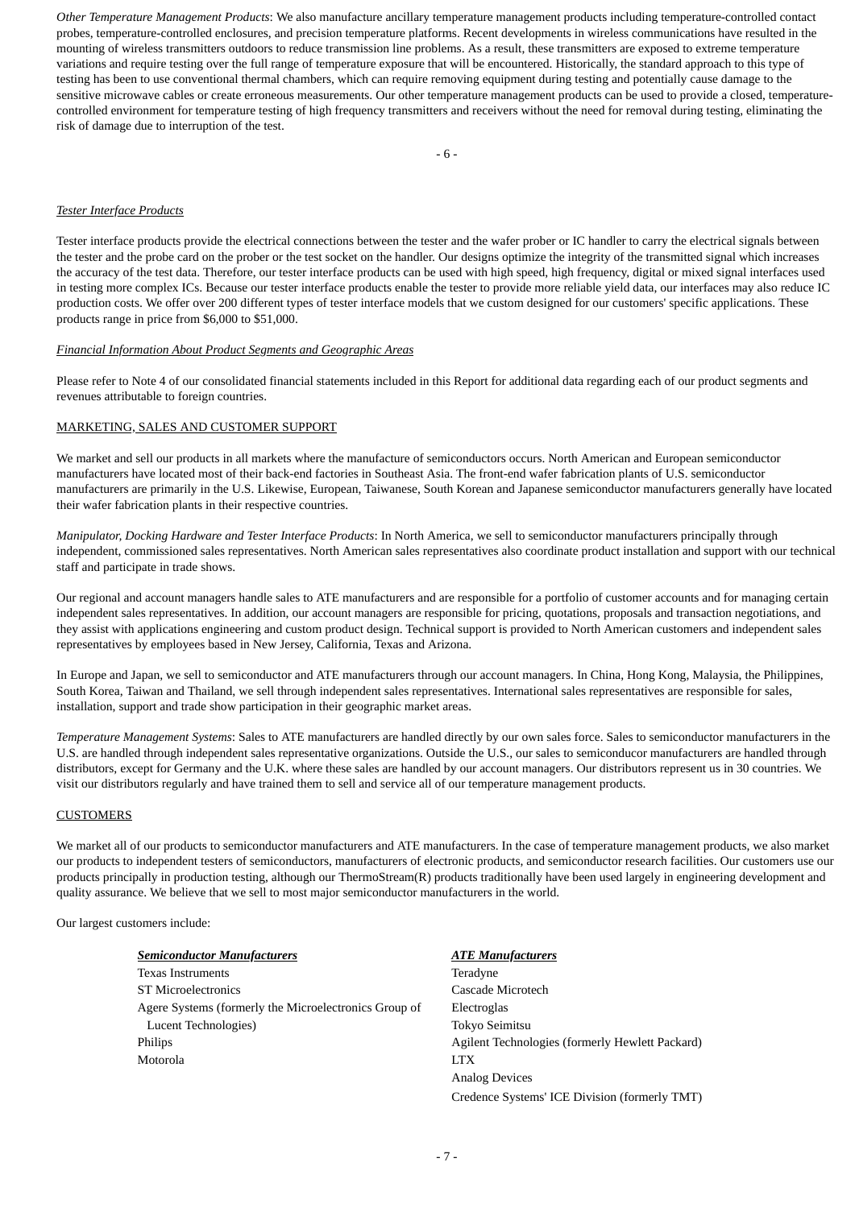*Other Temperature Management Products*: We also manufacture ancillary temperature management products including temperature-controlled contact probes, temperature-controlled enclosures, and precision temperature platforms. Recent developments in wireless communications have resulted in the mounting of wireless transmitters outdoors to reduce transmission line problems. As a result, these transmitters are exposed to extreme temperature variations and require testing over the full range of temperature exposure that will be encountered. Historically, the standard approach to this type of testing has been to use conventional thermal chambers, which can require removing equipment during testing and potentially cause damage to the sensitive microwave cables or create erroneous measurements. Our other temperature management products can be used to provide a closed, temperaturecontrolled environment for temperature testing of high frequency transmitters and receivers without the need for removal during testing, eliminating the risk of damage due to interruption of the test.

## *Tester Interface Products*

Tester interface products provide the electrical connections between the tester and the wafer prober or IC handler to carry the electrical signals between the tester and the probe card on the prober or the test socket on the handler. Our designs optimize the integrity of the transmitted signal which increases the accuracy of the test data. Therefore, our tester interface products can be used with high speed, high frequency, digital or mixed signal interfaces used in testing more complex ICs. Because our tester interface products enable the tester to provide more reliable yield data, our interfaces may also reduce IC production costs. We offer over 200 different types of tester interface models that we custom designed for our customers' specific applications. These products range in price from \$6,000 to \$51,000.

## *Financial Information About Product Segments and Geographic Areas*

Please refer to Note 4 of our consolidated financial statements included in this Report for additional data regarding each of our product segments and revenues attributable to foreign countries.

## MARKETING, SALES AND CUSTOMER SUPPORT

We market and sell our products in all markets where the manufacture of semiconductors occurs. North American and European semiconductor manufacturers have located most of their back-end factories in Southeast Asia. The front-end wafer fabrication plants of U.S. semiconductor manufacturers are primarily in the U.S. Likewise, European, Taiwanese, South Korean and Japanese semiconductor manufacturers generally have located their wafer fabrication plants in their respective countries.

*Manipulator, Docking Hardware and Tester Interface Products*: In North America, we sell to semiconductor manufacturers principally through independent, commissioned sales representatives. North American sales representatives also coordinate product installation and support with our technical staff and participate in trade shows.

Our regional and account managers handle sales to ATE manufacturers and are responsible for a portfolio of customer accounts and for managing certain independent sales representatives. In addition, our account managers are responsible for pricing, quotations, proposals and transaction negotiations, and they assist with applications engineering and custom product design. Technical support is provided to North American customers and independent sales representatives by employees based in New Jersey, California, Texas and Arizona.

In Europe and Japan, we sell to semiconductor and ATE manufacturers through our account managers. In China, Hong Kong, Malaysia, the Philippines, South Korea, Taiwan and Thailand, we sell through independent sales representatives. International sales representatives are responsible for sales, installation, support and trade show participation in their geographic market areas.

*Temperature Management Systems*: Sales to ATE manufacturers are handled directly by our own sales force. Sales to semiconductor manufacturers in the U.S. are handled through independent sales representative organizations. Outside the U.S., our sales to semiconducor manufacturers are handled through distributors, except for Germany and the U.K. where these sales are handled by our account managers. Our distributors represent us in 30 countries. We visit our distributors regularly and have trained them to sell and service all of our temperature management products.

## **CUSTOMERS**

We market all of our products to semiconductor manufacturers and ATE manufacturers. In the case of temperature management products, we also market our products to independent testers of semiconductors, manufacturers of electronic products, and semiconductor research facilities. Our customers use our products principally in production testing, although our ThermoStream(R) products traditionally have been used largely in engineering development and quality assurance. We believe that we sell to most major semiconductor manufacturers in the world.

Our largest customers include:

| <b>Semiconductor Manufacturers</b>                    | <b>ATE Manufacturers</b>                        |
|-------------------------------------------------------|-------------------------------------------------|
| <b>Texas Instruments</b>                              | Teradyne                                        |
| <b>ST Microelectronics</b>                            | Cascade Microtech                               |
| Agere Systems (formerly the Microelectronics Group of | Electroglas                                     |
| Lucent Technologies)                                  | Tokvo Seimitsu                                  |
| Philips                                               | Agilent Technologies (formerly Hewlett Packard) |
| Motorola                                              | <b>LTX</b>                                      |
|                                                       | <b>Analog Devices</b>                           |
|                                                       | Credence Systems' ICE Division (formerly TMT)   |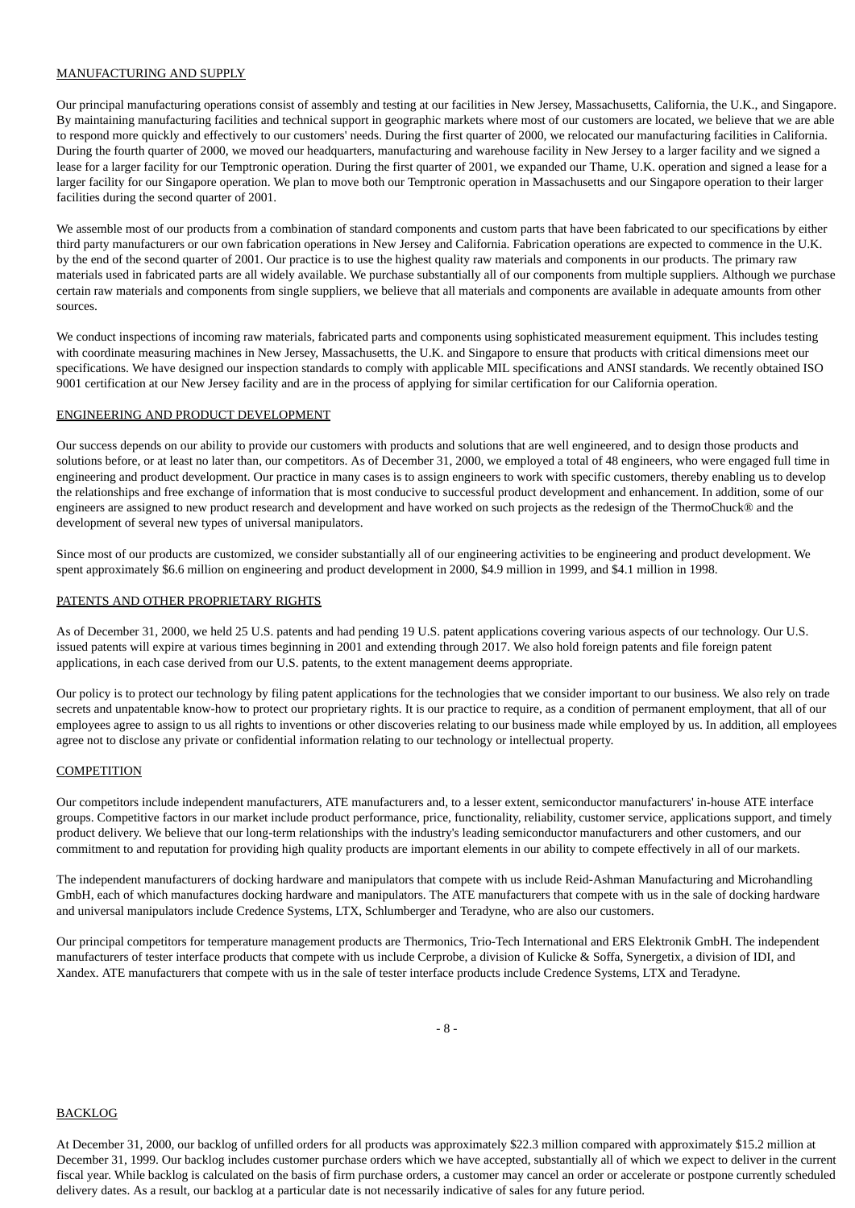## MANUFACTURING AND SUPPLY

Our principal manufacturing operations consist of assembly and testing at our facilities in New Jersey, Massachusetts, California, the U.K., and Singapore. By maintaining manufacturing facilities and technical support in geographic markets where most of our customers are located, we believe that we are able to respond more quickly and effectively to our customers' needs. During the first quarter of 2000, we relocated our manufacturing facilities in California. During the fourth quarter of 2000, we moved our headquarters, manufacturing and warehouse facility in New Jersey to a larger facility and we signed a lease for a larger facility for our Temptronic operation. During the first quarter of 2001, we expanded our Thame, U.K. operation and signed a lease for a larger facility for our Singapore operation. We plan to move both our Temptronic operation in Massachusetts and our Singapore operation to their larger facilities during the second quarter of 2001.

We assemble most of our products from a combination of standard components and custom parts that have been fabricated to our specifications by either third party manufacturers or our own fabrication operations in New Jersey and California. Fabrication operations are expected to commence in the U.K. by the end of the second quarter of 2001. Our practice is to use the highest quality raw materials and components in our products. The primary raw materials used in fabricated parts are all widely available. We purchase substantially all of our components from multiple suppliers. Although we purchase certain raw materials and components from single suppliers, we believe that all materials and components are available in adequate amounts from other sources.

We conduct inspections of incoming raw materials, fabricated parts and components using sophisticated measurement equipment. This includes testing with coordinate measuring machines in New Jersey, Massachusetts, the U.K. and Singapore to ensure that products with critical dimensions meet our specifications. We have designed our inspection standards to comply with applicable MIL specifications and ANSI standards. We recently obtained ISO 9001 certification at our New Jersey facility and are in the process of applying for similar certification for our California operation.

## ENGINEERING AND PRODUCT DEVELOPMENT

Our success depends on our ability to provide our customers with products and solutions that are well engineered, and to design those products and solutions before, or at least no later than, our competitors. As of December 31, 2000, we employed a total of 48 engineers, who were engaged full time in engineering and product development. Our practice in many cases is to assign engineers to work with specific customers, thereby enabling us to develop the relationships and free exchange of information that is most conducive to successful product development and enhancement. In addition, some of our engineers are assigned to new product research and development and have worked on such projects as the redesign of the ThermoChuck® and the development of several new types of universal manipulators.

Since most of our products are customized, we consider substantially all of our engineering activities to be engineering and product development. We spent approximately \$6.6 million on engineering and product development in 2000, \$4.9 million in 1999, and \$4.1 million in 1998.

## PATENTS AND OTHER PROPRIETARY RIGHTS

As of December 31, 2000, we held 25 U.S. patents and had pending 19 U.S. patent applications covering various aspects of our technology. Our U.S. issued patents will expire at various times beginning in 2001 and extending through 2017. We also hold foreign patents and file foreign patent applications, in each case derived from our U.S. patents, to the extent management deems appropriate.

Our policy is to protect our technology by filing patent applications for the technologies that we consider important to our business. We also rely on trade secrets and unpatentable know-how to protect our proprietary rights. It is our practice to require, as a condition of permanent employment, that all of our employees agree to assign to us all rights to inventions or other discoveries relating to our business made while employed by us. In addition, all employees agree not to disclose any private or confidential information relating to our technology or intellectual property.

#### **COMPETITION**

Our competitors include independent manufacturers, ATE manufacturers and, to a lesser extent, semiconductor manufacturers' in-house ATE interface groups. Competitive factors in our market include product performance, price, functionality, reliability, customer service, applications support, and timely product delivery. We believe that our long-term relationships with the industry's leading semiconductor manufacturers and other customers, and our commitment to and reputation for providing high quality products are important elements in our ability to compete effectively in all of our markets.

The independent manufacturers of docking hardware and manipulators that compete with us include Reid-Ashman Manufacturing and Microhandling GmbH, each of which manufactures docking hardware and manipulators. The ATE manufacturers that compete with us in the sale of docking hardware and universal manipulators include Credence Systems, LTX, Schlumberger and Teradyne, who are also our customers.

Our principal competitors for temperature management products are Thermonics, Trio-Tech International and ERS Elektronik GmbH. The independent manufacturers of tester interface products that compete with us include Cerprobe, a division of Kulicke & Soffa, Synergetix, a division of IDI, and Xandex. ATE manufacturers that compete with us in the sale of tester interface products include Credence Systems, LTX and Teradyne.

#### **BACKLOG**

At December 31, 2000, our backlog of unfilled orders for all products was approximately \$22.3 million compared with approximately \$15.2 million at December 31, 1999. Our backlog includes customer purchase orders which we have accepted, substantially all of which we expect to deliver in the current fiscal year. While backlog is calculated on the basis of firm purchase orders, a customer may cancel an order or accelerate or postpone currently scheduled delivery dates. As a result, our backlog at a particular date is not necessarily indicative of sales for any future period.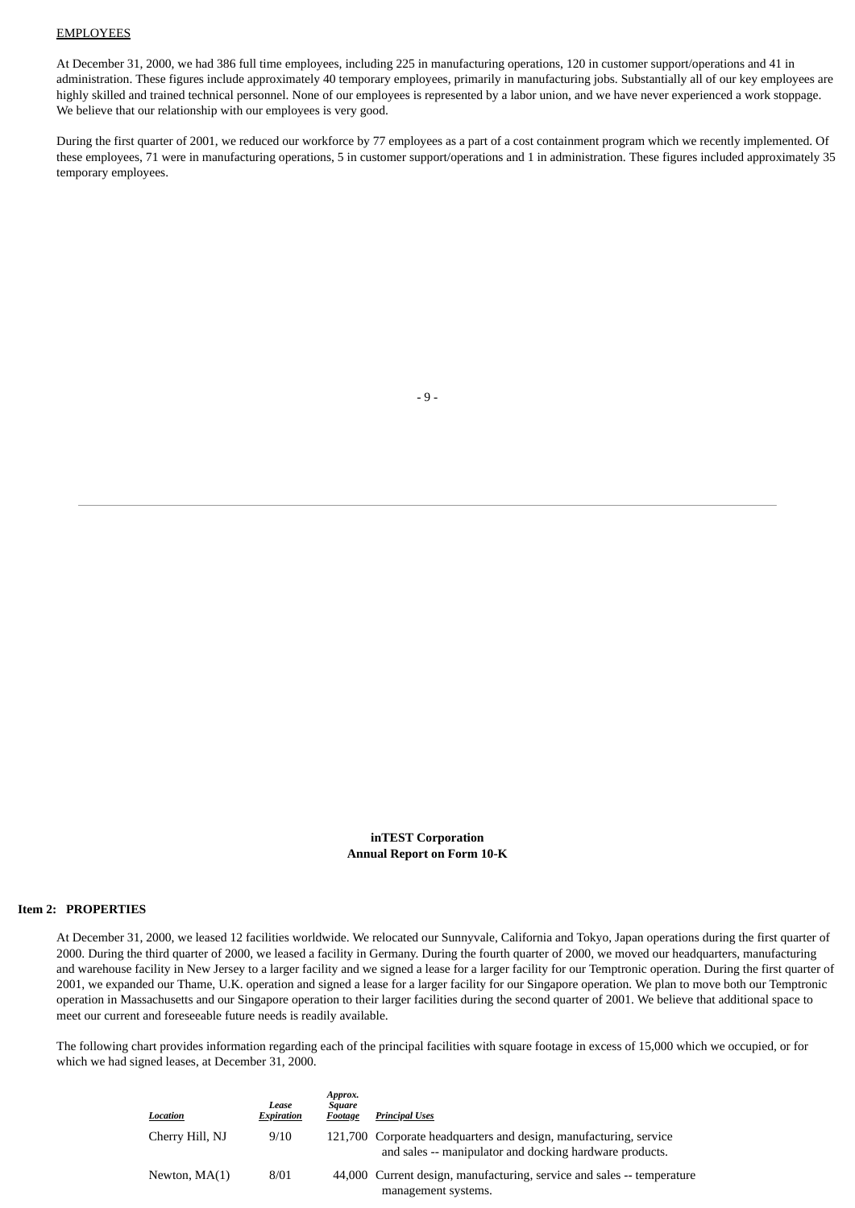### EMPLOYEES

At December 31, 2000, we had 386 full time employees, including 225 in manufacturing operations, 120 in customer support/operations and 41 in administration. These figures include approximately 40 temporary employees, primarily in manufacturing jobs. Substantially all of our key employees are highly skilled and trained technical personnel. None of our employees is represented by a labor union, and we have never experienced a work stoppage. We believe that our relationship with our employees is very good.

During the first quarter of 2001, we reduced our workforce by 77 employees as a part of a cost containment program which we recently implemented. Of these employees, 71 were in manufacturing operations, 5 in customer support/operations and 1 in administration. These figures included approximately 35 temporary employees.

- 9 -

**inTEST Corporation Annual Report on Form 10-K**

#### **Item 2: PROPERTIES**

At December 31, 2000, we leased 12 facilities worldwide. We relocated our Sunnyvale, California and Tokyo, Japan operations during the first quarter of 2000. During the third quarter of 2000, we leased a facility in Germany. During the fourth quarter of 2000, we moved our headquarters, manufacturing and warehouse facility in New Jersey to a larger facility and we signed a lease for a larger facility for our Temptronic operation. During the first quarter of 2001, we expanded our Thame, U.K. operation and signed a lease for a larger facility for our Singapore operation. We plan to move both our Temptronic operation in Massachusetts and our Singapore operation to their larger facilities during the second quarter of 2001. We believe that additional space to meet our current and foreseeable future needs is readily available.

The following chart provides information regarding each of the principal facilities with square footage in excess of 15,000 which we occupied, or for which we had signed leases, at December 31, 2000.

| Location        | Lease<br><b>Expiration</b> | Approx.<br>Square<br>Footage | <b>Principal Uses</b>                                                                                                        |
|-----------------|----------------------------|------------------------------|------------------------------------------------------------------------------------------------------------------------------|
| Cherry Hill, NJ | 9/10                       |                              | 121,700 Corporate headquarters and design, manufacturing, service<br>and sales -- manipulator and docking hardware products. |
| Newton, $MA(1)$ | 8/01                       |                              | 44,000 Current design, manufacturing, service and sales -- temperature<br>management systems.                                |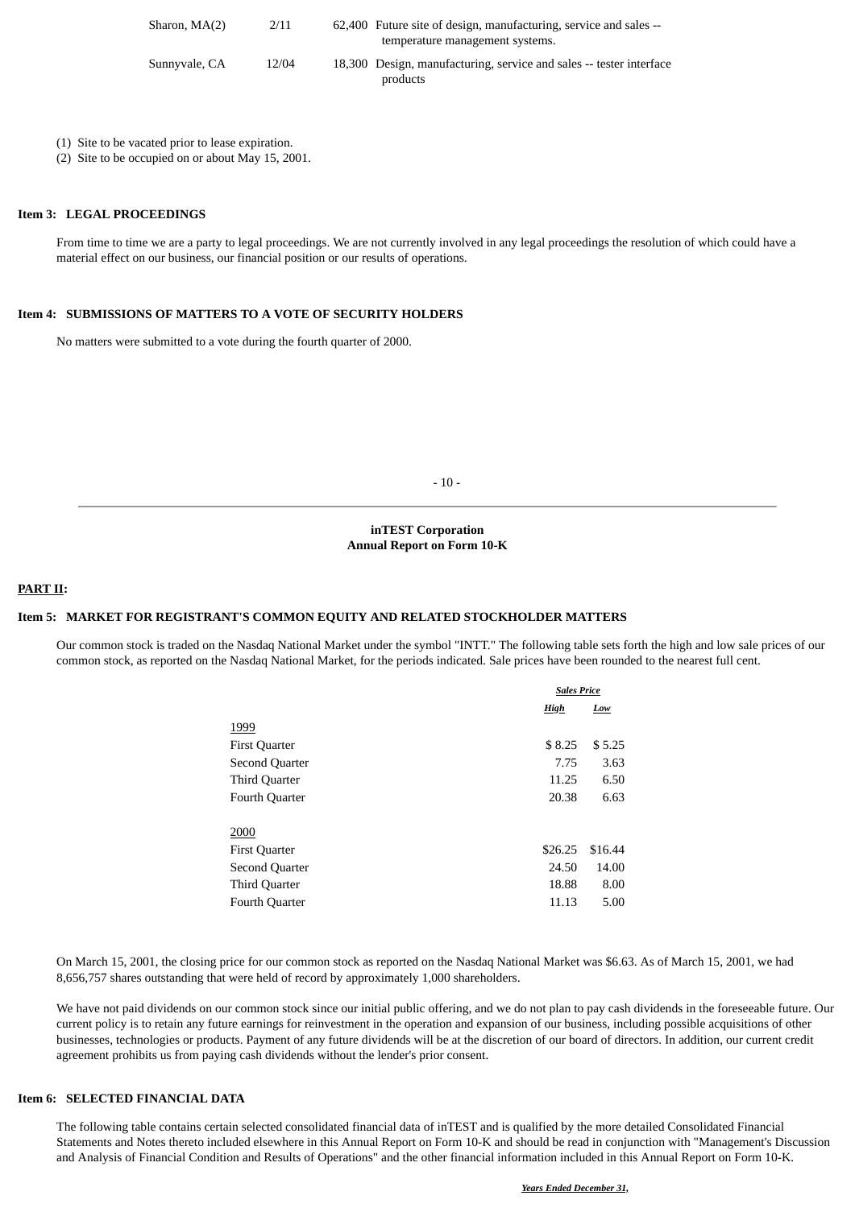| Sharon, $MA(2)$ | 2/11  | 62,400 Future site of design, manufacturing, service and sales --<br>temperature management systems. |
|-----------------|-------|------------------------------------------------------------------------------------------------------|
| Sunnyvale, CA   | 12/04 | 18,300 Design, manufacturing, service and sales -- tester interface<br>products                      |

(1) Site to be vacated prior to lease expiration.

(2) Site to be occupied on or about May 15, 2001.

## **Item 3: LEGAL PROCEEDINGS**

From time to time we are a party to legal proceedings. We are not currently involved in any legal proceedings the resolution of which could have a material effect on our business, our financial position or our results of operations.

#### **Item 4: SUBMISSIONS OF MATTERS TO A VOTE OF SECURITY HOLDERS**

No matters were submitted to a vote during the fourth quarter of 2000.

 $-10-$ 

#### **inTEST Corporation Annual Report on Form 10-K**

## **PART II:**

### **Item 5: MARKET FOR REGISTRANT'S COMMON EQUITY AND RELATED STOCKHOLDER MATTERS**

Our common stock is traded on the Nasdaq National Market under the symbol "INTT." The following table sets forth the high and low sale prices of our common stock, as reported on the Nasdaq National Market, for the periods indicated. Sale prices have been rounded to the nearest full cent.

|                      |             | <b>Sales Price</b> |  |
|----------------------|-------------|--------------------|--|
|                      | <b>High</b> | Low                |  |
| 1999                 |             |                    |  |
| <b>First Quarter</b> | \$8.25      | \$5.25             |  |
| Second Quarter       | 7.75        | 3.63               |  |
| Third Quarter        | 11.25       | 6.50               |  |
| Fourth Quarter       | 20.38       | 6.63               |  |
| 2000                 |             |                    |  |
| <b>First Quarter</b> | \$26.25     | \$16.44            |  |
| Second Quarter       | 24.50       | 14.00              |  |
| Third Quarter        | 18.88       | 8.00               |  |
| Fourth Quarter       | 11.13       | 5.00               |  |
|                      |             |                    |  |

On March 15, 2001, the closing price for our common stock as reported on the Nasdaq National Market was \$6.63. As of March 15, 2001, we had 8,656,757 shares outstanding that were held of record by approximately 1,000 shareholders.

We have not paid dividends on our common stock since our initial public offering, and we do not plan to pay cash dividends in the foreseeable future. Our current policy is to retain any future earnings for reinvestment in the operation and expansion of our business, including possible acquisitions of other businesses, technologies or products. Payment of any future dividends will be at the discretion of our board of directors. In addition, our current credit agreement prohibits us from paying cash dividends without the lender's prior consent.

### **Item 6: SELECTED FINANCIAL DATA**

The following table contains certain selected consolidated financial data of inTEST and is qualified by the more detailed Consolidated Financial Statements and Notes thereto included elsewhere in this Annual Report on Form 10-K and should be read in conjunction with "Management's Discussion and Analysis of Financial Condition and Results of Operations" and the other financial information included in this Annual Report on Form 10-K.

#### *Years Ended December 31,*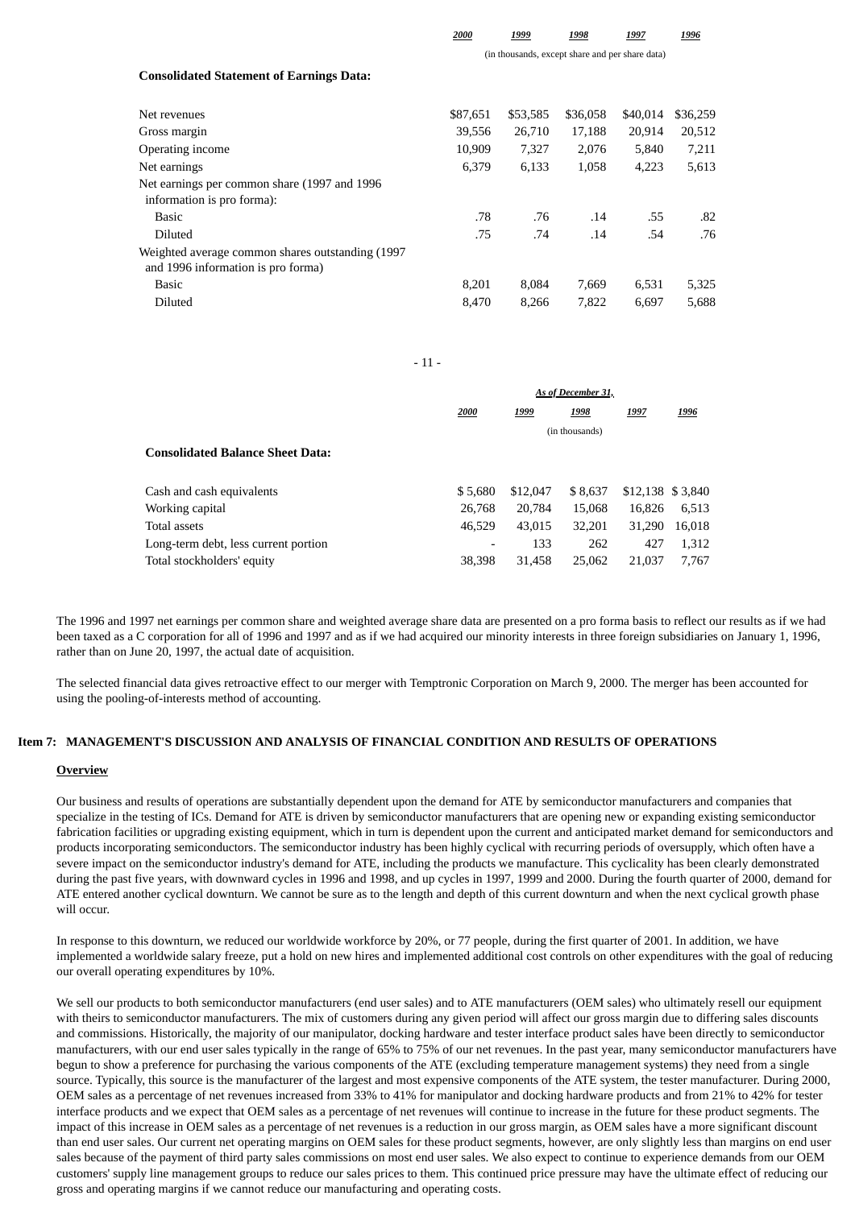|                                                   | 2000     | 1999                                            | 1998     | 1997     | 1996     |
|---------------------------------------------------|----------|-------------------------------------------------|----------|----------|----------|
|                                                   |          | (in thousands, except share and per share data) |          |          |          |
| <b>Consolidated Statement of Earnings Data:</b>   |          |                                                 |          |          |          |
|                                                   |          |                                                 |          |          |          |
| Net revenues                                      | \$87,651 | \$53,585                                        | \$36,058 | \$40,014 | \$36,259 |
| Gross margin                                      | 39,556   | 26,710                                          | 17,188   | 20,914   | 20,512   |
| Operating income                                  | 10,909   | 7,327                                           | 2,076    | 5,840    | 7,211    |
| Net earnings                                      | 6,379    | 6,133                                           | 1,058    | 4,223    | 5,613    |
| Net earnings per common share (1997 and 1996)     |          |                                                 |          |          |          |
| information is pro forma):                        |          |                                                 |          |          |          |
| Basic                                             | .78      | .76                                             | .14      | .55      | .82      |
| Diluted                                           | .75      | .74                                             | .14      | .54      | .76      |
| Weighted average common shares outstanding (1997) |          |                                                 |          |          |          |
| and 1996 information is pro forma)                |          |                                                 |          |          |          |
| Basic                                             | 8,201    | 8.084                                           | 7,669    | 6,531    | 5,325    |
| Diluted                                           | 8.470    | 8,266                                           | 7.822    | 6,697    | 5,688    |

- 11 -

|                                         | As of December 31, |          |                |                  |        |
|-----------------------------------------|--------------------|----------|----------------|------------------|--------|
|                                         | 2000               | 1999     | 1998           | 1997             | 1996   |
|                                         |                    |          | (in thousands) |                  |        |
| <b>Consolidated Balance Sheet Data:</b> |                    |          |                |                  |        |
| Cash and cash equivalents               | \$5.680            | \$12,047 | \$8,637        | \$12,138 \$3,840 |        |
| Working capital                         | 26,768             | 20,784   | 15,068         | 16.826           | 6,513  |
| Total assets                            | 46,529             | 43,015   | 32,201         | 31.290           | 16,018 |
| Long-term debt, less current portion    |                    | 133      | 262            | 427              | 1,312  |
| Total stockholders' equity              | 38,398             | 31.458   | 25,062         | 21.037           | 7.767  |

The 1996 and 1997 net earnings per common share and weighted average share data are presented on a pro forma basis to reflect our results as if we had been taxed as a C corporation for all of 1996 and 1997 and as if we had acquired our minority interests in three foreign subsidiaries on January 1, 1996, rather than on June 20, 1997, the actual date of acquisition.

The selected financial data gives retroactive effect to our merger with Temptronic Corporation on March 9, 2000. The merger has been accounted for using the pooling-of-interests method of accounting.

## **Item 7: MANAGEMENT'S DISCUSSION AND ANALYSIS OF FINANCIAL CONDITION AND RESULTS OF OPERATIONS**

#### **Overview**

Our business and results of operations are substantially dependent upon the demand for ATE by semiconductor manufacturers and companies that specialize in the testing of ICs. Demand for ATE is driven by semiconductor manufacturers that are opening new or expanding existing semiconductor fabrication facilities or upgrading existing equipment, which in turn is dependent upon the current and anticipated market demand for semiconductors and products incorporating semiconductors. The semiconductor industry has been highly cyclical with recurring periods of oversupply, which often have a severe impact on the semiconductor industry's demand for ATE, including the products we manufacture. This cyclicality has been clearly demonstrated during the past five years, with downward cycles in 1996 and 1998, and up cycles in 1997, 1999 and 2000. During the fourth quarter of 2000, demand for ATE entered another cyclical downturn. We cannot be sure as to the length and depth of this current downturn and when the next cyclical growth phase will occur.

In response to this downturn, we reduced our worldwide workforce by 20%, or 77 people, during the first quarter of 2001. In addition, we have implemented a worldwide salary freeze, put a hold on new hires and implemented additional cost controls on other expenditures with the goal of reducing our overall operating expenditures by 10%.

We sell our products to both semiconductor manufacturers (end user sales) and to ATE manufacturers (OEM sales) who ultimately resell our equipment with theirs to semiconductor manufacturers. The mix of customers during any given period will affect our gross margin due to differing sales discounts and commissions. Historically, the majority of our manipulator, docking hardware and tester interface product sales have been directly to semiconductor manufacturers, with our end user sales typically in the range of 65% to 75% of our net revenues. In the past year, many semiconductor manufacturers have begun to show a preference for purchasing the various components of the ATE (excluding temperature management systems) they need from a single source. Typically, this source is the manufacturer of the largest and most expensive components of the ATE system, the tester manufacturer. During 2000, OEM sales as a percentage of net revenues increased from 33% to 41% for manipulator and docking hardware products and from 21% to 42% for tester interface products and we expect that OEM sales as a percentage of net revenues will continue to increase in the future for these product segments. The impact of this increase in OEM sales as a percentage of net revenues is a reduction in our gross margin, as OEM sales have a more significant discount than end user sales. Our current net operating margins on OEM sales for these product segments, however, are only slightly less than margins on end user sales because of the payment of third party sales commissions on most end user sales. We also expect to continue to experience demands from our OEM customers' supply line management groups to reduce our sales prices to them. This continued price pressure may have the ultimate effect of reducing our gross and operating margins if we cannot reduce our manufacturing and operating costs.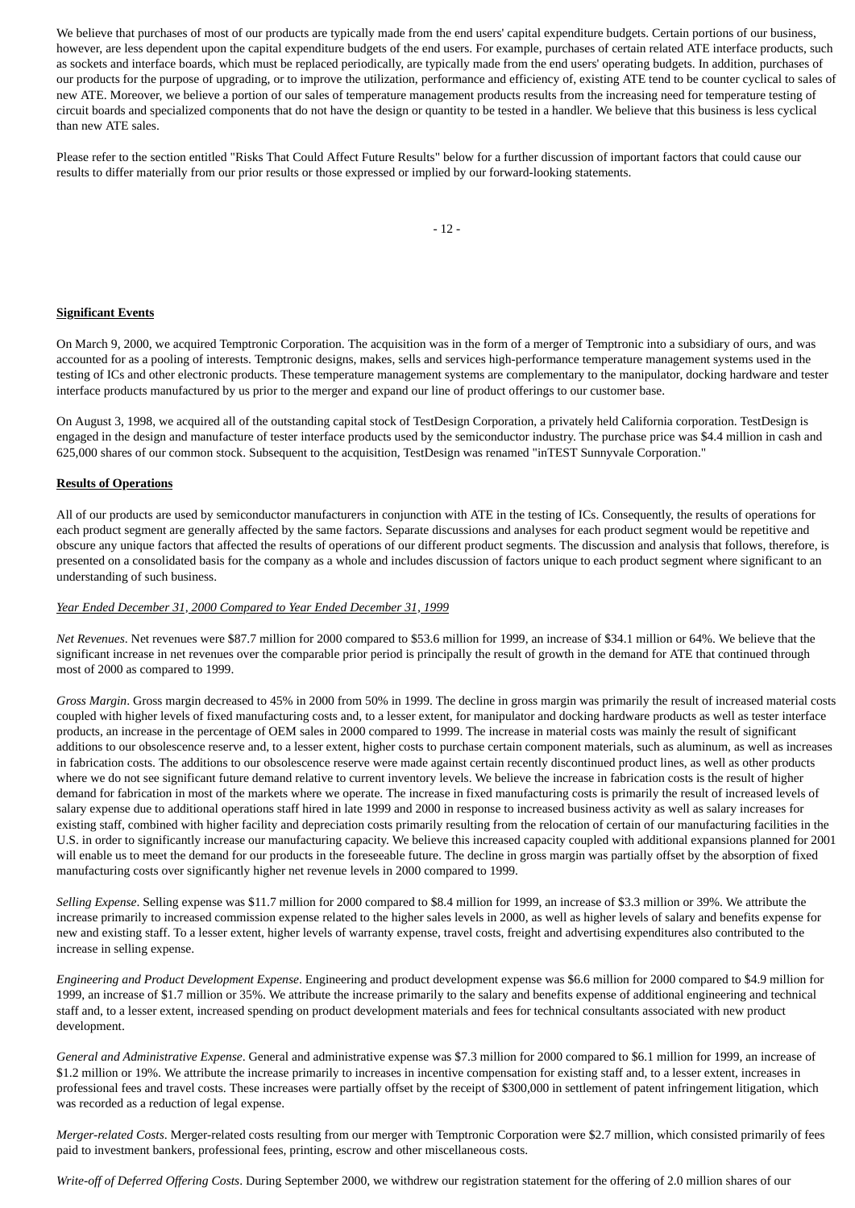We believe that purchases of most of our products are typically made from the end users' capital expenditure budgets. Certain portions of our business, however, are less dependent upon the capital expenditure budgets of the end users. For example, purchases of certain related ATE interface products, such as sockets and interface boards, which must be replaced periodically, are typically made from the end users' operating budgets. In addition, purchases of our products for the purpose of upgrading, or to improve the utilization, performance and efficiency of, existing ATE tend to be counter cyclical to sales of new ATE. Moreover, we believe a portion of our sales of temperature management products results from the increasing need for temperature testing of circuit boards and specialized components that do not have the design or quantity to be tested in a handler. We believe that this business is less cyclical than new ATE sales.

Please refer to the section entitled "Risks That Could Affect Future Results" below for a further discussion of important factors that could cause our results to differ materially from our prior results or those expressed or implied by our forward-looking statements.

- 12 -

## **Significant Events**

On March 9, 2000, we acquired Temptronic Corporation. The acquisition was in the form of a merger of Temptronic into a subsidiary of ours, and was accounted for as a pooling of interests. Temptronic designs, makes, sells and services high-performance temperature management systems used in the testing of ICs and other electronic products. These temperature management systems are complementary to the manipulator, docking hardware and tester interface products manufactured by us prior to the merger and expand our line of product offerings to our customer base.

On August 3, 1998, we acquired all of the outstanding capital stock of TestDesign Corporation, a privately held California corporation. TestDesign is engaged in the design and manufacture of tester interface products used by the semiconductor industry. The purchase price was \$4.4 million in cash and 625,000 shares of our common stock. Subsequent to the acquisition, TestDesign was renamed "inTEST Sunnyvale Corporation."

## **Results of Operations**

All of our products are used by semiconductor manufacturers in conjunction with ATE in the testing of ICs. Consequently, the results of operations for each product segment are generally affected by the same factors. Separate discussions and analyses for each product segment would be repetitive and obscure any unique factors that affected the results of operations of our different product segments. The discussion and analysis that follows, therefore, is presented on a consolidated basis for the company as a whole and includes discussion of factors unique to each product segment where significant to an understanding of such business.

#### *Year Ended December 31, 2000 Compared to Year Ended December 31, 1999*

*Net Revenues*. Net revenues were \$87.7 million for 2000 compared to \$53.6 million for 1999, an increase of \$34.1 million or 64%. We believe that the significant increase in net revenues over the comparable prior period is principally the result of growth in the demand for ATE that continued through most of 2000 as compared to 1999.

*Gross Margin*. Gross margin decreased to 45% in 2000 from 50% in 1999. The decline in gross margin was primarily the result of increased material costs coupled with higher levels of fixed manufacturing costs and, to a lesser extent, for manipulator and docking hardware products as well as tester interface products, an increase in the percentage of OEM sales in 2000 compared to 1999. The increase in material costs was mainly the result of significant additions to our obsolescence reserve and, to a lesser extent, higher costs to purchase certain component materials, such as aluminum, as well as increases in fabrication costs. The additions to our obsolescence reserve were made against certain recently discontinued product lines, as well as other products where we do not see significant future demand relative to current inventory levels. We believe the increase in fabrication costs is the result of higher demand for fabrication in most of the markets where we operate. The increase in fixed manufacturing costs is primarily the result of increased levels of salary expense due to additional operations staff hired in late 1999 and 2000 in response to increased business activity as well as salary increases for existing staff, combined with higher facility and depreciation costs primarily resulting from the relocation of certain of our manufacturing facilities in the U.S. in order to significantly increase our manufacturing capacity. We believe this increased capacity coupled with additional expansions planned for 2001 will enable us to meet the demand for our products in the foreseeable future. The decline in gross margin was partially offset by the absorption of fixed manufacturing costs over significantly higher net revenue levels in 2000 compared to 1999.

*Selling Expense*. Selling expense was \$11.7 million for 2000 compared to \$8.4 million for 1999, an increase of \$3.3 million or 39%. We attribute the increase primarily to increased commission expense related to the higher sales levels in 2000, as well as higher levels of salary and benefits expense for new and existing staff. To a lesser extent, higher levels of warranty expense, travel costs, freight and advertising expenditures also contributed to the increase in selling expense.

*Engineering and Product Development Expense*. Engineering and product development expense was \$6.6 million for 2000 compared to \$4.9 million for 1999, an increase of \$1.7 million or 35%. We attribute the increase primarily to the salary and benefits expense of additional engineering and technical staff and, to a lesser extent, increased spending on product development materials and fees for technical consultants associated with new product development.

*General and Administrative Expense*. General and administrative expense was \$7.3 million for 2000 compared to \$6.1 million for 1999, an increase of \$1.2 million or 19%. We attribute the increase primarily to increases in incentive compensation for existing staff and, to a lesser extent, increases in professional fees and travel costs. These increases were partially offset by the receipt of \$300,000 in settlement of patent infringement litigation, which was recorded as a reduction of legal expense.

*Merger-related Costs*. Merger-related costs resulting from our merger with Temptronic Corporation were \$2.7 million, which consisted primarily of fees paid to investment bankers, professional fees, printing, escrow and other miscellaneous costs.

*Write-off of Deferred Offering Costs*. During September 2000, we withdrew our registration statement for the offering of 2.0 million shares of our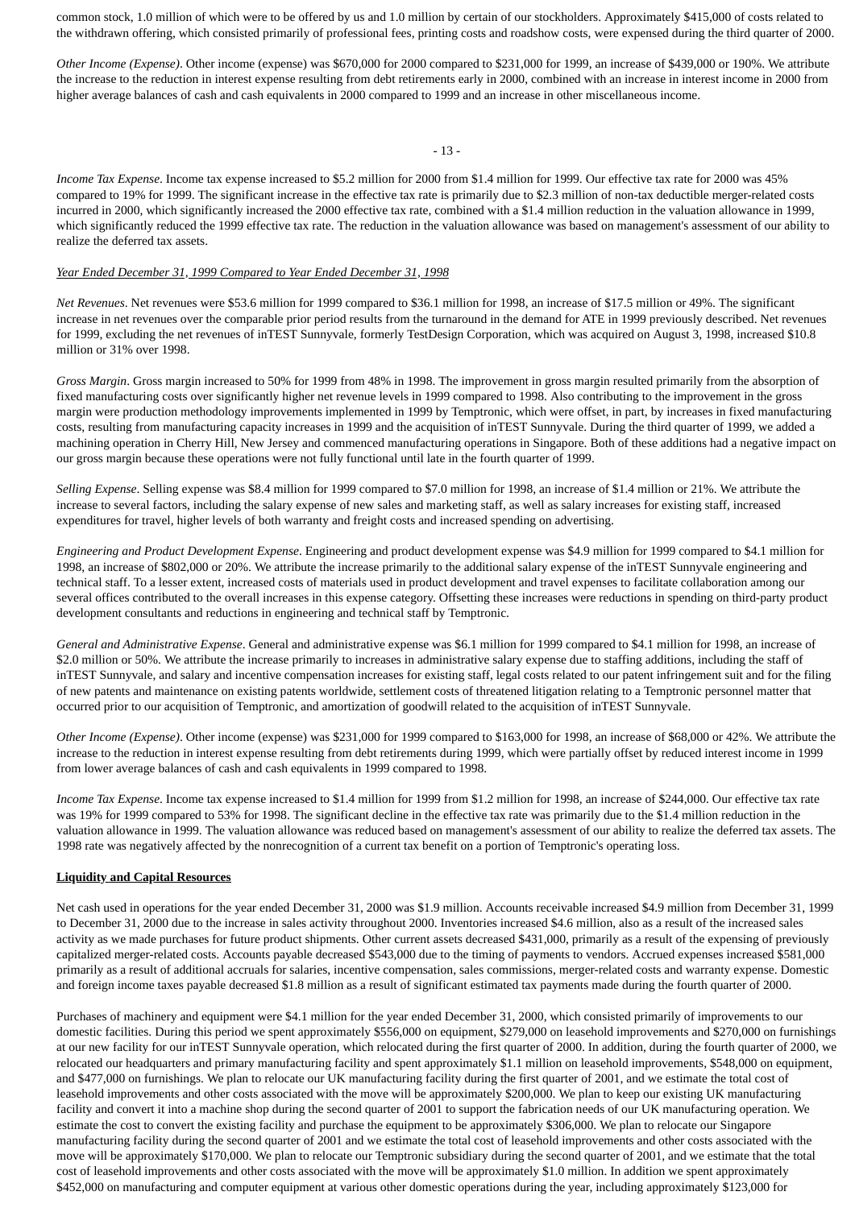common stock, 1.0 million of which were to be offered by us and 1.0 million by certain of our stockholders. Approximately \$415,000 of costs related to the withdrawn offering, which consisted primarily of professional fees, printing costs and roadshow costs, were expensed during the third quarter of 2000.

*Other Income (Expense)*. Other income (expense) was \$670,000 for 2000 compared to \$231,000 for 1999, an increase of \$439,000 or 190%. We attribute the increase to the reduction in interest expense resulting from debt retirements early in 2000, combined with an increase in interest income in 2000 from higher average balances of cash and cash equivalents in 2000 compared to 1999 and an increase in other miscellaneous income.

- 13 -

*Income Tax Expense*. Income tax expense increased to \$5.2 million for 2000 from \$1.4 million for 1999. Our effective tax rate for 2000 was 45% compared to 19% for 1999. The significant increase in the effective tax rate is primarily due to \$2.3 million of non-tax deductible merger-related costs incurred in 2000, which significantly increased the 2000 effective tax rate, combined with a \$1.4 million reduction in the valuation allowance in 1999, which significantly reduced the 1999 effective tax rate. The reduction in the valuation allowance was based on management's assessment of our ability to realize the deferred tax assets.

## *Year Ended December 31, 1999 Compared to Year Ended December 31, 1998*

*Net Revenues*. Net revenues were \$53.6 million for 1999 compared to \$36.1 million for 1998, an increase of \$17.5 million or 49%. The significant increase in net revenues over the comparable prior period results from the turnaround in the demand for ATE in 1999 previously described. Net revenues for 1999, excluding the net revenues of inTEST Sunnyvale, formerly TestDesign Corporation, which was acquired on August 3, 1998, increased \$10.8 million or 31% over 1998.

*Gross Margin*. Gross margin increased to 50% for 1999 from 48% in 1998. The improvement in gross margin resulted primarily from the absorption of fixed manufacturing costs over significantly higher net revenue levels in 1999 compared to 1998. Also contributing to the improvement in the gross margin were production methodology improvements implemented in 1999 by Temptronic, which were offset, in part, by increases in fixed manufacturing costs, resulting from manufacturing capacity increases in 1999 and the acquisition of inTEST Sunnyvale. During the third quarter of 1999, we added a machining operation in Cherry Hill, New Jersey and commenced manufacturing operations in Singapore. Both of these additions had a negative impact on our gross margin because these operations were not fully functional until late in the fourth quarter of 1999.

*Selling Expense*. Selling expense was \$8.4 million for 1999 compared to \$7.0 million for 1998, an increase of \$1.4 million or 21%. We attribute the increase to several factors, including the salary expense of new sales and marketing staff, as well as salary increases for existing staff, increased expenditures for travel, higher levels of both warranty and freight costs and increased spending on advertising.

*Engineering and Product Development Expense*. Engineering and product development expense was \$4.9 million for 1999 compared to \$4.1 million for 1998, an increase of \$802,000 or 20%. We attribute the increase primarily to the additional salary expense of the inTEST Sunnyvale engineering and technical staff. To a lesser extent, increased costs of materials used in product development and travel expenses to facilitate collaboration among our several offices contributed to the overall increases in this expense category. Offsetting these increases were reductions in spending on third-party product development consultants and reductions in engineering and technical staff by Temptronic.

*General and Administrative Expense*. General and administrative expense was \$6.1 million for 1999 compared to \$4.1 million for 1998, an increase of \$2.0 million or 50%. We attribute the increase primarily to increases in administrative salary expense due to staffing additions, including the staff of inTEST Sunnyvale, and salary and incentive compensation increases for existing staff, legal costs related to our patent infringement suit and for the filing of new patents and maintenance on existing patents worldwide, settlement costs of threatened litigation relating to a Temptronic personnel matter that occurred prior to our acquisition of Temptronic, and amortization of goodwill related to the acquisition of inTEST Sunnyvale.

*Other Income (Expense)*. Other income (expense) was \$231,000 for 1999 compared to \$163,000 for 1998, an increase of \$68,000 or 42%. We attribute the increase to the reduction in interest expense resulting from debt retirements during 1999, which were partially offset by reduced interest income in 1999 from lower average balances of cash and cash equivalents in 1999 compared to 1998.

*Income Tax Expense*. Income tax expense increased to \$1.4 million for 1999 from \$1.2 million for 1998, an increase of \$244,000. Our effective tax rate was 19% for 1999 compared to 53% for 1998. The significant decline in the effective tax rate was primarily due to the \$1.4 million reduction in the valuation allowance in 1999. The valuation allowance was reduced based on management's assessment of our ability to realize the deferred tax assets. The 1998 rate was negatively affected by the nonrecognition of a current tax benefit on a portion of Temptronic's operating loss.

## **Liquidity and Capital Resources**

Net cash used in operations for the year ended December 31, 2000 was \$1.9 million. Accounts receivable increased \$4.9 million from December 31, 1999 to December 31, 2000 due to the increase in sales activity throughout 2000. Inventories increased \$4.6 million, also as a result of the increased sales activity as we made purchases for future product shipments. Other current assets decreased \$431,000, primarily as a result of the expensing of previously capitalized merger-related costs. Accounts payable decreased \$543,000 due to the timing of payments to vendors. Accrued expenses increased \$581,000 primarily as a result of additional accruals for salaries, incentive compensation, sales commissions, merger-related costs and warranty expense. Domestic and foreign income taxes payable decreased \$1.8 million as a result of significant estimated tax payments made during the fourth quarter of 2000.

Purchases of machinery and equipment were \$4.1 million for the year ended December 31, 2000, which consisted primarily of improvements to our domestic facilities. During this period we spent approximately \$556,000 on equipment, \$279,000 on leasehold improvements and \$270,000 on furnishings at our new facility for our inTEST Sunnyvale operation, which relocated during the first quarter of 2000. In addition, during the fourth quarter of 2000, we relocated our headquarters and primary manufacturing facility and spent approximately \$1.1 million on leasehold improvements, \$548,000 on equipment, and \$477,000 on furnishings. We plan to relocate our UK manufacturing facility during the first quarter of 2001, and we estimate the total cost of leasehold improvements and other costs associated with the move will be approximately \$200,000. We plan to keep our existing UK manufacturing facility and convert it into a machine shop during the second quarter of 2001 to support the fabrication needs of our UK manufacturing operation. We estimate the cost to convert the existing facility and purchase the equipment to be approximately \$306,000. We plan to relocate our Singapore manufacturing facility during the second quarter of 2001 and we estimate the total cost of leasehold improvements and other costs associated with the move will be approximately \$170,000. We plan to relocate our Temptronic subsidiary during the second quarter of 2001, and we estimate that the total cost of leasehold improvements and other costs associated with the move will be approximately \$1.0 million. In addition we spent approximately \$452,000 on manufacturing and computer equipment at various other domestic operations during the year, including approximately \$123,000 for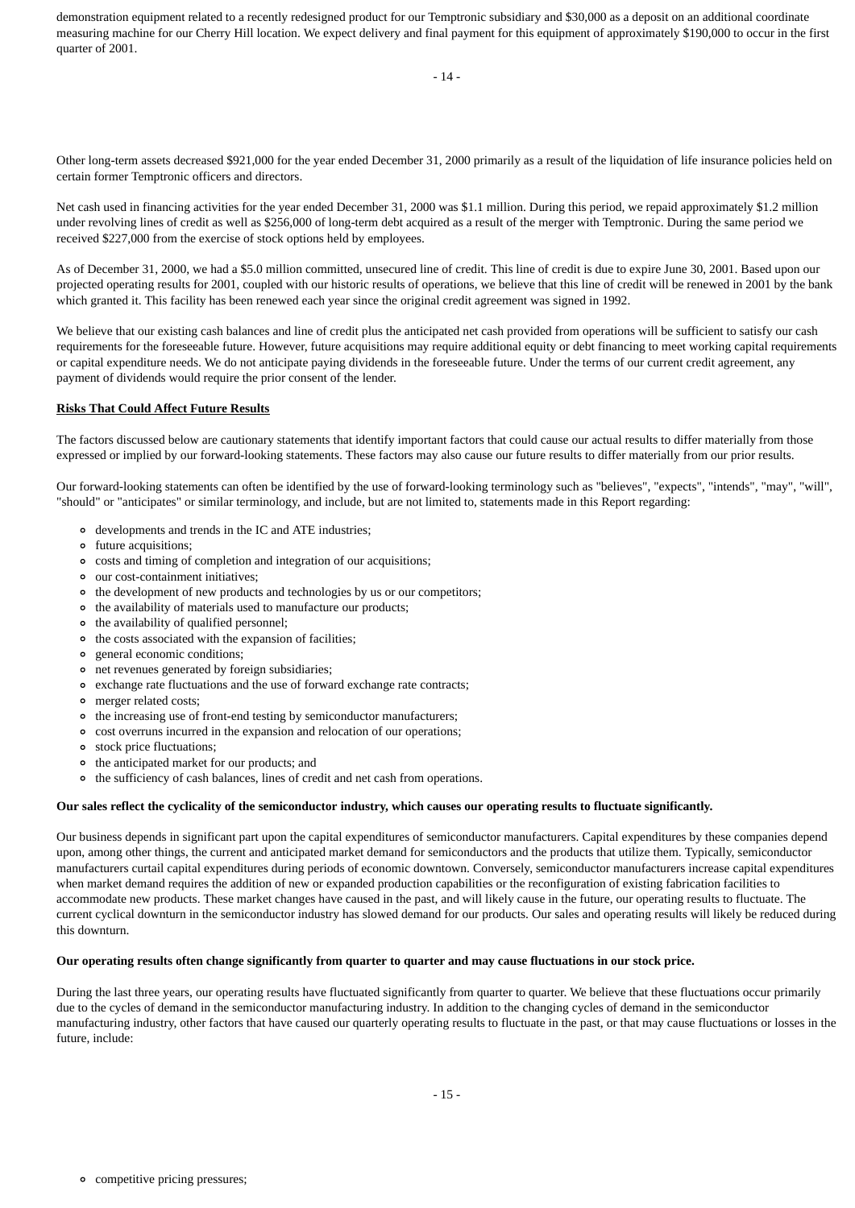demonstration equipment related to a recently redesigned product for our Temptronic subsidiary and \$30,000 as a deposit on an additional coordinate measuring machine for our Cherry Hill location. We expect delivery and final payment for this equipment of approximately \$190,000 to occur in the first quarter of 2001.

Other long-term assets decreased \$921,000 for the year ended December 31, 2000 primarily as a result of the liquidation of life insurance policies held on certain former Temptronic officers and directors.

Net cash used in financing activities for the year ended December 31, 2000 was \$1.1 million. During this period, we repaid approximately \$1.2 million under revolving lines of credit as well as \$256,000 of long-term debt acquired as a result of the merger with Temptronic. During the same period we received \$227,000 from the exercise of stock options held by employees.

As of December 31, 2000, we had a \$5.0 million committed, unsecured line of credit. This line of credit is due to expire June 30, 2001. Based upon our projected operating results for 2001, coupled with our historic results of operations, we believe that this line of credit will be renewed in 2001 by the bank which granted it. This facility has been renewed each year since the original credit agreement was signed in 1992.

We believe that our existing cash balances and line of credit plus the anticipated net cash provided from operations will be sufficient to satisfy our cash requirements for the foreseeable future. However, future acquisitions may require additional equity or debt financing to meet working capital requirements or capital expenditure needs. We do not anticipate paying dividends in the foreseeable future. Under the terms of our current credit agreement, any payment of dividends would require the prior consent of the lender.

## **Risks That Could Affect Future Results**

The factors discussed below are cautionary statements that identify important factors that could cause our actual results to differ materially from those expressed or implied by our forward-looking statements. These factors may also cause our future results to differ materially from our prior results.

Our forward-looking statements can often be identified by the use of forward-looking terminology such as "believes", "expects", "intends", "may", "will", "should" or "anticipates" or similar terminology, and include, but are not limited to, statements made in this Report regarding:

- developments and trends in the IC and ATE industries;
- future acquisitions;
- costs and timing of completion and integration of our acquisitions;
- our cost-containment initiatives;
- the development of new products and technologies by us or our competitors;
- the availability of materials used to manufacture our products;
- the availability of qualified personnel;
- the costs associated with the expansion of facilities;
- general economic conditions;  $\circ$
- net revenues generated by foreign subsidiaries;
- exchange rate fluctuations and the use of forward exchange rate contracts;
- merger related costs;
- the increasing use of front-end testing by semiconductor manufacturers;
- cost overruns incurred in the expansion and relocation of our operations;
- stock price fluctuations;
- the anticipated market for our products; and
- the sufficiency of cash balances, lines of credit and net cash from operations.

### **Our sales reflect the cyclicality of the semiconductor industry, which causes our operating results to fluctuate significantly.**

Our business depends in significant part upon the capital expenditures of semiconductor manufacturers. Capital expenditures by these companies depend upon, among other things, the current and anticipated market demand for semiconductors and the products that utilize them. Typically, semiconductor manufacturers curtail capital expenditures during periods of economic downtown. Conversely, semiconductor manufacturers increase capital expenditures when market demand requires the addition of new or expanded production capabilities or the reconfiguration of existing fabrication facilities to accommodate new products. These market changes have caused in the past, and will likely cause in the future, our operating results to fluctuate. The current cyclical downturn in the semiconductor industry has slowed demand for our products. Our sales and operating results will likely be reduced during this downturn.

#### **Our operating results often change significantly from quarter to quarter and may cause fluctuations in our stock price.**

During the last three years, our operating results have fluctuated significantly from quarter to quarter. We believe that these fluctuations occur primarily due to the cycles of demand in the semiconductor manufacturing industry. In addition to the changing cycles of demand in the semiconductor manufacturing industry, other factors that have caused our quarterly operating results to fluctuate in the past, or that may cause fluctuations or losses in the future, include: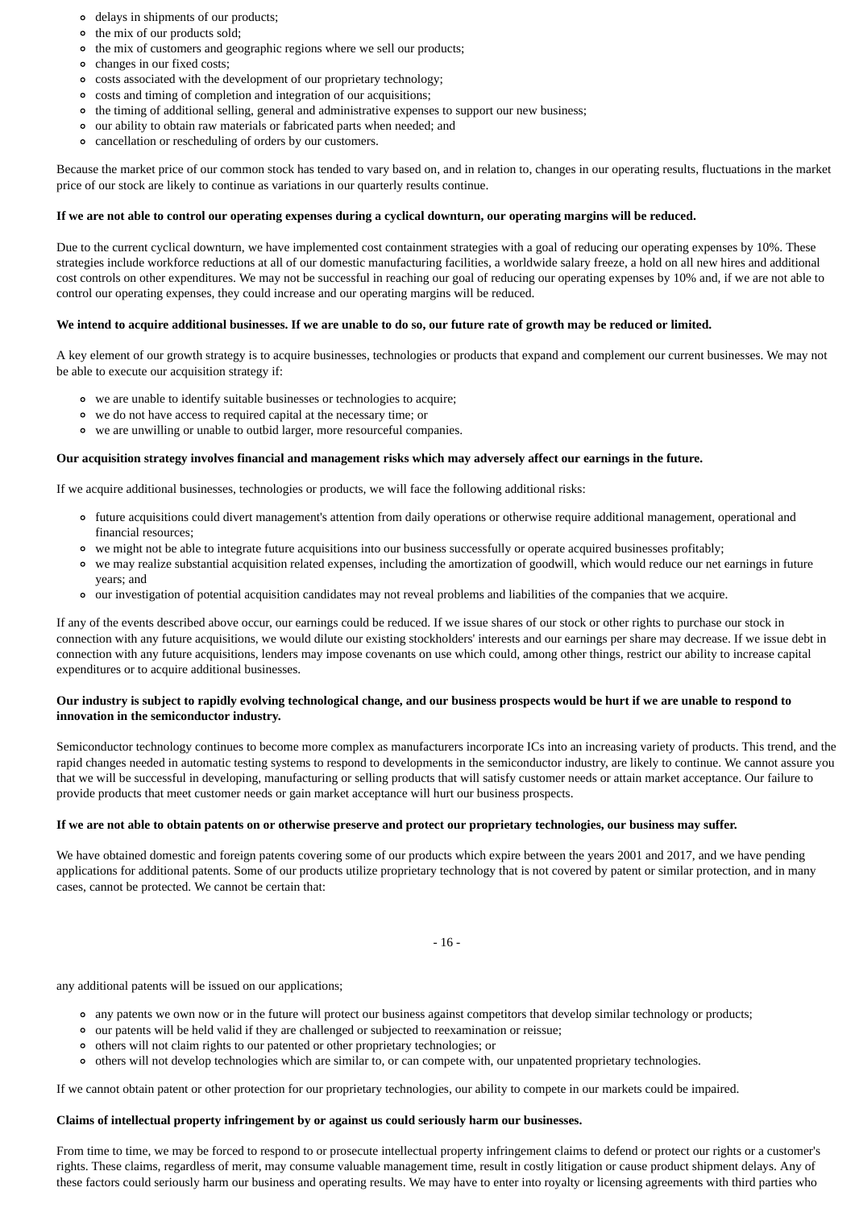- delays in shipments of our products;
- the mix of our products sold;
- the mix of customers and geographic regions where we sell our products;
- changes in our fixed costs;
- costs associated with the development of our proprietary technology;
- costs and timing of completion and integration of our acquisitions;
- the timing of additional selling, general and administrative expenses to support our new business;
- our ability to obtain raw materials or fabricated parts when needed; and
- cancellation or rescheduling of orders by our customers.

Because the market price of our common stock has tended to vary based on, and in relation to, changes in our operating results, fluctuations in the market price of our stock are likely to continue as variations in our quarterly results continue.

#### **If we are not able to control our operating expenses during a cyclical downturn, our operating margins will be reduced.**

Due to the current cyclical downturn, we have implemented cost containment strategies with a goal of reducing our operating expenses by 10%. These strategies include workforce reductions at all of our domestic manufacturing facilities, a worldwide salary freeze, a hold on all new hires and additional cost controls on other expenditures. We may not be successful in reaching our goal of reducing our operating expenses by 10% and, if we are not able to control our operating expenses, they could increase and our operating margins will be reduced.

#### **We intend to acquire additional businesses. If we are unable to do so, our future rate of growth may be reduced or limited.**

A key element of our growth strategy is to acquire businesses, technologies or products that expand and complement our current businesses. We may not be able to execute our acquisition strategy if:

- we are unable to identify suitable businesses or technologies to acquire;
- we do not have access to required capital at the necessary time; or
- we are unwilling or unable to outbid larger, more resourceful companies.

#### **Our acquisition strategy involves financial and management risks which may adversely affect our earnings in the future.**

If we acquire additional businesses, technologies or products, we will face the following additional risks:

- future acquisitions could divert management's attention from daily operations or otherwise require additional management, operational and financial resources;
- we might not be able to integrate future acquisitions into our business successfully or operate acquired businesses profitably;
- we may realize substantial acquisition related expenses, including the amortization of goodwill, which would reduce our net earnings in future years; and
- our investigation of potential acquisition candidates may not reveal problems and liabilities of the companies that we acquire.

If any of the events described above occur, our earnings could be reduced. If we issue shares of our stock or other rights to purchase our stock in connection with any future acquisitions, we would dilute our existing stockholders' interests and our earnings per share may decrease. If we issue debt in connection with any future acquisitions, lenders may impose covenants on use which could, among other things, restrict our ability to increase capital expenditures or to acquire additional businesses.

## **Our industry is subject to rapidly evolving technological change, and our business prospects would be hurt if we are unable to respond to innovation in the semiconductor industry.**

Semiconductor technology continues to become more complex as manufacturers incorporate ICs into an increasing variety of products. This trend, and the rapid changes needed in automatic testing systems to respond to developments in the semiconductor industry, are likely to continue. We cannot assure you that we will be successful in developing, manufacturing or selling products that will satisfy customer needs or attain market acceptance. Our failure to provide products that meet customer needs or gain market acceptance will hurt our business prospects.

#### **If we are not able to obtain patents on or otherwise preserve and protect our proprietary technologies, our business may suffer.**

We have obtained domestic and foreign patents covering some of our products which expire between the years 2001 and 2017, and we have pending applications for additional patents. Some of our products utilize proprietary technology that is not covered by patent or similar protection, and in many cases, cannot be protected. We cannot be certain that:

- 16 -

any additional patents will be issued on our applications;

- any patents we own now or in the future will protect our business against competitors that develop similar technology or products;
- our patents will be held valid if they are challenged or subjected to reexamination or reissue;
- others will not claim rights to our patented or other proprietary technologies; or
- others will not develop technologies which are similar to, or can compete with, our unpatented proprietary technologies.

If we cannot obtain patent or other protection for our proprietary technologies, our ability to compete in our markets could be impaired.

#### **Claims of intellectual property infringement by or against us could seriously harm our businesses.**

From time to time, we may be forced to respond to or prosecute intellectual property infringement claims to defend or protect our rights or a customer's rights. These claims, regardless of merit, may consume valuable management time, result in costly litigation or cause product shipment delays. Any of these factors could seriously harm our business and operating results. We may have to enter into royalty or licensing agreements with third parties who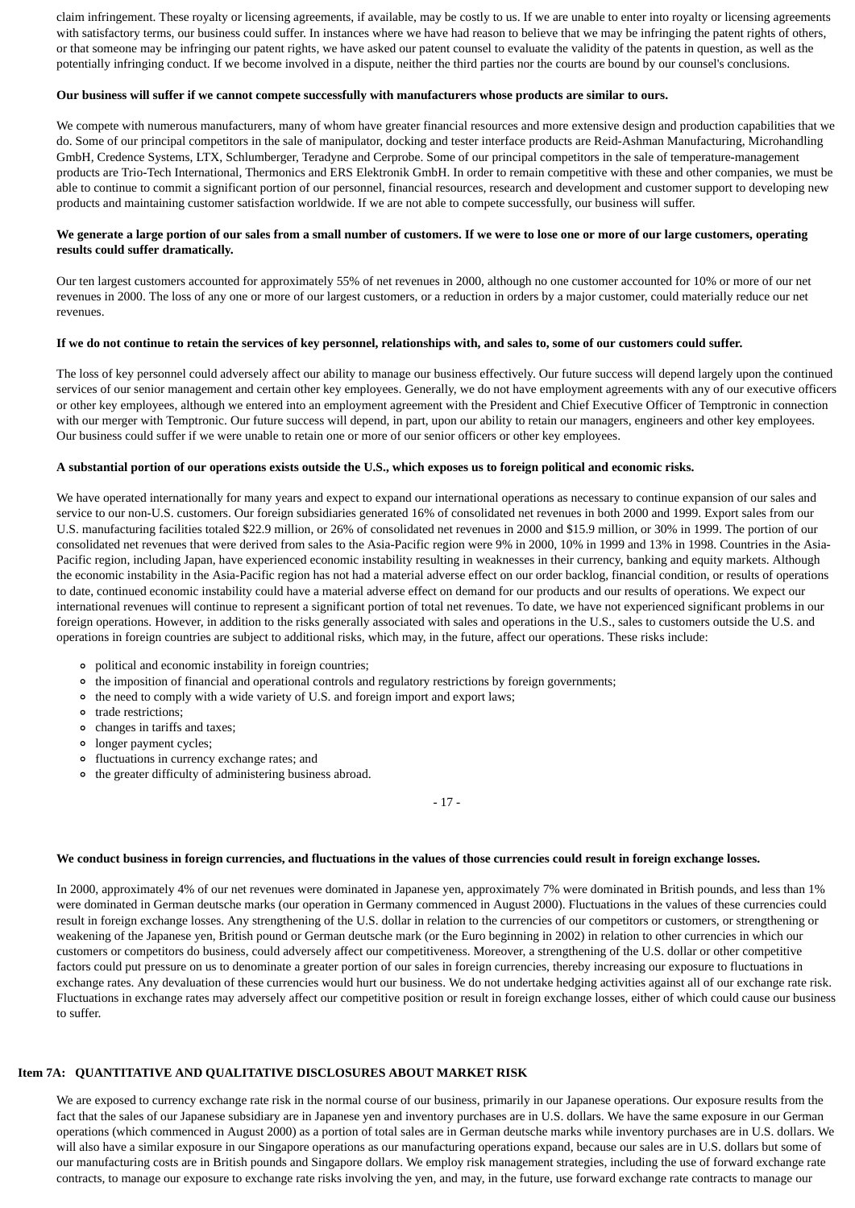claim infringement. These royalty or licensing agreements, if available, may be costly to us. If we are unable to enter into royalty or licensing agreements with satisfactory terms, our business could suffer. In instances where we have had reason to believe that we may be infringing the patent rights of others, or that someone may be infringing our patent rights, we have asked our patent counsel to evaluate the validity of the patents in question, as well as the potentially infringing conduct. If we become involved in a dispute, neither the third parties nor the courts are bound by our counsel's conclusions.

### **Our business will suffer if we cannot compete successfully with manufacturers whose products are similar to ours.**

We compete with numerous manufacturers, many of whom have greater financial resources and more extensive design and production capabilities that we do. Some of our principal competitors in the sale of manipulator, docking and tester interface products are Reid-Ashman Manufacturing, Microhandling GmbH, Credence Systems, LTX, Schlumberger, Teradyne and Cerprobe. Some of our principal competitors in the sale of temperature-management products are Trio-Tech International, Thermonics and ERS Elektronik GmbH. In order to remain competitive with these and other companies, we must be able to continue to commit a significant portion of our personnel, financial resources, research and development and customer support to developing new products and maintaining customer satisfaction worldwide. If we are not able to compete successfully, our business will suffer.

## **We generate a large portion of our sales from a small number of customers. If we were to lose one or more of our large customers, operating results could suffer dramatically.**

Our ten largest customers accounted for approximately 55% of net revenues in 2000, although no one customer accounted for 10% or more of our net revenues in 2000. The loss of any one or more of our largest customers, or a reduction in orders by a major customer, could materially reduce our net revenues.

### **If we do not continue to retain the services of key personnel, relationships with, and sales to, some of our customers could suffer.**

The loss of key personnel could adversely affect our ability to manage our business effectively. Our future success will depend largely upon the continued services of our senior management and certain other key employees. Generally, we do not have employment agreements with any of our executive officers or other key employees, although we entered into an employment agreement with the President and Chief Executive Officer of Temptronic in connection with our merger with Temptronic. Our future success will depend, in part, upon our ability to retain our managers, engineers and other key employees. Our business could suffer if we were unable to retain one or more of our senior officers or other key employees.

## **A substantial portion of our operations exists outside the U.S., which exposes us to foreign political and economic risks.**

We have operated internationally for many years and expect to expand our international operations as necessary to continue expansion of our sales and service to our non-U.S. customers. Our foreign subsidiaries generated 16% of consolidated net revenues in both 2000 and 1999. Export sales from our U.S. manufacturing facilities totaled \$22.9 million, or 26% of consolidated net revenues in 2000 and \$15.9 million, or 30% in 1999. The portion of our consolidated net revenues that were derived from sales to the Asia-Pacific region were 9% in 2000, 10% in 1999 and 13% in 1998. Countries in the Asia-Pacific region, including Japan, have experienced economic instability resulting in weaknesses in their currency, banking and equity markets. Although the economic instability in the Asia-Pacific region has not had a material adverse effect on our order backlog, financial condition, or results of operations to date, continued economic instability could have a material adverse effect on demand for our products and our results of operations. We expect our international revenues will continue to represent a significant portion of total net revenues. To date, we have not experienced significant problems in our foreign operations. However, in addition to the risks generally associated with sales and operations in the U.S., sales to customers outside the U.S. and operations in foreign countries are subject to additional risks, which may, in the future, affect our operations. These risks include:

- political and economic instability in foreign countries;
- the imposition of financial and operational controls and regulatory restrictions by foreign governments;
- <sup>o</sup> the need to comply with a wide variety of U.S. and foreign import and export laws;
- trade restrictions;
- changes in tariffs and taxes;
- longer payment cycles;
- fluctuations in currency exchange rates; and
- the greater difficulty of administering business abroad.

- 17 -

## **We conduct business in foreign currencies, and fluctuations in the values of those currencies could result in foreign exchange losses.**

In 2000, approximately 4% of our net revenues were dominated in Japanese yen, approximately 7% were dominated in British pounds, and less than 1% were dominated in German deutsche marks (our operation in Germany commenced in August 2000). Fluctuations in the values of these currencies could result in foreign exchange losses. Any strengthening of the U.S. dollar in relation to the currencies of our competitors or customers, or strengthening or weakening of the Japanese yen, British pound or German deutsche mark (or the Euro beginning in 2002) in relation to other currencies in which our customers or competitors do business, could adversely affect our competitiveness. Moreover, a strengthening of the U.S. dollar or other competitive factors could put pressure on us to denominate a greater portion of our sales in foreign currencies, thereby increasing our exposure to fluctuations in exchange rates. Any devaluation of these currencies would hurt our business. We do not undertake hedging activities against all of our exchange rate risk. Fluctuations in exchange rates may adversely affect our competitive position or result in foreign exchange losses, either of which could cause our business to suffer.

#### **Item 7A: QUANTITATIVE AND QUALITATIVE DISCLOSURES ABOUT MARKET RISK**

We are exposed to currency exchange rate risk in the normal course of our business, primarily in our Japanese operations. Our exposure results from the fact that the sales of our Japanese subsidiary are in Japanese yen and inventory purchases are in U.S. dollars. We have the same exposure in our German operations (which commenced in August 2000) as a portion of total sales are in German deutsche marks while inventory purchases are in U.S. dollars. We will also have a similar exposure in our Singapore operations as our manufacturing operations expand, because our sales are in U.S. dollars but some of our manufacturing costs are in British pounds and Singapore dollars. We employ risk management strategies, including the use of forward exchange rate contracts, to manage our exposure to exchange rate risks involving the yen, and may, in the future, use forward exchange rate contracts to manage our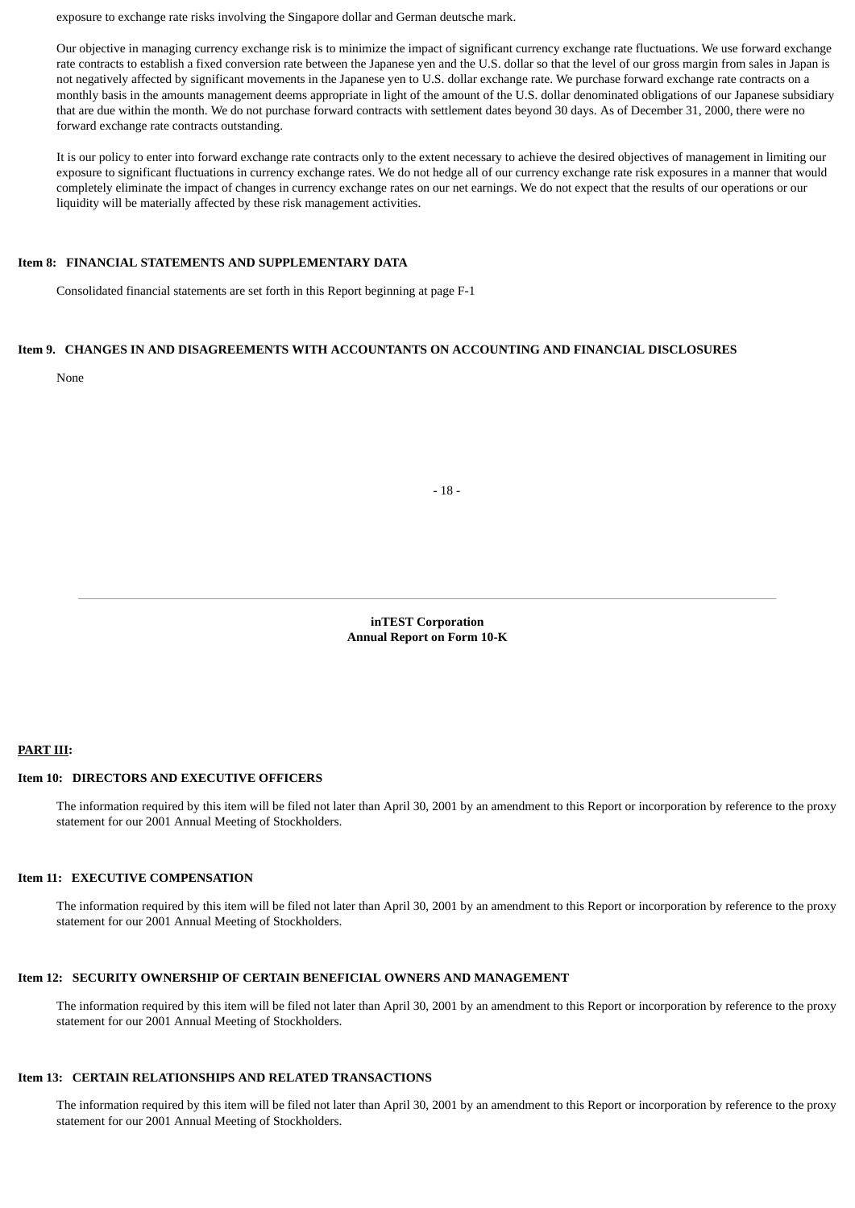exposure to exchange rate risks involving the Singapore dollar and German deutsche mark.

Our objective in managing currency exchange risk is to minimize the impact of significant currency exchange rate fluctuations. We use forward exchange rate contracts to establish a fixed conversion rate between the Japanese yen and the U.S. dollar so that the level of our gross margin from sales in Japan is not negatively affected by significant movements in the Japanese yen to U.S. dollar exchange rate. We purchase forward exchange rate contracts on a monthly basis in the amounts management deems appropriate in light of the amount of the U.S. dollar denominated obligations of our Japanese subsidiary that are due within the month. We do not purchase forward contracts with settlement dates beyond 30 days. As of December 31, 2000, there were no forward exchange rate contracts outstanding.

It is our policy to enter into forward exchange rate contracts only to the extent necessary to achieve the desired objectives of management in limiting our exposure to significant fluctuations in currency exchange rates. We do not hedge all of our currency exchange rate risk exposures in a manner that would completely eliminate the impact of changes in currency exchange rates on our net earnings. We do not expect that the results of our operations or our liquidity will be materially affected by these risk management activities.

## **Item 8: FINANCIAL STATEMENTS AND SUPPLEMENTARY DATA**

Consolidated financial statements are set forth in this Report beginning at page F-1

#### **Item 9. CHANGES IN AND DISAGREEMENTS WITH ACCOUNTANTS ON ACCOUNTING AND FINANCIAL DISCLOSURES**

None

- 18 -

**inTEST Corporation Annual Report on Form 10-K**

## **PART III:**

## **Item 10: DIRECTORS AND EXECUTIVE OFFICERS**

The information required by this item will be filed not later than April 30, 2001 by an amendment to this Report or incorporation by reference to the proxy statement for our 2001 Annual Meeting of Stockholders.

## **Item 11: EXECUTIVE COMPENSATION**

The information required by this item will be filed not later than April 30, 2001 by an amendment to this Report or incorporation by reference to the proxy statement for our 2001 Annual Meeting of Stockholders.

#### **Item 12: SECURITY OWNERSHIP OF CERTAIN BENEFICIAL OWNERS AND MANAGEMENT**

The information required by this item will be filed not later than April 30, 2001 by an amendment to this Report or incorporation by reference to the proxy statement for our 2001 Annual Meeting of Stockholders.

## **Item 13: CERTAIN RELATIONSHIPS AND RELATED TRANSACTIONS**

The information required by this item will be filed not later than April 30, 2001 by an amendment to this Report or incorporation by reference to the proxy statement for our 2001 Annual Meeting of Stockholders.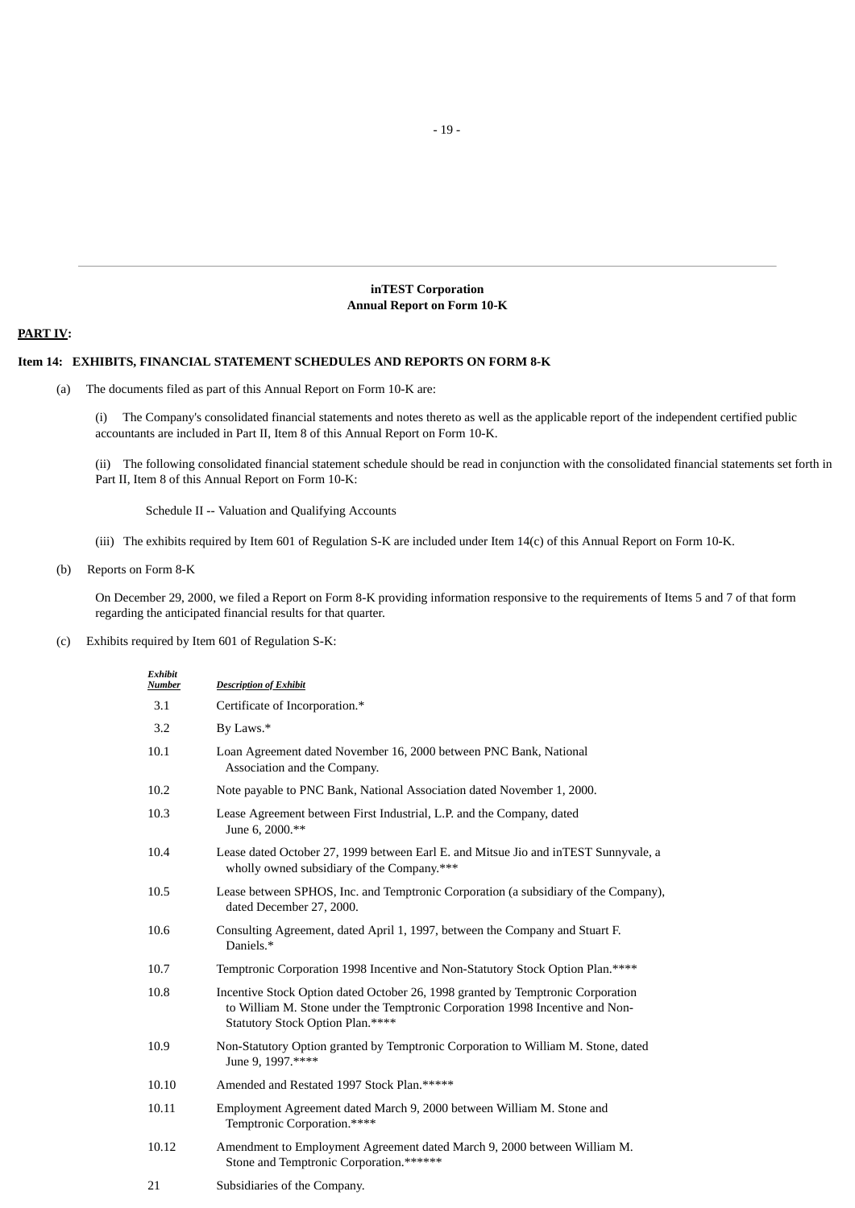## **inTEST Corporation Annual Report on Form 10-K**

#### **PART IV:**

#### **Item 14: EXHIBITS, FINANCIAL STATEMENT SCHEDULES AND REPORTS ON FORM 8-K**

(a) The documents filed as part of this Annual Report on Form 10-K are:

(i) The Company's consolidated financial statements and notes thereto as well as the applicable report of the independent certified public accountants are included in Part II, Item 8 of this Annual Report on Form 10-K.

(ii) The following consolidated financial statement schedule should be read in conjunction with the consolidated financial statements set forth in Part II, Item 8 of this Annual Report on Form 10-K:

Schedule II -- Valuation and Qualifying Accounts

- (iii) The exhibits required by Item 601 of Regulation S-K are included under Item 14(c) of this Annual Report on Form 10-K.
- (b) Reports on Form 8-K

On December 29, 2000, we filed a Report on Form 8-K providing information responsive to the requirements of Items 5 and 7 of that form regarding the anticipated financial results for that quarter.

(c) Exhibits required by Item 601 of Regulation S-K:

| Exhibit<br>Number | <b>Description of Exhibit</b>                                                                                                                                                                       |
|-------------------|-----------------------------------------------------------------------------------------------------------------------------------------------------------------------------------------------------|
| 3.1               | Certificate of Incorporation.*                                                                                                                                                                      |
| 3.2               | By Laws.*                                                                                                                                                                                           |
| 10.1              | Loan Agreement dated November 16, 2000 between PNC Bank, National<br>Association and the Company.                                                                                                   |
| 10.2              | Note payable to PNC Bank, National Association dated November 1, 2000.                                                                                                                              |
| 10.3              | Lease Agreement between First Industrial, L.P. and the Company, dated<br>June 6, 2000.**                                                                                                            |
| 10.4              | Lease dated October 27, 1999 between Earl E. and Mitsue Jio and inTEST Sunnyvale, a<br>wholly owned subsidiary of the Company.***                                                                   |
| 10.5              | Lease between SPHOS, Inc. and Temptronic Corporation (a subsidiary of the Company),<br>dated December 27, 2000.                                                                                     |
| 10.6              | Consulting Agreement, dated April 1, 1997, between the Company and Stuart F.<br>Daniels.*                                                                                                           |
| 10.7              | Temptronic Corporation 1998 Incentive and Non-Statutory Stock Option Plan.****                                                                                                                      |
| 10.8              | Incentive Stock Option dated October 26, 1998 granted by Temptronic Corporation<br>to William M. Stone under the Temptronic Corporation 1998 Incentive and Non-<br>Statutory Stock Option Plan.**** |
| 10.9              | Non-Statutory Option granted by Temptronic Corporation to William M. Stone, dated<br>June 9, 1997.****                                                                                              |
| 10.10             | Amended and Restated 1997 Stock Plan.*****                                                                                                                                                          |
| 10.11             | Employment Agreement dated March 9, 2000 between William M. Stone and<br>Temptronic Corporation.****                                                                                                |
| 10.12             | Amendment to Employment Agreement dated March 9, 2000 between William M.<br>Stone and Temptronic Corporation.******                                                                                 |
| 21                | Subsidiaries of the Company.                                                                                                                                                                        |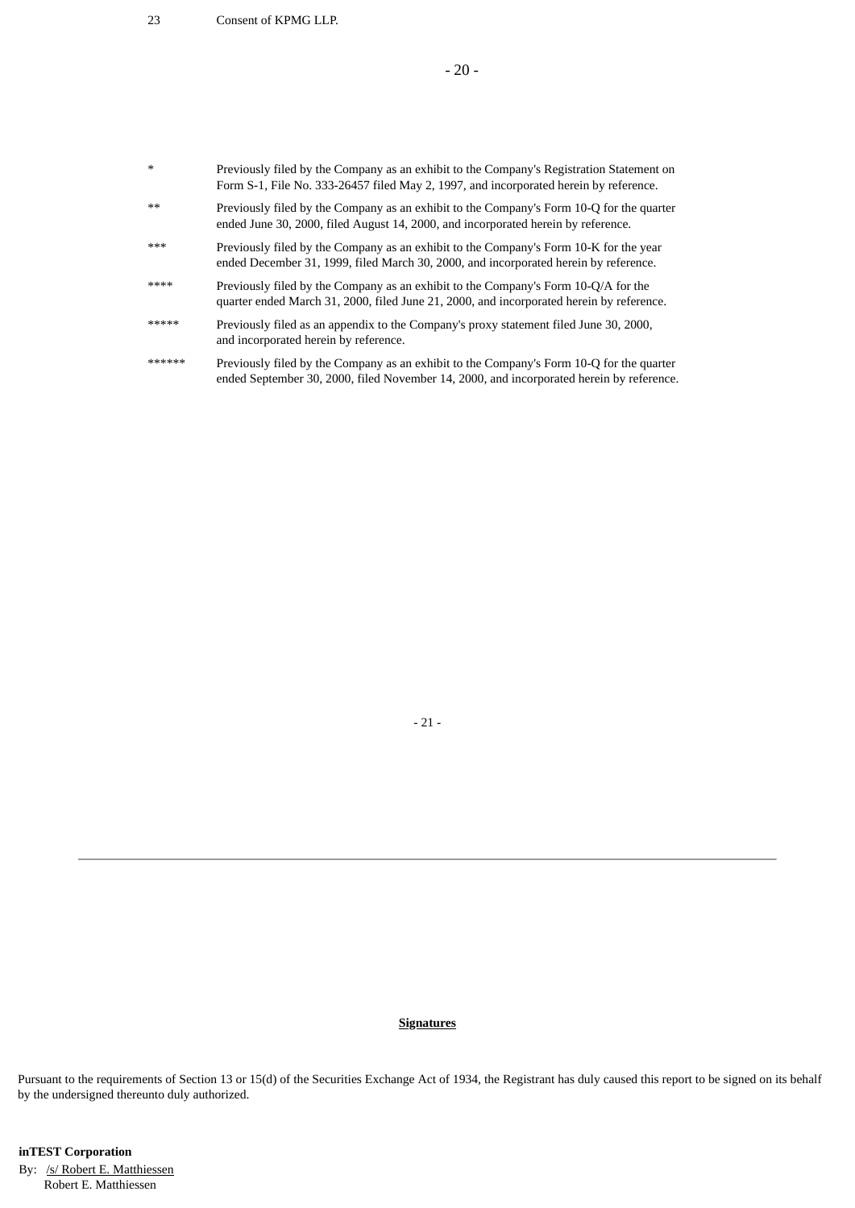23 Consent of KPMG LLP.

| ∗      | Previously filed by the Company as an exhibit to the Company's Registration Statement on<br>Form S-1, File No. 333-26457 filed May 2, 1997, and incorporated herein by reference.    |
|--------|--------------------------------------------------------------------------------------------------------------------------------------------------------------------------------------|
| $***$  | Previously filed by the Company as an exhibit to the Company's Form 10-Q for the quarter<br>ended June 30, 2000, filed August 14, 2000, and incorporated herein by reference.        |
| ***    | Previously filed by the Company as an exhibit to the Company's Form 10-K for the year<br>ended December 31, 1999, filed March 30, 2000, and incorporated herein by reference.        |
| ****   | Previously filed by the Company as an exhibit to the Company's Form 10-Q/A for the<br>quarter ended March 31, 2000, filed June 21, 2000, and incorporated herein by reference.       |
| *****  | Previously filed as an appendix to the Company's proxy statement filed June 30, 2000,<br>and incorporated herein by reference.                                                       |
| ****** | Previously filed by the Company as an exhibit to the Company's Form 10-Q for the quarter<br>ended September 30, 2000, filed November 14, 2000, and incorporated herein by reference. |
|        |                                                                                                                                                                                      |

- 21 -

**Signatures**

Pursuant to the requirements of Section 13 or 15(d) of the Securities Exchange Act of 1934, the Registrant has duly caused this report to be signed on its behalf by the undersigned thereunto duly authorized.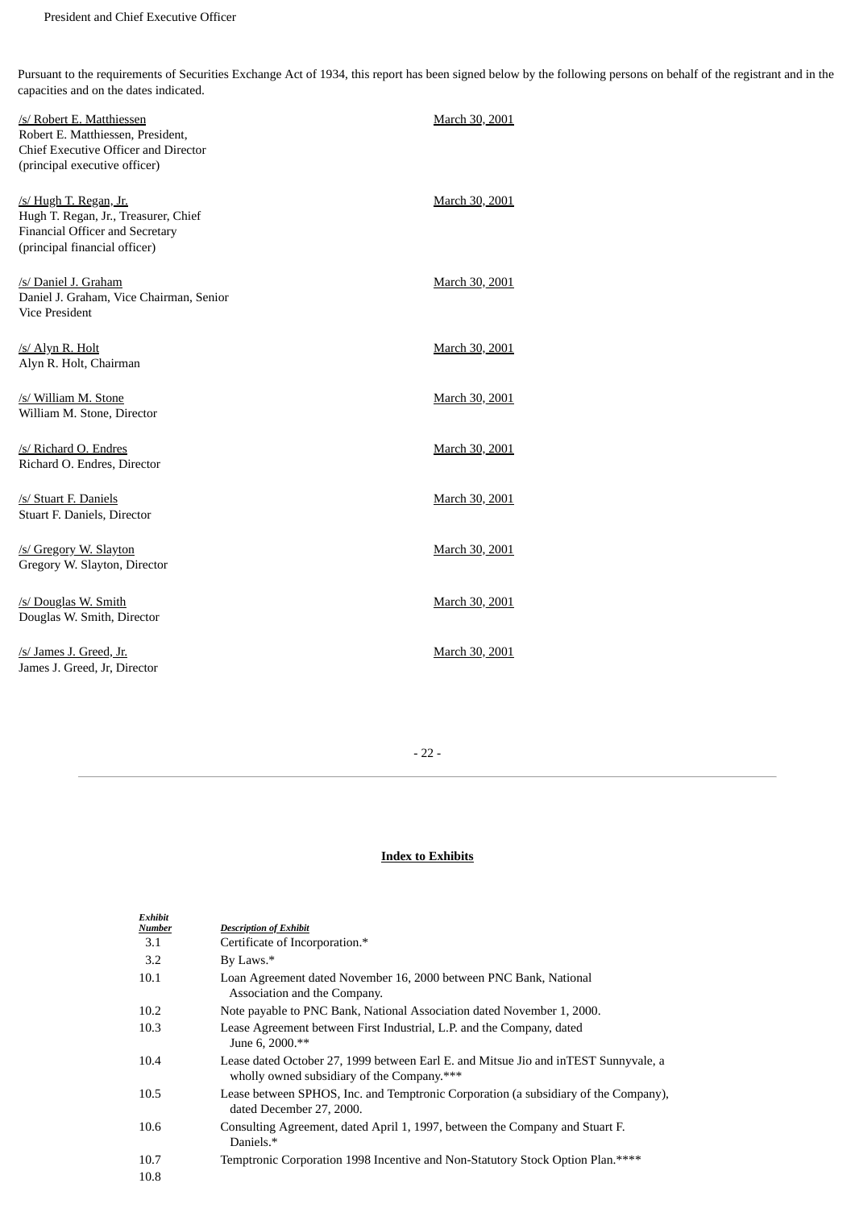Pursuant to the requirements of Securities Exchange Act of 1934, this report has been signed below by the following persons on behalf of the registrant and in the capacities and on the dates indicated.

| /s/ Robert E. Matthiessen<br>Robert E. Matthiessen, President,<br><b>Chief Executive Officer and Director</b><br>(principal executive officer)   | March 30, 2001 |
|--------------------------------------------------------------------------------------------------------------------------------------------------|----------------|
| <u>/s/ Hugh T. Regan, Jr.</u><br>Hugh T. Regan, Jr., Treasurer, Chief<br><b>Financial Officer and Secretary</b><br>(principal financial officer) | March 30, 2001 |
| /s/ Daniel J. Graham<br>Daniel J. Graham, Vice Chairman, Senior<br><b>Vice President</b>                                                         | March 30, 2001 |
| /s/ Alyn R. Holt<br>Alyn R. Holt, Chairman                                                                                                       | March 30, 2001 |
| /s/ William M. Stone<br>William M. Stone, Director                                                                                               | March 30, 2001 |
| <u>/s/ Richard O. Endres</u><br>Richard O. Endres, Director                                                                                      | March 30, 2001 |
| /s/ Stuart F. Daniels<br>Stuart F. Daniels, Director                                                                                             | March 30, 2001 |
| /s/ Gregory W. Slayton<br>Gregory W. Slayton, Director                                                                                           | March 30, 2001 |
| /s/ Douglas W. Smith<br>Douglas W. Smith, Director                                                                                               | March 30, 2001 |
| <u>/s/ James J. Greed, Jr.</u><br>James J. Greed, Jr, Director                                                                                   | March 30, 2001 |

- 22 -

## **Index to Exhibits**

| Exhibit       |                                                                                                                                    |
|---------------|------------------------------------------------------------------------------------------------------------------------------------|
| <b>Number</b> | <b>Description of Exhibit</b>                                                                                                      |
| 3.1           | Certificate of Incorporation.*                                                                                                     |
| 3.2           | By Laws.*                                                                                                                          |
| 10.1          | Loan Agreement dated November 16, 2000 between PNC Bank, National<br>Association and the Company.                                  |
| 10.2          | Note payable to PNC Bank, National Association dated November 1, 2000.                                                             |
| 10.3          | Lease Agreement between First Industrial, L.P. and the Company, dated<br>June 6, 2000.**                                           |
| 10.4          | Lease dated October 27, 1999 between Earl E. and Mitsue Jio and in TEST Sunnyvale, a<br>wholly owned subsidiary of the Company.*** |
| 10.5          | Lease between SPHOS, Inc. and Temptronic Corporation (a subsidiary of the Company),<br>dated December 27, 2000.                    |
| 10.6          | Consulting Agreement, dated April 1, 1997, between the Company and Stuart F.<br>Daniels.*                                          |
| 10.7          | Temptronic Corporation 1998 Incentive and Non-Statutory Stock Option Plan.****                                                     |
| 10.8          |                                                                                                                                    |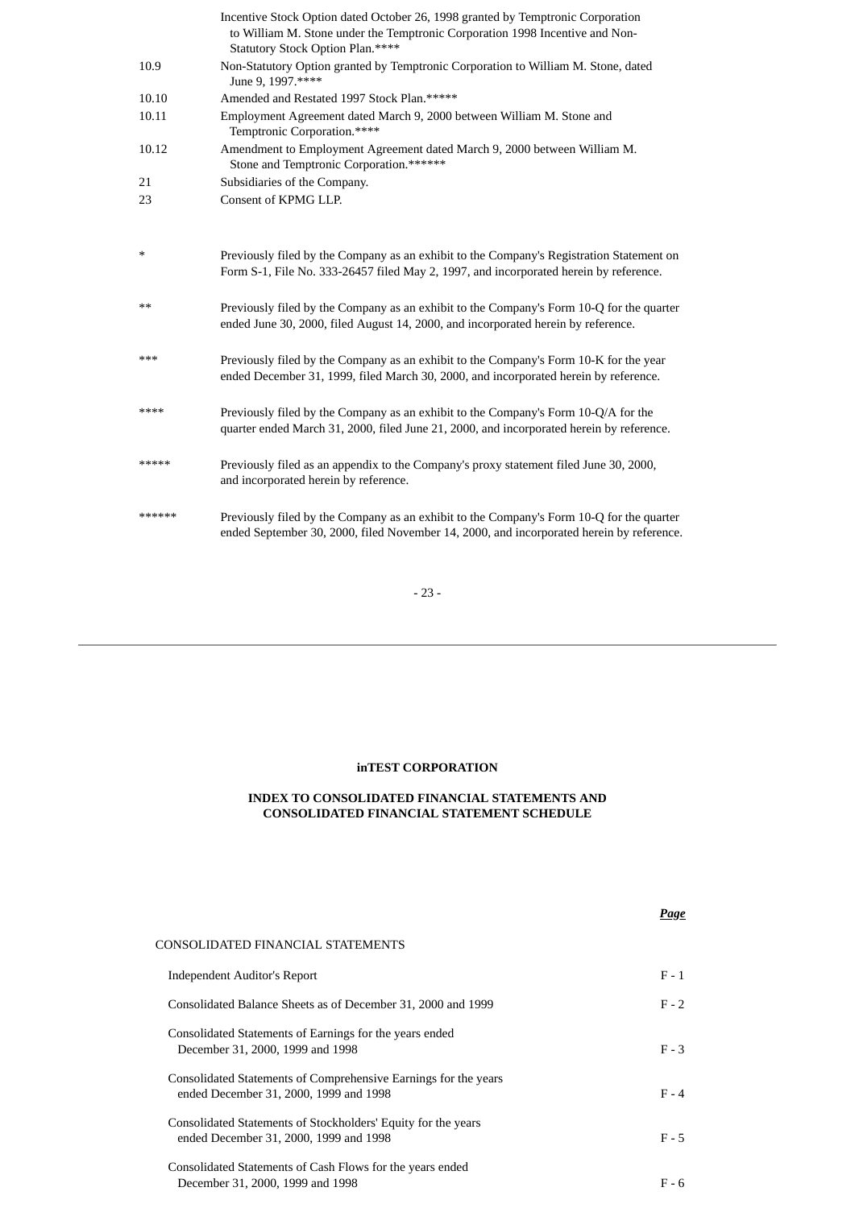|        | Incentive Stock Option dated October 26, 1998 granted by Temptronic Corporation<br>to William M. Stone under the Temptronic Corporation 1998 Incentive and Non-<br>Statutory Stock Option Plan.**** |
|--------|-----------------------------------------------------------------------------------------------------------------------------------------------------------------------------------------------------|
| 10.9   | Non-Statutory Option granted by Temptronic Corporation to William M. Stone, dated<br>June 9, 1997.****                                                                                              |
| 10.10  | Amended and Restated 1997 Stock Plan.*****                                                                                                                                                          |
| 10.11  | Employment Agreement dated March 9, 2000 between William M. Stone and<br>Temptronic Corporation.****                                                                                                |
| 10.12  | Amendment to Employment Agreement dated March 9, 2000 between William M.<br>Stone and Temptronic Corporation.******                                                                                 |
| 21     | Subsidiaries of the Company.                                                                                                                                                                        |
| 23     | Consent of KPMG LLP.                                                                                                                                                                                |
|        |                                                                                                                                                                                                     |
| *      | Previously filed by the Company as an exhibit to the Company's Registration Statement on<br>Form S-1, File No. 333-26457 filed May 2, 1997, and incorporated herein by reference.                   |
| **     | Previously filed by the Company as an exhibit to the Company's Form 10-Q for the quarter<br>ended June 30, 2000, filed August 14, 2000, and incorporated herein by reference.                       |
| ***    | Previously filed by the Company as an exhibit to the Company's Form 10-K for the year<br>ended December 31, 1999, filed March 30, 2000, and incorporated herein by reference.                       |
| ****   | Previously filed by the Company as an exhibit to the Company's Form 10-Q/A for the<br>quarter ended March 31, 2000, filed June 21, 2000, and incorporated herein by reference.                      |
| *****  | Previously filed as an appendix to the Company's proxy statement filed June 30, 2000,<br>and incorporated herein by reference.                                                                      |
| ****** | Previously filed by the Company as an exhibit to the Company's Form 10-Q for the quarter<br>ended September 30, 2000, filed November 14, 2000, and incorporated herein by reference.                |

- 23 -

# **inTEST CORPORATION**

## **INDEX TO CONSOLIDATED FINANCIAL STATEMENTS AND CONSOLIDATED FINANCIAL STATEMENT SCHEDULE**

|                                                                                                           | Page    |
|-----------------------------------------------------------------------------------------------------------|---------|
| CONSOLIDATED FINANCIAL STATEMENTS                                                                         |         |
| <b>Independent Auditor's Report</b>                                                                       | $F - 1$ |
| Consolidated Balance Sheets as of December 31, 2000 and 1999                                              | $F - 2$ |
| Consolidated Statements of Earnings for the years ended<br>December 31, 2000, 1999 and 1998               | $F - 3$ |
| Consolidated Statements of Comprehensive Earnings for the years<br>ended December 31, 2000, 1999 and 1998 | $F - 4$ |
| Consolidated Statements of Stockholders' Equity for the years<br>ended December 31, 2000, 1999 and 1998   | $F - 5$ |
| Consolidated Statements of Cash Flows for the years ended<br>December 31, 2000, 1999 and 1998             | $F - 6$ |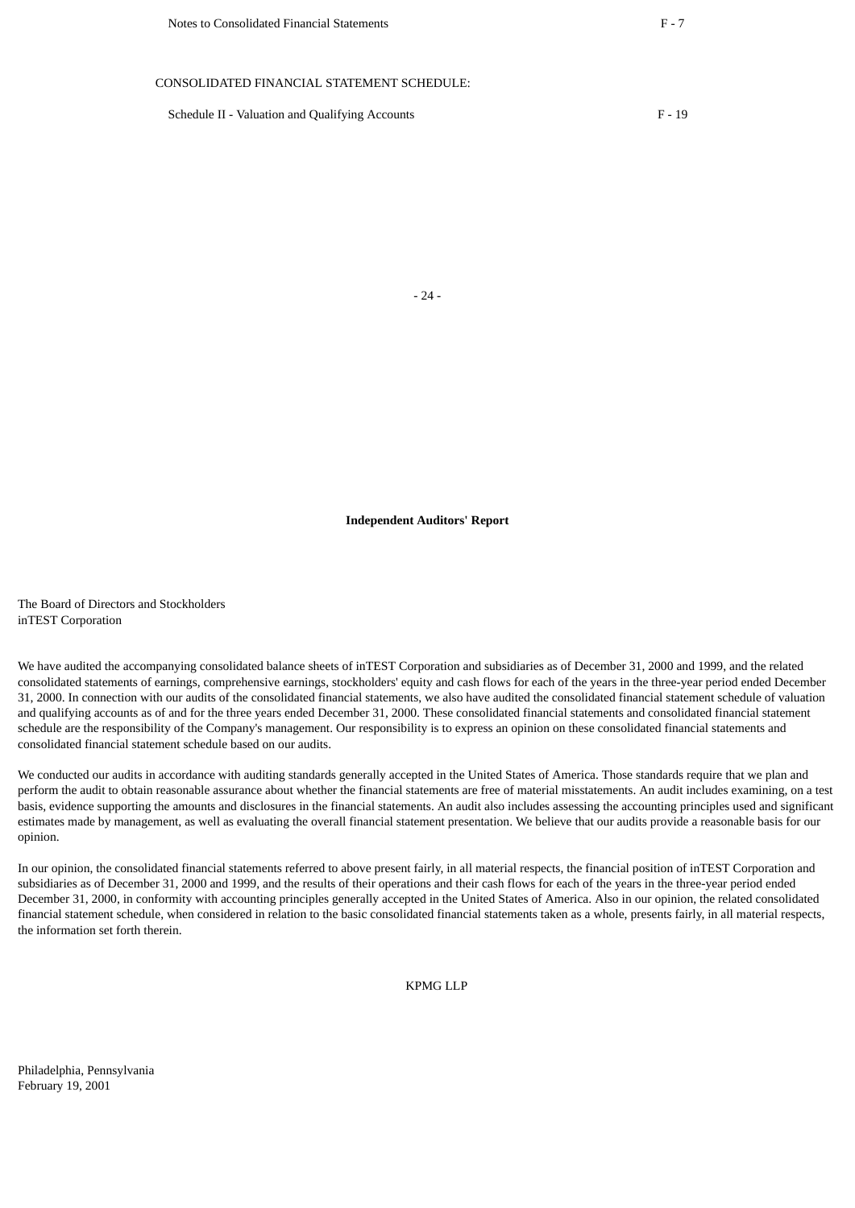## CONSOLIDATED FINANCIAL STATEMENT SCHEDULE:

Schedule II - Valuation and Qualifying Accounts F - 19

- 24 -

#### **Independent Auditors' Report**

The Board of Directors and Stockholders inTEST Corporation

We have audited the accompanying consolidated balance sheets of inTEST Corporation and subsidiaries as of December 31, 2000 and 1999, and the related consolidated statements of earnings, comprehensive earnings, stockholders' equity and cash flows for each of the years in the three-year period ended December 31, 2000. In connection with our audits of the consolidated financial statements, we also have audited the consolidated financial statement schedule of valuation and qualifying accounts as of and for the three years ended December 31, 2000. These consolidated financial statements and consolidated financial statement schedule are the responsibility of the Company's management. Our responsibility is to express an opinion on these consolidated financial statements and consolidated financial statement schedule based on our audits.

We conducted our audits in accordance with auditing standards generally accepted in the United States of America. Those standards require that we plan and perform the audit to obtain reasonable assurance about whether the financial statements are free of material misstatements. An audit includes examining, on a test basis, evidence supporting the amounts and disclosures in the financial statements. An audit also includes assessing the accounting principles used and significant estimates made by management, as well as evaluating the overall financial statement presentation. We believe that our audits provide a reasonable basis for our opinion.

In our opinion, the consolidated financial statements referred to above present fairly, in all material respects, the financial position of inTEST Corporation and subsidiaries as of December 31, 2000 and 1999, and the results of their operations and their cash flows for each of the years in the three-year period ended December 31, 2000, in conformity with accounting principles generally accepted in the United States of America. Also in our opinion, the related consolidated financial statement schedule, when considered in relation to the basic consolidated financial statements taken as a whole, presents fairly, in all material respects, the information set forth therein.

KPMG LLP

Philadelphia, Pennsylvania February 19, 2001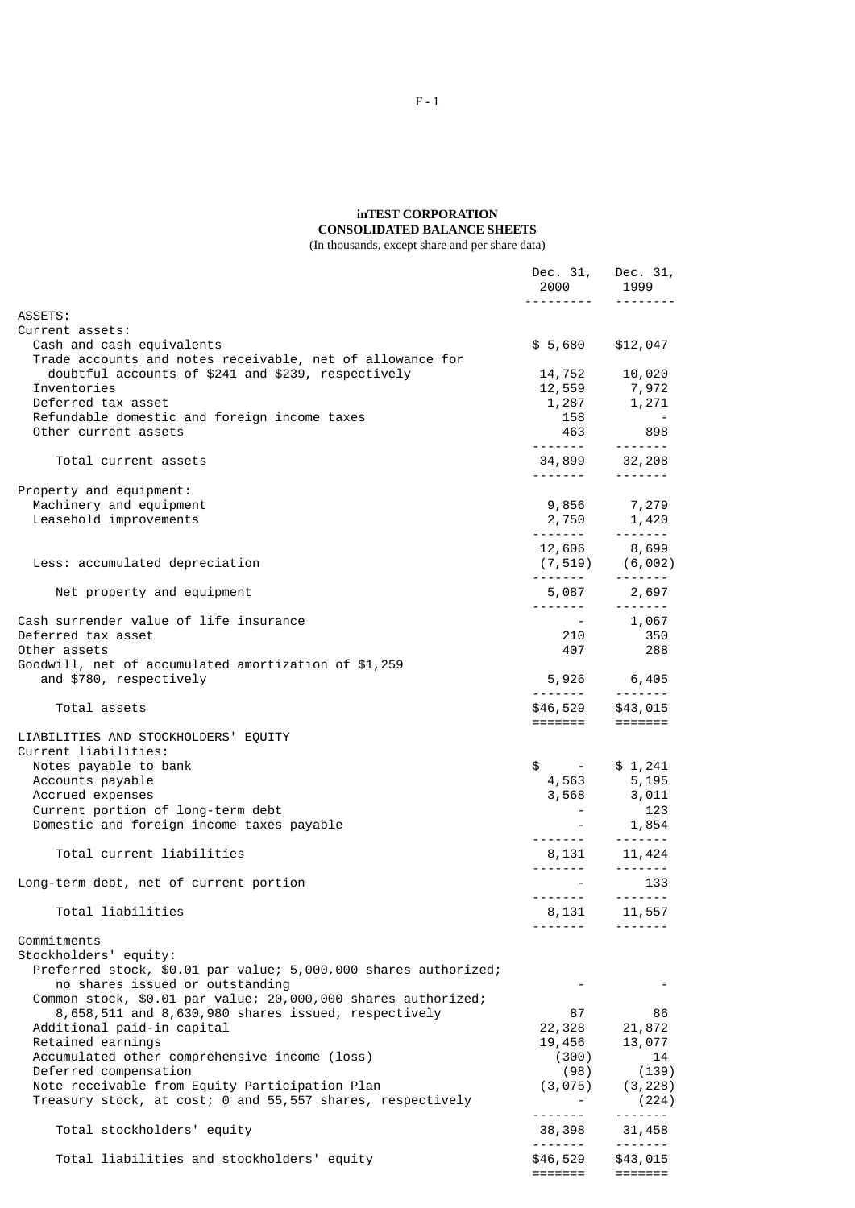## **inTEST CORPORATION CONSOLIDATED BALANCE SHEETS**

(In thousands, except share and per share data)

|                                                                                                                             | 2000                                                                                                                                                                                                                                                                                                                                                                                                                                                                                                                                                                              | Dec. 31, Dec. 31,<br>1999                         |
|-----------------------------------------------------------------------------------------------------------------------------|-----------------------------------------------------------------------------------------------------------------------------------------------------------------------------------------------------------------------------------------------------------------------------------------------------------------------------------------------------------------------------------------------------------------------------------------------------------------------------------------------------------------------------------------------------------------------------------|---------------------------------------------------|
| ASSETS:                                                                                                                     |                                                                                                                                                                                                                                                                                                                                                                                                                                                                                                                                                                                   | --------                                          |
| Current assets:                                                                                                             |                                                                                                                                                                                                                                                                                                                                                                                                                                                                                                                                                                                   |                                                   |
| Cash and cash equivalents<br>Trade accounts and notes receivable, net of allowance for                                      | $$5,680$ $$12,047$                                                                                                                                                                                                                                                                                                                                                                                                                                                                                                                                                                |                                                   |
| doubtful accounts of \$241 and \$239, respectively                                                                          |                                                                                                                                                                                                                                                                                                                                                                                                                                                                                                                                                                                   | 14,752 10,020                                     |
| Inventories                                                                                                                 |                                                                                                                                                                                                                                                                                                                                                                                                                                                                                                                                                                                   | 12,559 7,972                                      |
| Deferred tax asset                                                                                                          |                                                                                                                                                                                                                                                                                                                                                                                                                                                                                                                                                                                   | $1,287$<br>158<br>158                             |
| Refundable domestic and foreign income taxes                                                                                | 463 000                                                                                                                                                                                                                                                                                                                                                                                                                                                                                                                                                                           |                                                   |
| Other current assets                                                                                                        |                                                                                                                                                                                                                                                                                                                                                                                                                                                                                                                                                                                   | 898                                               |
| Total current assets                                                                                                        | -------<br>34,899 32,208<br>------- -------                                                                                                                                                                                                                                                                                                                                                                                                                                                                                                                                       |                                                   |
| Property and equipment:                                                                                                     |                                                                                                                                                                                                                                                                                                                                                                                                                                                                                                                                                                                   |                                                   |
| Machinery and equipment                                                                                                     |                                                                                                                                                                                                                                                                                                                                                                                                                                                                                                                                                                                   |                                                   |
| Leasehold improvements                                                                                                      | $9,856$<br>$2,750$<br>$1,420$<br>$-$<br>$-$<br>$-$                                                                                                                                                                                                                                                                                                                                                                                                                                                                                                                                |                                                   |
|                                                                                                                             |                                                                                                                                                                                                                                                                                                                                                                                                                                                                                                                                                                                   |                                                   |
| Less: accumulated depreciation                                                                                              |                                                                                                                                                                                                                                                                                                                                                                                                                                                                                                                                                                                   | 12,606 8,699<br>(7,519) (6,002)                   |
|                                                                                                                             |                                                                                                                                                                                                                                                                                                                                                                                                                                                                                                                                                                                   | $- - - - - - -$                                   |
| Net property and equipment                                                                                                  | $5,087$ $2,697$                                                                                                                                                                                                                                                                                                                                                                                                                                                                                                                                                                   |                                                   |
| Cash surrender value of life insurance                                                                                      |                                                                                                                                                                                                                                                                                                                                                                                                                                                                                                                                                                                   | $-1,067$                                          |
| Deferred tax asset                                                                                                          | 210                                                                                                                                                                                                                                                                                                                                                                                                                                                                                                                                                                               | 350                                               |
| Other assets                                                                                                                | 407                                                                                                                                                                                                                                                                                                                                                                                                                                                                                                                                                                               | 288                                               |
| Goodwill, net of accumulated amortization of \$1,259<br>and \$780, respectively                                             | $5,926$ $6,405$                                                                                                                                                                                                                                                                                                                                                                                                                                                                                                                                                                   |                                                   |
| Total assets                                                                                                                | \$46,529 \$43,015                                                                                                                                                                                                                                                                                                                                                                                                                                                                                                                                                                 |                                                   |
| LIABILITIES AND STOCKHOLDERS' EQUITY<br>Current liabilities:                                                                | $\begin{tabular}{ll} \multicolumn{2}{l}{{\color{red}{{\color{red}{{\color{magenta}{\color{black}{{\color{magenta}{\color{black}{{\color{magenta}{\color{black}{{\color{magenta}{\color{black}{{\color{magenta}{\color{black}{{\color{magenta}{\color{black}{{\color{magenta}{\color{black}{{\color{magenta}{\color{black}{{\color{magenta}{\color{black}{{\color{magenta}{\color{black}{{\color{magenta}{\color{black}{{\color{magenta}{\color{black}{{\color{magenta}{\color{black}{{\color{magenta}{\color{black}{{\color{magenta}{\color{black}{{\color{magenta}{\color{black$ |                                                   |
| Notes payable to bank                                                                                                       | \$ 5 1,241                                                                                                                                                                                                                                                                                                                                                                                                                                                                                                                                                                        |                                                   |
| Accounts payable<br>Accrued expenses                                                                                        |                                                                                                                                                                                                                                                                                                                                                                                                                                                                                                                                                                                   |                                                   |
| Current portion of long-term debt                                                                                           |                                                                                                                                                                                                                                                                                                                                                                                                                                                                                                                                                                                   | $4,563$<br>$3,568$<br>$5,195$<br>$3,011$<br>$123$ |
| Domestic and foreign income taxes payable                                                                                   |                                                                                                                                                                                                                                                                                                                                                                                                                                                                                                                                                                                   | $-1,854$                                          |
|                                                                                                                             |                                                                                                                                                                                                                                                                                                                                                                                                                                                                                                                                                                                   | . <b>.</b>                                        |
| Total current liabilities                                                                                                   |                                                                                                                                                                                                                                                                                                                                                                                                                                                                                                                                                                                   | 8, 131 11, 424                                    |
| Long-term debt, net of current portion                                                                                      |                                                                                                                                                                                                                                                                                                                                                                                                                                                                                                                                                                                   | $- - - - - - -$<br>133                            |
|                                                                                                                             |                                                                                                                                                                                                                                                                                                                                                                                                                                                                                                                                                                                   |                                                   |
| Total liabilities                                                                                                           | 8,131                                                                                                                                                                                                                                                                                                                                                                                                                                                                                                                                                                             | 11,557                                            |
|                                                                                                                             | ------                                                                                                                                                                                                                                                                                                                                                                                                                                                                                                                                                                            |                                                   |
| Commitments                                                                                                                 |                                                                                                                                                                                                                                                                                                                                                                                                                                                                                                                                                                                   |                                                   |
| Stockholders' equity:<br>Preferred stock, \$0.01 par value; 5,000,000 shares authorized;<br>no shares issued or outstanding |                                                                                                                                                                                                                                                                                                                                                                                                                                                                                                                                                                                   |                                                   |
| Common stock, \$0.01 par value; 20,000,000 shares authorized;                                                               |                                                                                                                                                                                                                                                                                                                                                                                                                                                                                                                                                                                   |                                                   |
| 8,658,511 and 8,630,980 shares issued, respectively                                                                         | 87                                                                                                                                                                                                                                                                                                                                                                                                                                                                                                                                                                                | 86                                                |
| Additional paid-in capital                                                                                                  | 22,328                                                                                                                                                                                                                                                                                                                                                                                                                                                                                                                                                                            | 21,872                                            |
| Retained earnings                                                                                                           | 19,456                                                                                                                                                                                                                                                                                                                                                                                                                                                                                                                                                                            | 13,077                                            |
| Accumulated other comprehensive income (loss)                                                                               | (300)                                                                                                                                                                                                                                                                                                                                                                                                                                                                                                                                                                             | 14                                                |
| Deferred compensation                                                                                                       | (98)                                                                                                                                                                                                                                                                                                                                                                                                                                                                                                                                                                              | (139)                                             |
| Note receivable from Equity Participation Plan<br>Treasury stock, at cost; 0 and 55,557 shares, respectively                | (3, 075)                                                                                                                                                                                                                                                                                                                                                                                                                                                                                                                                                                          | (3, 228)<br>(224)                                 |
| Total stockholders' equity                                                                                                  | 38,398                                                                                                                                                                                                                                                                                                                                                                                                                                                                                                                                                                            | -------<br>31,458                                 |
| Total liabilities and stockholders' equity                                                                                  | \$46,529                                                                                                                                                                                                                                                                                                                                                                                                                                                                                                                                                                          | $- - - - - - -$<br>\$43,015                       |
|                                                                                                                             | =======                                                                                                                                                                                                                                                                                                                                                                                                                                                                                                                                                                           | $=$ $=$ $=$ $=$ $=$ $=$                           |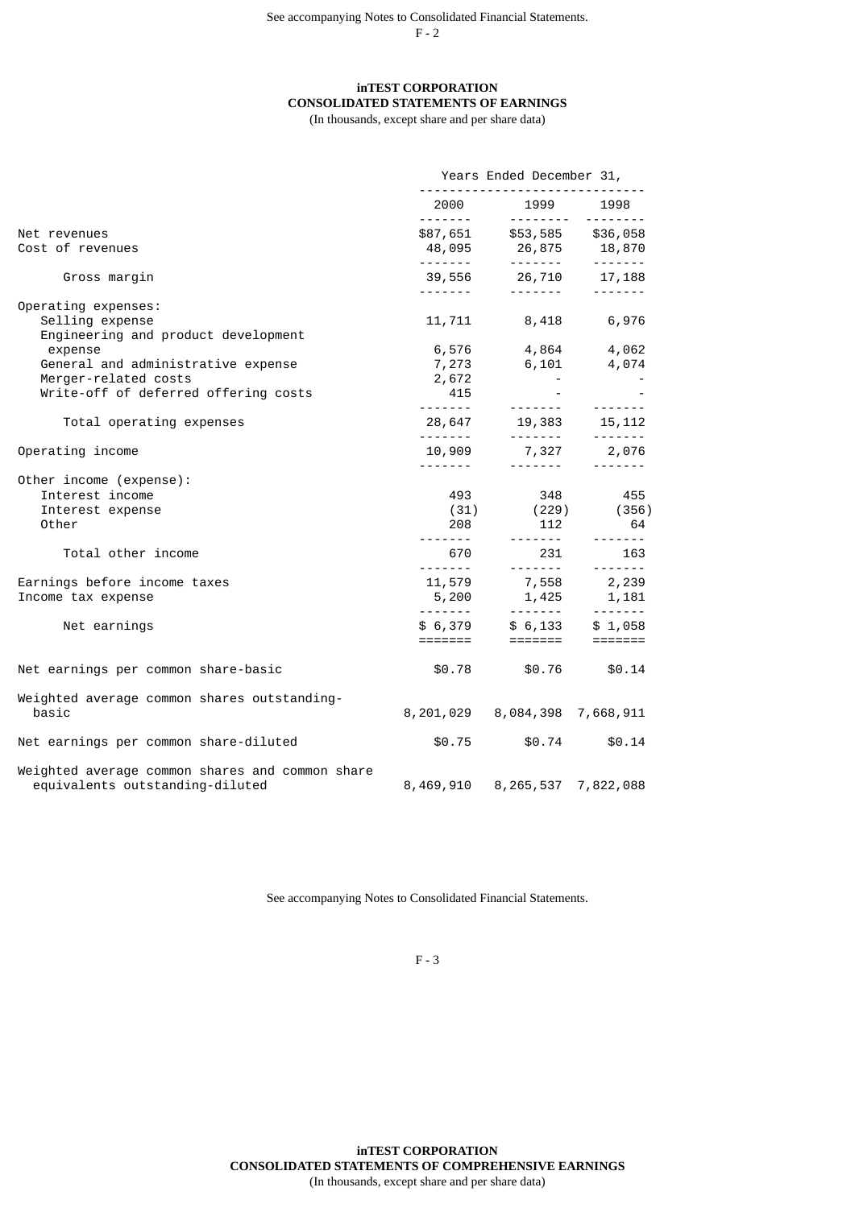F - 2

## **inTEST CORPORATION CONSOLIDATED STATEMENTS OF EARNINGS**

(In thousands, except share and per share data)

|                                                                                                                                                        | Years Ended December 31, |                                                                                                                                                                                                      |                                                                                                                                                                                                                                                                                                                                                                                                                                                                                                     |  |
|--------------------------------------------------------------------------------------------------------------------------------------------------------|--------------------------|------------------------------------------------------------------------------------------------------------------------------------------------------------------------------------------------------|-----------------------------------------------------------------------------------------------------------------------------------------------------------------------------------------------------------------------------------------------------------------------------------------------------------------------------------------------------------------------------------------------------------------------------------------------------------------------------------------------------|--|
|                                                                                                                                                        | 2000<br><u>.</u>         |                                                                                                                                                                                                      | 1999 1998                                                                                                                                                                                                                                                                                                                                                                                                                                                                                           |  |
| Net revenues<br>Cost of revenues                                                                                                                       |                          | \$87,651 \$53,585 \$36,058                                                                                                                                                                           |                                                                                                                                                                                                                                                                                                                                                                                                                                                                                                     |  |
| Gross margin                                                                                                                                           |                          | $26,875$ 18,870<br>$-26,875$ 18,870<br>$-39,556$ 26,710 17,188<br>$-26,710$ 17,188                                                                                                                   |                                                                                                                                                                                                                                                                                                                                                                                                                                                                                                     |  |
| Operating expenses:<br>Selling expense<br>Engineering and product development<br>expense<br>General and administrative expense<br>Merger-related costs | 2,672<br>415             | 11,711 8,418 6,976<br>6,576 4,864 4,062<br>7,273 6,101 4,074                                                                                                                                         |                                                                                                                                                                                                                                                                                                                                                                                                                                                                                                     |  |
| Write-off of deferred offering costs                                                                                                                   |                          | $\sim$ 100 $\mu$                                                                                                                                                                                     |                                                                                                                                                                                                                                                                                                                                                                                                                                                                                                     |  |
| Total operating expenses                                                                                                                               |                          | $28,647$ $19,383$ $15,112$<br>------- ------- -------                                                                                                                                                | $\begin{array}{cccccccccccccc} \multicolumn{2}{c}{} & \multicolumn{2}{c}{} & \multicolumn{2}{c}{} & \multicolumn{2}{c}{} & \multicolumn{2}{c}{} & \multicolumn{2}{c}{} & \multicolumn{2}{c}{} & \multicolumn{2}{c}{} & \multicolumn{2}{c}{} & \multicolumn{2}{c}{} & \multicolumn{2}{c}{} & \multicolumn{2}{c}{} & \multicolumn{2}{c}{} & \multicolumn{2}{c}{} & \multicolumn{2}{c}{} & \multicolumn{2}{c}{} & \multicolumn{2}{c}{} & \multicolumn{2}{c}{} & \multicolumn{2}{c}{} & \$              |  |
| Operating income                                                                                                                                       |                          | 10,909 7,327 2,076                                                                                                                                                                                   |                                                                                                                                                                                                                                                                                                                                                                                                                                                                                                     |  |
| Other income (expense):<br>Interest income<br>Interest expense<br>Other                                                                                | 493<br>208               | 348<br>$(31)$ $(229)$ $(356)$<br>112<br><u> 222222 - 1</u>                                                                                                                                           | 455<br>64<br>$\begin{array}{cccccccccccccc} \multicolumn{2}{c}{} & \multicolumn{2}{c}{} & \multicolumn{2}{c}{} & \multicolumn{2}{c}{} & \multicolumn{2}{c}{} & \multicolumn{2}{c}{} & \multicolumn{2}{c}{} & \multicolumn{2}{c}{} & \multicolumn{2}{c}{} & \multicolumn{2}{c}{} & \multicolumn{2}{c}{} & \multicolumn{2}{c}{} & \multicolumn{2}{c}{} & \multicolumn{2}{c}{} & \multicolumn{2}{c}{} & \multicolumn{2}{c}{} & \multicolumn{2}{c}{} & \multicolumn{2}{c}{} & \multicolumn{2}{c}{} & \$ |  |
| Total other income                                                                                                                                     |                          | $670$ 231 163                                                                                                                                                                                        | 163                                                                                                                                                                                                                                                                                                                                                                                                                                                                                                 |  |
| Earnings before income taxes<br>Income tax expense                                                                                                     |                          | $\begin{array}{cccc} 11,579 & \quad & 7,558 & \quad & 2,239 \\ 5,200 & \quad & 1,425 & \quad & 1,181 \\ \cdot & \cdot & \cdot & \cdot & \cdot & \cdot & \cdot & \cdot \cdot \cdot \cdot \end{array}$ |                                                                                                                                                                                                                                                                                                                                                                                                                                                                                                     |  |
| Net earnings                                                                                                                                           |                          | $$6,379$ $$6,133$ $$1,058$<br>=======            =======                                                                                                                                             |                                                                                                                                                                                                                                                                                                                                                                                                                                                                                                     |  |
| Net earnings per common share-basic                                                                                                                    |                          | \$0.78 \$0.76 \$0.14                                                                                                                                                                                 |                                                                                                                                                                                                                                                                                                                                                                                                                                                                                                     |  |
| Weighted average common shares outstanding-<br>basic                                                                                                   |                          | 8, 201, 029 8, 084, 398 7, 668, 911                                                                                                                                                                  |                                                                                                                                                                                                                                                                                                                                                                                                                                                                                                     |  |
| Net earnings per common share-diluted                                                                                                                  | \$0.75                   | \$0.74                                                                                                                                                                                               | \$0.14                                                                                                                                                                                                                                                                                                                                                                                                                                                                                              |  |
| Weighted average common shares and common share<br>equivalents outstanding-diluted                                                                     |                          | 8,469,910 8,265,537 7,822,088                                                                                                                                                                        |                                                                                                                                                                                                                                                                                                                                                                                                                                                                                                     |  |

See accompanying Notes to Consolidated Financial Statements.

F - 3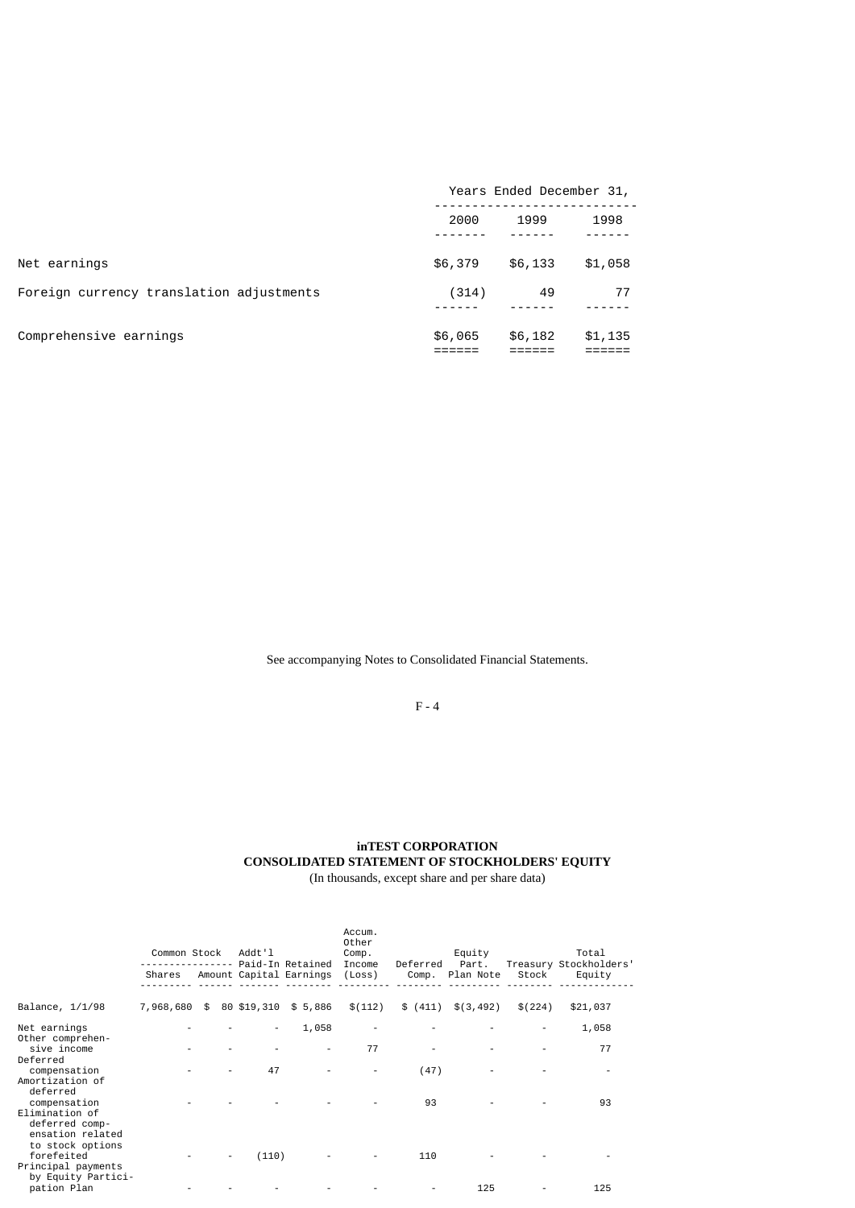|                                          | Years Ended December 31, |         |         |  |
|------------------------------------------|--------------------------|---------|---------|--|
|                                          | 2000                     | 1999    | 1998    |  |
| Net earnings                             | \$6,379                  | \$6,133 | \$1,058 |  |
| Foreign currency translation adjustments | (314)                    | 49      | 77      |  |
| Comprehensive earnings                   | \$6,065                  | \$6,182 | \$1,135 |  |

See accompanying Notes to Consolidated Financial Statements.

 $\rm F$  -  $4$ 

## **inTEST CORPORATION CONSOLIDATED STATEMENT OF STOCKHOLDERS' EQUITY** (In thousands, except share and per share data)

|                                                                          | Common Stock                      | Addt'l | Paid-In Retained        | Accum.<br>Other<br>Comp.<br>Income |      | Equity                |         | Total<br>Deferred Part. Treasury Stockholders' |
|--------------------------------------------------------------------------|-----------------------------------|--------|-------------------------|------------------------------------|------|-----------------------|---------|------------------------------------------------|
|                                                                          | Shares                            |        | Amount Capital Earnings | (Loss)                             |      | Comp. Plan Note       | Stock   | Equity                                         |
| Balance, 1/1/98                                                          | 7,968,680 \$ 80 \$19,310 \$ 5,886 |        |                         | \$ (112)                           |      | \$ (411) \$ (\$3,492) | \$(224) | \$21,037                                       |
| Net earnings                                                             |                                   |        | 1,058                   |                                    |      |                       |         | 1,058                                          |
| Other comprehen-<br>sive income                                          |                                   |        |                         | 77                                 |      |                       |         | 77                                             |
| Deferred<br>compensation                                                 |                                   | 47     |                         |                                    | (47) |                       |         |                                                |
| Amortization of<br>deferred<br>compensation                              |                                   |        |                         |                                    | 93   |                       |         | 93                                             |
| Elimination of<br>deferred comp-<br>ensation related<br>to stock options |                                   |        |                         |                                    |      |                       |         |                                                |
| forefeited<br>Principal payments<br>by Equity Partici-                   |                                   | (110)  |                         |                                    | 110  |                       |         |                                                |
| pation Plan                                                              |                                   |        |                         |                                    |      | 125                   |         | 125                                            |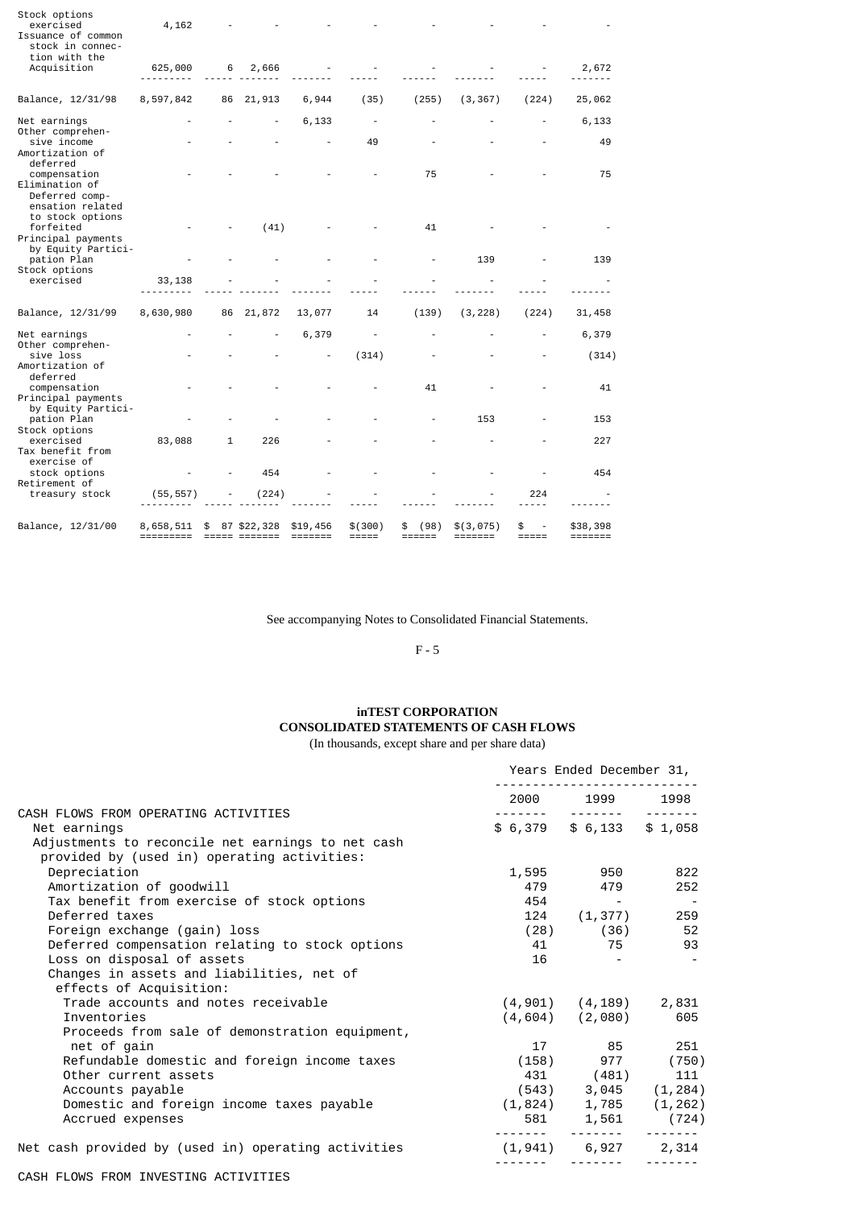| Stock options<br>exercised<br>Issuance of common<br>stock in connec-<br>tion with the | 4,162                               |              |                |                                     |                          |                                        |                      |                                           |                     |
|---------------------------------------------------------------------------------------|-------------------------------------|--------------|----------------|-------------------------------------|--------------------------|----------------------------------------|----------------------|-------------------------------------------|---------------------|
| Acquisition                                                                           | 625,000                             | 6            | 2,666          |                                     |                          |                                        |                      |                                           | 2,672               |
|                                                                                       |                                     |              |                |                                     |                          |                                        |                      |                                           |                     |
| Balance, 12/31/98                                                                     | 8,597,842                           | 86           | 21,913         | 6,944                               | (35)                     | (255)                                  | (3, 367)             | (224)                                     | 25,062              |
| Net earnings<br>Other comprehen-                                                      |                                     |              |                | 6,133                               |                          |                                        |                      |                                           | 6,133               |
| sive income<br>Amortization of<br>deferred                                            |                                     |              |                |                                     | 49                       |                                        |                      |                                           | 49                  |
| compensation<br>Elimination of<br>Deferred comp-<br>ensation related                  |                                     |              |                |                                     |                          | 75                                     |                      |                                           | 75                  |
| to stock options<br>forfeited<br>Principal payments                                   |                                     |              | (41)           |                                     |                          | 41                                     |                      |                                           |                     |
| by Equity Partici-<br>pation Plan<br>Stock options                                    |                                     |              |                |                                     |                          |                                        | 139                  |                                           | 139                 |
| exercised                                                                             | 33,138                              |              |                |                                     |                          |                                        |                      |                                           |                     |
|                                                                                       |                                     |              |                |                                     |                          |                                        |                      |                                           |                     |
| Balance, 12/31/99                                                                     | 8,630,980                           | 86           | 21,872         | 13,077                              | 14                       | (139)                                  | (3, 228)             | (224)                                     | 31,458              |
| Net earnings<br>Other comprehen-                                                      |                                     |              |                | 6,379                               | $\overline{\phantom{a}}$ |                                        |                      |                                           | 6,379               |
| sive loss<br>Amortization of<br>deferred                                              |                                     |              |                |                                     | (314)                    |                                        |                      |                                           | (314)               |
| compensation<br>Principal payments                                                    |                                     |              |                |                                     |                          | 41                                     |                      |                                           | 41                  |
| by Equity Partici-<br>pation Plan                                                     |                                     |              |                |                                     |                          |                                        | 153                  |                                           | 153                 |
| Stock options<br>exercised<br>Tax benefit from<br>exercise of                         | 83,088                              | $\mathbf{1}$ | 226            |                                     |                          |                                        |                      |                                           | 227                 |
| stock options<br>Retirement of                                                        |                                     |              | 454            |                                     |                          |                                        |                      |                                           | 454                 |
| treasury stock                                                                        | (55, 557)                           |              | (224)          |                                     |                          |                                        |                      | 224                                       |                     |
| Balance, 12/31/00                                                                     | 8,658,511<br>--------- ----- ------ |              | $$87$ \$22,328 | \$19,456<br>$=$ $=$ $=$ $=$ $=$ $=$ | \$(300)<br>=====         | (98)<br>\$.<br>$=$ $=$ $=$ $=$ $=$ $=$ | \$(3,075)<br>======= | \$<br>$\overline{\phantom{a}}$<br>$=====$ | \$38,398<br>======= |

See accompanying Notes to Consolidated Financial Statements.

## F - 5

# **inTEST CORPORATION CONSOLIDATED STATEMENTS OF CASH FLOWS**

(In thousands, except share and per share data)

|                                                                   | Years Ended December 31, |                            |            |  |
|-------------------------------------------------------------------|--------------------------|----------------------------|------------|--|
|                                                                   |                          | 2000 1999                  | 1998       |  |
| CASH FLOWS FROM OPERATING ACTIVITIES                              |                          |                            |            |  |
| Net earnings<br>Adjustments to reconcile net earnings to net cash |                          | $$6,379$ $$6,133$ $$1,058$ |            |  |
| provided by (used in) operating activities:                       |                          |                            |            |  |
| Depreciation                                                      |                          | 1,595 950                  | 822        |  |
| Amortization of goodwill                                          |                          | 479 479                    | 252        |  |
| Tax benefit from exercise of stock options                        | 454                      |                            | $\sim 100$ |  |
| Deferred taxes                                                    |                          | 124 (1,377) 259            |            |  |
| Foreign exchange (gain) loss                                      |                          | $(28)$ $(36)$ 52           |            |  |
| Deferred compensation relating to stock options                   |                          | 41 75 93                   |            |  |
| Loss on disposal of assets                                        | 16                       |                            |            |  |
| Changes in assets and liabilities, net of                         |                          |                            |            |  |
| effects of Acquisition:                                           |                          |                            |            |  |
| Trade accounts and notes receivable                               |                          | $(4,901)$ $(4,189)$ 2,831  |            |  |
| Inventories                                                       |                          | $(4, 604)$ $(2, 080)$      | 605        |  |
| Proceeds from sale of demonstration equipment,                    |                          |                            |            |  |
| net of gain                                                       |                          | 17 85 251                  |            |  |
| Refundable domestic and foreign income taxes                      |                          | $(158)$ 977 (750)          |            |  |
| Other current assets                                              |                          | 431 (481)                  | 111        |  |
| Accounts payable                                                  |                          | $(543)$ $3,045$ $(1,284)$  |            |  |
| Domestic and foreign income taxes payable                         |                          | $(1,824)$ 1,785 $(1,262)$  |            |  |
| Accrued expenses                                                  |                          | 581   1,561   (724)        |            |  |
| Net cash provided by (used in) operating activities               |                          | $(1, 941)$ 6,927 2,314     |            |  |
|                                                                   |                          |                            |            |  |

CASH FLOWS FROM INVESTING ACTIVITIES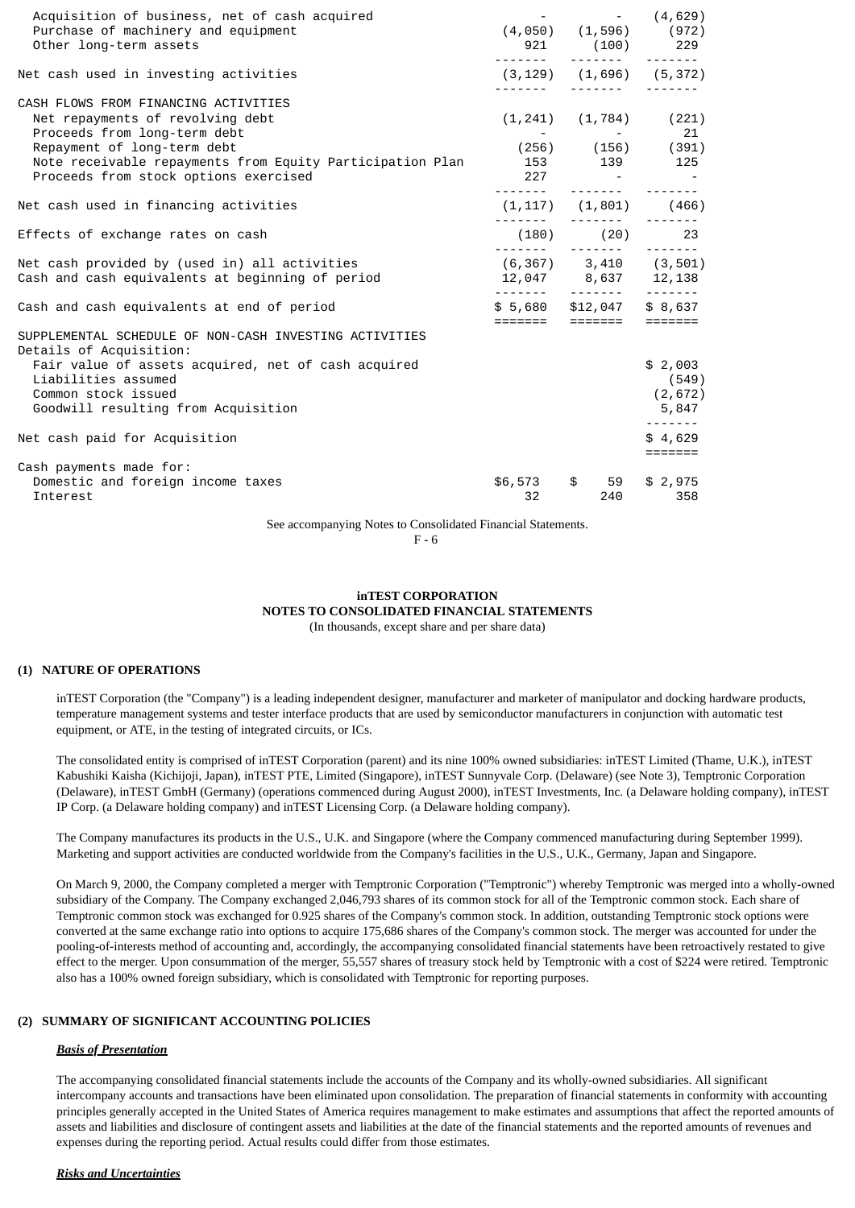| Acquisition of business, net of cash acquired<br>Purchase of machinery and equipment<br>Other long-term assets                                                                                                                                | - - - - - - - <sup>-</sup> -                                                                                                  | (4,629) -<br>(4,050) (1,596) (972)<br>921 (100) 229    |                                                        |
|-----------------------------------------------------------------------------------------------------------------------------------------------------------------------------------------------------------------------------------------------|-------------------------------------------------------------------------------------------------------------------------------|--------------------------------------------------------|--------------------------------------------------------|
| Net cash used in investing activities                                                                                                                                                                                                         |                                                                                                                               | $(3, 129)$ $(1, 696)$ $(5, 372)$                       |                                                        |
| CASH FLOWS FROM FINANCING ACTIVITIES<br>Net repayments of revolving debt<br>Proceeds from long-term debt<br>Repayment of long-term debt<br>Note receivable repayments from Equity Participation Plan<br>Proceeds from stock options exercised | $\begin{matrix} 153 \ 227 \ \end{matrix}$ $\begin{matrix} 139 \ 125 \ \end{matrix}$ $\begin{matrix} 125 \ 127 \ \end{matrix}$ | $(1, 241)$ $(1, 784)$ $(221)$                          |                                                        |
| Net cash used in financing activities                                                                                                                                                                                                         |                                                                                                                               | $(1, 117)$ $(1, 801)$ $(466)$                          |                                                        |
| Effects of exchange rates on cash                                                                                                                                                                                                             |                                                                                                                               | $(180)$ $(20)$ 23                                      |                                                        |
| Net cash provided by (used in) all activities<br>Cash and cash equivalents at beginning of period                                                                                                                                             | $(6, 367)$ $3, 410$ $(3, 501)$<br>$12,047$ $8,637$ $12,138$                                                                   | _____________________                                  |                                                        |
| Cash and cash equivalents at end of period                                                                                                                                                                                                    |                                                                                                                               | $$5,680$ $$12,047$ $$8,637$<br>======= ======= ======= |                                                        |
| SUPPLEMENTAL SCHEDULE OF NON-CASH INVESTING ACTIVITIES<br>Details of Acquisition:<br>Fair value of assets acquired, net of cash acquired<br>Liabilities assumed<br>Common stock issued<br>Goodwill resulting from Acquisition                 |                                                                                                                               |                                                        | \$2,003<br>(549)<br>(2, 672)<br>5,847<br>$- - - - - -$ |
| Net cash paid for Acquisition                                                                                                                                                                                                                 |                                                                                                                               |                                                        | \$4,629<br>$=$ $=$ $=$ $=$ $=$ $=$ $=$                 |
| Cash payments made for:<br>Domestic and foreign income taxes<br>Interest                                                                                                                                                                      | 32                                                                                                                            | \$6,573 \$ 59                                          | \$2,975<br>240 358                                     |

See accompanying Notes to Consolidated Financial Statements.

F - 6

# **inTEST CORPORATION NOTES TO CONSOLIDATED FINANCIAL STATEMENTS**

## (In thousands, except share and per share data)

## **(1) NATURE OF OPERATIONS**

inTEST Corporation (the "Company") is a leading independent designer, manufacturer and marketer of manipulator and docking hardware products, temperature management systems and tester interface products that are used by semiconductor manufacturers in conjunction with automatic test equipment, or ATE, in the testing of integrated circuits, or ICs.

The consolidated entity is comprised of inTEST Corporation (parent) and its nine 100% owned subsidiaries: inTEST Limited (Thame, U.K.), inTEST Kabushiki Kaisha (Kichijoji, Japan), inTEST PTE, Limited (Singapore), inTEST Sunnyvale Corp. (Delaware) (see Note 3), Temptronic Corporation (Delaware), inTEST GmbH (Germany) (operations commenced during August 2000), inTEST Investments, Inc. (a Delaware holding company), inTEST IP Corp. (a Delaware holding company) and inTEST Licensing Corp. (a Delaware holding company).

The Company manufactures its products in the U.S., U.K. and Singapore (where the Company commenced manufacturing during September 1999). Marketing and support activities are conducted worldwide from the Company's facilities in the U.S., U.K., Germany, Japan and Singapore.

On March 9, 2000, the Company completed a merger with Temptronic Corporation ("Temptronic") whereby Temptronic was merged into a wholly-owned subsidiary of the Company. The Company exchanged 2,046,793 shares of its common stock for all of the Temptronic common stock. Each share of Temptronic common stock was exchanged for 0.925 shares of the Company's common stock. In addition, outstanding Temptronic stock options were converted at the same exchange ratio into options to acquire 175,686 shares of the Company's common stock. The merger was accounted for under the pooling-of-interests method of accounting and, accordingly, the accompanying consolidated financial statements have been retroactively restated to give effect to the merger. Upon consummation of the merger, 55,557 shares of treasury stock held by Temptronic with a cost of \$224 were retired. Temptronic also has a 100% owned foreign subsidiary, which is consolidated with Temptronic for reporting purposes.

## **(2) SUMMARY OF SIGNIFICANT ACCOUNTING POLICIES**

#### *Basis of Presentation*

The accompanying consolidated financial statements include the accounts of the Company and its wholly-owned subsidiaries. All significant intercompany accounts and transactions have been eliminated upon consolidation. The preparation of financial statements in conformity with accounting principles generally accepted in the United States of America requires management to make estimates and assumptions that affect the reported amounts of assets and liabilities and disclosure of contingent assets and liabilities at the date of the financial statements and the reported amounts of revenues and expenses during the reporting period. Actual results could differ from those estimates.

#### *Risks and Uncertainties*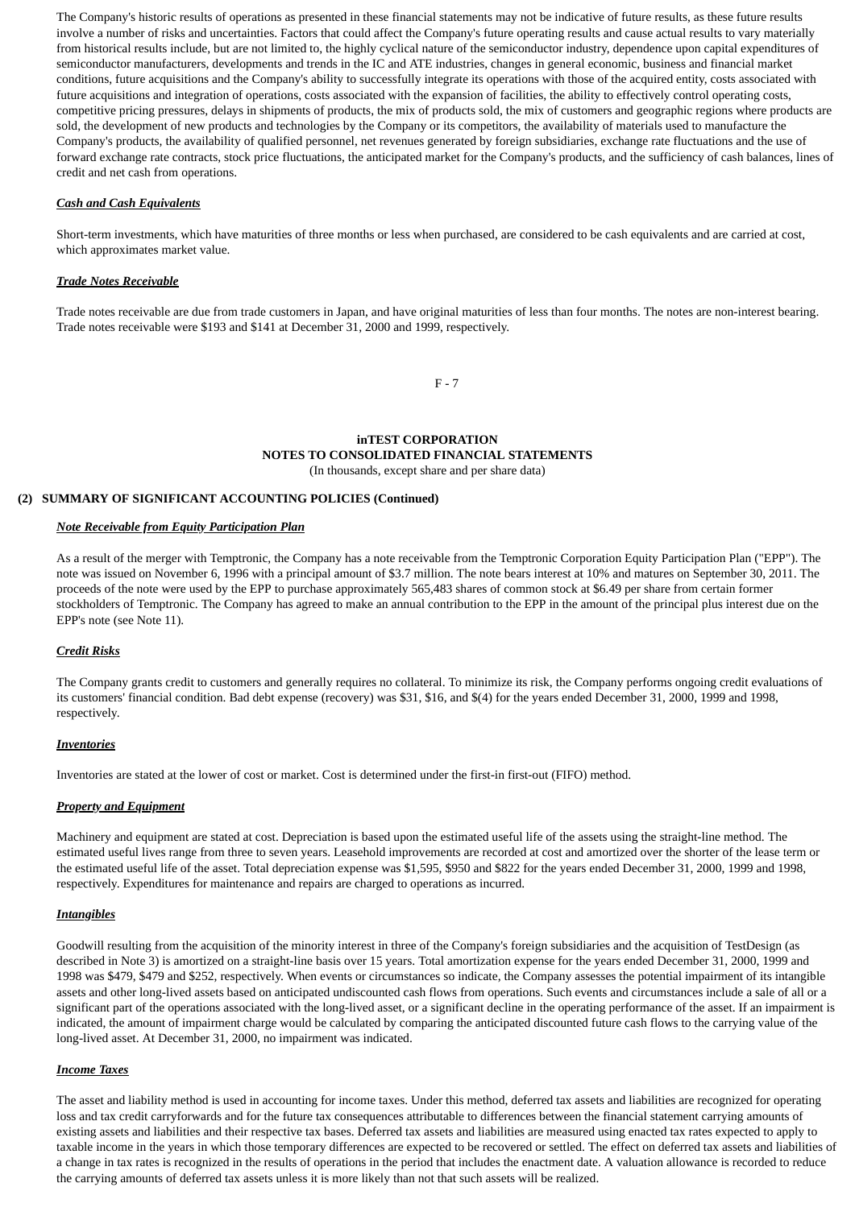The Company's historic results of operations as presented in these financial statements may not be indicative of future results, as these future results involve a number of risks and uncertainties. Factors that could affect the Company's future operating results and cause actual results to vary materially from historical results include, but are not limited to, the highly cyclical nature of the semiconductor industry, dependence upon capital expenditures of semiconductor manufacturers, developments and trends in the IC and ATE industries, changes in general economic, business and financial market conditions, future acquisitions and the Company's ability to successfully integrate its operations with those of the acquired entity, costs associated with future acquisitions and integration of operations, costs associated with the expansion of facilities, the ability to effectively control operating costs, competitive pricing pressures, delays in shipments of products, the mix of products sold, the mix of customers and geographic regions where products are sold, the development of new products and technologies by the Company or its competitors, the availability of materials used to manufacture the Company's products, the availability of qualified personnel, net revenues generated by foreign subsidiaries, exchange rate fluctuations and the use of forward exchange rate contracts, stock price fluctuations, the anticipated market for the Company's products, and the sufficiency of cash balances, lines of credit and net cash from operations.

### *Cash and Cash Equivalents*

Short-term investments, which have maturities of three months or less when purchased, are considered to be cash equivalents and are carried at cost, which approximates market value.

#### *Trade Notes Receivable*

Trade notes receivable are due from trade customers in Japan, and have original maturities of less than four months. The notes are non-interest bearing. Trade notes receivable were \$193 and \$141 at December 31, 2000 and 1999, respectively.

F - 7

# **inTEST CORPORATION NOTES TO CONSOLIDATED FINANCIAL STATEMENTS**

(In thousands, except share and per share data)

## **(2) SUMMARY OF SIGNIFICANT ACCOUNTING POLICIES (Continued)**

#### *Note Receivable from Equity Participation Plan*

As a result of the merger with Temptronic, the Company has a note receivable from the Temptronic Corporation Equity Participation Plan ("EPP"). The note was issued on November 6, 1996 with a principal amount of \$3.7 million. The note bears interest at 10% and matures on September 30, 2011. The proceeds of the note were used by the EPP to purchase approximately 565,483 shares of common stock at \$6.49 per share from certain former stockholders of Temptronic. The Company has agreed to make an annual contribution to the EPP in the amount of the principal plus interest due on the EPP's note (see Note 11).

#### *Credit Risks*

The Company grants credit to customers and generally requires no collateral. To minimize its risk, the Company performs ongoing credit evaluations of its customers' financial condition. Bad debt expense (recovery) was \$31, \$16, and \$(4) for the years ended December 31, 2000, 1999 and 1998, respectively.

#### *Inventories*

Inventories are stated at the lower of cost or market. Cost is determined under the first-in first-out (FIFO) method.

## *Property and Equipment*

Machinery and equipment are stated at cost. Depreciation is based upon the estimated useful life of the assets using the straight-line method. The estimated useful lives range from three to seven years. Leasehold improvements are recorded at cost and amortized over the shorter of the lease term or the estimated useful life of the asset. Total depreciation expense was \$1,595, \$950 and \$822 for the years ended December 31, 2000, 1999 and 1998, respectively. Expenditures for maintenance and repairs are charged to operations as incurred.

#### *Intangibles*

Goodwill resulting from the acquisition of the minority interest in three of the Company's foreign subsidiaries and the acquisition of TestDesign (as described in Note 3) is amortized on a straight-line basis over 15 years. Total amortization expense for the years ended December 31, 2000, 1999 and 1998 was \$479, \$479 and \$252, respectively. When events or circumstances so indicate, the Company assesses the potential impairment of its intangible assets and other long-lived assets based on anticipated undiscounted cash flows from operations. Such events and circumstances include a sale of all or a significant part of the operations associated with the long-lived asset, or a significant decline in the operating performance of the asset. If an impairment is indicated, the amount of impairment charge would be calculated by comparing the anticipated discounted future cash flows to the carrying value of the long-lived asset. At December 31, 2000, no impairment was indicated.

#### *Income Taxes*

The asset and liability method is used in accounting for income taxes. Under this method, deferred tax assets and liabilities are recognized for operating loss and tax credit carryforwards and for the future tax consequences attributable to differences between the financial statement carrying amounts of existing assets and liabilities and their respective tax bases. Deferred tax assets and liabilities are measured using enacted tax rates expected to apply to taxable income in the years in which those temporary differences are expected to be recovered or settled. The effect on deferred tax assets and liabilities of a change in tax rates is recognized in the results of operations in the period that includes the enactment date. A valuation allowance is recorded to reduce the carrying amounts of deferred tax assets unless it is more likely than not that such assets will be realized.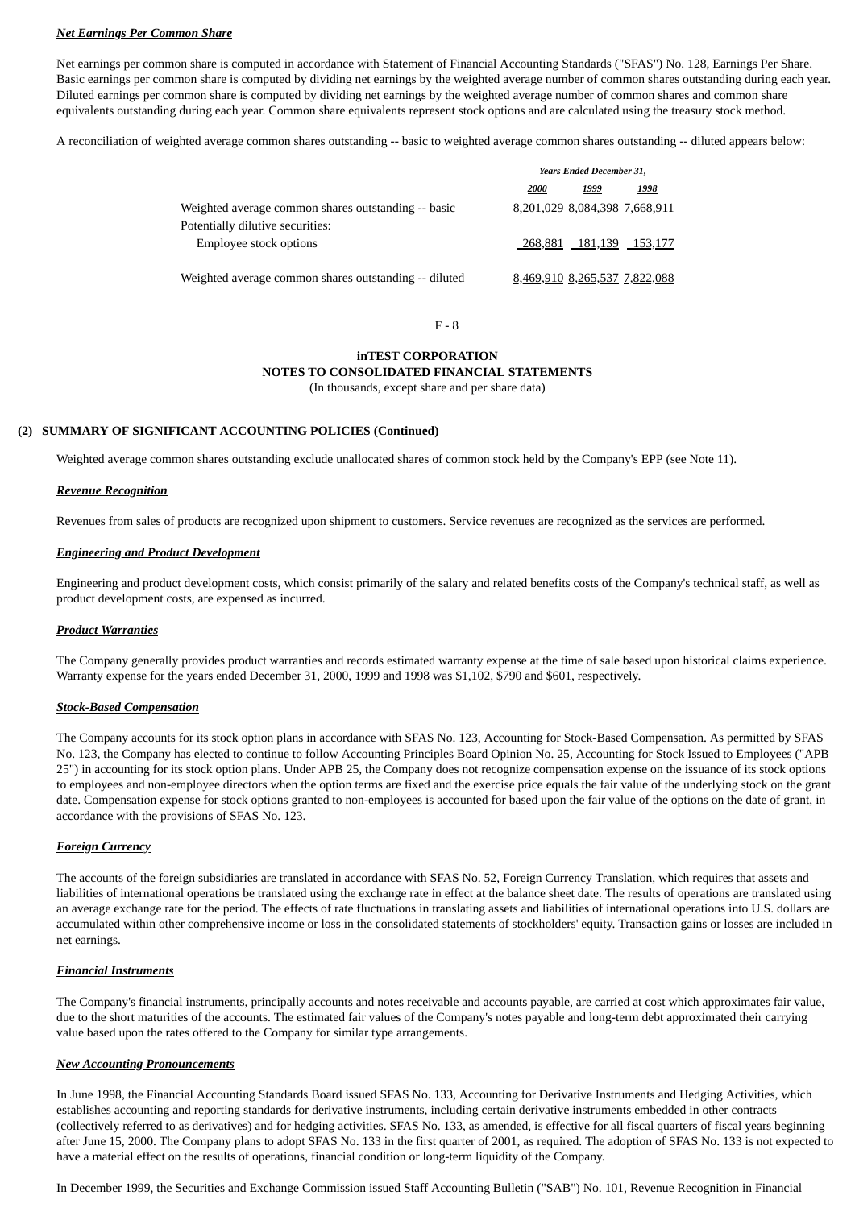## *Net Earnings Per Common Share*

Net earnings per common share is computed in accordance with Statement of Financial Accounting Standards ("SFAS") No. 128, Earnings Per Share. Basic earnings per common share is computed by dividing net earnings by the weighted average number of common shares outstanding during each year. Diluted earnings per common share is computed by dividing net earnings by the weighted average number of common shares and common share equivalents outstanding during each year. Common share equivalents represent stock options and are calculated using the treasury stock method.

A reconciliation of weighted average common shares outstanding -- basic to weighted average common shares outstanding -- diluted appears below:

|                                                            | <b>Years Ended December 31,</b> |                         |      |  |
|------------------------------------------------------------|---------------------------------|-------------------------|------|--|
|                                                            | 2000                            | 1999                    | 1998 |  |
| Weighted average common shares outstanding -- basic        | 8,201,029 8,084,398 7,668,911   |                         |      |  |
| Potentially dilutive securities:<br>Employee stock options |                                 | 268,881 181,139 153,177 |      |  |
| Weighted average common shares outstanding -- diluted      | 8,469,910 8,265,537 7,822,088   |                         |      |  |

F - 8

# **inTEST CORPORATION NOTES TO CONSOLIDATED FINANCIAL STATEMENTS**

(In thousands, except share and per share data)

## **(2) SUMMARY OF SIGNIFICANT ACCOUNTING POLICIES (Continued)**

Weighted average common shares outstanding exclude unallocated shares of common stock held by the Company's EPP (see Note 11).

### *Revenue Recognition*

Revenues from sales of products are recognized upon shipment to customers. Service revenues are recognized as the services are performed.

#### *Engineering and Product Development*

Engineering and product development costs, which consist primarily of the salary and related benefits costs of the Company's technical staff, as well as product development costs, are expensed as incurred.

#### *Product Warranties*

The Company generally provides product warranties and records estimated warranty expense at the time of sale based upon historical claims experience. Warranty expense for the years ended December 31, 2000, 1999 and 1998 was \$1,102, \$790 and \$601, respectively.

#### *Stock-Based Compensation*

The Company accounts for its stock option plans in accordance with SFAS No. 123, Accounting for Stock-Based Compensation. As permitted by SFAS No. 123, the Company has elected to continue to follow Accounting Principles Board Opinion No. 25, Accounting for Stock Issued to Employees ("APB 25") in accounting for its stock option plans. Under APB 25, the Company does not recognize compensation expense on the issuance of its stock options to employees and non-employee directors when the option terms are fixed and the exercise price equals the fair value of the underlying stock on the grant date. Compensation expense for stock options granted to non-employees is accounted for based upon the fair value of the options on the date of grant, in accordance with the provisions of SFAS No. 123.

## *Foreign Currency*

The accounts of the foreign subsidiaries are translated in accordance with SFAS No. 52, Foreign Currency Translation, which requires that assets and liabilities of international operations be translated using the exchange rate in effect at the balance sheet date. The results of operations are translated using an average exchange rate for the period. The effects of rate fluctuations in translating assets and liabilities of international operations into U.S. dollars are accumulated within other comprehensive income or loss in the consolidated statements of stockholders' equity. Transaction gains or losses are included in net earnings.

#### *Financial Instruments*

The Company's financial instruments, principally accounts and notes receivable and accounts payable, are carried at cost which approximates fair value, due to the short maturities of the accounts. The estimated fair values of the Company's notes payable and long-term debt approximated their carrying value based upon the rates offered to the Company for similar type arrangements.

#### *New Accounting Pronouncements*

In June 1998, the Financial Accounting Standards Board issued SFAS No. 133, Accounting for Derivative Instruments and Hedging Activities, which establishes accounting and reporting standards for derivative instruments, including certain derivative instruments embedded in other contracts (collectively referred to as derivatives) and for hedging activities. SFAS No. 133, as amended, is effective for all fiscal quarters of fiscal years beginning after June 15, 2000. The Company plans to adopt SFAS No. 133 in the first quarter of 2001, as required. The adoption of SFAS No. 133 is not expected to have a material effect on the results of operations, financial condition or long-term liquidity of the Company.

In December 1999, the Securities and Exchange Commission issued Staff Accounting Bulletin ("SAB") No. 101, Revenue Recognition in Financial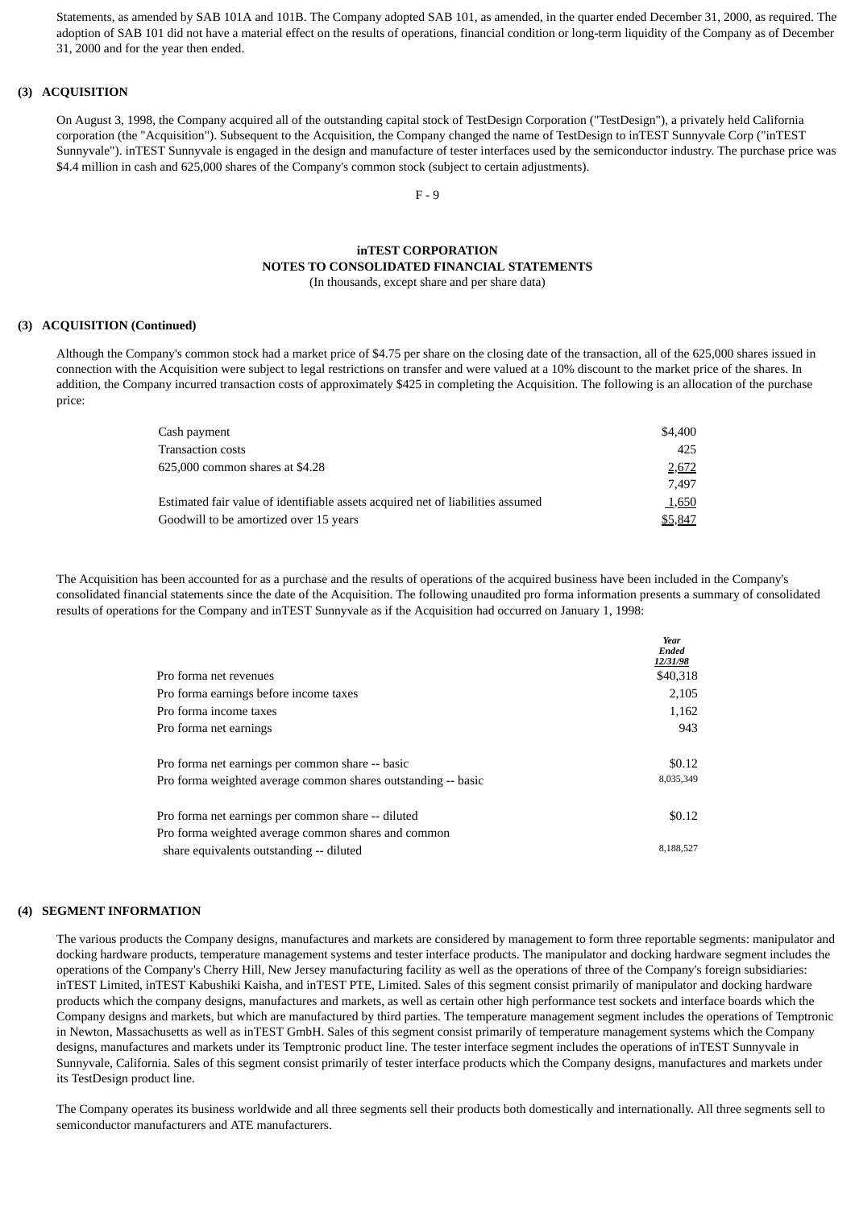Statements, as amended by SAB 101A and 101B. The Company adopted SAB 101, as amended, in the quarter ended December 31, 2000, as required. The adoption of SAB 101 did not have a material effect on the results of operations, financial condition or long-term liquidity of the Company as of December 31, 2000 and for the year then ended.

## **(3) ACQUISITION**

On August 3, 1998, the Company acquired all of the outstanding capital stock of TestDesign Corporation ("TestDesign"), a privately held California corporation (the "Acquisition"). Subsequent to the Acquisition, the Company changed the name of TestDesign to inTEST Sunnyvale Corp ("inTEST Sunnyvale"). inTEST Sunnyvale is engaged in the design and manufacture of tester interfaces used by the semiconductor industry. The purchase price was \$4.4 million in cash and 625,000 shares of the Company's common stock (subject to certain adjustments).

## F - 9

### **inTEST CORPORATION NOTES TO CONSOLIDATED FINANCIAL STATEMENTS** (In thousands, except share and per share data)

#### **(3) ACQUISITION (Continued)**

Although the Company's common stock had a market price of \$4.75 per share on the closing date of the transaction, all of the 625,000 shares issued in connection with the Acquisition were subject to legal restrictions on transfer and were valued at a 10% discount to the market price of the shares. In addition, the Company incurred transaction costs of approximately \$425 in completing the Acquisition. The following is an allocation of the purchase price:

| Cash payment                                                                    | \$4,400 |
|---------------------------------------------------------------------------------|---------|
| Transaction costs                                                               | 425     |
| 625,000 common shares at \$4.28                                                 | 2,672   |
|                                                                                 | 7.497   |
| Estimated fair value of identifiable assets acquired net of liabilities assumed | 1,650   |
| Goodwill to be amortized over 15 years                                          | \$5,847 |

The Acquisition has been accounted for as a purchase and the results of operations of the acquired business have been included in the Company's consolidated financial statements since the date of the Acquisition. The following unaudited pro forma information presents a summary of consolidated results of operations for the Company and inTEST Sunnyvale as if the Acquisition had occurred on January 1, 1998:

|                                                               | <b>Year</b><br><b>Ended</b><br>12/31/98 |
|---------------------------------------------------------------|-----------------------------------------|
| Pro forma net revenues                                        | \$40,318                                |
| Pro forma earnings before income taxes                        | 2,105                                   |
| Pro forma income taxes                                        | 1,162                                   |
| Pro forma net earnings                                        | 943                                     |
| Pro forma net earnings per common share -- basic              | \$0.12                                  |
| Pro forma weighted average common shares outstanding -- basic | 8,035,349                               |
| Pro forma net earnings per common share -- diluted            | \$0.12                                  |
| Pro forma weighted average common shares and common           |                                         |
| share equivalents outstanding -- diluted                      | 8,188,527                               |

#### **(4) SEGMENT INFORMATION**

The various products the Company designs, manufactures and markets are considered by management to form three reportable segments: manipulator and docking hardware products, temperature management systems and tester interface products. The manipulator and docking hardware segment includes the operations of the Company's Cherry Hill, New Jersey manufacturing facility as well as the operations of three of the Company's foreign subsidiaries: inTEST Limited, inTEST Kabushiki Kaisha, and inTEST PTE, Limited. Sales of this segment consist primarily of manipulator and docking hardware products which the company designs, manufactures and markets, as well as certain other high performance test sockets and interface boards which the Company designs and markets, but which are manufactured by third parties. The temperature management segment includes the operations of Temptronic in Newton, Massachusetts as well as inTEST GmbH. Sales of this segment consist primarily of temperature management systems which the Company designs, manufactures and markets under its Temptronic product line. The tester interface segment includes the operations of inTEST Sunnyvale in Sunnyvale, California. Sales of this segment consist primarily of tester interface products which the Company designs, manufactures and markets under its TestDesign product line.

The Company operates its business worldwide and all three segments sell their products both domestically and internationally. All three segments sell to semiconductor manufacturers and ATE manufacturers.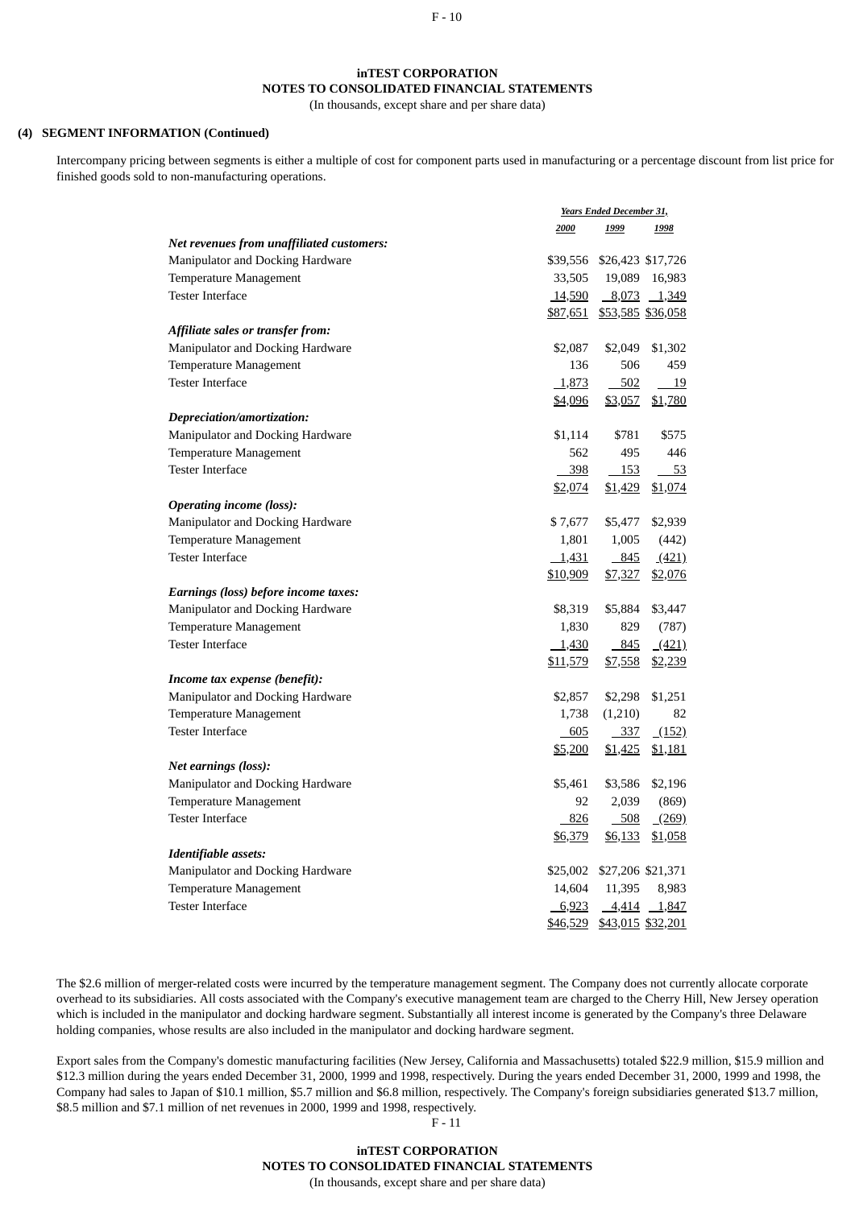# **inTEST CORPORATION NOTES TO CONSOLIDATED FINANCIAL STATEMENTS**

(In thousands, except share and per share data)

## **(4) SEGMENT INFORMATION (Continued)**

Intercompany pricing between segments is either a multiple of cost for component parts used in manufacturing or a percentage discount from list price for finished goods sold to non-manufacturing operations.

|                                           |                 | <b>Years Ended December 31,</b> |                                         |  |  |
|-------------------------------------------|-----------------|---------------------------------|-----------------------------------------|--|--|
|                                           | 2000            | 1999                            | 1998                                    |  |  |
| Net revenues from unaffiliated customers: |                 |                                 |                                         |  |  |
| Manipulator and Docking Hardware          |                 | \$39,556 \$26,423 \$17,726      |                                         |  |  |
| Temperature Management                    | 33,505          |                                 | 19,089 16,983                           |  |  |
| <b>Tester Interface</b>                   | <u>14,590</u>   |                                 | $\underline{0,073}$ $\underline{1,349}$ |  |  |
|                                           |                 | \$87,651 \$53,585 \$36,058      |                                         |  |  |
| Affiliate sales or transfer from:         |                 |                                 |                                         |  |  |
| Manipulator and Docking Hardware          | \$2,087         | \$2,049                         | \$1,302                                 |  |  |
| Temperature Management                    | 136             | 506                             | 459                                     |  |  |
| <b>Tester Interface</b>                   | 1,873           | 502                             | 19                                      |  |  |
|                                           | <u>\$4,096</u>  | \$3,057                         | \$1,780                                 |  |  |
| Depreciation/amortization:                |                 |                                 |                                         |  |  |
| Manipulator and Docking Hardware          | \$1,114         | \$781                           | \$575                                   |  |  |
| Temperature Management                    | 562             | 495                             | 446                                     |  |  |
| <b>Tester Interface</b>                   | 398             | $-153$                          | 53                                      |  |  |
|                                           | \$2,074         | \$1,429                         | \$1,074                                 |  |  |
| Operating income (loss):                  |                 |                                 |                                         |  |  |
| Manipulator and Docking Hardware          | \$7,677         | \$5,477                         | \$2,939                                 |  |  |
| Temperature Management                    | 1,801           | 1,005                           | (442)                                   |  |  |
| <b>Tester Interface</b>                   | <u>1,431</u>    | 845                             | (421)                                   |  |  |
|                                           | <u>\$10,909</u> | \$7,327                         | \$2,076                                 |  |  |
| Earnings (loss) before income taxes:      |                 |                                 |                                         |  |  |
| Manipulator and Docking Hardware          | \$8,319         |                                 | \$5,884 \$3,447                         |  |  |
| Temperature Management                    | 1,830           | 829                             | (787)                                   |  |  |
| <b>Tester Interface</b>                   | 1,430           | 845                             | (421)                                   |  |  |
|                                           | <u>\$11,579</u> | \$7,558                         | \$2,239                                 |  |  |
| Income tax expense (benefit):             |                 |                                 |                                         |  |  |
| Manipulator and Docking Hardware          | \$2,857         | \$2,298                         | \$1,251                                 |  |  |
| Temperature Management                    | 1,738           | (1,210)                         | 82                                      |  |  |
| <b>Tester Interface</b>                   | 605             | 337                             | (152)                                   |  |  |
|                                           | <u>\$5,200</u>  | <u>\$1,425</u>                  | <u>\$1,181</u>                          |  |  |
| Net earnings (loss):                      |                 |                                 |                                         |  |  |
| Manipulator and Docking Hardware          | \$5,461         |                                 | \$3,586 \$2,196                         |  |  |
| Temperature Management                    | 92              | 2,039                           | (869)                                   |  |  |
| <b>Tester Interface</b>                   | 826             | 508                             | (269)                                   |  |  |
|                                           | <u>\$6,379</u>  | \$6,133                         | \$1,058                                 |  |  |
| Identifiable assets:                      |                 |                                 |                                         |  |  |
| Manipulator and Docking Hardware          |                 | \$25,002 \$27,206 \$21,371      |                                         |  |  |
| Temperature Management                    | 14,604          | 11,395                          | 8,983                                   |  |  |
| <b>Tester Interface</b>                   | 6,923           | 4,414 1,847                     |                                         |  |  |
|                                           |                 | \$46,529 \$43,015 \$32,201      |                                         |  |  |

The \$2.6 million of merger-related costs were incurred by the temperature management segment. The Company does not currently allocate corporate overhead to its subsidiaries. All costs associated with the Company's executive management team are charged to the Cherry Hill, New Jersey operation which is included in the manipulator and docking hardware segment. Substantially all interest income is generated by the Company's three Delaware holding companies, whose results are also included in the manipulator and docking hardware segment.

Export sales from the Company's domestic manufacturing facilities (New Jersey, California and Massachusetts) totaled \$22.9 million, \$15.9 million and \$12.3 million during the years ended December 31, 2000, 1999 and 1998, respectively. During the years ended December 31, 2000, 1999 and 1998, the Company had sales to Japan of \$10.1 million, \$5.7 million and \$6.8 million, respectively. The Company's foreign subsidiaries generated \$13.7 million, \$8.5 million and \$7.1 million of net revenues in 2000, 1999 and 1998, respectively.

## $F - 11$

# **inTEST CORPORATION NOTES TO CONSOLIDATED FINANCIAL STATEMENTS**

(In thousands, except share and per share data)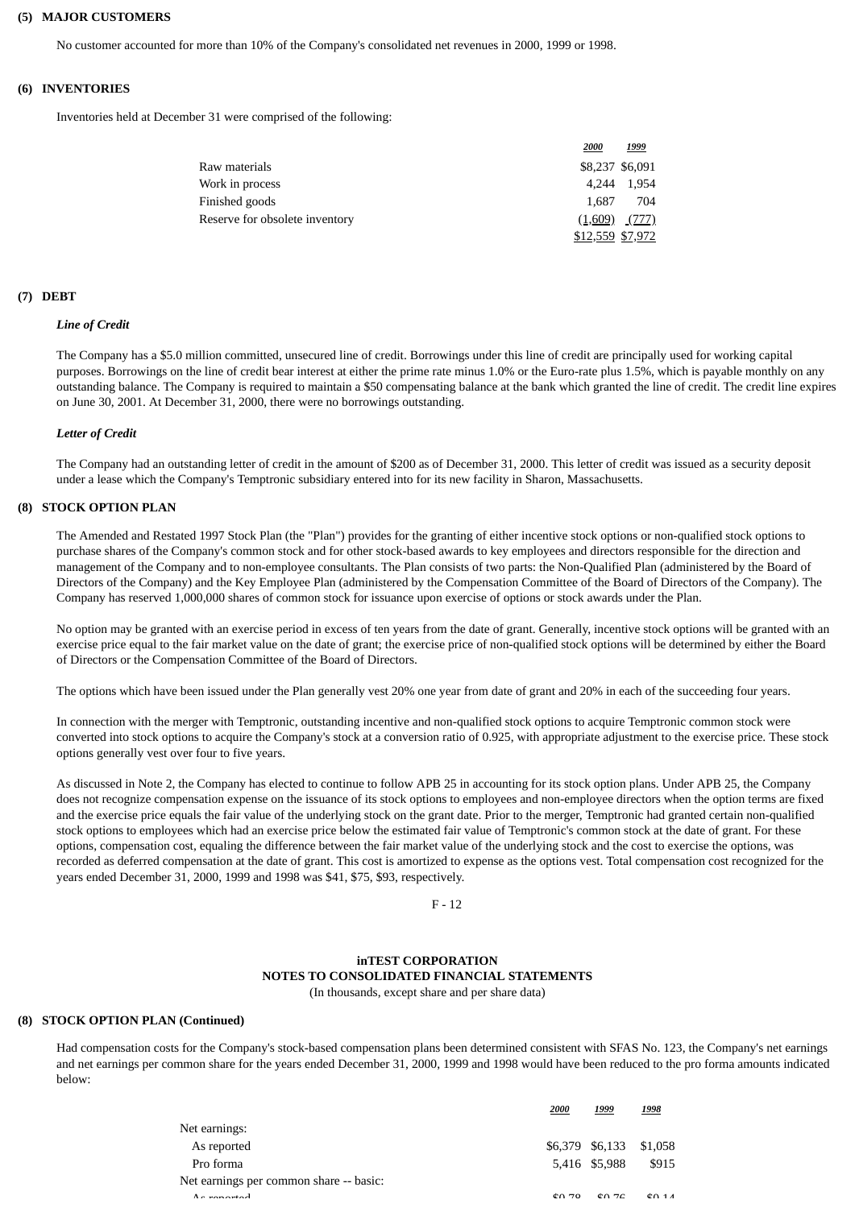## **(5) MAJOR CUSTOMERS**

No customer accounted for more than 10% of the Company's consolidated net revenues in 2000, 1999 or 1998.

## **(6) INVENTORIES**

Inventories held at December 31 were comprised of the following:

|                                | 2000              | <u> 1999</u>    |
|--------------------------------|-------------------|-----------------|
| Raw materials                  |                   | \$8,237 \$6,091 |
| Work in process                | 4.244             | 1,954           |
| Finished goods                 | 1.687             | 704             |
| Reserve for obsolete inventory | $(1,609)$ $(777)$ |                 |
|                                | \$12,559 \$7,972  |                 |
|                                |                   |                 |

#### **(7) DEBT**

#### *Line of Credit*

The Company has a \$5.0 million committed, unsecured line of credit. Borrowings under this line of credit are principally used for working capital purposes. Borrowings on the line of credit bear interest at either the prime rate minus 1.0% or the Euro-rate plus 1.5%, which is payable monthly on any outstanding balance. The Company is required to maintain a \$50 compensating balance at the bank which granted the line of credit. The credit line expires on June 30, 2001. At December 31, 2000, there were no borrowings outstanding.

#### *Letter of Credit*

The Company had an outstanding letter of credit in the amount of \$200 as of December 31, 2000. This letter of credit was issued as a security deposit under a lease which the Company's Temptronic subsidiary entered into for its new facility in Sharon, Massachusetts.

## **(8) STOCK OPTION PLAN**

The Amended and Restated 1997 Stock Plan (the "Plan") provides for the granting of either incentive stock options or non-qualified stock options to purchase shares of the Company's common stock and for other stock-based awards to key employees and directors responsible for the direction and management of the Company and to non-employee consultants. The Plan consists of two parts: the Non-Qualified Plan (administered by the Board of Directors of the Company) and the Key Employee Plan (administered by the Compensation Committee of the Board of Directors of the Company). The Company has reserved 1,000,000 shares of common stock for issuance upon exercise of options or stock awards under the Plan.

No option may be granted with an exercise period in excess of ten years from the date of grant. Generally, incentive stock options will be granted with an exercise price equal to the fair market value on the date of grant; the exercise price of non-qualified stock options will be determined by either the Board of Directors or the Compensation Committee of the Board of Directors.

The options which have been issued under the Plan generally vest 20% one year from date of grant and 20% in each of the succeeding four years.

In connection with the merger with Temptronic, outstanding incentive and non-qualified stock options to acquire Temptronic common stock were converted into stock options to acquire the Company's stock at a conversion ratio of 0.925, with appropriate adjustment to the exercise price. These stock options generally vest over four to five years.

As discussed in Note 2, the Company has elected to continue to follow APB 25 in accounting for its stock option plans. Under APB 25, the Company does not recognize compensation expense on the issuance of its stock options to employees and non-employee directors when the option terms are fixed and the exercise price equals the fair value of the underlying stock on the grant date. Prior to the merger, Temptronic had granted certain non-qualified stock options to employees which had an exercise price below the estimated fair value of Temptronic's common stock at the date of grant. For these options, compensation cost, equaling the difference between the fair market value of the underlying stock and the cost to exercise the options, was recorded as deferred compensation at the date of grant. This cost is amortized to expense as the options vest. Total compensation cost recognized for the years ended December 31, 2000, 1999 and 1998 was \$41, \$75, \$93, respectively.

 $F - 12$ 

## **inTEST CORPORATION NOTES TO CONSOLIDATED FINANCIAL STATEMENTS** (In thousands, except share and per share data)

## **(8) STOCK OPTION PLAN (Continued)**

Had compensation costs for the Company's stock-based compensation plans been determined consistent with SFAS No. 123, the Company's net earnings and net earnings per common share for the years ended December 31, 2000, 1999 and 1998 would have been reduced to the pro forma amounts indicated below:

|                                         | 2000   | 1999            | <u> 1998</u> |
|-----------------------------------------|--------|-----------------|--------------|
| Net earnings:                           |        |                 |              |
| As reported                             |        | \$6,379 \$6,133 | \$1,058      |
| Pro forma                               |        | 5,416 \$5,988   | \$915        |
| Net earnings per common share -- basic: |        |                 |              |
| $A$ a vanautad                          | CD, 70 | $CD$ 70         | $d \cap 11$  |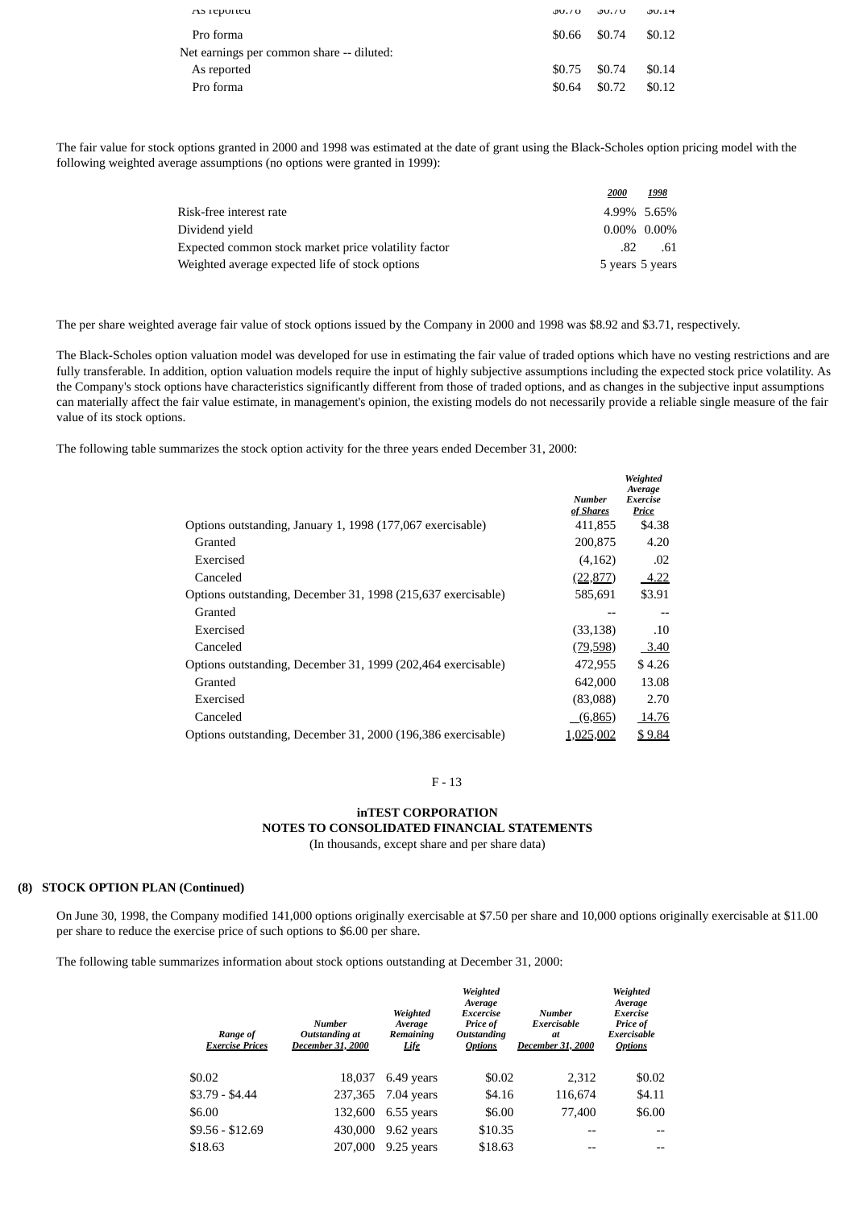| AS reported                               | JU.70  | JU.7U  | JU.14  |
|-------------------------------------------|--------|--------|--------|
| Pro forma                                 | \$0.66 | \$0.74 | \$0.12 |
| Net earnings per common share -- diluted: |        |        |        |
| As reported                               | \$0.75 | \$0.74 | \$0.14 |
| Pro forma                                 | \$0.64 | \$0.72 | \$0.12 |
|                                           |        |        |        |

The fair value for stock options granted in 2000 and 1998 was estimated at the date of grant using the Black-Scholes option pricing model with the following weighted average assumptions (no options were granted in 1999):

|                                                      | 2000            | <u> 1998</u>   |
|------------------------------------------------------|-----------------|----------------|
| Risk-free interest rate                              |                 | 4.99% 5.65%    |
| Dividend vield                                       |                 | $0.00\%$ 0.00% |
| Expected common stock market price volatility factor | .82             | .61            |
| Weighted average expected life of stock options      | 5 years 5 years |                |

The per share weighted average fair value of stock options issued by the Company in 2000 and 1998 was \$8.92 and \$3.71, respectively.

The Black-Scholes option valuation model was developed for use in estimating the fair value of traded options which have no vesting restrictions and are fully transferable. In addition, option valuation models require the input of highly subjective assumptions including the expected stock price volatility. As the Company's stock options have characteristics significantly different from those of traded options, and as changes in the subjective input assumptions can materially affect the fair value estimate, in management's opinion, the existing models do not necessarily provide a reliable single measure of the fair value of its stock options.

The following table summarizes the stock option activity for the three years ended December 31, 2000:

|                                                              |                            | Weighted<br>Average |
|--------------------------------------------------------------|----------------------------|---------------------|
|                                                              | <b>Number</b><br>of Shares | Exercise<br>Price   |
| Options outstanding, January 1, 1998 (177,067 exercisable)   | 411,855                    | \$4.38              |
| Granted                                                      | 200,875                    | 4.20                |
| Exercised                                                    | (4, 162)                   | .02                 |
| Canceled                                                     | (22, 877)                  | 4.22                |
| Options outstanding, December 31, 1998 (215,637 exercisable) | 585,691                    | \$3.91              |
| Granted                                                      |                            |                     |
| Exercised                                                    | (33, 138)                  | .10                 |
| Canceled                                                     | (79, 598)                  | 3.40                |
| Options outstanding, December 31, 1999 (202,464 exercisable) | 472,955                    | \$4.26              |
| Granted                                                      | 642,000                    | 13.08               |
| Exercised                                                    | (83,088)                   | 2.70                |
| Canceled                                                     | (6,865)                    | 14.76               |
| Options outstanding, December 31, 2000 (196,386 exercisable) | 1,025,002                  | \$9.84              |

## F - 13

### **inTEST CORPORATION NOTES TO CONSOLIDATED FINANCIAL STATEMENTS** (In thousands, except share and per share data)

## **(8) STOCK OPTION PLAN (Continued)**

On June 30, 1998, the Company modified 141,000 options originally exercisable at \$7.50 per share and 10,000 options originally exercisable at \$11.00 per share to reduce the exercise price of such options to \$6.00 per share.

The following table summarizes information about stock options outstanding at December 31, 2000:

| Range of<br><b>Exercise Prices</b> | <b>Number</b><br>Outstanding at<br>December 31, 2000 | Weighted<br>Average<br>Remaining<br><b>Life</b> | Weighted<br>Average<br><b>Excercise</b><br><b>Price of</b><br>Outstanding<br><b>Options</b> | <b>Number</b><br>Exercisable<br>at<br>December 31, 2000 | Weighted<br>Average<br>Exercise<br>Price of<br><b>Exercisable</b><br><b>Options</b> |
|------------------------------------|------------------------------------------------------|-------------------------------------------------|---------------------------------------------------------------------------------------------|---------------------------------------------------------|-------------------------------------------------------------------------------------|
| \$0.02                             | 18.037                                               | 6.49 years                                      | \$0.02                                                                                      | 2.312                                                   | \$0.02                                                                              |
| $$3.79 - $4.44$                    | 237,365                                              | 7.04 years                                      | \$4.16                                                                                      | 116.674                                                 | \$4.11                                                                              |
| \$6.00                             | 132,600                                              | 6.55 years                                      | \$6.00                                                                                      | 77,400                                                  | \$6.00                                                                              |
| $$9.56 - $12.69$                   | 430,000                                              | 9.62 years                                      | \$10.35                                                                                     |                                                         | $-$                                                                                 |
| \$18.63                            | 207,000                                              | 9.25 years                                      | \$18.63                                                                                     |                                                         |                                                                                     |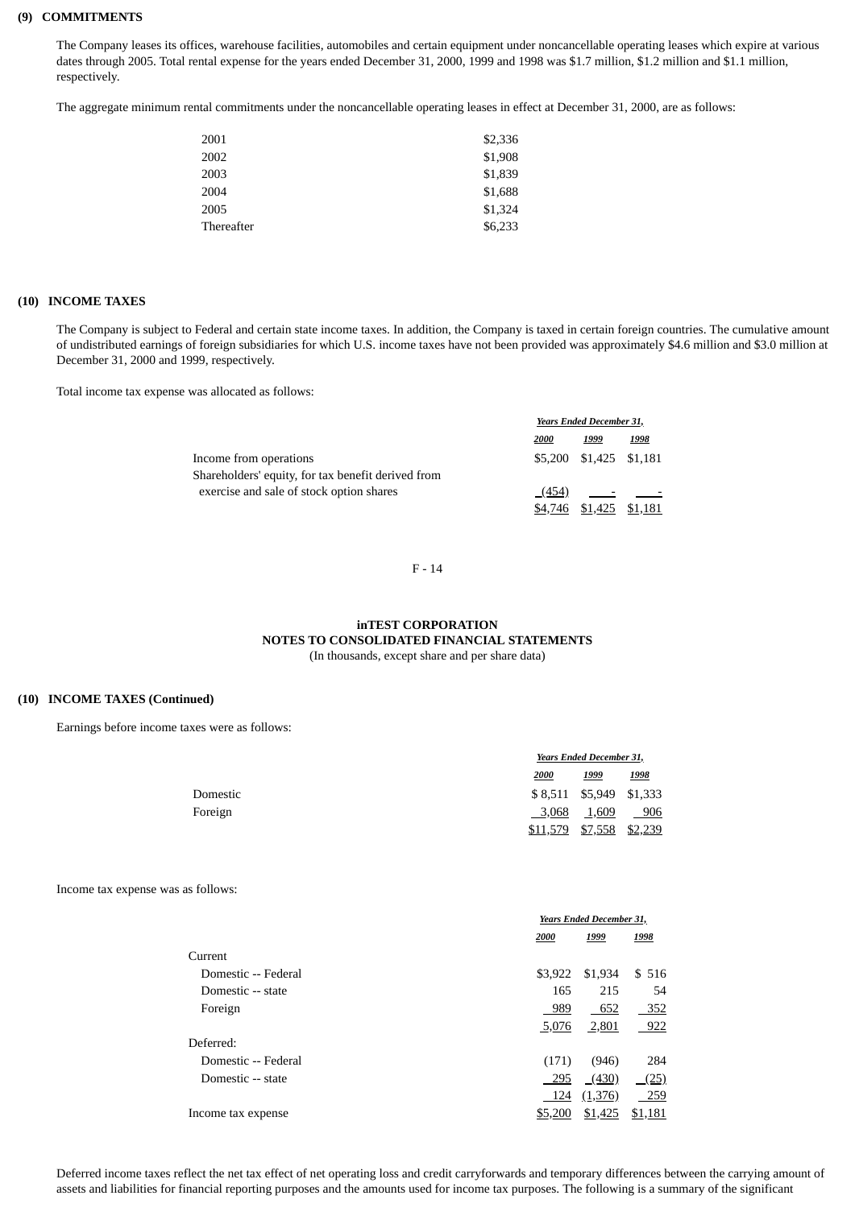#### **(9) COMMITMENTS**

The Company leases its offices, warehouse facilities, automobiles and certain equipment under noncancellable operating leases which expire at various dates through 2005. Total rental expense for the years ended December 31, 2000, 1999 and 1998 was \$1.7 million, \$1.2 million and \$1.1 million, respectively.

The aggregate minimum rental commitments under the noncancellable operating leases in effect at December 31, 2000, are as follows:

| 2001       | \$2,336 |
|------------|---------|
| 2002       | \$1,908 |
| 2003       | \$1,839 |
| 2004       | \$1,688 |
| 2005       | \$1,324 |
| Thereafter | \$6,233 |

## **(10) INCOME TAXES**

The Company is subject to Federal and certain state income taxes. In addition, the Company is taxed in certain foreign countries. The cumulative amount of undistributed earnings of foreign subsidiaries for which U.S. income taxes have not been provided was approximately \$4.6 million and \$3.0 million at December 31, 2000 and 1999, respectively.

Total income tax expense was allocated as follows:

|                                                    |         | Years Ended December 31, |                |  |
|----------------------------------------------------|---------|--------------------------|----------------|--|
|                                                    | 2000    | 1999                     | 1998           |  |
| Income from operations                             |         | \$5,200 \$1,425 \$1,181  |                |  |
| Shareholders' equity, for tax benefit derived from |         |                          |                |  |
| exercise and sale of stock option shares           | (454)   | $\sim 100$ km s $^{-1}$  |                |  |
|                                                    | \$4.746 | \$1,425                  | <u>\$1,181</u> |  |

F - 14

## **inTEST CORPORATION NOTES TO CONSOLIDATED FINANCIAL STATEMENTS** (In thousands, except share and per share data)

## **(10) INCOME TAXES (Continued)**

Earnings before income taxes were as follows:

|          |             | Years Ended December 31, |              |  |
|----------|-------------|--------------------------|--------------|--|
|          | <b>2000</b> | <u> 1999</u>             | <u> 1998</u> |  |
| Domestic |             | \$8,511 \$5,949 \$1,333  |              |  |
| Foreign  |             | 3,068 1,609              | 906          |  |
|          | \$11,579    | <u>\$7,558 \$2,239</u>   |              |  |

Income tax expense was as follows:

|                     |         | <b>Years Ended December 31,</b> |         |  |
|---------------------|---------|---------------------------------|---------|--|
|                     | 2000    | 1999                            | 1998    |  |
| Current             |         |                                 |         |  |
| Domestic -- Federal | \$3.922 | \$1,934                         | \$ 516  |  |
| Domestic -- state   | 165     | 215                             | 54      |  |
| Foreign             | 989     | 652                             | 352     |  |
|                     | 5,076   | 2,801                           | $-922$  |  |
| Deferred:           |         |                                 |         |  |
| Domestic -- Federal | (171)   | (946)                           | 284     |  |
| Domestic -- state   | 295     | (430)                           | (25)    |  |
|                     | - 124   | (1,376)                         | 259     |  |
| Income tax expense  | \$5,200 | \$1,425                         | \$1,181 |  |

Deferred income taxes reflect the net tax effect of net operating loss and credit carryforwards and temporary differences between the carrying amount of assets and liabilities for financial reporting purposes and the amounts used for income tax purposes. The following is a summary of the significant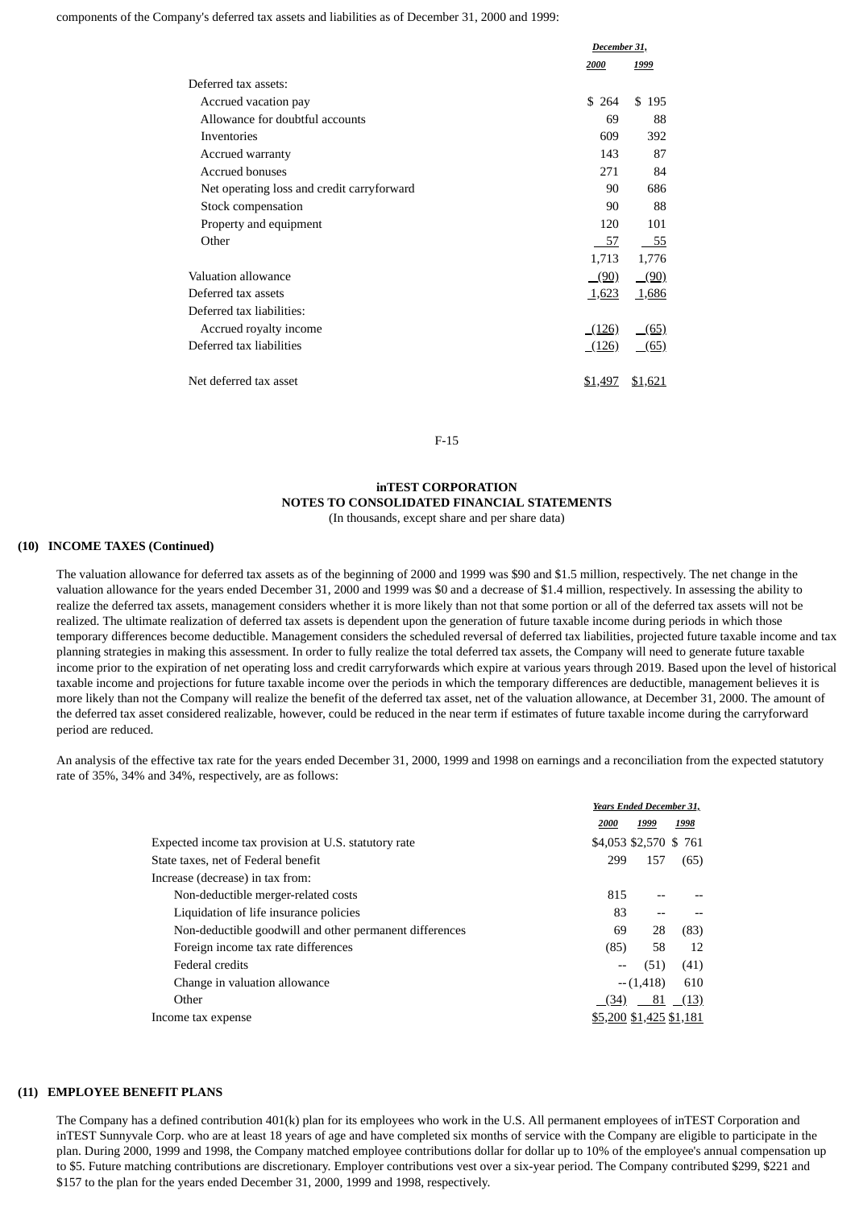components of the Company's deferred tax assets and liabilities as of December 31, 2000 and 1999:

|                                            | December 31, |         |
|--------------------------------------------|--------------|---------|
|                                            | 2000         | 1999    |
| Deferred tax assets:                       |              |         |
| Accrued vacation pay                       | \$264        | \$195   |
| Allowance for doubtful accounts            | 69           | 88      |
| Inventories                                | 609          | 392     |
| Accrued warranty                           | 143          | 87      |
| <b>Accrued bonuses</b>                     | 271          | 84      |
| Net operating loss and credit carryforward | 90           | 686     |
| Stock compensation                         | 90           | 88      |
| Property and equipment                     | 120          | 101     |
| Other                                      | 57           | - 55    |
|                                            | 1,713        | 1,776   |
| Valuation allowance                        | (90)         | (90)    |
| Deferred tax assets                        | 1,623        | 1,686   |
| Deferred tax liabilities:                  |              |         |
| Accrued royalty income                     | (126)        | (65)    |
| Deferred tax liabilities                   | (126)        | (65)    |
| Net deferred tax asset                     | \$1,497      | \$1,621 |

F-15

## **inTEST CORPORATION NOTES TO CONSOLIDATED FINANCIAL STATEMENTS**

(In thousands, except share and per share data)

## **(10) INCOME TAXES (Continued)**

The valuation allowance for deferred tax assets as of the beginning of 2000 and 1999 was \$90 and \$1.5 million, respectively. The net change in the valuation allowance for the years ended December 31, 2000 and 1999 was \$0 and a decrease of \$1.4 million, respectively. In assessing the ability to realize the deferred tax assets, management considers whether it is more likely than not that some portion or all of the deferred tax assets will not be realized. The ultimate realization of deferred tax assets is dependent upon the generation of future taxable income during periods in which those temporary differences become deductible. Management considers the scheduled reversal of deferred tax liabilities, projected future taxable income and tax planning strategies in making this assessment. In order to fully realize the total deferred tax assets, the Company will need to generate future taxable income prior to the expiration of net operating loss and credit carryforwards which expire at various years through 2019. Based upon the level of historical taxable income and projections for future taxable income over the periods in which the temporary differences are deductible, management believes it is more likely than not the Company will realize the benefit of the deferred tax asset, net of the valuation allowance, at December 31, 2000. The amount of the deferred tax asset considered realizable, however, could be reduced in the near term if estimates of future taxable income during the carryforward period are reduced.

An analysis of the effective tax rate for the years ended December 31, 2000, 1999 and 1998 on earnings and a reconciliation from the expected statutory rate of 35%, 34% and 34%, respectively, are as follows:

|                                                         | <b>Years Ended December 31,</b> |                         |         |
|---------------------------------------------------------|---------------------------------|-------------------------|---------|
|                                                         | 2000                            | 1999                    | 1998    |
| Expected income tax provision at U.S. statutory rate    |                                 | \$4,053 \$2,570 \$761   |         |
| State taxes, net of Federal benefit                     | 299                             | 157                     | (65)    |
| Increase (decrease) in tax from:                        |                                 |                         |         |
| Non-deductible merger-related costs                     | 815                             |                         |         |
| Liquidation of life insurance policies                  | 83                              |                         |         |
| Non-deductible goodwill and other permanent differences | 69                              | 28                      | (83)    |
| Foreign income tax rate differences                     | (85)                            | 58                      | 12      |
| Federal credits                                         | --                              | (51)                    | (41)    |
| Change in valuation allowance                           |                                 | $-(1,418)$              | 610     |
| Other                                                   | (34)                            |                         | 81 (13) |
| Income tax expense                                      |                                 | \$5,200 \$1,425 \$1,181 |         |
|                                                         |                                 |                         |         |

#### **(11) EMPLOYEE BENEFIT PLANS**

The Company has a defined contribution 401(k) plan for its employees who work in the U.S. All permanent employees of inTEST Corporation and inTEST Sunnyvale Corp. who are at least 18 years of age and have completed six months of service with the Company are eligible to participate in the plan. During 2000, 1999 and 1998, the Company matched employee contributions dollar for dollar up to 10% of the employee's annual compensation up to \$5. Future matching contributions are discretionary. Employer contributions vest over a six-year period. The Company contributed \$299, \$221 and \$157 to the plan for the years ended December 31, 2000, 1999 and 1998, respectively.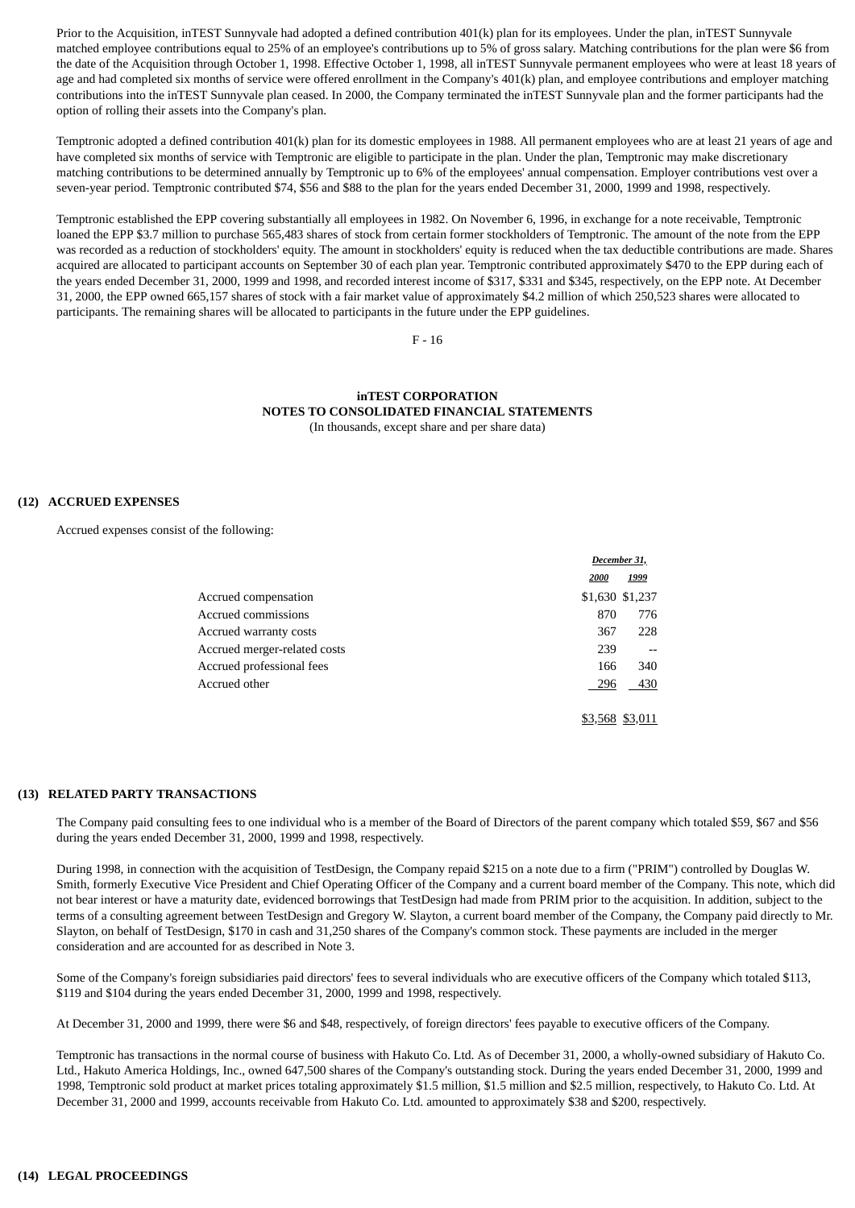Prior to the Acquisition, inTEST Sunnyvale had adopted a defined contribution 401(k) plan for its employees. Under the plan, inTEST Sunnyvale matched employee contributions equal to 25% of an employee's contributions up to 5% of gross salary. Matching contributions for the plan were \$6 from the date of the Acquisition through October 1, 1998. Effective October 1, 1998, all inTEST Sunnyvale permanent employees who were at least 18 years of age and had completed six months of service were offered enrollment in the Company's 401(k) plan, and employee contributions and employer matching contributions into the inTEST Sunnyvale plan ceased. In 2000, the Company terminated the inTEST Sunnyvale plan and the former participants had the option of rolling their assets into the Company's plan.

Temptronic adopted a defined contribution 401(k) plan for its domestic employees in 1988. All permanent employees who are at least 21 years of age and have completed six months of service with Temptronic are eligible to participate in the plan. Under the plan, Temptronic may make discretionary matching contributions to be determined annually by Temptronic up to 6% of the employees' annual compensation. Employer contributions vest over a seven-year period. Temptronic contributed \$74, \$56 and \$88 to the plan for the years ended December 31, 2000, 1999 and 1998, respectively.

Temptronic established the EPP covering substantially all employees in 1982. On November 6, 1996, in exchange for a note receivable, Temptronic loaned the EPP \$3.7 million to purchase 565,483 shares of stock from certain former stockholders of Temptronic. The amount of the note from the EPP was recorded as a reduction of stockholders' equity. The amount in stockholders' equity is reduced when the tax deductible contributions are made. Shares acquired are allocated to participant accounts on September 30 of each plan year. Temptronic contributed approximately \$470 to the EPP during each of the years ended December 31, 2000, 1999 and 1998, and recorded interest income of \$317, \$331 and \$345, respectively, on the EPP note. At December 31, 2000, the EPP owned 665,157 shares of stock with a fair market value of approximately \$4.2 million of which 250,523 shares were allocated to participants. The remaining shares will be allocated to participants in the future under the EPP guidelines.

F - 16

# **inTEST CORPORATION NOTES TO CONSOLIDATED FINANCIAL STATEMENTS**

(In thousands, except share and per share data)

### **(12) ACCRUED EXPENSES**

Accrued expenses consist of the following:

|                              |      | December 31,    |  |  |
|------------------------------|------|-----------------|--|--|
|                              | 2000 | 1999            |  |  |
| Accrued compensation         |      | \$1,630 \$1,237 |  |  |
| Accrued commissions          | 870  | 776             |  |  |
| Accrued warranty costs       | 367  | 228             |  |  |
| Accrued merger-related costs | 239  |                 |  |  |
| Accrued professional fees    | 166  | 340             |  |  |
| Accrued other                | 296  | 430             |  |  |
|                              |      | \$3,568 \$3,011 |  |  |

### **(13) RELATED PARTY TRANSACTIONS**

The Company paid consulting fees to one individual who is a member of the Board of Directors of the parent company which totaled \$59, \$67 and \$56 during the years ended December 31, 2000, 1999 and 1998, respectively.

During 1998, in connection with the acquisition of TestDesign, the Company repaid \$215 on a note due to a firm ("PRIM") controlled by Douglas W. Smith, formerly Executive Vice President and Chief Operating Officer of the Company and a current board member of the Company. This note, which did not bear interest or have a maturity date, evidenced borrowings that TestDesign had made from PRIM prior to the acquisition. In addition, subject to the terms of a consulting agreement between TestDesign and Gregory W. Slayton, a current board member of the Company, the Company paid directly to Mr. Slayton, on behalf of TestDesign, \$170 in cash and 31,250 shares of the Company's common stock. These payments are included in the merger consideration and are accounted for as described in Note 3.

Some of the Company's foreign subsidiaries paid directors' fees to several individuals who are executive officers of the Company which totaled \$113, \$119 and \$104 during the years ended December 31, 2000, 1999 and 1998, respectively.

At December 31, 2000 and 1999, there were \$6 and \$48, respectively, of foreign directors' fees payable to executive officers of the Company.

Temptronic has transactions in the normal course of business with Hakuto Co. Ltd. As of December 31, 2000, a wholly-owned subsidiary of Hakuto Co. Ltd., Hakuto America Holdings, Inc., owned 647,500 shares of the Company's outstanding stock. During the years ended December 31, 2000, 1999 and 1998, Temptronic sold product at market prices totaling approximately \$1.5 million, \$1.5 million and \$2.5 million, respectively, to Hakuto Co. Ltd. At December 31, 2000 and 1999, accounts receivable from Hakuto Co. Ltd. amounted to approximately \$38 and \$200, respectively.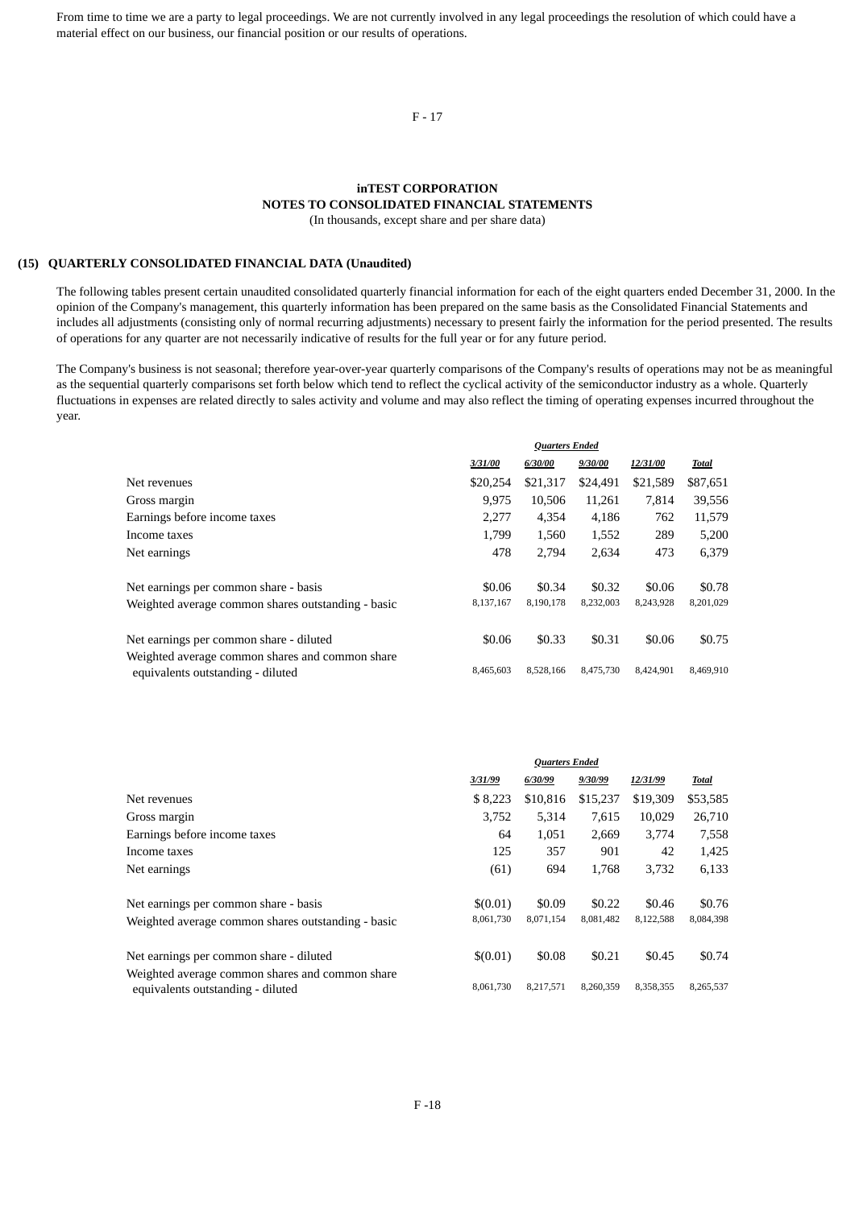From time to time we are a party to legal proceedings. We are not currently involved in any legal proceedings the resolution of which could have a material effect on our business, our financial position or our results of operations.

F - 17

## **inTEST CORPORATION NOTES TO CONSOLIDATED FINANCIAL STATEMENTS**

(In thousands, except share and per share data)

## **(15) QUARTERLY CONSOLIDATED FINANCIAL DATA (Unaudited)**

The following tables present certain unaudited consolidated quarterly financial information for each of the eight quarters ended December 31, 2000. In the opinion of the Company's management, this quarterly information has been prepared on the same basis as the Consolidated Financial Statements and includes all adjustments (consisting only of normal recurring adjustments) necessary to present fairly the information for the period presented. The results of operations for any quarter are not necessarily indicative of results for the full year or for any future period.

The Company's business is not seasonal; therefore year-over-year quarterly comparisons of the Company's results of operations may not be as meaningful as the sequential quarterly comparisons set forth below which tend to reflect the cyclical activity of the semiconductor industry as a whole. Quarterly fluctuations in expenses are related directly to sales activity and volume and may also reflect the timing of operating expenses incurred throughout the year.

|                                                    | <b>Quarters Ended</b> |           |           |                 |           |
|----------------------------------------------------|-----------------------|-----------|-----------|-----------------|-----------|
|                                                    | 3/31/00               | 6/30/00   | 9/30/00   | <i>12/31/00</i> | Total     |
| Net revenues                                       | \$20,254              | \$21,317  | \$24,491  | \$21,589        | \$87,651  |
| Gross margin                                       | 9.975                 | 10.506    | 11.261    | 7.814           | 39,556    |
| Earnings before income taxes                       | 2,277                 | 4,354     | 4,186     | 762             | 11,579    |
| Income taxes                                       | 1.799                 | 1,560     | 1,552     | 289             | 5,200     |
| Net earnings                                       | 478                   | 2,794     | 2,634     | 473             | 6,379     |
|                                                    |                       |           |           |                 |           |
| Net earnings per common share - basis              | \$0.06                | \$0.34    | \$0.32    | \$0.06          | \$0.78    |
| Weighted average common shares outstanding - basic | 8,137,167             | 8,190,178 | 8,232,003 | 8,243,928       | 8,201,029 |
|                                                    |                       |           |           |                 |           |
| Net earnings per common share - diluted            | \$0.06                | \$0.33    | \$0.31    | \$0.06          | \$0.75    |
| Weighted average common shares and common share    |                       |           |           |                 |           |
| equivalents outstanding - diluted                  | 8,465,603             | 8,528,166 | 8,475,730 | 8,424,901       | 8,469,910 |

|                                                    |           | <b>Quarters Ended</b> |           |           |           |
|----------------------------------------------------|-----------|-----------------------|-----------|-----------|-----------|
|                                                    | 3/31/99   | 6/30/99               | 9/30/99   | 12/31/99  | Total     |
| Net revenues                                       | \$8.223   | \$10,816              | \$15,237  | \$19,309  | \$53,585  |
| Gross margin                                       | 3,752     | 5,314                 | 7,615     | 10,029    | 26,710    |
| Earnings before income taxes                       | 64        | 1,051                 | 2,669     | 3.774     | 7,558     |
| Income taxes                                       | 125       | 357                   | 901       | 42        | 1,425     |
| Net earnings                                       | (61)      | 694                   | 1.768     | 3.732     | 6,133     |
| Net earnings per common share - basis              | \$(0.01)  | \$0.09                | \$0.22    | \$0.46    | \$0.76    |
| Weighted average common shares outstanding - basic | 8,061,730 | 8,071,154             | 8,081,482 | 8,122,588 | 8,084,398 |
| Net earnings per common share - diluted            | \$(0.01)  | \$0.08                | \$0.21    | \$0.45    | \$0.74    |
| Weighted average common shares and common share    |           |                       |           |           |           |
| equivalents outstanding - diluted                  | 8.061.730 | 8.217.571             | 8.260.359 | 8.358.355 | 8,265,537 |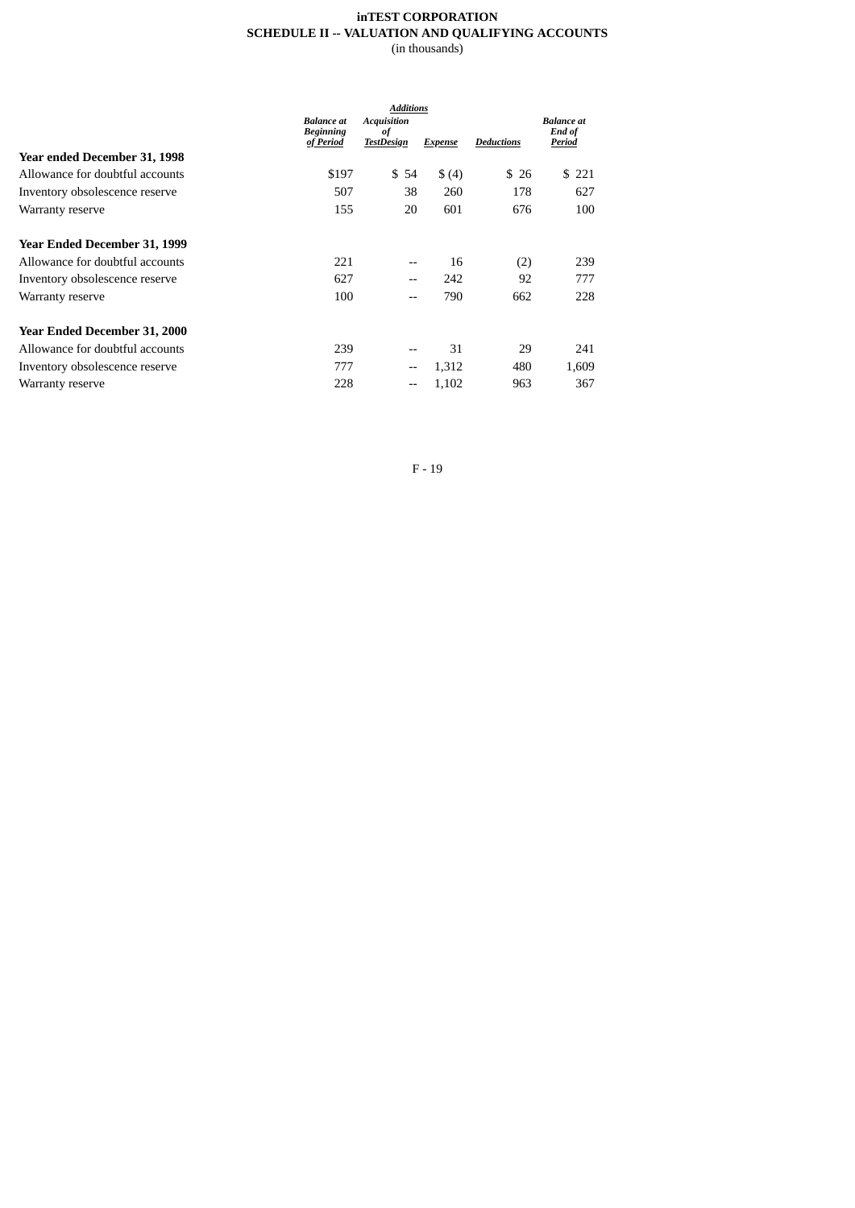# **inTEST CORPORATION SCHEDULE II -- VALUATION AND QUALIFYING ACCOUNTS** (in thousands)

|                                 | <b>Additions</b>                                   |                                               |                |                   |                                       |
|---------------------------------|----------------------------------------------------|-----------------------------------------------|----------------|-------------------|---------------------------------------|
|                                 | <b>Balance at</b><br><b>Beginning</b><br>of Period | <b>Acquisition</b><br>оf<br><b>TestDesign</b> | <b>Expense</b> | <b>Deductions</b> | <b>Balance</b> at<br>End of<br>Period |
| Year ended December 31, 1998    |                                                    |                                               |                |                   |                                       |
| Allowance for doubtful accounts | \$197                                              | \$54                                          | \$(4)          | \$26              | \$221                                 |
| Inventory obsolescence reserve  | 507                                                | 38                                            | 260            | 178               | 627                                   |
| Warranty reserve                | 155                                                | 20                                            | 601            | 676               | 100                                   |
| Year Ended December 31, 1999    |                                                    |                                               |                |                   |                                       |
| Allowance for doubtful accounts | 221                                                | --                                            | 16             | (2)               | 239                                   |
| Inventory obsolescence reserve  | 627                                                | --                                            | 242            | 92                | 777                                   |
| Warranty reserve                | 100                                                | --                                            | 790            | 662               | 228                                   |
| Year Ended December 31, 2000    |                                                    |                                               |                |                   |                                       |
| Allowance for doubtful accounts | 239                                                | --                                            | 31             | 29                | 241                                   |
| Inventory obsolescence reserve  | 777                                                | --                                            | 1,312          | 480               | 1,609                                 |
| Warranty reserve                | 228                                                | --                                            | 1,102          | 963               | 367                                   |

F - 19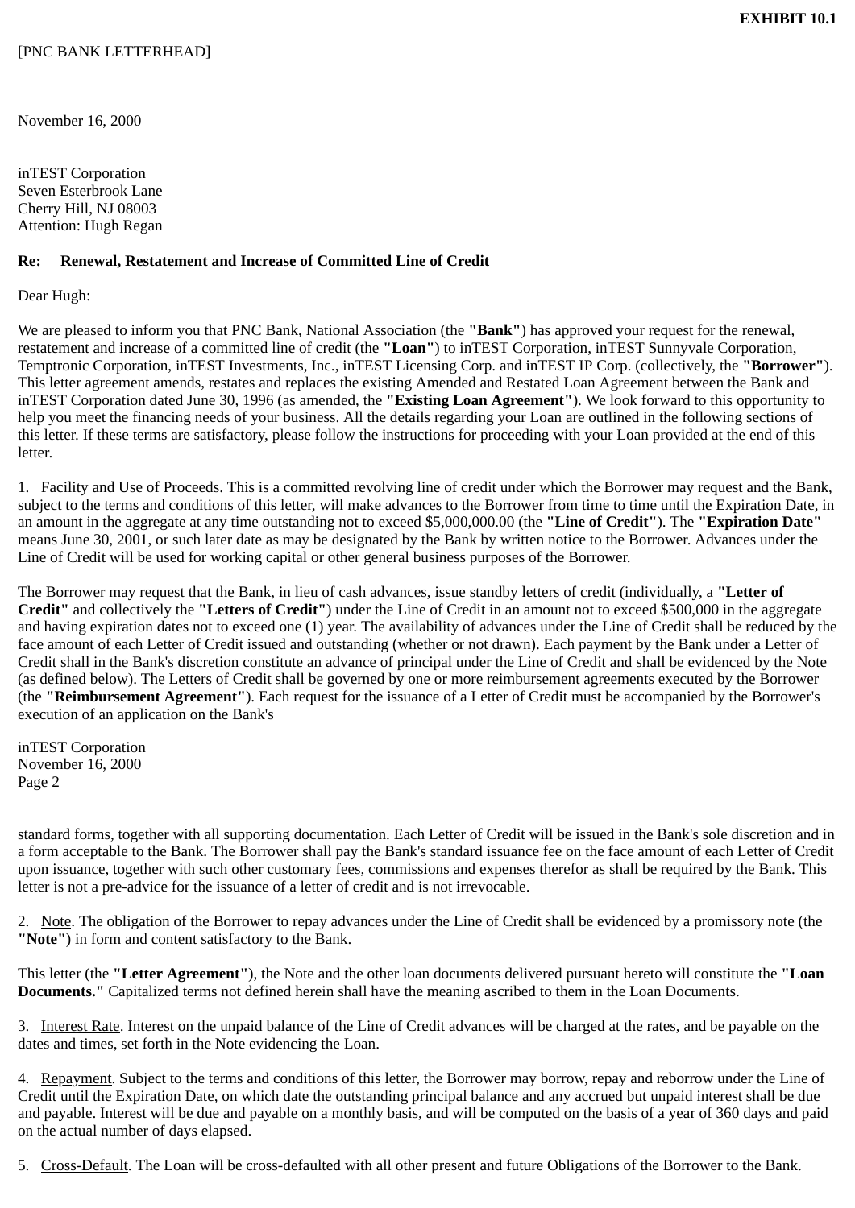November 16, 2000

inTEST Corporation Seven Esterbrook Lane Cherry Hill, NJ 08003 Attention: Hugh Regan

# **Re: Renewal, Restatement and Increase of Committed Line of Credit**

Dear Hugh:

We are pleased to inform you that PNC Bank, National Association (the **"Bank"**) has approved your request for the renewal, restatement and increase of a committed line of credit (the **"Loan"**) to inTEST Corporation, inTEST Sunnyvale Corporation, Temptronic Corporation, inTEST Investments, Inc., inTEST Licensing Corp. and inTEST IP Corp. (collectively, the **"Borrower"**). This letter agreement amends, restates and replaces the existing Amended and Restated Loan Agreement between the Bank and inTEST Corporation dated June 30, 1996 (as amended, the **"Existing Loan Agreement"**). We look forward to this opportunity to help you meet the financing needs of your business. All the details regarding your Loan are outlined in the following sections of this letter. If these terms are satisfactory, please follow the instructions for proceeding with your Loan provided at the end of this letter.

1.Facility and Use of Proceeds. This is a committed revolving line of credit under which the Borrower may request and the Bank, subject to the terms and conditions of this letter, will make advances to the Borrower from time to time until the Expiration Date, in an amount in the aggregate at any time outstanding not to exceed \$5,000,000.00 (the **"Line of Credit"**). The **"Expiration Date"** means June 30, 2001, or such later date as may be designated by the Bank by written notice to the Borrower. Advances under the Line of Credit will be used for working capital or other general business purposes of the Borrower.

The Borrower may request that the Bank, in lieu of cash advances, issue standby letters of credit (individually, a **"Letter of Credit"** and collectively the **"Letters of Credit"**) under the Line of Credit in an amount not to exceed \$500,000 in the aggregate and having expiration dates not to exceed one (1) year. The availability of advances under the Line of Credit shall be reduced by the face amount of each Letter of Credit issued and outstanding (whether or not drawn). Each payment by the Bank under a Letter of Credit shall in the Bank's discretion constitute an advance of principal under the Line of Credit and shall be evidenced by the Note (as defined below). The Letters of Credit shall be governed by one or more reimbursement agreements executed by the Borrower (the **"Reimbursement Agreement"**). Each request for the issuance of a Letter of Credit must be accompanied by the Borrower's execution of an application on the Bank's

inTEST Corporation November 16, 2000 Page 2

standard forms, together with all supporting documentation. Each Letter of Credit will be issued in the Bank's sole discretion and in a form acceptable to the Bank. The Borrower shall pay the Bank's standard issuance fee on the face amount of each Letter of Credit upon issuance, together with such other customary fees, commissions and expenses therefor as shall be required by the Bank. This letter is not a pre-advice for the issuance of a letter of credit and is not irrevocable.

2.Note. The obligation of the Borrower to repay advances under the Line of Credit shall be evidenced by a promissory note (the **"Note"**) in form and content satisfactory to the Bank.

This letter (the **"Letter Agreement"**), the Note and the other loan documents delivered pursuant hereto will constitute the **"Loan Documents."** Capitalized terms not defined herein shall have the meaning ascribed to them in the Loan Documents.

3.Interest Rate. Interest on the unpaid balance of the Line of Credit advances will be charged at the rates, and be payable on the dates and times, set forth in the Note evidencing the Loan.

4.Repayment. Subject to the terms and conditions of this letter, the Borrower may borrow, repay and reborrow under the Line of Credit until the Expiration Date, on which date the outstanding principal balance and any accrued but unpaid interest shall be due and payable. Interest will be due and payable on a monthly basis, and will be computed on the basis of a year of 360 days and paid on the actual number of days elapsed.

5.Cross-Default. The Loan will be cross-defaulted with all other present and future Obligations of the Borrower to the Bank.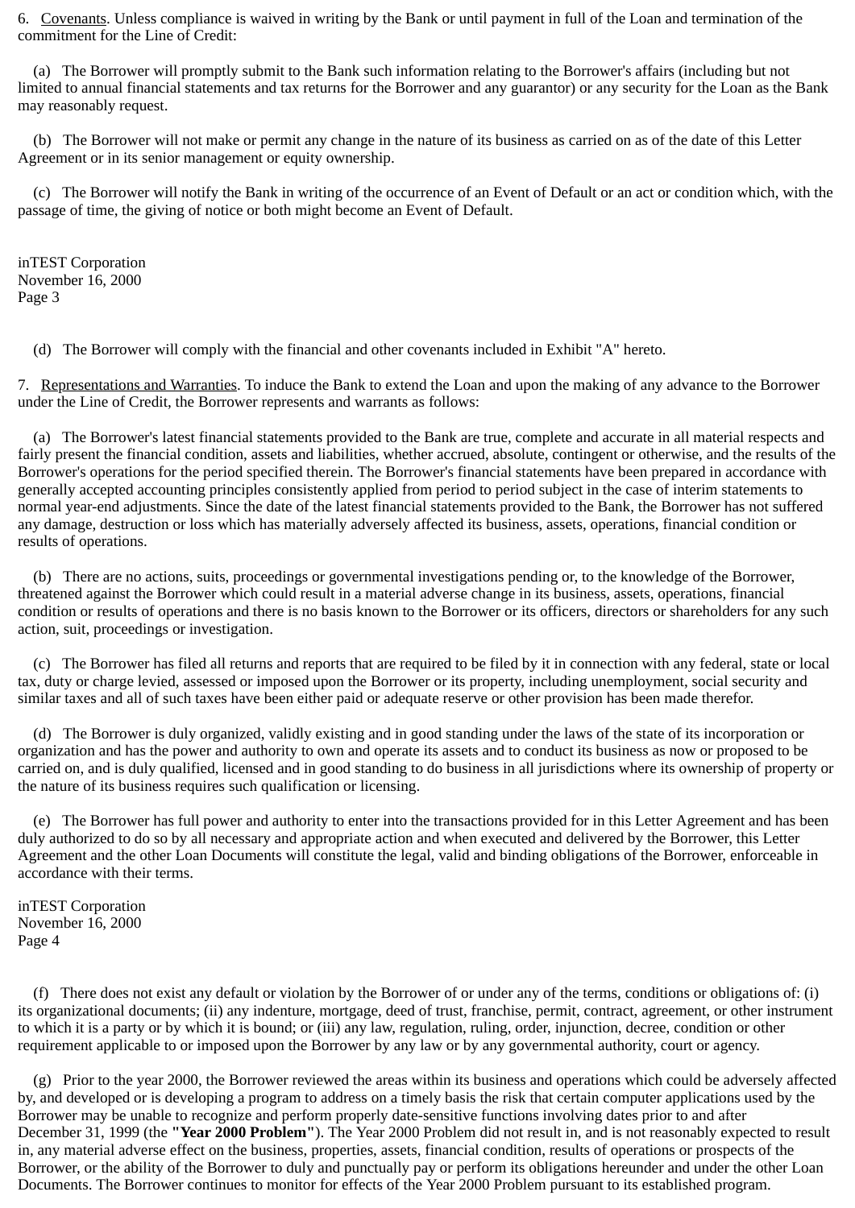6.Covenants. Unless compliance is waived in writing by the Bank or until payment in full of the Loan and termination of the commitment for the Line of Credit:

(a)The Borrower will promptly submit to the Bank such information relating to the Borrower's affairs (including but not limited to annual financial statements and tax returns for the Borrower and any guarantor) or any security for the Loan as the Bank may reasonably request.

(b)The Borrower will not make or permit any change in the nature of its business as carried on as of the date of this Letter Agreement or in its senior management or equity ownership.

(c)The Borrower will notify the Bank in writing of the occurrence of an Event of Default or an act or condition which, with the passage of time, the giving of notice or both might become an Event of Default.

inTEST Corporation November 16, 2000 Page 3

(d)The Borrower will comply with the financial and other covenants included in Exhibit "A" hereto.

7.Representations and Warranties. To induce the Bank to extend the Loan and upon the making of any advance to the Borrower under the Line of Credit, the Borrower represents and warrants as follows:

(a)The Borrower's latest financial statements provided to the Bank are true, complete and accurate in all material respects and fairly present the financial condition, assets and liabilities, whether accrued, absolute, contingent or otherwise, and the results of the Borrower's operations for the period specified therein. The Borrower's financial statements have been prepared in accordance with generally accepted accounting principles consistently applied from period to period subject in the case of interim statements to normal year-end adjustments. Since the date of the latest financial statements provided to the Bank, the Borrower has not suffered any damage, destruction or loss which has materially adversely affected its business, assets, operations, financial condition or results of operations.

(b)There are no actions, suits, proceedings or governmental investigations pending or, to the knowledge of the Borrower, threatened against the Borrower which could result in a material adverse change in its business, assets, operations, financial condition or results of operations and there is no basis known to the Borrower or its officers, directors or shareholders for any such action, suit, proceedings or investigation.

(c)The Borrower has filed all returns and reports that are required to be filed by it in connection with any federal, state or local tax, duty or charge levied, assessed or imposed upon the Borrower or its property, including unemployment, social security and similar taxes and all of such taxes have been either paid or adequate reserve or other provision has been made therefor.

(d)The Borrower is duly organized, validly existing and in good standing under the laws of the state of its incorporation or organization and has the power and authority to own and operate its assets and to conduct its business as now or proposed to be carried on, and is duly qualified, licensed and in good standing to do business in all jurisdictions where its ownership of property or the nature of its business requires such qualification or licensing.

(e)The Borrower has full power and authority to enter into the transactions provided for in this Letter Agreement and has been duly authorized to do so by all necessary and appropriate action and when executed and delivered by the Borrower, this Letter Agreement and the other Loan Documents will constitute the legal, valid and binding obligations of the Borrower, enforceable in accordance with their terms.

inTEST Corporation November 16, 2000 Page 4

(f)There does not exist any default or violation by the Borrower of or under any of the terms, conditions or obligations of: (i) its organizational documents; (ii) any indenture, mortgage, deed of trust, franchise, permit, contract, agreement, or other instrument to which it is a party or by which it is bound; or (iii) any law, regulation, ruling, order, injunction, decree, condition or other requirement applicable to or imposed upon the Borrower by any law or by any governmental authority, court or agency.

(g)Prior to the year 2000, the Borrower reviewed the areas within its business and operations which could be adversely affected by, and developed or is developing a program to address on a timely basis the risk that certain computer applications used by the Borrower may be unable to recognize and perform properly date-sensitive functions involving dates prior to and after December 31, 1999 (the **"Year 2000 Problem"**). The Year 2000 Problem did not result in, and is not reasonably expected to result in, any material adverse effect on the business, properties, assets, financial condition, results of operations or prospects of the Borrower, or the ability of the Borrower to duly and punctually pay or perform its obligations hereunder and under the other Loan Documents. The Borrower continues to monitor for effects of the Year 2000 Problem pursuant to its established program.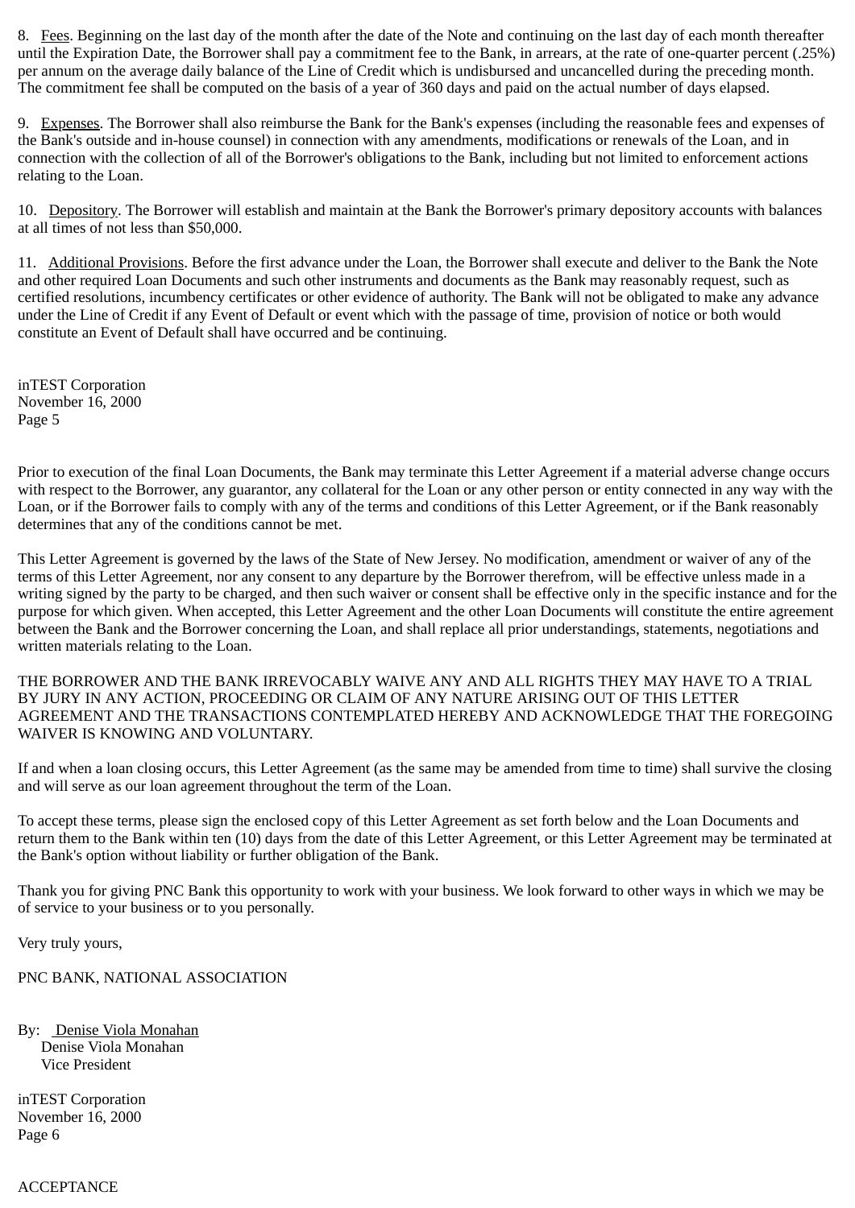8.Fees. Beginning on the last day of the month after the date of the Note and continuing on the last day of each month thereafter until the Expiration Date, the Borrower shall pay a commitment fee to the Bank, in arrears, at the rate of one-quarter percent (.25%) per annum on the average daily balance of the Line of Credit which is undisbursed and uncancelled during the preceding month. The commitment fee shall be computed on the basis of a year of 360 days and paid on the actual number of days elapsed.

9.Expenses. The Borrower shall also reimburse the Bank for the Bank's expenses (including the reasonable fees and expenses of the Bank's outside and in-house counsel) in connection with any amendments, modifications or renewals of the Loan, and in connection with the collection of all of the Borrower's obligations to the Bank, including but not limited to enforcement actions relating to the Loan.

10.Depository. The Borrower will establish and maintain at the Bank the Borrower's primary depository accounts with balances at all times of not less than \$50,000.

11.Additional Provisions. Before the first advance under the Loan, the Borrower shall execute and deliver to the Bank the Note and other required Loan Documents and such other instruments and documents as the Bank may reasonably request, such as certified resolutions, incumbency certificates or other evidence of authority. The Bank will not be obligated to make any advance under the Line of Credit if any Event of Default or event which with the passage of time, provision of notice or both would constitute an Event of Default shall have occurred and be continuing.

inTEST Corporation November 16, 2000 Page 5

Prior to execution of the final Loan Documents, the Bank may terminate this Letter Agreement if a material adverse change occurs with respect to the Borrower, any guarantor, any collateral for the Loan or any other person or entity connected in any way with the Loan, or if the Borrower fails to comply with any of the terms and conditions of this Letter Agreement, or if the Bank reasonably determines that any of the conditions cannot be met.

This Letter Agreement is governed by the laws of the State of New Jersey. No modification, amendment or waiver of any of the terms of this Letter Agreement, nor any consent to any departure by the Borrower therefrom, will be effective unless made in a writing signed by the party to be charged, and then such waiver or consent shall be effective only in the specific instance and for the purpose for which given. When accepted, this Letter Agreement and the other Loan Documents will constitute the entire agreement between the Bank and the Borrower concerning the Loan, and shall replace all prior understandings, statements, negotiations and written materials relating to the Loan.

THE BORROWER AND THE BANK IRREVOCABLY WAIVE ANY AND ALL RIGHTS THEY MAY HAVE TO A TRIAL BY JURY IN ANY ACTION, PROCEEDING OR CLAIM OF ANY NATURE ARISING OUT OF THIS LETTER AGREEMENT AND THE TRANSACTIONS CONTEMPLATED HEREBY AND ACKNOWLEDGE THAT THE FOREGOING WAIVER IS KNOWING AND VOLUNTARY.

If and when a loan closing occurs, this Letter Agreement (as the same may be amended from time to time) shall survive the closing and will serve as our loan agreement throughout the term of the Loan.

To accept these terms, please sign the enclosed copy of this Letter Agreement as set forth below and the Loan Documents and return them to the Bank within ten (10) days from the date of this Letter Agreement, or this Letter Agreement may be terminated at the Bank's option without liability or further obligation of the Bank.

Thank you for giving PNC Bank this opportunity to work with your business. We look forward to other ways in which we may be of service to your business or to you personally.

Very truly yours,

PNC BANK, NATIONAL ASSOCIATION

By: Denise Viola Monahan Denise Viola Monahan Vice President

inTEST Corporation November 16, 2000 Page 6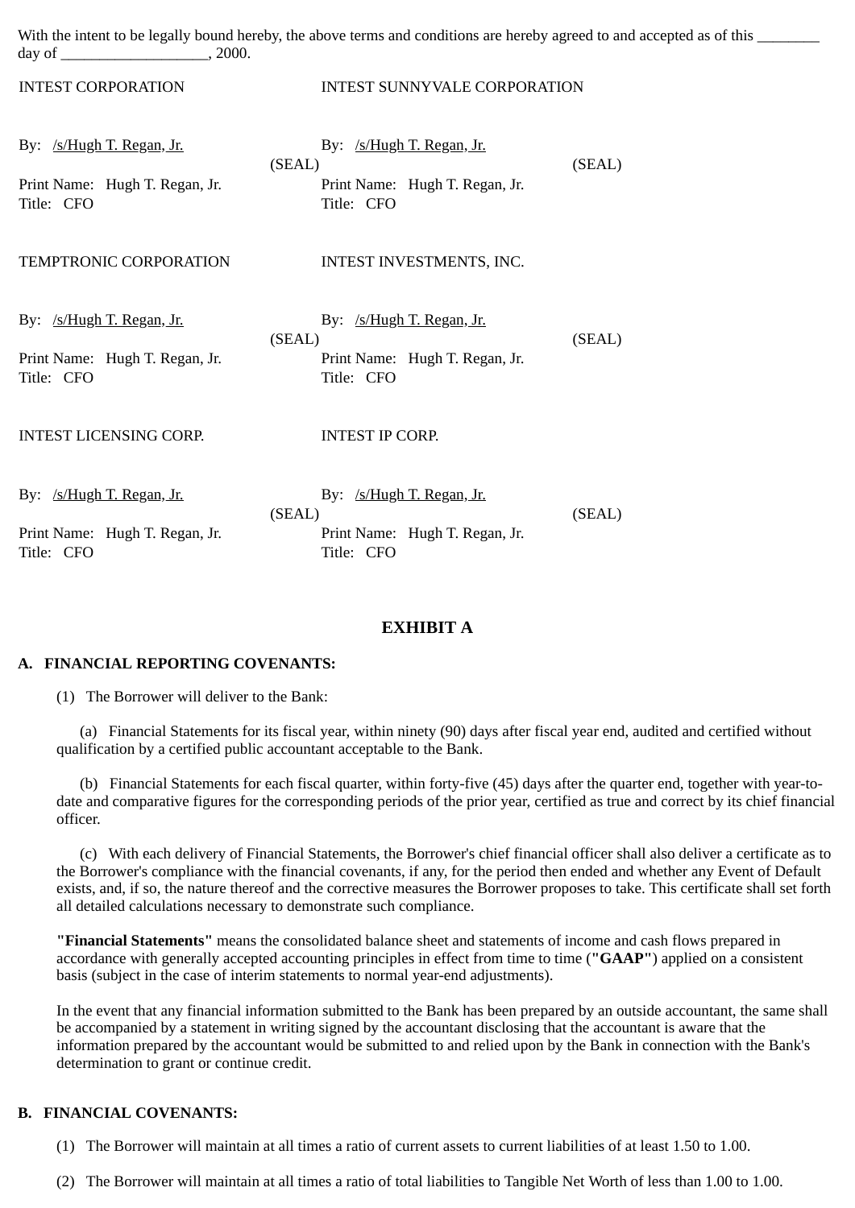| With the intent to be legally bound hereby, the above terms and conditions are hereby agreed to and accepted as of this _________ |                                                                       |        |
|-----------------------------------------------------------------------------------------------------------------------------------|-----------------------------------------------------------------------|--------|
| <b>INTEST CORPORATION</b>                                                                                                         | <b>INTEST SUNNYVALE CORPORATION</b>                                   |        |
| By: /s/Hugh T. Regan, Jr.<br>Print Name: Hugh T. Regan, Jr.                                                                       | By: /s/Hugh T. Regan, Jr.<br>(SEAL)<br>Print Name: Hugh T. Regan, Jr. | (SEAL) |
| Title: CFO<br>TEMPTRONIC CORPORATION                                                                                              | Title: CFO<br>INTEST INVESTMENTS, INC.                                |        |
| By: /s/Hugh T. Regan, Jr.                                                                                                         | By: /s/Hugh T. Regan, Jr.                                             |        |
| Print Name: Hugh T. Regan, Jr.<br>Title: CFO                                                                                      | (SEAL)<br>Print Name: Hugh T. Regan, Jr.<br>Title: CFO                | (SEAL) |
| <b>INTEST LICENSING CORP.</b>                                                                                                     | <b>INTEST IP CORP.</b>                                                |        |
| By: /s/Hugh T. Regan, Jr.                                                                                                         | By: /s/Hugh T. Regan, Jr.<br>(SEAL)                                   | (SEAL) |
| Print Name: Hugh T. Regan, Jr.<br>Title: CFO                                                                                      | Print Name: Hugh T. Regan, Jr.<br>Title: CFO                          |        |

# **EXHIBIT A**

# **A. FINANCIAL REPORTING COVENANTS:**

(1) The Borrower will deliver to the Bank:

 (a) Financial Statements for its fiscal year, within ninety (90) days after fiscal year end, audited and certified without qualification by a certified public accountant acceptable to the Bank.

 (b) Financial Statements for each fiscal quarter, within forty-five (45) days after the quarter end, together with year-todate and comparative figures for the corresponding periods of the prior year, certified as true and correct by its chief financial officer.

 (c) With each delivery of Financial Statements, the Borrower's chief financial officer shall also deliver a certificate as to the Borrower's compliance with the financial covenants, if any, for the period then ended and whether any Event of Default exists, and, if so, the nature thereof and the corrective measures the Borrower proposes to take. This certificate shall set forth all detailed calculations necessary to demonstrate such compliance.

**"Financial Statements"** means the consolidated balance sheet and statements of income and cash flows prepared in accordance with generally accepted accounting principles in effect from time to time (**"GAAP"**) applied on a consistent basis (subject in the case of interim statements to normal year-end adjustments).

In the event that any financial information submitted to the Bank has been prepared by an outside accountant, the same shall be accompanied by a statement in writing signed by the accountant disclosing that the accountant is aware that the information prepared by the accountant would be submitted to and relied upon by the Bank in connection with the Bank's determination to grant or continue credit.

# **B. FINANCIAL COVENANTS:**

(1) The Borrower will maintain at all times a ratio of current assets to current liabilities of at least 1.50 to 1.00.

(2) The Borrower will maintain at all times a ratio of total liabilities to Tangible Net Worth of less than 1.00 to 1.00.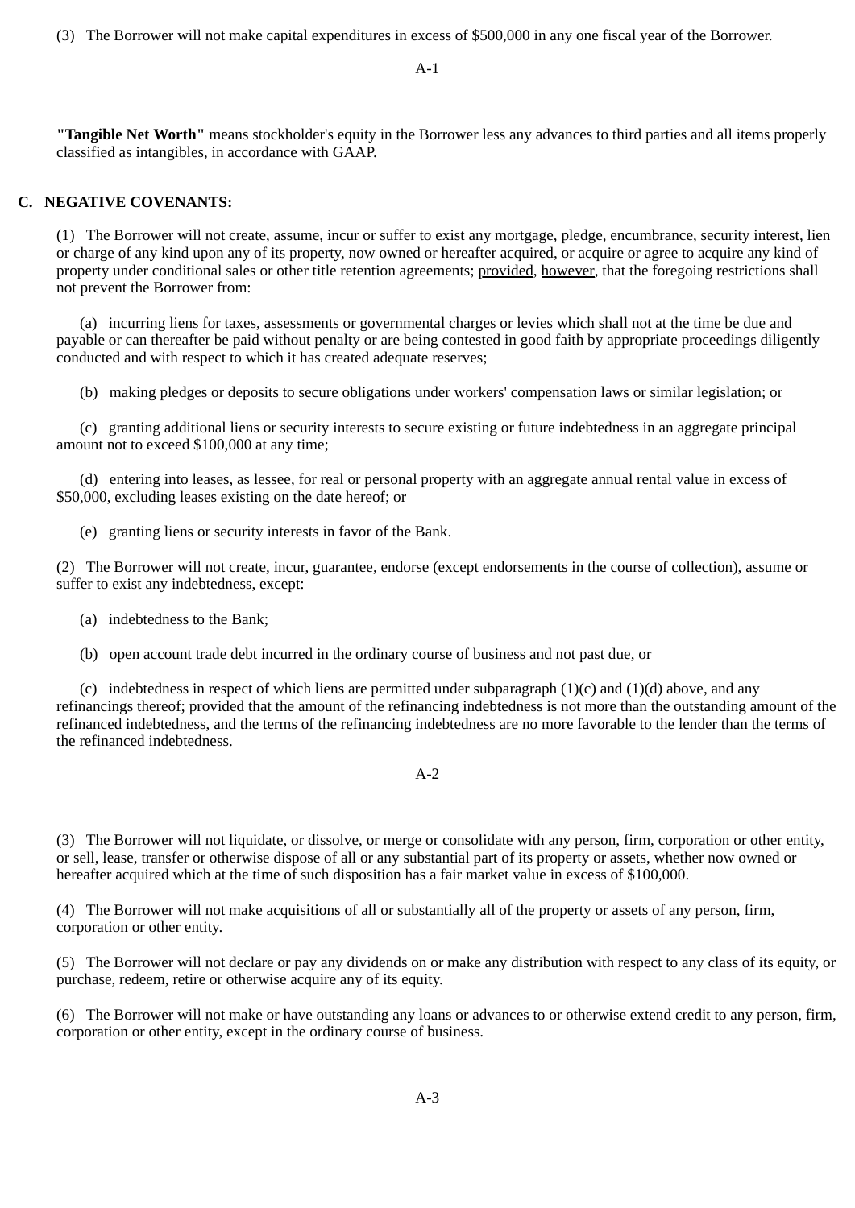(3) The Borrower will not make capital expenditures in excess of \$500,000 in any one fiscal year of the Borrower.

A-1

**"Tangible Net Worth"** means stockholder's equity in the Borrower less any advances to third parties and all items properly classified as intangibles, in accordance with GAAP.

# **C. NEGATIVE COVENANTS:**

(1) The Borrower will not create, assume, incur or suffer to exist any mortgage, pledge, encumbrance, security interest, lien or charge of any kind upon any of its property, now owned or hereafter acquired, or acquire or agree to acquire any kind of property under conditional sales or other title retention agreements; provided, however, that the foregoing restrictions shall not prevent the Borrower from:

 (a) incurring liens for taxes, assessments or governmental charges or levies which shall not at the time be due and payable or can thereafter be paid without penalty or are being contested in good faith by appropriate proceedings diligently conducted and with respect to which it has created adequate reserves;

(b) making pledges or deposits to secure obligations under workers' compensation laws or similar legislation; or

 (c) granting additional liens or security interests to secure existing or future indebtedness in an aggregate principal amount not to exceed \$100,000 at any time;

 (d) entering into leases, as lessee, for real or personal property with an aggregate annual rental value in excess of \$50,000, excluding leases existing on the date hereof; or

(e) granting liens or security interests in favor of the Bank.

(2) The Borrower will not create, incur, guarantee, endorse (except endorsements in the course of collection), assume or suffer to exist any indebtedness, except:

- (a) indebtedness to the Bank;
- (b) open account trade debt incurred in the ordinary course of business and not past due, or

(c) indebtedness in respect of which liens are permitted under subparagraph  $(1)(c)$  and  $(1)(d)$  above, and any refinancings thereof; provided that the amount of the refinancing indebtedness is not more than the outstanding amount of the refinanced indebtedness, and the terms of the refinancing indebtedness are no more favorable to the lender than the terms of the refinanced indebtedness.

A-2

(3) The Borrower will not liquidate, or dissolve, or merge or consolidate with any person, firm, corporation or other entity, or sell, lease, transfer or otherwise dispose of all or any substantial part of its property or assets, whether now owned or hereafter acquired which at the time of such disposition has a fair market value in excess of \$100,000.

(4) The Borrower will not make acquisitions of all or substantially all of the property or assets of any person, firm, corporation or other entity.

(5) The Borrower will not declare or pay any dividends on or make any distribution with respect to any class of its equity, or purchase, redeem, retire or otherwise acquire any of its equity.

(6) The Borrower will not make or have outstanding any loans or advances to or otherwise extend credit to any person, firm, corporation or other entity, except in the ordinary course of business.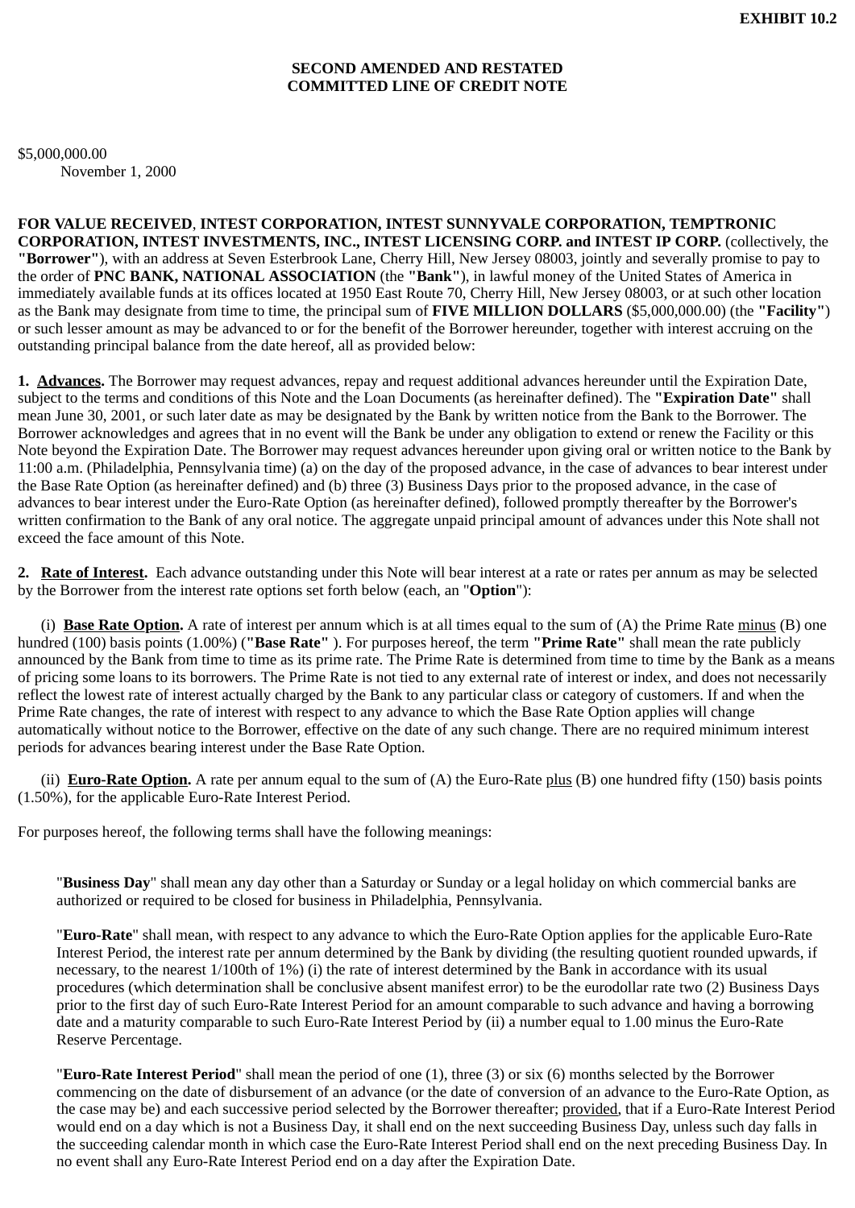# **SECOND AMENDED AND RESTATED COMMITTED LINE OF CREDIT NOTE**

\$5,000,000.00November 1, 2000

**FOR VALUE RECEIVED**, **INTEST CORPORATION, INTEST SUNNYVALE CORPORATION, TEMPTRONIC CORPORATION, INTEST INVESTMENTS, INC., INTEST LICENSING CORP. and INTEST IP CORP.** (collectively, the **"Borrower"**), with an address at Seven Esterbrook Lane, Cherry Hill, New Jersey 08003, jointly and severally promise to pay to the order of **PNC BANK, NATIONAL ASSOCIATION** (the **"Bank"**), in lawful money of the United States of America in immediately available funds at its offices located at 1950 East Route 70, Cherry Hill, New Jersey 08003, or at such other location as the Bank may designate from time to time, the principal sum of **FIVE MILLION DOLLARS** (\$5,000,000.00) (the **"Facility"**) or such lesser amount as may be advanced to or for the benefit of the Borrower hereunder, together with interest accruing on the outstanding principal balance from the date hereof, all as provided below:

**1. Advances.** The Borrower may request advances, repay and request additional advances hereunder until the Expiration Date, subject to the terms and conditions of this Note and the Loan Documents (as hereinafter defined). The **"Expiration Date"** shall mean June 30, 2001, or such later date as may be designated by the Bank by written notice from the Bank to the Borrower. The Borrower acknowledges and agrees that in no event will the Bank be under any obligation to extend or renew the Facility or this Note beyond the Expiration Date. The Borrower may request advances hereunder upon giving oral or written notice to the Bank by 11:00 a.m. (Philadelphia, Pennsylvania time) (a) on the day of the proposed advance, in the case of advances to bear interest under the Base Rate Option (as hereinafter defined) and (b) three (3) Business Days prior to the proposed advance, in the case of advances to bear interest under the Euro-Rate Option (as hereinafter defined), followed promptly thereafter by the Borrower's written confirmation to the Bank of any oral notice. The aggregate unpaid principal amount of advances under this Note shall not exceed the face amount of this Note.

**2. Rate of Interest.** Each advance outstanding under this Note will bear interest at a rate or rates per annum as may be selected by the Borrower from the interest rate options set forth below (each, an "**Option**"):

(i) **Base Rate Option.** A rate of interest per annum which is at all times equal to the sum of (A) the Prime Rate minus (B) one hundred (100) basis points (1.00%) (**"Base Rate"** ). For purposes hereof, the term **"Prime Rate"** shall mean the rate publicly announced by the Bank from time to time as its prime rate. The Prime Rate is determined from time to time by the Bank as a means of pricing some loans to its borrowers. The Prime Rate is not tied to any external rate of interest or index, and does not necessarily reflect the lowest rate of interest actually charged by the Bank to any particular class or category of customers. If and when the Prime Rate changes, the rate of interest with respect to any advance to which the Base Rate Option applies will change automatically without notice to the Borrower, effective on the date of any such change. There are no required minimum interest periods for advances bearing interest under the Base Rate Option.

(ii) **Euro-Rate Option.** A rate per annum equal to the sum of (A) the Euro-Rate plus (B) one hundred fifty (150) basis points (1.50%), for the applicable Euro-Rate Interest Period.

For purposes hereof, the following terms shall have the following meanings:

"**Business Day**" shall mean any day other than a Saturday or Sunday or a legal holiday on which commercial banks are authorized or required to be closed for business in Philadelphia, Pennsylvania.

"**Euro-Rate**" shall mean, with respect to any advance to which the Euro-Rate Option applies for the applicable Euro-Rate Interest Period, the interest rate per annum determined by the Bank by dividing (the resulting quotient rounded upwards, if necessary, to the nearest 1/100th of 1%) (i) the rate of interest determined by the Bank in accordance with its usual procedures (which determination shall be conclusive absent manifest error) to be the eurodollar rate two (2) Business Days prior to the first day of such Euro-Rate Interest Period for an amount comparable to such advance and having a borrowing date and a maturity comparable to such Euro-Rate Interest Period by (ii) a number equal to 1.00 minus the Euro-Rate Reserve Percentage.

"**Euro-Rate Interest Period**" shall mean the period of one (1), three (3) or six (6) months selected by the Borrower commencing on the date of disbursement of an advance (or the date of conversion of an advance to the Euro-Rate Option, as the case may be) and each successive period selected by the Borrower thereafter; provided, that if a Euro-Rate Interest Period would end on a day which is not a Business Day, it shall end on the next succeeding Business Day, unless such day falls in the succeeding calendar month in which case the Euro-Rate Interest Period shall end on the next preceding Business Day. In no event shall any Euro-Rate Interest Period end on a day after the Expiration Date.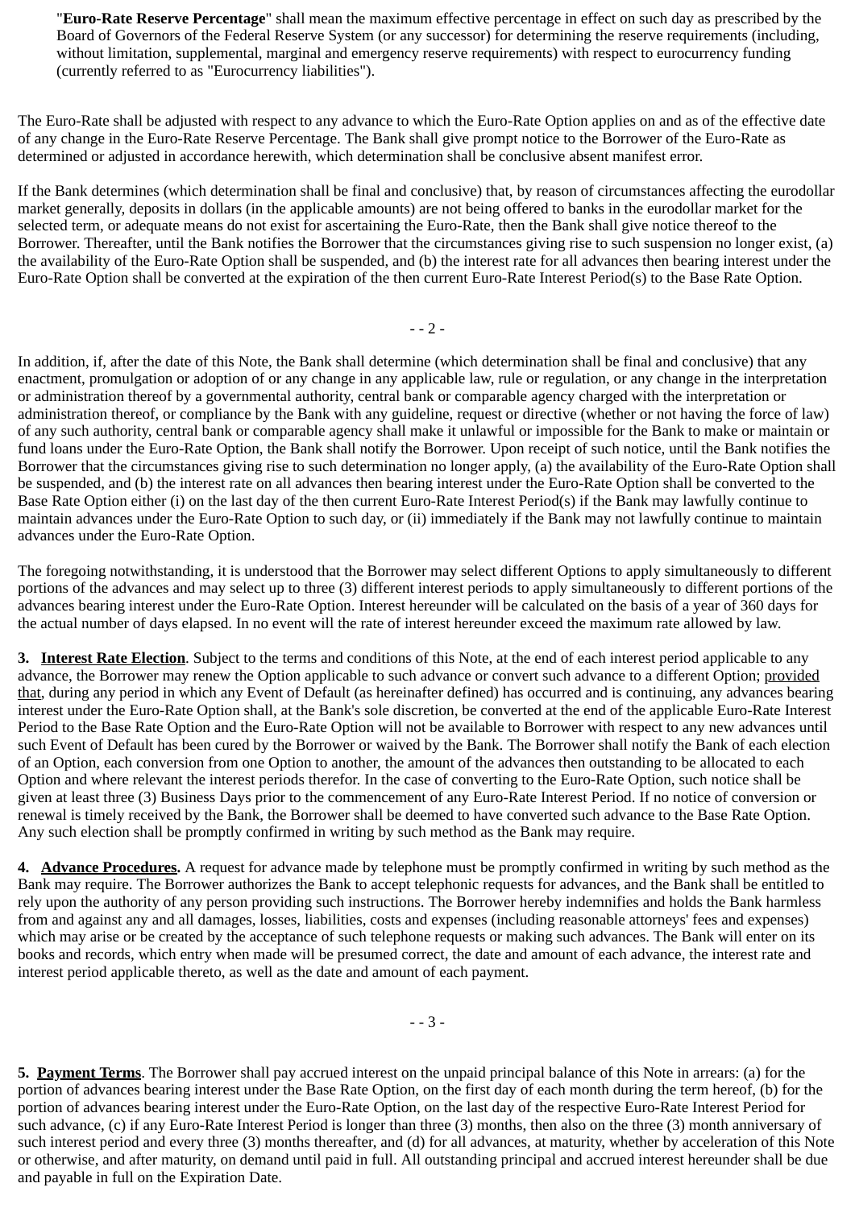"**Euro-Rate Reserve Percentage**" shall mean the maximum effective percentage in effect on such day as prescribed by the Board of Governors of the Federal Reserve System (or any successor) for determining the reserve requirements (including, without limitation, supplemental, marginal and emergency reserve requirements) with respect to eurocurrency funding (currently referred to as "Eurocurrency liabilities").

The Euro-Rate shall be adjusted with respect to any advance to which the Euro-Rate Option applies on and as of the effective date of any change in the Euro-Rate Reserve Percentage. The Bank shall give prompt notice to the Borrower of the Euro-Rate as determined or adjusted in accordance herewith, which determination shall be conclusive absent manifest error.

If the Bank determines (which determination shall be final and conclusive) that, by reason of circumstances affecting the eurodollar market generally, deposits in dollars (in the applicable amounts) are not being offered to banks in the eurodollar market for the selected term, or adequate means do not exist for ascertaining the Euro-Rate, then the Bank shall give notice thereof to the Borrower. Thereafter, until the Bank notifies the Borrower that the circumstances giving rise to such suspension no longer exist, (a) the availability of the Euro-Rate Option shall be suspended, and (b) the interest rate for all advances then bearing interest under the Euro-Rate Option shall be converted at the expiration of the then current Euro-Rate Interest Period(s) to the Base Rate Option.

- - 2 -

In addition, if, after the date of this Note, the Bank shall determine (which determination shall be final and conclusive) that any enactment, promulgation or adoption of or any change in any applicable law, rule or regulation, or any change in the interpretation or administration thereof by a governmental authority, central bank or comparable agency charged with the interpretation or administration thereof, or compliance by the Bank with any guideline, request or directive (whether or not having the force of law) of any such authority, central bank or comparable agency shall make it unlawful or impossible for the Bank to make or maintain or fund loans under the Euro-Rate Option, the Bank shall notify the Borrower. Upon receipt of such notice, until the Bank notifies the Borrower that the circumstances giving rise to such determination no longer apply, (a) the availability of the Euro-Rate Option shall be suspended, and (b) the interest rate on all advances then bearing interest under the Euro-Rate Option shall be converted to the Base Rate Option either (i) on the last day of the then current Euro-Rate Interest Period(s) if the Bank may lawfully continue to maintain advances under the Euro-Rate Option to such day, or (ii) immediately if the Bank may not lawfully continue to maintain advances under the Euro-Rate Option.

The foregoing notwithstanding, it is understood that the Borrower may select different Options to apply simultaneously to different portions of the advances and may select up to three (3) different interest periods to apply simultaneously to different portions of the advances bearing interest under the Euro-Rate Option. Interest hereunder will be calculated on the basis of a year of 360 days for the actual number of days elapsed. In no event will the rate of interest hereunder exceed the maximum rate allowed by law.

**3. Interest Rate Election**. Subject to the terms and conditions of this Note, at the end of each interest period applicable to any advance, the Borrower may renew the Option applicable to such advance or convert such advance to a different Option; provided that, during any period in which any Event of Default (as hereinafter defined) has occurred and is continuing, any advances bearing interest under the Euro-Rate Option shall, at the Bank's sole discretion, be converted at the end of the applicable Euro-Rate Interest Period to the Base Rate Option and the Euro-Rate Option will not be available to Borrower with respect to any new advances until such Event of Default has been cured by the Borrower or waived by the Bank. The Borrower shall notify the Bank of each election of an Option, each conversion from one Option to another, the amount of the advances then outstanding to be allocated to each Option and where relevant the interest periods therefor. In the case of converting to the Euro-Rate Option, such notice shall be given at least three (3) Business Days prior to the commencement of any Euro-Rate Interest Period. If no notice of conversion or renewal is timely received by the Bank, the Borrower shall be deemed to have converted such advance to the Base Rate Option. Any such election shall be promptly confirmed in writing by such method as the Bank may require.

**4. Advance Procedures.** A request for advance made by telephone must be promptly confirmed in writing by such method as the Bank may require. The Borrower authorizes the Bank to accept telephonic requests for advances, and the Bank shall be entitled to rely upon the authority of any person providing such instructions. The Borrower hereby indemnifies and holds the Bank harmless from and against any and all damages, losses, liabilities, costs and expenses (including reasonable attorneys' fees and expenses) which may arise or be created by the acceptance of such telephone requests or making such advances. The Bank will enter on its books and records, which entry when made will be presumed correct, the date and amount of each advance, the interest rate and interest period applicable thereto, as well as the date and amount of each payment.

- - 3 -

**5. Payment Terms**. The Borrower shall pay accrued interest on the unpaid principal balance of this Note in arrears: (a) for the portion of advances bearing interest under the Base Rate Option, on the first day of each month during the term hereof, (b) for the portion of advances bearing interest under the Euro-Rate Option, on the last day of the respective Euro-Rate Interest Period for such advance, (c) if any Euro-Rate Interest Period is longer than three (3) months, then also on the three (3) month anniversary of such interest period and every three (3) months thereafter, and (d) for all advances, at maturity, whether by acceleration of this Note or otherwise, and after maturity, on demand until paid in full. All outstanding principal and accrued interest hereunder shall be due and payable in full on the Expiration Date.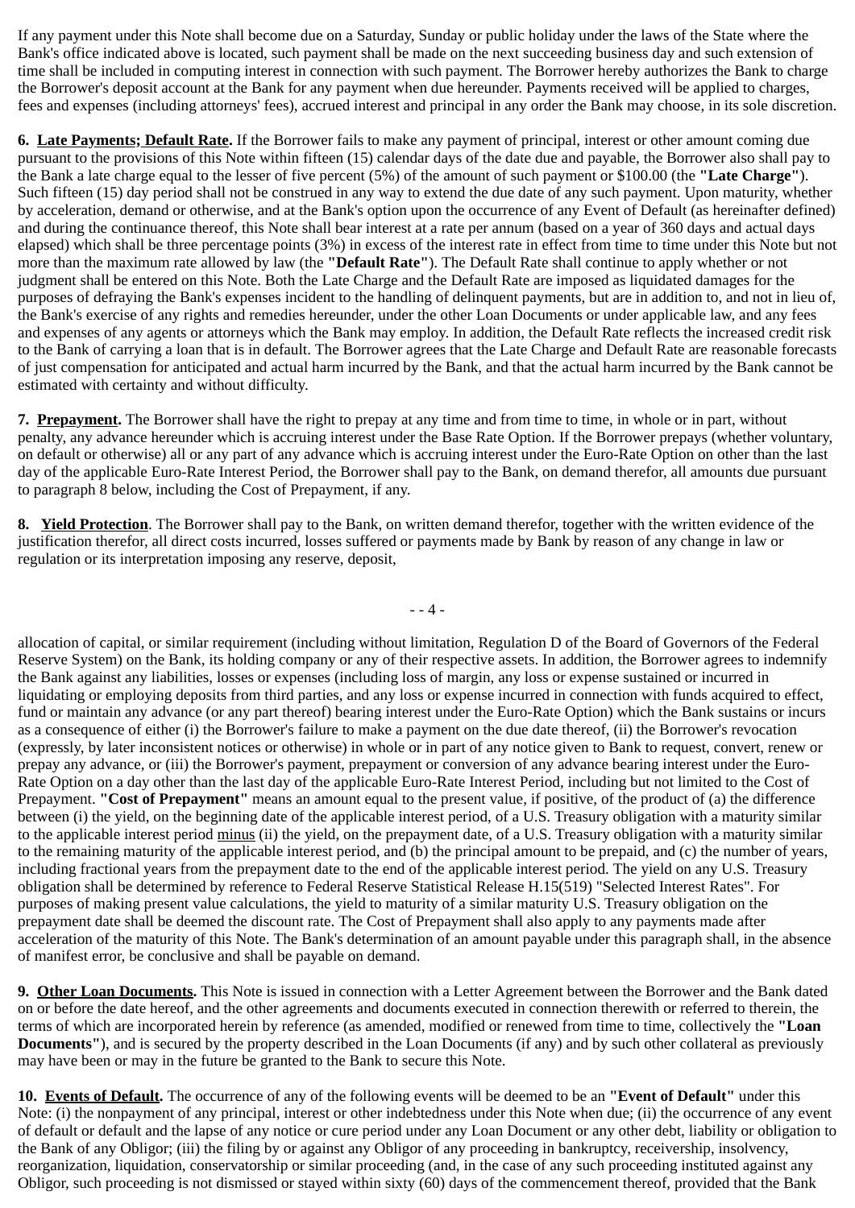If any payment under this Note shall become due on a Saturday, Sunday or public holiday under the laws of the State where the Bank's office indicated above is located, such payment shall be made on the next succeeding business day and such extension of time shall be included in computing interest in connection with such payment. The Borrower hereby authorizes the Bank to charge the Borrower's deposit account at the Bank for any payment when due hereunder. Payments received will be applied to charges, fees and expenses (including attorneys' fees), accrued interest and principal in any order the Bank may choose, in its sole discretion.

**6. Late Payments; Default Rate.** If the Borrower fails to make any payment of principal, interest or other amount coming due pursuant to the provisions of this Note within fifteen (15) calendar days of the date due and payable, the Borrower also shall pay to the Bank a late charge equal to the lesser of five percent (5%) of the amount of such payment or \$100.00 (the **"Late Charge"**). Such fifteen (15) day period shall not be construed in any way to extend the due date of any such payment. Upon maturity, whether by acceleration, demand or otherwise, and at the Bank's option upon the occurrence of any Event of Default (as hereinafter defined) and during the continuance thereof, this Note shall bear interest at a rate per annum (based on a year of 360 days and actual days elapsed) which shall be three percentage points (3%) in excess of the interest rate in effect from time to time under this Note but not more than the maximum rate allowed by law (the **"Default Rate"**). The Default Rate shall continue to apply whether or not judgment shall be entered on this Note. Both the Late Charge and the Default Rate are imposed as liquidated damages for the purposes of defraying the Bank's expenses incident to the handling of delinquent payments, but are in addition to, and not in lieu of, the Bank's exercise of any rights and remedies hereunder, under the other Loan Documents or under applicable law, and any fees and expenses of any agents or attorneys which the Bank may employ. In addition, the Default Rate reflects the increased credit risk to the Bank of carrying a loan that is in default. The Borrower agrees that the Late Charge and Default Rate are reasonable forecasts of just compensation for anticipated and actual harm incurred by the Bank, and that the actual harm incurred by the Bank cannot be estimated with certainty and without difficulty.

**7. Prepayment.** The Borrower shall have the right to prepay at any time and from time to time, in whole or in part, without penalty, any advance hereunder which is accruing interest under the Base Rate Option. If the Borrower prepays (whether voluntary, on default or otherwise) all or any part of any advance which is accruing interest under the Euro-Rate Option on other than the last day of the applicable Euro-Rate Interest Period, the Borrower shall pay to the Bank, on demand therefor, all amounts due pursuant to paragraph 8 below, including the Cost of Prepayment, if any.

**8. Yield Protection**. The Borrower shall pay to the Bank, on written demand therefor, together with the written evidence of the justification therefor, all direct costs incurred, losses suffered or payments made by Bank by reason of any change in law or regulation or its interpretation imposing any reserve, deposit,

 $- - 4 -$ 

allocation of capital, or similar requirement (including without limitation, Regulation D of the Board of Governors of the Federal Reserve System) on the Bank, its holding company or any of their respective assets. In addition, the Borrower agrees to indemnify the Bank against any liabilities, losses or expenses (including loss of margin, any loss or expense sustained or incurred in liquidating or employing deposits from third parties, and any loss or expense incurred in connection with funds acquired to effect, fund or maintain any advance (or any part thereof) bearing interest under the Euro-Rate Option) which the Bank sustains or incurs as a consequence of either (i) the Borrower's failure to make a payment on the due date thereof, (ii) the Borrower's revocation (expressly, by later inconsistent notices or otherwise) in whole or in part of any notice given to Bank to request, convert, renew or prepay any advance, or (iii) the Borrower's payment, prepayment or conversion of any advance bearing interest under the Euro-Rate Option on a day other than the last day of the applicable Euro-Rate Interest Period, including but not limited to the Cost of Prepayment. **"Cost of Prepayment"** means an amount equal to the present value, if positive, of the product of (a) the difference between (i) the yield, on the beginning date of the applicable interest period, of a U.S. Treasury obligation with a maturity similar to the applicable interest period minus (ii) the yield, on the prepayment date, of a U.S. Treasury obligation with a maturity similar to the remaining maturity of the applicable interest period, and (b) the principal amount to be prepaid, and (c) the number of years, including fractional years from the prepayment date to the end of the applicable interest period. The yield on any U.S. Treasury obligation shall be determined by reference to Federal Reserve Statistical Release H.15(519) "Selected Interest Rates". For purposes of making present value calculations, the yield to maturity of a similar maturity U.S. Treasury obligation on the prepayment date shall be deemed the discount rate. The Cost of Prepayment shall also apply to any payments made after acceleration of the maturity of this Note. The Bank's determination of an amount payable under this paragraph shall, in the absence of manifest error, be conclusive and shall be payable on demand.

**9. Other Loan Documents.** This Note is issued in connection with a Letter Agreement between the Borrower and the Bank dated on or before the date hereof, and the other agreements and documents executed in connection therewith or referred to therein, the terms of which are incorporated herein by reference (as amended, modified or renewed from time to time, collectively the **"Loan Documents"**), and is secured by the property described in the Loan Documents (if any) and by such other collateral as previously may have been or may in the future be granted to the Bank to secure this Note.

**10. Events of Default.** The occurrence of any of the following events will be deemed to be an **"Event of Default"** under this Note: (i) the nonpayment of any principal, interest or other indebtedness under this Note when due; (ii) the occurrence of any event of default or default and the lapse of any notice or cure period under any Loan Document or any other debt, liability or obligation to the Bank of any Obligor; (iii) the filing by or against any Obligor of any proceeding in bankruptcy, receivership, insolvency, reorganization, liquidation, conservatorship or similar proceeding (and, in the case of any such proceeding instituted against any Obligor, such proceeding is not dismissed or stayed within sixty (60) days of the commencement thereof, provided that the Bank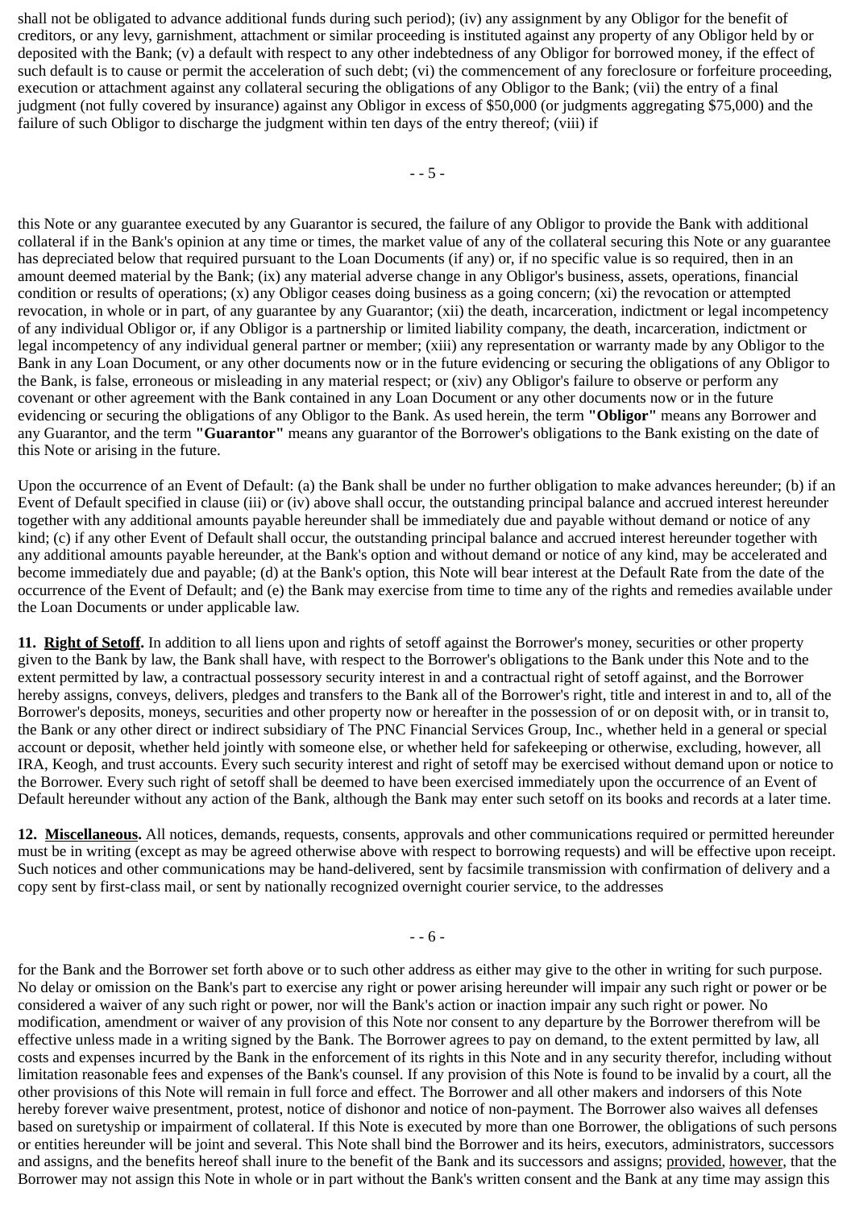shall not be obligated to advance additional funds during such period); (iv) any assignment by any Obligor for the benefit of creditors, or any levy, garnishment, attachment or similar proceeding is instituted against any property of any Obligor held by or deposited with the Bank; (v) a default with respect to any other indebtedness of any Obligor for borrowed money, if the effect of such default is to cause or permit the acceleration of such debt; (vi) the commencement of any foreclosure or forfeiture proceeding, execution or attachment against any collateral securing the obligations of any Obligor to the Bank; (vii) the entry of a final judgment (not fully covered by insurance) against any Obligor in excess of \$50,000 (or judgments aggregating \$75,000) and the failure of such Obligor to discharge the judgment within ten days of the entry thereof; (viii) if

this Note or any guarantee executed by any Guarantor is secured, the failure of any Obligor to provide the Bank with additional collateral if in the Bank's opinion at any time or times, the market value of any of the collateral securing this Note or any guarantee has depreciated below that required pursuant to the Loan Documents (if any) or, if no specific value is so required, then in an amount deemed material by the Bank; (ix) any material adverse change in any Obligor's business, assets, operations, financial condition or results of operations; (x) any Obligor ceases doing business as a going concern; (xi) the revocation or attempted revocation, in whole or in part, of any guarantee by any Guarantor; (xii) the death, incarceration, indictment or legal incompetency of any individual Obligor or, if any Obligor is a partnership or limited liability company, the death, incarceration, indictment or legal incompetency of any individual general partner or member; (xiii) any representation or warranty made by any Obligor to the Bank in any Loan Document, or any other documents now or in the future evidencing or securing the obligations of any Obligor to the Bank, is false, erroneous or misleading in any material respect; or (xiv) any Obligor's failure to observe or perform any covenant or other agreement with the Bank contained in any Loan Document or any other documents now or in the future evidencing or securing the obligations of any Obligor to the Bank. As used herein, the term **"Obligor"** means any Borrower and any Guarantor, and the term **"Guarantor"** means any guarantor of the Borrower's obligations to the Bank existing on the date of this Note or arising in the future.

Upon the occurrence of an Event of Default: (a) the Bank shall be under no further obligation to make advances hereunder; (b) if an Event of Default specified in clause (iii) or (iv) above shall occur, the outstanding principal balance and accrued interest hereunder together with any additional amounts payable hereunder shall be immediately due and payable without demand or notice of any kind; (c) if any other Event of Default shall occur, the outstanding principal balance and accrued interest hereunder together with any additional amounts payable hereunder, at the Bank's option and without demand or notice of any kind, may be accelerated and become immediately due and payable; (d) at the Bank's option, this Note will bear interest at the Default Rate from the date of the occurrence of the Event of Default; and (e) the Bank may exercise from time to time any of the rights and remedies available under the Loan Documents or under applicable law.

**11. Right of Setoff.** In addition to all liens upon and rights of setoff against the Borrower's money, securities or other property given to the Bank by law, the Bank shall have, with respect to the Borrower's obligations to the Bank under this Note and to the extent permitted by law, a contractual possessory security interest in and a contractual right of setoff against, and the Borrower hereby assigns, conveys, delivers, pledges and transfers to the Bank all of the Borrower's right, title and interest in and to, all of the Borrower's deposits, moneys, securities and other property now or hereafter in the possession of or on deposit with, or in transit to, the Bank or any other direct or indirect subsidiary of The PNC Financial Services Group, Inc., whether held in a general or special account or deposit, whether held jointly with someone else, or whether held for safekeeping or otherwise, excluding, however, all IRA, Keogh, and trust accounts. Every such security interest and right of setoff may be exercised without demand upon or notice to the Borrower. Every such right of setoff shall be deemed to have been exercised immediately upon the occurrence of an Event of Default hereunder without any action of the Bank, although the Bank may enter such setoff on its books and records at a later time.

**12. Miscellaneous.** All notices, demands, requests, consents, approvals and other communications required or permitted hereunder must be in writing (except as may be agreed otherwise above with respect to borrowing requests) and will be effective upon receipt. Such notices and other communications may be hand-delivered, sent by facsimile transmission with confirmation of delivery and a copy sent by first-class mail, or sent by nationally recognized overnight courier service, to the addresses

- - 6 -

for the Bank and the Borrower set forth above or to such other address as either may give to the other in writing for such purpose. No delay or omission on the Bank's part to exercise any right or power arising hereunder will impair any such right or power or be considered a waiver of any such right or power, nor will the Bank's action or inaction impair any such right or power. No modification, amendment or waiver of any provision of this Note nor consent to any departure by the Borrower therefrom will be effective unless made in a writing signed by the Bank. The Borrower agrees to pay on demand, to the extent permitted by law, all costs and expenses incurred by the Bank in the enforcement of its rights in this Note and in any security therefor, including without limitation reasonable fees and expenses of the Bank's counsel. If any provision of this Note is found to be invalid by a court, all the other provisions of this Note will remain in full force and effect. The Borrower and all other makers and indorsers of this Note hereby forever waive presentment, protest, notice of dishonor and notice of non-payment. The Borrower also waives all defenses based on suretyship or impairment of collateral. If this Note is executed by more than one Borrower, the obligations of such persons or entities hereunder will be joint and several. This Note shall bind the Borrower and its heirs, executors, administrators, successors and assigns, and the benefits hereof shall inure to the benefit of the Bank and its successors and assigns; provided, however, that the Borrower may not assign this Note in whole or in part without the Bank's written consent and the Bank at any time may assign this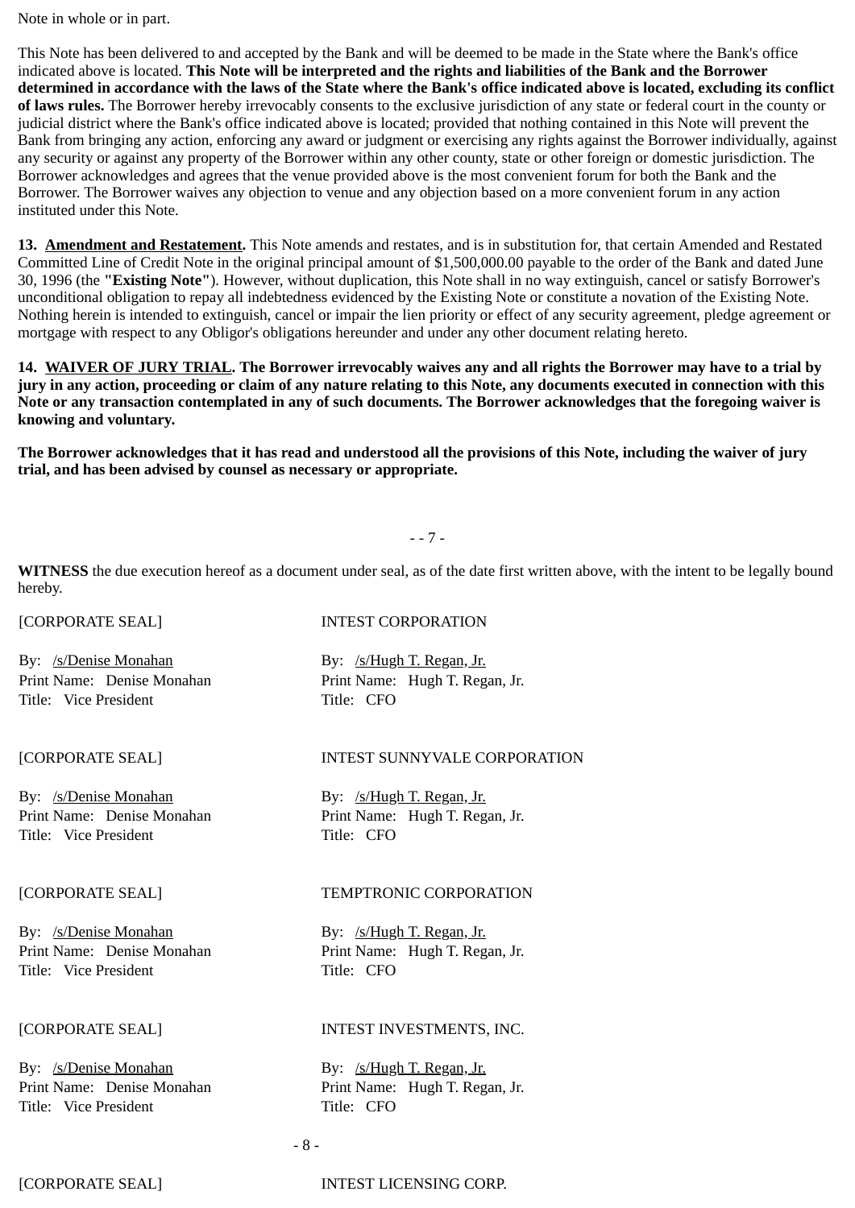Note in whole or in part.

This Note has been delivered to and accepted by the Bank and will be deemed to be made in the State where the Bank's office indicated above is located. **This Note will be interpreted and the rights and liabilities of the Bank and the Borrower determined in accordance with the laws of the State where the Bank's office indicated above is located, excluding its conflict of laws rules.** The Borrower hereby irrevocably consents to the exclusive jurisdiction of any state or federal court in the county or judicial district where the Bank's office indicated above is located; provided that nothing contained in this Note will prevent the Bank from bringing any action, enforcing any award or judgment or exercising any rights against the Borrower individually, against any security or against any property of the Borrower within any other county, state or other foreign or domestic jurisdiction. The Borrower acknowledges and agrees that the venue provided above is the most convenient forum for both the Bank and the Borrower. The Borrower waives any objection to venue and any objection based on a more convenient forum in any action instituted under this Note.

**13. Amendment and Restatement.** This Note amends and restates, and is in substitution for, that certain Amended and Restated Committed Line of Credit Note in the original principal amount of \$1,500,000.00 payable to the order of the Bank and dated June 30, 1996 (the **"Existing Note"**). However, without duplication, this Note shall in no way extinguish, cancel or satisfy Borrower's unconditional obligation to repay all indebtedness evidenced by the Existing Note or constitute a novation of the Existing Note. Nothing herein is intended to extinguish, cancel or impair the lien priority or effect of any security agreement, pledge agreement or mortgage with respect to any Obligor's obligations hereunder and under any other document relating hereto.

**14. WAIVER OF JURY TRIAL. The Borrower irrevocably waives any and all rights the Borrower may have to a trial by jury in any action, proceeding or claim of any nature relating to this Note, any documents executed in connection with this Note or any transaction contemplated in any of such documents. The Borrower acknowledges that the foregoing waiver is knowing and voluntary.**

**The Borrower acknowledges that it has read and understood all the provisions of this Note, including the waiver of jury trial, and has been advised by counsel as necessary or appropriate.**

- - 7 -

**WITNESS** the due execution hereof as a document under seal, as of the date first written above, with the intent to be legally bound hereby.

By: **/s/Denise Monahan** By: **/s/Hugh T. Regan, Jr.** Print Name: Denise Monahan Print Name: Hugh T. Regan, Jr. Title: Vice President Title: CFO [CORPORATE SEAL] INTEST SUNNYVALE CORPORATION By: /s/Denise Monahan By: /s/Hugh T. Regan, Jr. Print Name: Denise Monahan Print Name: Hugh T. Regan, Jr. Title: Vice President Title: CFO [CORPORATE SEAL] TEMPTRONIC CORPORATION By: **/s/Denise Monahan** By: **/s/Hugh T. Regan, Jr.** Print Name:Denise Monahan Print Name:Hugh T. Regan, Jr. Title: Vice President Title: CFO [CORPORATE SEAL] INTEST INVESTMENTS, INC. By: /s/Denise Monahan By: /s/Hugh T. Regan, Jr. Print Name: Denise Monahan Print Name: Hugh T. Regan, Jr. Title: Vice President Title: CFO - 8 -

[CORPORATE SEAL] INTEST CORPORATION

# [CORPORATE SEAL] INTEST LICENSING CORP.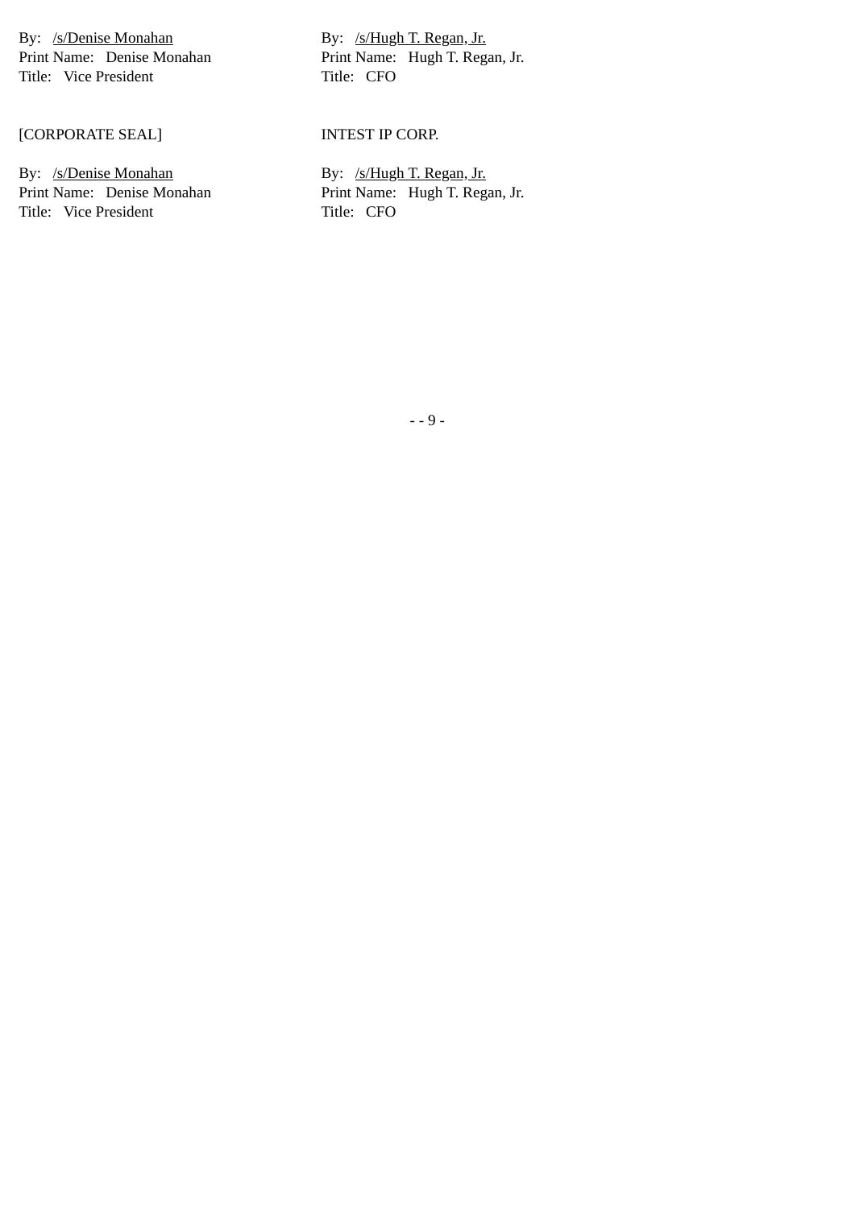By: **/s/Denise Monahan** By: **/s/Hugh T. Regan, Jr.** Title: Vice President Title: CFO

[CORPORATE SEAL] INTEST IP CORP.

By: /s/Denise Monahan By: /s/Hugh T. Regan, Jr. Title: Vice President Title: CFO

Print Name:Denise Monahan Print Name:Hugh T. Regan, Jr.

Print Name: Denise Monahan Print Name: Hugh T. Regan, Jr.

- - 9 -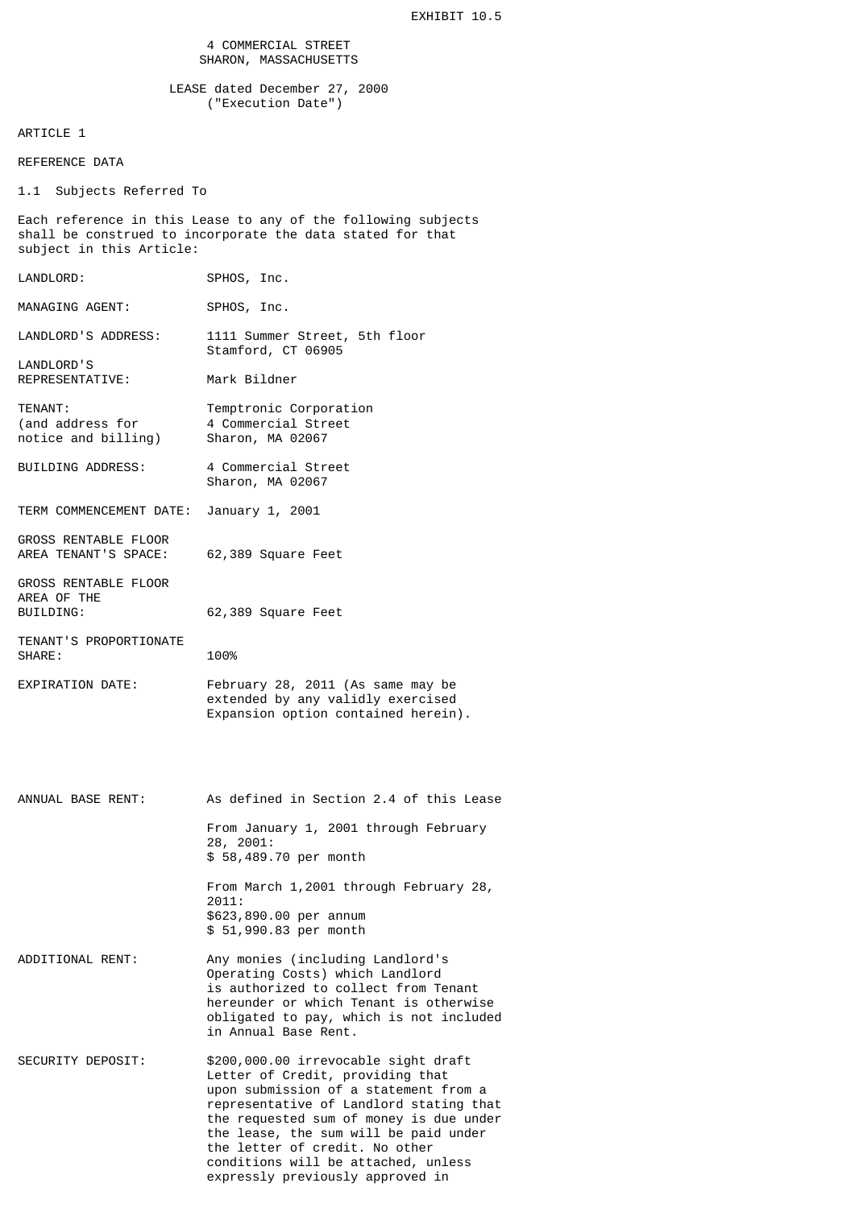4 COMMERCIAL STREET SHARON, MASSACHUSETTS

 LEASE dated December 27, 2000 ("Execution Date")

ARTICLE 1

REFERENCE DATA

1.1 Subjects Referred To

Each reference in this Lease to any of the following subjects shall be construed to incorporate the data stated for that subject in this Article:

| LANDLORD:                                          | SPHOS, Inc.                                                                                                                                                                                                                                                                        |
|----------------------------------------------------|------------------------------------------------------------------------------------------------------------------------------------------------------------------------------------------------------------------------------------------------------------------------------------|
| MANAGING AGENT:                                    | SPHOS, Inc.                                                                                                                                                                                                                                                                        |
| LANDLORD'S ADDRESS:                                | 1111 Summer Street, 5th floor<br>Stamford, CT 06905                                                                                                                                                                                                                                |
| LANDLORD'S<br>REPRESENTATIVE:                      | Mark Bildner                                                                                                                                                                                                                                                                       |
| TENANT:<br>(and address for<br>notice and billing) | Temptronic Corporation<br>4 Commercial Street<br>Sharon, MA 02067                                                                                                                                                                                                                  |
| BUILDING ADDRESS:                                  | 4 Commercial Street<br>Sharon, MA 02067                                                                                                                                                                                                                                            |
| TERM COMMENCEMENT DATE:                            | January 1, 2001                                                                                                                                                                                                                                                                    |
| GROSS RENTABLE FLOOR<br>AREA TENANT'S SPACE:       | 62,389 Square Feet                                                                                                                                                                                                                                                                 |
| GROSS RENTABLE FLOOR<br>AREA OF THE<br>BUILDING:   | 62,389 Square Feet                                                                                                                                                                                                                                                                 |
| TENANT'S PROPORTIONATE<br>SHARE:                   | 100%                                                                                                                                                                                                                                                                               |
| EXPIRATION DATE:                                   | February 28, 2011 (As same may be<br>extended by any validly exercised<br>Expansion option contained herein).                                                                                                                                                                      |
| ANNUAL BASE RENT:                                  | As defined in Section 2.4 of this Lease                                                                                                                                                                                                                                            |
|                                                    | From January 1, 2001 through February<br>28, 2001:<br>\$ 58,489.70 per month                                                                                                                                                                                                       |
|                                                    | From March 1,2001 through February 28,<br>2011:<br>\$623,890.00 per annum<br>\$ 51,990.83 per month                                                                                                                                                                                |
| ADDITIONAL RENT:                                   | Any monies (including Landlord's<br>Operating Costs) which Landlord<br>is authorized to collect from Tenant<br>hereunder or which Tenant is otherwise<br>obligated to pay, which is not included<br>in Annual Base Rent.                                                           |
| SECURITY DEPOSIT:                                  | \$200,000.00 irrevocable sight draft<br>Letter of Credit, providing that<br>upon submission of a statement from a<br>representative of Landlord stating that<br>the requested sum of money is due under<br>the lease, the sum will be paid under<br>the letter of credit. No other |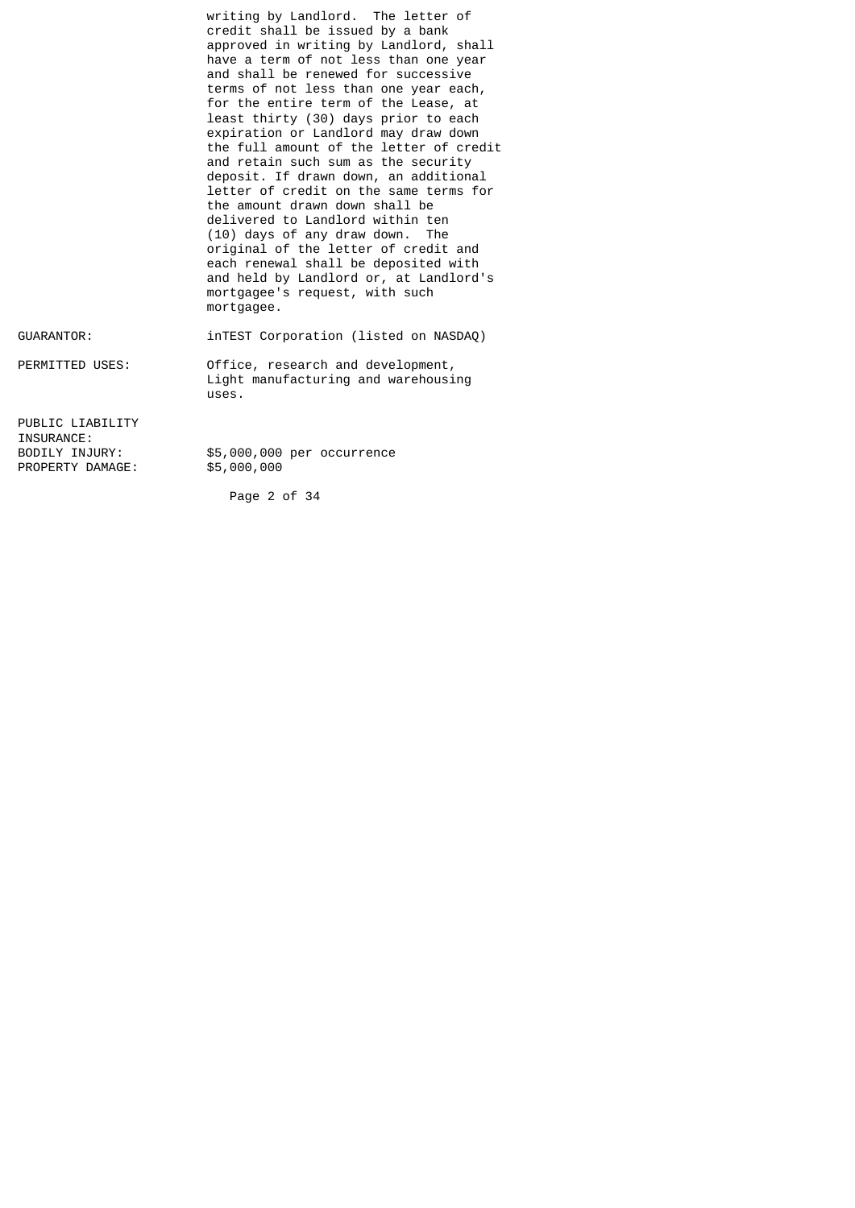writing by Landlord. The letter of credit shall be issued by a bank approved in writing by Landlord, shall have a term of not less than one year and shall be renewed for successive terms of not less than one year each, for the entire term of the Lease, at least thirty (30) days prior to each expiration or Landlord may draw down the full amount of the letter of credit and retain such sum as the security deposit. If drawn down, an additional letter of credit on the same terms for the amount drawn down shall be delivered to Landlord within ten (10) days of any draw down. The original of the letter of credit and each renewal shall be deposited with and held by Landlord or, at Landlord's mortgagee's request, with such mortgagee. GUARANTOR: inTEST Corporation (listed on NASDAQ)

PERMITTED USES: Office, research and development, Light manufacturing and warehousing uses.

PUBLIC LIABILITY INSURANCE:<br>BODILY INJURY: PROPERTY DAMAGE:

\$5,000,000 per occurrence<br>\$5,000,000

Page 2 of 34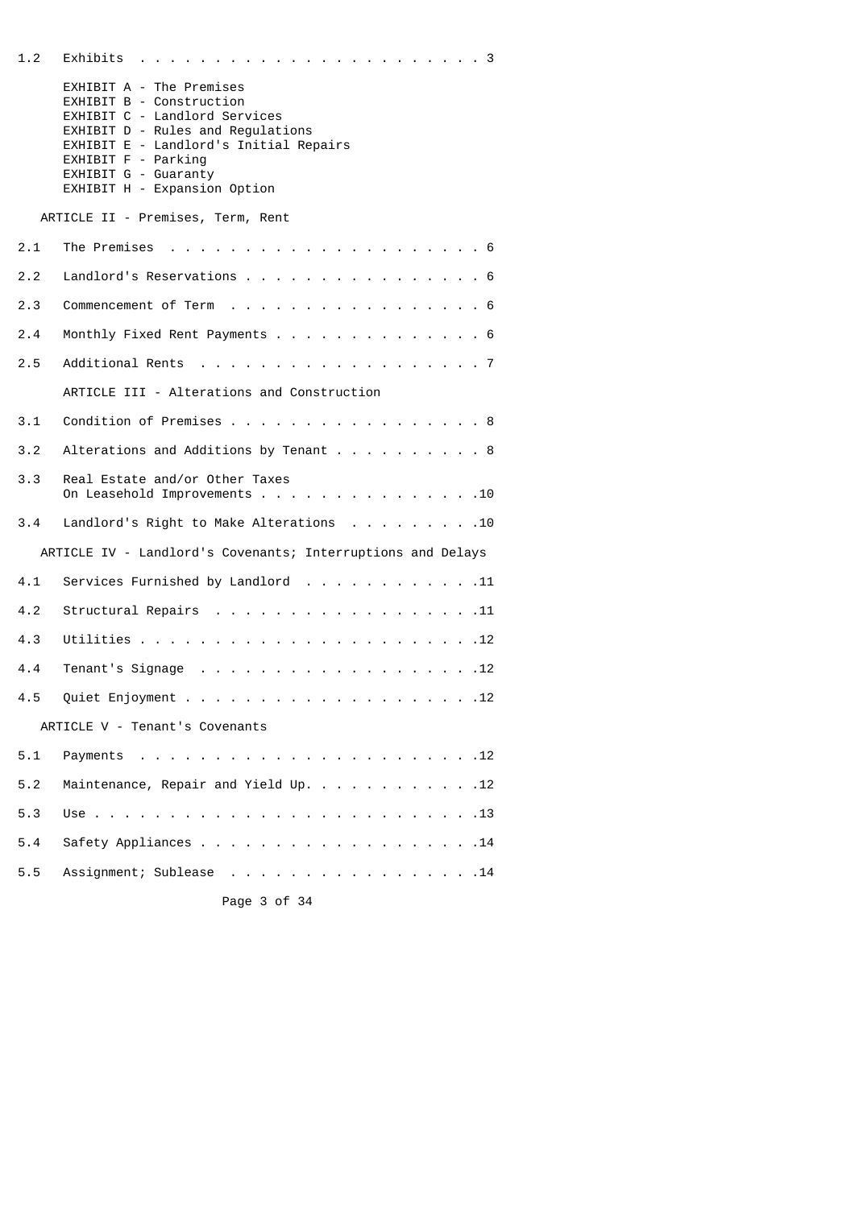| 1.2 | Exhibits<br>. 3                                                                                                                                                                                                                                     |
|-----|-----------------------------------------------------------------------------------------------------------------------------------------------------------------------------------------------------------------------------------------------------|
|     | EXHIBIT A - The Premises<br>EXHIBIT B - Construction<br>EXHIBIT C - Landlord Services<br>EXHIBIT D - Rules and Regulations<br>EXHIBIT E - Landlord's Initial Repairs<br>EXHIBIT F - Parking<br>EXHIBIT G - Guaranty<br>EXHIBIT H - Expansion Option |
|     | ARTICLE II - Premises, Term, Rent                                                                                                                                                                                                                   |
| 2.1 |                                                                                                                                                                                                                                                     |
| 2.2 | Landlord's Reservations 6                                                                                                                                                                                                                           |
| 2.3 | Commencement of Term 6                                                                                                                                                                                                                              |
| 2.4 | Monthly Fixed Rent Payments 6                                                                                                                                                                                                                       |
| 2.5 |                                                                                                                                                                                                                                                     |
|     | ARTICLE III - Alterations and Construction                                                                                                                                                                                                          |
| 3.1 | Condition of Premises 8                                                                                                                                                                                                                             |
| 3.2 | Alterations and Additions by Tenant 8                                                                                                                                                                                                               |
| 3.3 | Real Estate and/or Other Taxes<br>On Leasehold Improvements 10                                                                                                                                                                                      |
| 3.4 | Landlord's Right to Make Alterations 10                                                                                                                                                                                                             |
|     | ARTICLE IV - Landlord's Covenants; Interruptions and Delays                                                                                                                                                                                         |
| 4.1 | Services Furnished by Landlord 11                                                                                                                                                                                                                   |
| 4.2 | Structural Repairs 11                                                                                                                                                                                                                               |
| 4.3 |                                                                                                                                                                                                                                                     |
| 4.4 | Tenant's Signage 12                                                                                                                                                                                                                                 |
| 4.5 | Quiet Enjoyment<br>. 12                                                                                                                                                                                                                             |
|     | ARTICLE V - Tenant's Covenants                                                                                                                                                                                                                      |
| 5.1 |                                                                                                                                                                                                                                                     |
| 5.2 | Maintenance, Repair and Yield Up. 12                                                                                                                                                                                                                |
| 5.3 |                                                                                                                                                                                                                                                     |
| 5.4 | Safety Appliances 14                                                                                                                                                                                                                                |
| 5.5 | Assignment; Sublease 14                                                                                                                                                                                                                             |
|     | Page 3 of 34                                                                                                                                                                                                                                        |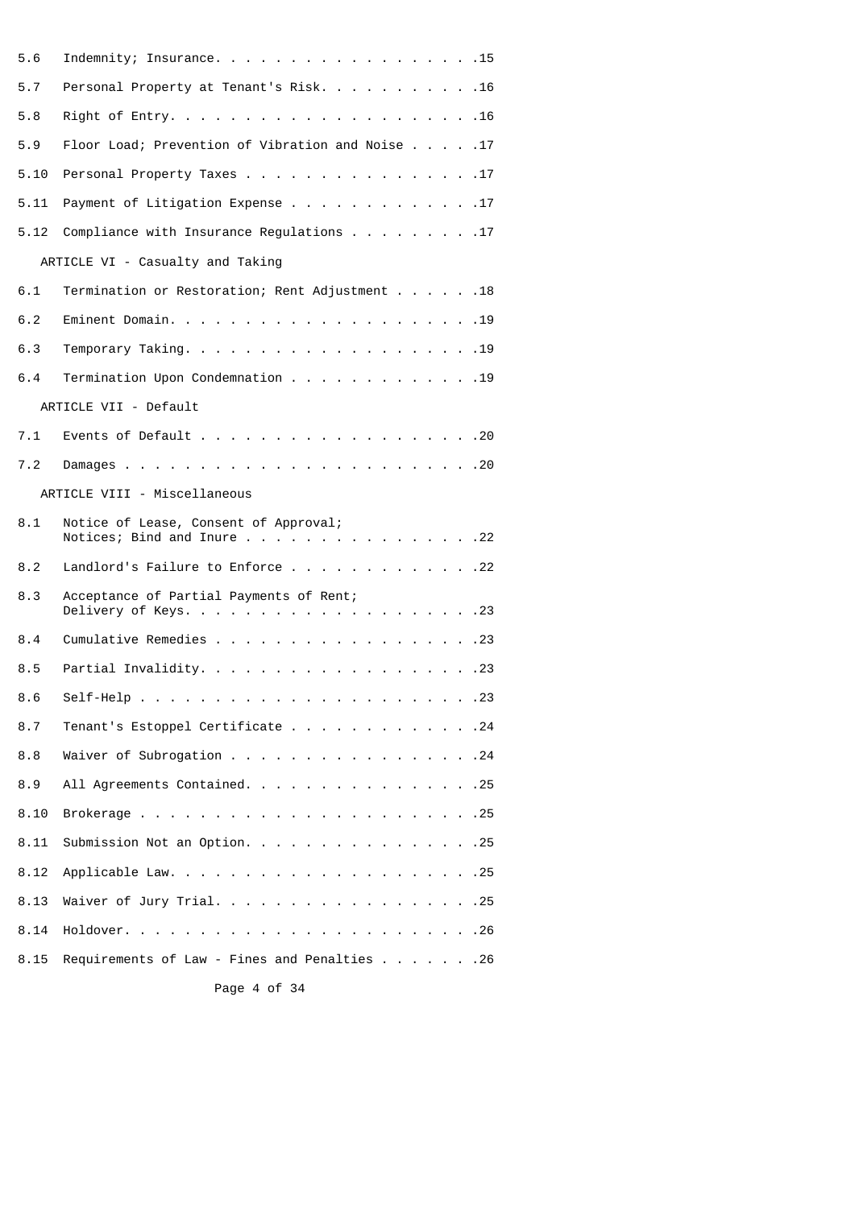| 5.6  | Indemnity; Insurance. 15                                            |
|------|---------------------------------------------------------------------|
| 5.7  | Personal Property at Tenant's Risk. 16                              |
| 5.8  |                                                                     |
| 5.9  | Floor Load; Prevention of Vibration and Noise 17                    |
| 5.10 | Personal Property Taxes 17                                          |
| 5.11 | Payment of Litigation Expense 17                                    |
| 5.12 | Compliance with Insurance Regulations 17                            |
|      | ARTICLE VI - Casualty and Taking                                    |
| 6.1  | Termination or Restoration; Rent Adjustment 18                      |
| 6.2  |                                                                     |
| 6.3  |                                                                     |
| 6.4  | Termination Upon Condemnation 19                                    |
|      | ARTICLE VII - Default                                               |
| 7.1  |                                                                     |
| 7.2  |                                                                     |
|      | ARTICLE VIII - Miscellaneous                                        |
| 8.1  | Notice of Lease, Consent of Approval;<br>Notices; Bind and Inure 22 |
| 8.2  | Landlord's Failure to Enforce 22                                    |
| 8.3  | Acceptance of Partial Payments of Rent;                             |
| 8.4  | Cumulative Remedies 23                                              |
| 8.5  |                                                                     |
|      |                                                                     |
| 8.7  | Tenant's Estoppel Certificate 24                                    |
| 8.8  | Waiver of Subrogation 24                                            |
| 8.9  | All Agreements Contained. 25                                        |
| 8.10 |                                                                     |
| 8.11 | Submission Not an Option. 25                                        |
| 8.12 |                                                                     |
| 8.13 | Waiver of Jury Trial. $\ldots$ . 25                                 |
| 8.14 |                                                                     |
| 8.15 | Requirements of Law - Fines and Penalties 26                        |
|      | Page 4 of 34                                                        |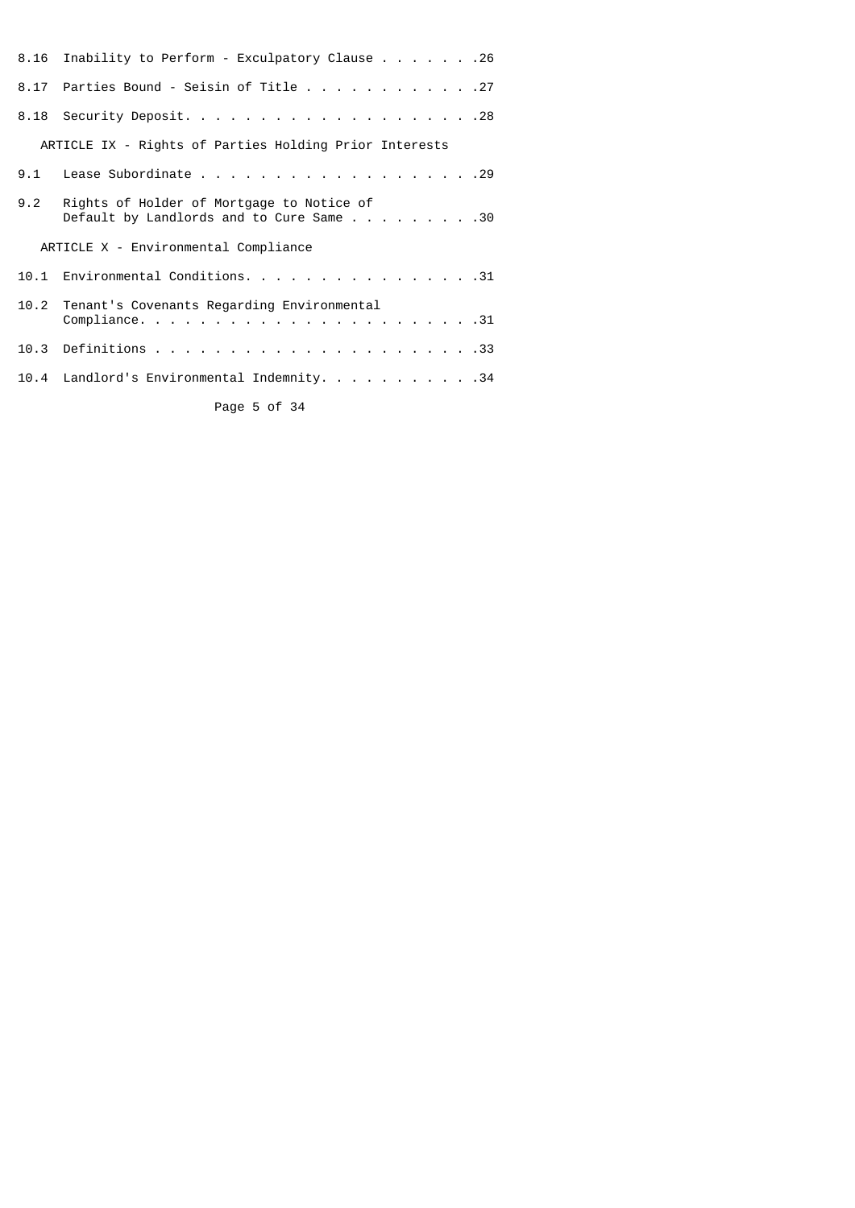| 8.16 Inability to Perform - Exculpatory Clause 26                                         |
|-------------------------------------------------------------------------------------------|
| 8.17 Parties Bound - Seisin of Title 27                                                   |
|                                                                                           |
| ARTICLE IX - Rights of Parties Holding Prior Interests                                    |
| 9.1 Lease Subordinate 29                                                                  |
| 9.2 Rights of Holder of Mortgage to Notice of<br>Default by Landlords and to Cure Same 30 |
| ARTICLE X - Environmental Compliance                                                      |
| 10.1 Environmental Conditions. 31                                                         |
| 10.2 Tenant's Covenants Regarding Environmental                                           |
|                                                                                           |
| 10.4 Landlord's Environmental Indemnity. 34                                               |
| Page 5 of 34                                                                              |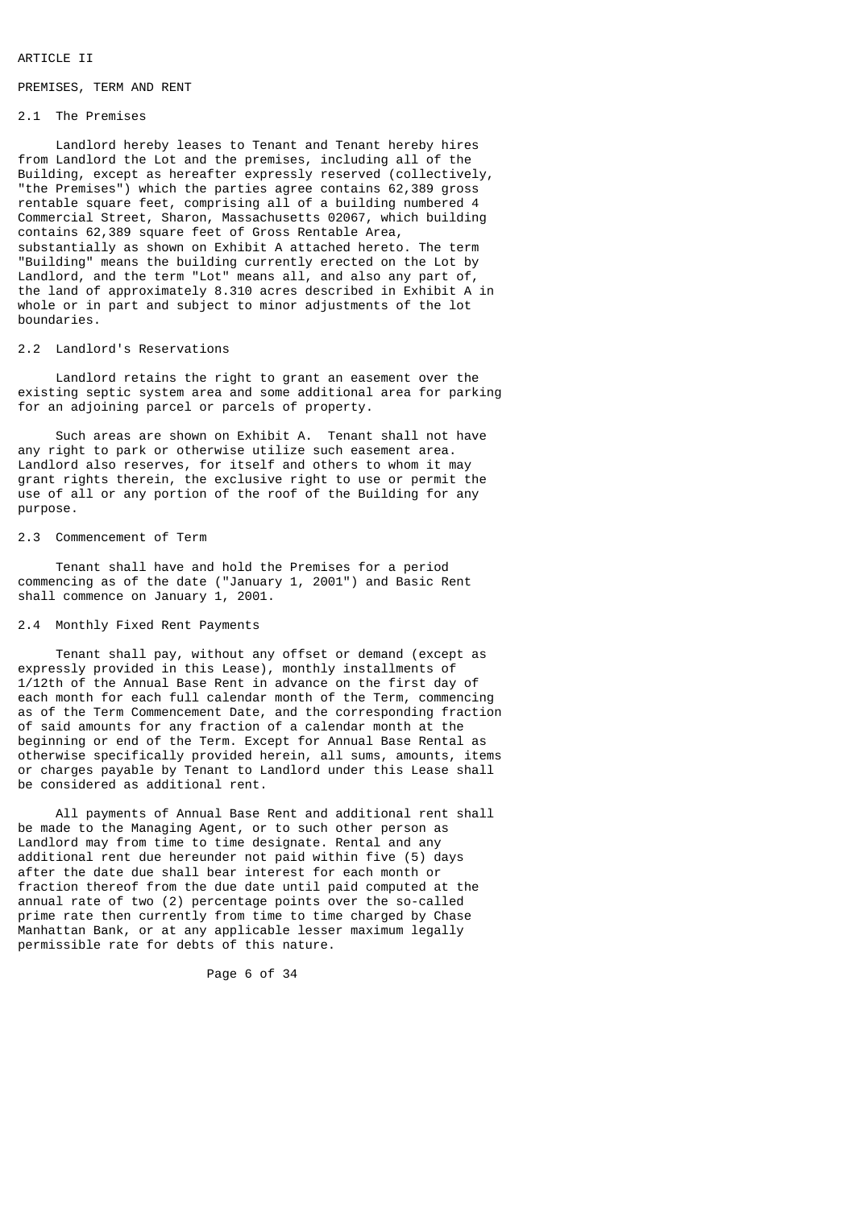# ARTICLE II

## PREMISES, TERM AND RENT

# 2.1 The Premises

 Landlord hereby leases to Tenant and Tenant hereby hires from Landlord the Lot and the premises, including all of the Building, except as hereafter expressly reserved (collectively, "the Premises") which the parties agree contains 62,389 gross rentable square feet, comprising all of a building numbered 4 Commercial Street, Sharon, Massachusetts 02067, which building contains 62,389 square feet of Gross Rentable Area, substantially as shown on Exhibit A attached hereto. The term "Building" means the building currently erected on the Lot by Landlord, and the term "Lot" means all, and also any part of, the land of approximately 8.310 acres described in Exhibit A in whole or in part and subject to minor adjustments of the lot boundaries.

#### 2.2 Landlord's Reservations

 Landlord retains the right to grant an easement over the existing septic system area and some additional area for parking for an adjoining parcel or parcels of property.

 Such areas are shown on Exhibit A. Tenant shall not have any right to park or otherwise utilize such easement area. Landlord also reserves, for itself and others to whom it may grant rights therein, the exclusive right to use or permit the use of all or any portion of the roof of the Building for any purpose.

#### 2.3 Commencement of Term

 Tenant shall have and hold the Premises for a period commencing as of the date ("January 1, 2001") and Basic Rent shall commence on January 1, 2001.

#### 2.4 Monthly Fixed Rent Payments

 Tenant shall pay, without any offset or demand (except as expressly provided in this Lease), monthly installments of 1/12th of the Annual Base Rent in advance on the first day of each month for each full calendar month of the Term, commencing as of the Term Commencement Date, and the corresponding fraction of said amounts for any fraction of a calendar month at the beginning or end of the Term. Except for Annual Base Rental as otherwise specifically provided herein, all sums, amounts, items or charges payable by Tenant to Landlord under this Lease shall be considered as additional rent.

 All payments of Annual Base Rent and additional rent shall be made to the Managing Agent, or to such other person as Landlord may from time to time designate. Rental and any additional rent due hereunder not paid within five (5) days after the date due shall bear interest for each month or fraction thereof from the due date until paid computed at the annual rate of two (2) percentage points over the so-called prime rate then currently from time to time charged by Chase Manhattan Bank, or at any applicable lesser maximum legally permissible rate for debts of this nature.

Page 6 of 34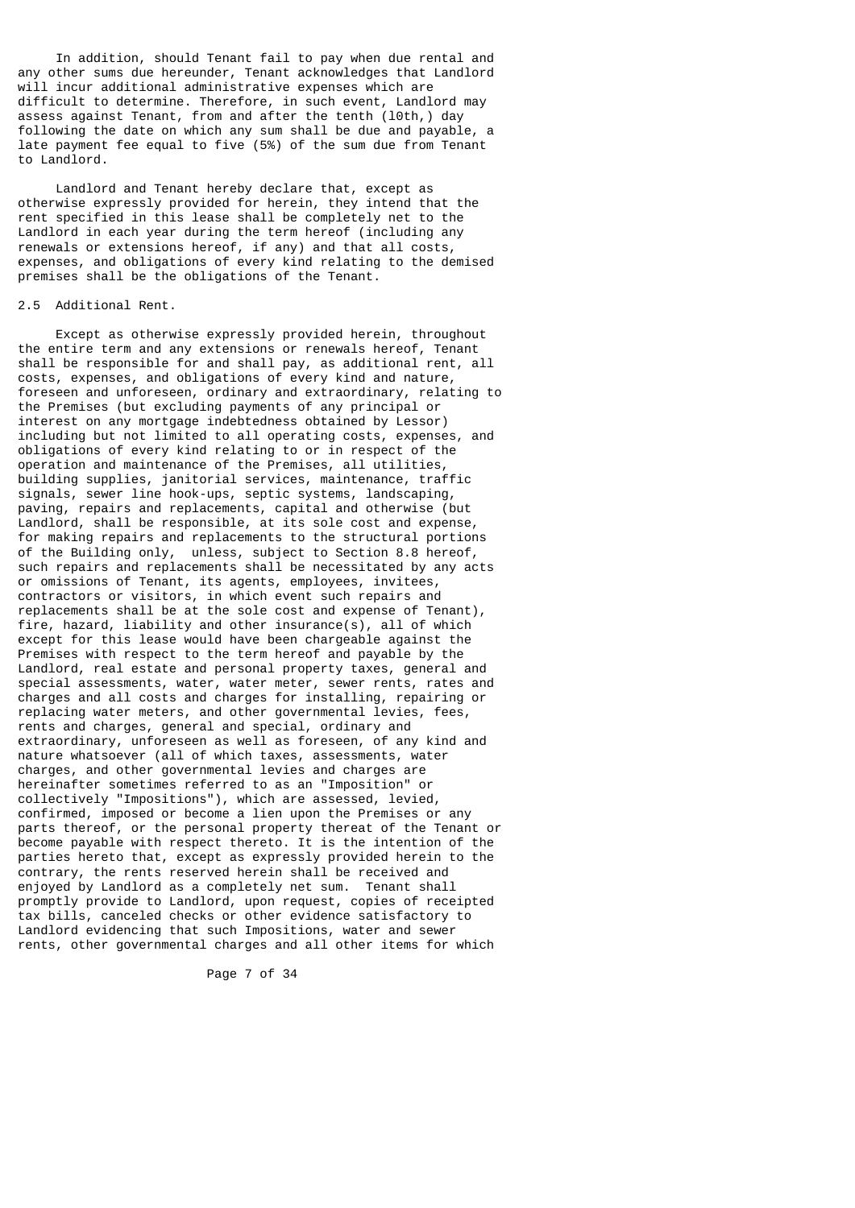In addition, should Tenant fail to pay when due rental and any other sums due hereunder, Tenant acknowledges that Landlord will incur additional administrative expenses which are difficult to determine. Therefore, in such event, Landlord may assess against Tenant, from and after the tenth (l0th,) day following the date on which any sum shall be due and payable, a late payment fee equal to five (5%) of the sum due from Tenant to Landlord.

 Landlord and Tenant hereby declare that, except as otherwise expressly provided for herein, they intend that the rent specified in this lease shall be completely net to the Landlord in each year during the term hereof (including any renewals or extensions hereof, if any) and that all costs, expenses, and obligations of every kind relating to the demised premises shall be the obligations of the Tenant.

# 2.5 Additional Rent.

 Except as otherwise expressly provided herein, throughout the entire term and any extensions or renewals hereof, Tenant shall be responsible for and shall pay, as additional rent, all costs, expenses, and obligations of every kind and nature, foreseen and unforeseen, ordinary and extraordinary, relating to the Premises (but excluding payments of any principal or interest on any mortgage indebtedness obtained by Lessor) including but not limited to all operating costs, expenses, and obligations of every kind relating to or in respect of the operation and maintenance of the Premises, all utilities, building supplies, janitorial services, maintenance, traffic signals, sewer line hook-ups, septic systems, landscaping, paving, repairs and replacements, capital and otherwise (but Landlord, shall be responsible, at its sole cost and expense, for making repairs and replacements to the structural portions of the Building only, unless, subject to Section 8.8 hereof, such repairs and replacements shall be necessitated by any acts or omissions of Tenant, its agents, employees, invitees, contractors or visitors, in which event such repairs and replacements shall be at the sole cost and expense of Tenant), fire, hazard, liability and other insurance(s), all of which except for this lease would have been chargeable against the Premises with respect to the term hereof and payable by the Landlord, real estate and personal property taxes, general and special assessments, water, water meter, sewer rents, rates and charges and all costs and charges for installing, repairing or replacing water meters, and other governmental levies, fees, rents and charges, general and special, ordinary and extraordinary, unforeseen as well as foreseen, of any kind and nature whatsoever (all of which taxes, assessments, water charges, and other governmental levies and charges are hereinafter sometimes referred to as an "Imposition" or collectively "Impositions"), which are assessed, levied, confirmed, imposed or become a lien upon the Premises or any parts thereof, or the personal property thereat of the Tenant or become payable with respect thereto. It is the intention of the parties hereto that, except as expressly provided herein to the contrary, the rents reserved herein shall be received and enjoyed by Landlord as a completely net sum. Tenant shall promptly provide to Landlord, upon request, copies of receipted tax bills, canceled checks or other evidence satisfactory to Landlord evidencing that such Impositions, water and sewer rents, other governmental charges and all other items for which

Page 7 of 34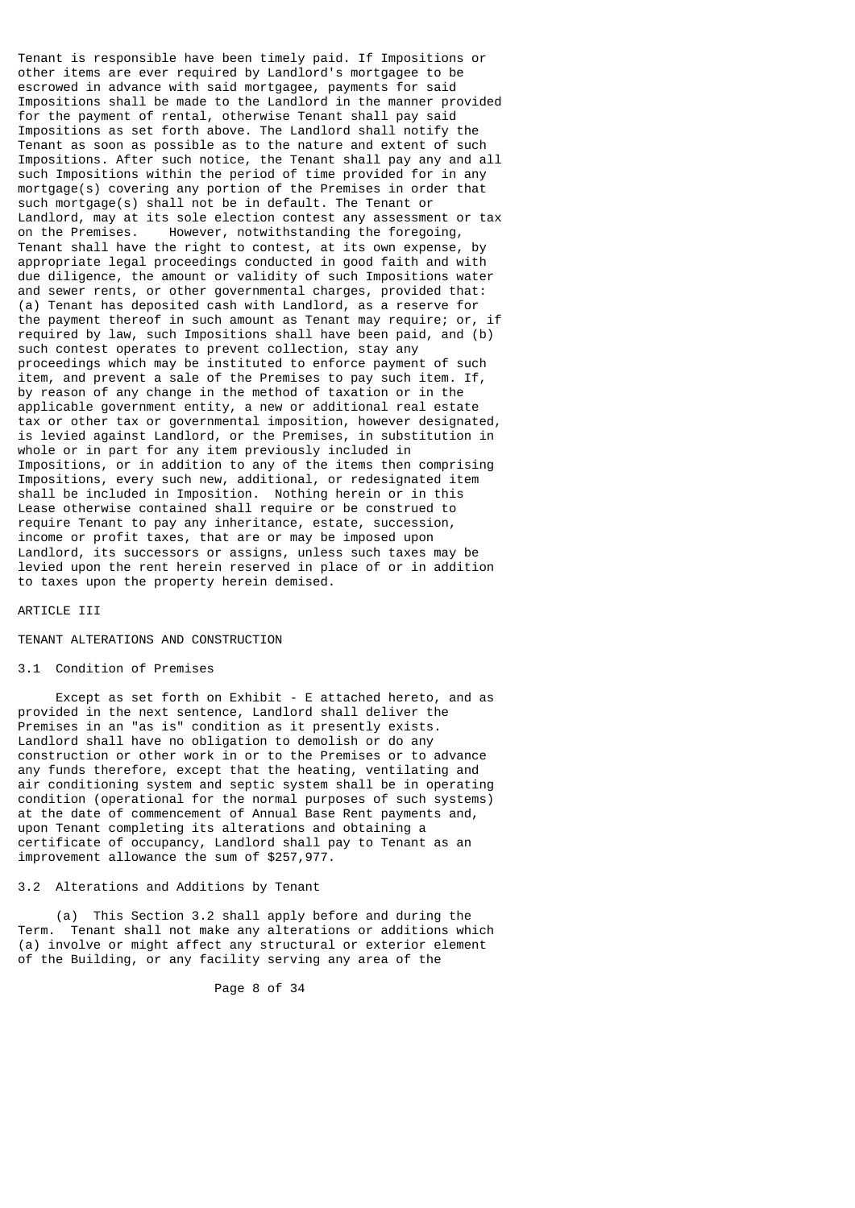Tenant is responsible have been timely paid. If Impositions or other items are ever required by Landlord's mortgagee to be escrowed in advance with said mortgagee, payments for said Impositions shall be made to the Landlord in the manner provided for the payment of rental, otherwise Tenant shall pay said Impositions as set forth above. The Landlord shall notify the Tenant as soon as possible as to the nature and extent of such Impositions. After such notice, the Tenant shall pay any and all such Impositions within the period of time provided for in any mortgage(s) covering any portion of the Premises in order that such mortgage(s) shall not be in default. The Tenant or Landlord, may at its sole election contest any assessment or tax on the Premises. However, notwithstanding the foregoing, Tenant shall have the right to contest, at its own expense, by appropriate legal proceedings conducted in good faith and with due diligence, the amount or validity of such Impositions water and sewer rents, or other governmental charges, provided that: (a) Tenant has deposited cash with Landlord, as a reserve for the payment thereof in such amount as Tenant may require; or, if required by law, such Impositions shall have been paid, and (b) such contest operates to prevent collection, stay any proceedings which may be instituted to enforce payment of such item, and prevent a sale of the Premises to pay such item. If, by reason of any change in the method of taxation or in the applicable government entity, a new or additional real estate tax or other tax or governmental imposition, however designated, is levied against Landlord, or the Premises, in substitution in whole or in part for any item previously included in Impositions, or in addition to any of the items then comprising Impositions, every such new, additional, or redesignated item shall be included in Imposition. Nothing herein or in this Lease otherwise contained shall require or be construed to require Tenant to pay any inheritance, estate, succession, income or profit taxes, that are or may be imposed upon Landlord, its successors or assigns, unless such taxes may be levied upon the rent herein reserved in place of or in addition to taxes upon the property herein demised.

## ARTICLE III

#### TENANT ALTERATIONS AND CONSTRUCTION

## 3.1 Condition of Premises

 Except as set forth on Exhibit - E attached hereto, and as provided in the next sentence, Landlord shall deliver the Premises in an "as is" condition as it presently exists. Landlord shall have no obligation to demolish or do any construction or other work in or to the Premises or to advance any funds therefore, except that the heating, ventilating and air conditioning system and septic system shall be in operating condition (operational for the normal purposes of such systems) at the date of commencement of Annual Base Rent payments and, upon Tenant completing its alterations and obtaining a certificate of occupancy, Landlord shall pay to Tenant as an improvement allowance the sum of \$257,977.

# 3.2 Alterations and Additions by Tenant

 (a) This Section 3.2 shall apply before and during the Term. Tenant shall not make any alterations or additions which (a) involve or might affect any structural or exterior element of the Building, or any facility serving any area of the

## Page 8 of 34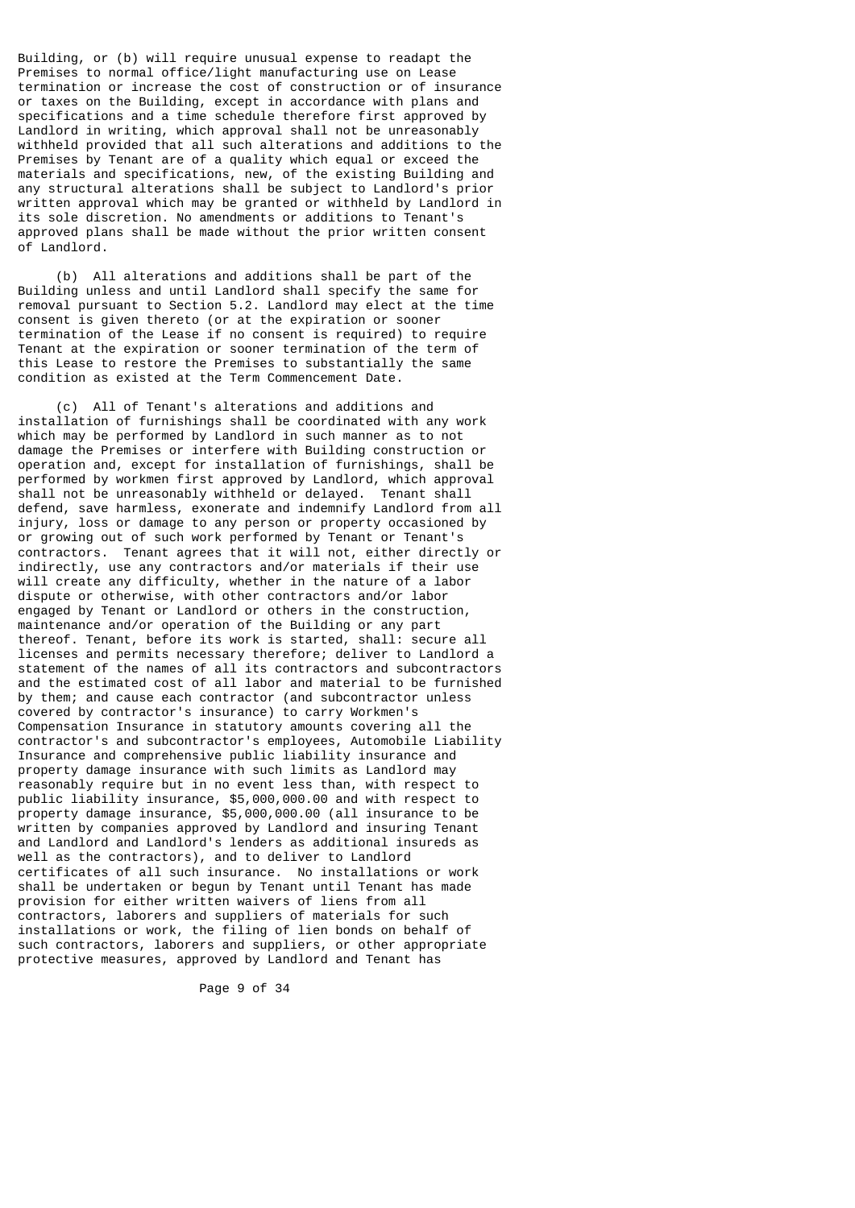Building, or (b) will require unusual expense to readapt the Premises to normal office/light manufacturing use on Lease termination or increase the cost of construction or of insurance or taxes on the Building, except in accordance with plans and specifications and a time schedule therefore first approved by Landlord in writing, which approval shall not be unreasonably withheld provided that all such alterations and additions to the Premises by Tenant are of a quality which equal or exceed the materials and specifications, new, of the existing Building and any structural alterations shall be subject to Landlord's prior written approval which may be granted or withheld by Landlord in its sole discretion. No amendments or additions to Tenant's approved plans shall be made without the prior written consent of Landlord.

 (b) All alterations and additions shall be part of the Building unless and until Landlord shall specify the same for removal pursuant to Section 5.2. Landlord may elect at the time consent is given thereto (or at the expiration or sooner termination of the Lease if no consent is required) to require Tenant at the expiration or sooner termination of the term of this Lease to restore the Premises to substantially the same condition as existed at the Term Commencement Date.

 (c) All of Tenant's alterations and additions and installation of furnishings shall be coordinated with any work which may be performed by Landlord in such manner as to not damage the Premises or interfere with Building construction or operation and, except for installation of furnishings, shall be performed by workmen first approved by Landlord, which approval shall not be unreasonably withheld or delayed. Tenant shall defend, save harmless, exonerate and indemnify Landlord from all injury, loss or damage to any person or property occasioned by or growing out of such work performed by Tenant or Tenant's contractors. Tenant agrees that it will not, either directly or indirectly, use any contractors and/or materials if their use will create any difficulty, whether in the nature of a labor dispute or otherwise, with other contractors and/or labor engaged by Tenant or Landlord or others in the construction, maintenance and/or operation of the Building or any part thereof. Tenant, before its work is started, shall: secure all licenses and permits necessary therefore; deliver to Landlord a statement of the names of all its contractors and subcontractors and the estimated cost of all labor and material to be furnished by them; and cause each contractor (and subcontractor unless covered by contractor's insurance) to carry Workmen's Compensation Insurance in statutory amounts covering all the contractor's and subcontractor's employees, Automobile Liability Insurance and comprehensive public liability insurance and property damage insurance with such limits as Landlord may reasonably require but in no event less than, with respect to public liability insurance, \$5,000,000.00 and with respect to property damage insurance, \$5,000,000.00 (all insurance to be written by companies approved by Landlord and insuring Tenant and Landlord and Landlord's lenders as additional insureds as well as the contractors), and to deliver to Landlord certificates of all such insurance. No installations or work shall be undertaken or begun by Tenant until Tenant has made provision for either written waivers of liens from all contractors, laborers and suppliers of materials for such installations or work, the filing of lien bonds on behalf of such contractors, laborers and suppliers, or other appropriate protective measures, approved by Landlord and Tenant has

Page 9 of 34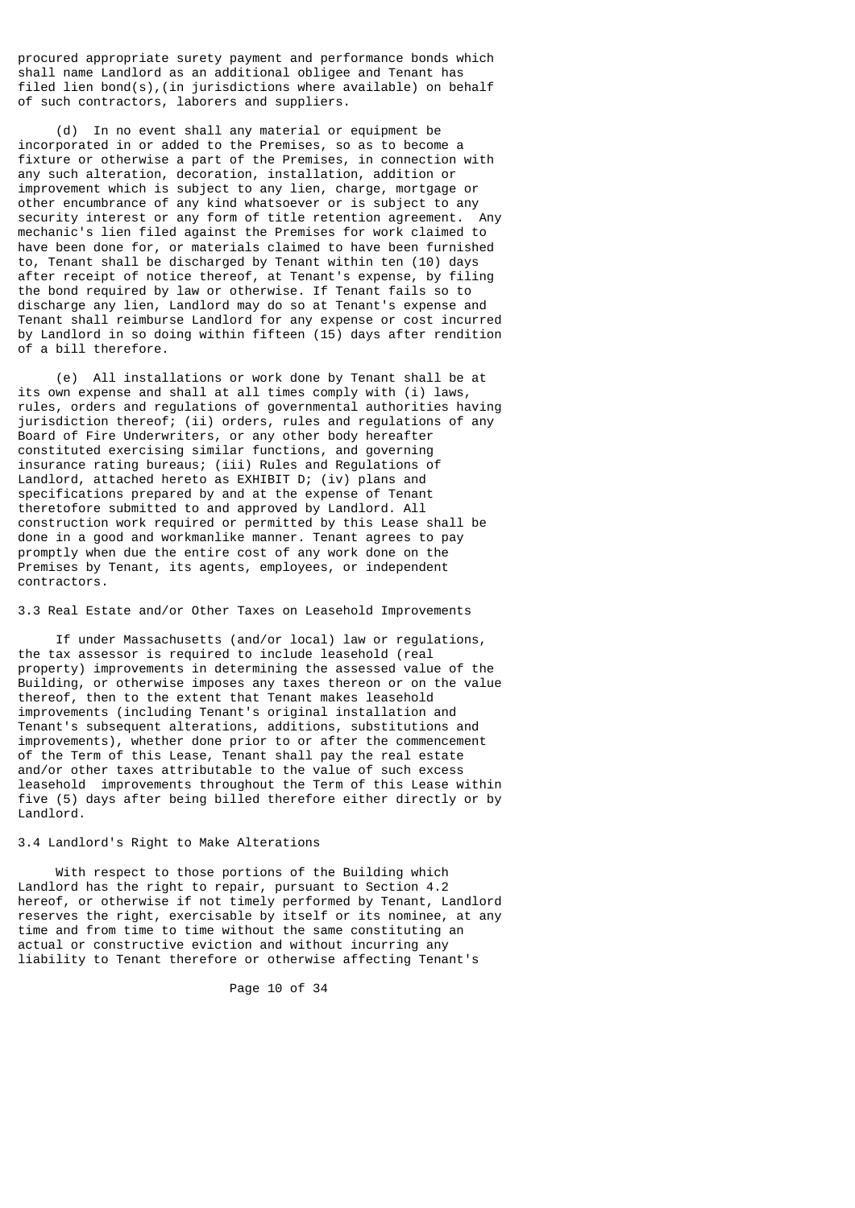procured appropriate surety payment and performance bonds which shall name Landlord as an additional obligee and Tenant has filed lien bond(s), (in jurisdictions where available) on behalf of such contractors, laborers and suppliers.

 (d) In no event shall any material or equipment be incorporated in or added to the Premises, so as to become a fixture or otherwise a part of the Premises, in connection with any such alteration, decoration, installation, addition or improvement which is subject to any lien, charge, mortgage or other encumbrance of any kind whatsoever or is subject to any security interest or any form of title retention agreement. Any mechanic's lien filed against the Premises for work claimed to have been done for, or materials claimed to have been furnished to, Tenant shall be discharged by Tenant within ten (10) days after receipt of notice thereof, at Tenant's expense, by filing the bond required by law or otherwise. If Tenant fails so to discharge any lien, Landlord may do so at Tenant's expense and Tenant shall reimburse Landlord for any expense or cost incurred by Landlord in so doing within fifteen (15) days after rendition of a bill therefore.

 (e) All installations or work done by Tenant shall be at its own expense and shall at all times comply with (i) laws, rules, orders and regulations of governmental authorities having jurisdiction thereof; (ii) orders, rules and regulations of any Board of Fire Underwriters, or any other body hereafter constituted exercising similar functions, and governing insurance rating bureaus; (iii) Rules and Regulations of Landlord, attached hereto as EXHIBIT D; (iv) plans and specifications prepared by and at the expense of Tenant theretofore submitted to and approved by Landlord. All construction work required or permitted by this Lease shall be done in a good and workmanlike manner. Tenant agrees to pay promptly when due the entire cost of any work done on the Premises by Tenant, its agents, employees, or independent contractors.

# 3.3 Real Estate and/or Other Taxes on Leasehold Improvements

 If under Massachusetts (and/or local) law or regulations, the tax assessor is required to include leasehold (real property) improvements in determining the assessed value of the Building, or otherwise imposes any taxes thereon or on the value thereof, then to the extent that Tenant makes leasehold improvements (including Tenant's original installation and Tenant's subsequent alterations, additions, substitutions and improvements), whether done prior to or after the commencement of the Term of this Lease, Tenant shall pay the real estate and/or other taxes attributable to the value of such excess leasehold improvements throughout the Term of this Lease within five (5) days after being billed therefore either directly or by Landlord.

# 3.4 Landlord's Right to Make Alterations

 With respect to those portions of the Building which Landlord has the right to repair, pursuant to Section 4.2 hereof, or otherwise if not timely performed by Tenant, Landlord reserves the right, exercisable by itself or its nominee, at any time and from time to time without the same constituting an actual or constructive eviction and without incurring any liability to Tenant therefore or otherwise affecting Tenant's

Page 10 of 34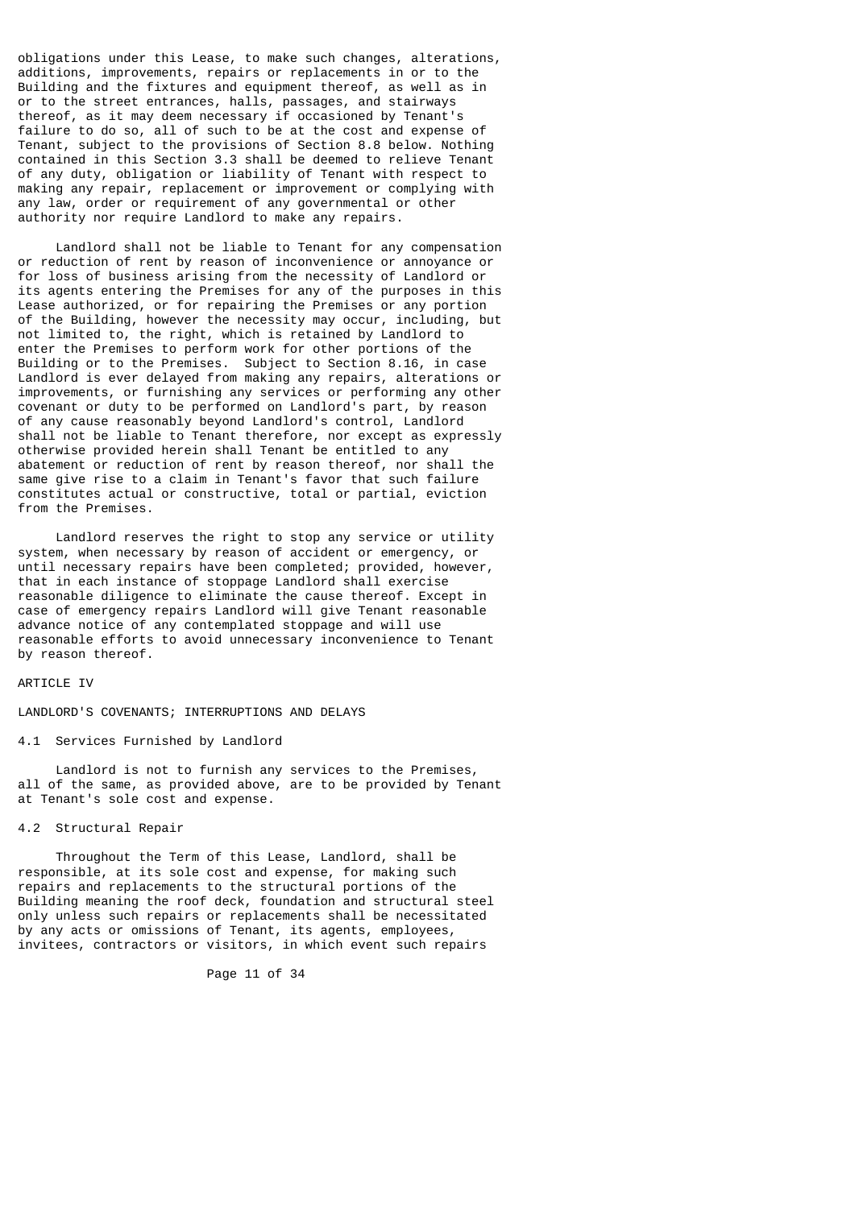obligations under this Lease, to make such changes, alterations, additions, improvements, repairs or replacements in or to the Building and the fixtures and equipment thereof, as well as in or to the street entrances, halls, passages, and stairways thereof, as it may deem necessary if occasioned by Tenant's failure to do so, all of such to be at the cost and expense of Tenant, subject to the provisions of Section 8.8 below. Nothing contained in this Section 3.3 shall be deemed to relieve Tenant of any duty, obligation or liability of Tenant with respect to making any repair, replacement or improvement or complying with any law, order or requirement of any governmental or other authority nor require Landlord to make any repairs.

 Landlord shall not be liable to Tenant for any compensation or reduction of rent by reason of inconvenience or annoyance or for loss of business arising from the necessity of Landlord or its agents entering the Premises for any of the purposes in this Lease authorized, or for repairing the Premises or any portion of the Building, however the necessity may occur, including, but not limited to, the right, which is retained by Landlord to enter the Premises to perform work for other portions of the Building or to the Premises. Subject to Section 8.16, in case Landlord is ever delayed from making any repairs, alterations or improvements, or furnishing any services or performing any other covenant or duty to be performed on Landlord's part, by reason of any cause reasonably beyond Landlord's control, Landlord shall not be liable to Tenant therefore, nor except as expressly otherwise provided herein shall Tenant be entitled to any abatement or reduction of rent by reason thereof, nor shall the same give rise to a claim in Tenant's favor that such failure constitutes actual or constructive, total or partial, eviction from the Premises.

 Landlord reserves the right to stop any service or utility system, when necessary by reason of accident or emergency, or until necessary repairs have been completed; provided, however, that in each instance of stoppage Landlord shall exercise reasonable diligence to eliminate the cause thereof. Except in case of emergency repairs Landlord will give Tenant reasonable advance notice of any contemplated stoppage and will use reasonable efforts to avoid unnecessary inconvenience to Tenant by reason thereof.

ARTICLE IV

LANDLORD'S COVENANTS; INTERRUPTIONS AND DELAYS

#### 4.1 Services Furnished by Landlord

 Landlord is not to furnish any services to the Premises, all of the same, as provided above, are to be provided by Tenant at Tenant's sole cost and expense.

#### 4.2 Structural Repair

 Throughout the Term of this Lease, Landlord, shall be responsible, at its sole cost and expense, for making such repairs and replacements to the structural portions of the Building meaning the roof deck, foundation and structural steel only unless such repairs or replacements shall be necessitated by any acts or omissions of Tenant, its agents, employees, invitees, contractors or visitors, in which event such repairs

Page 11 of 34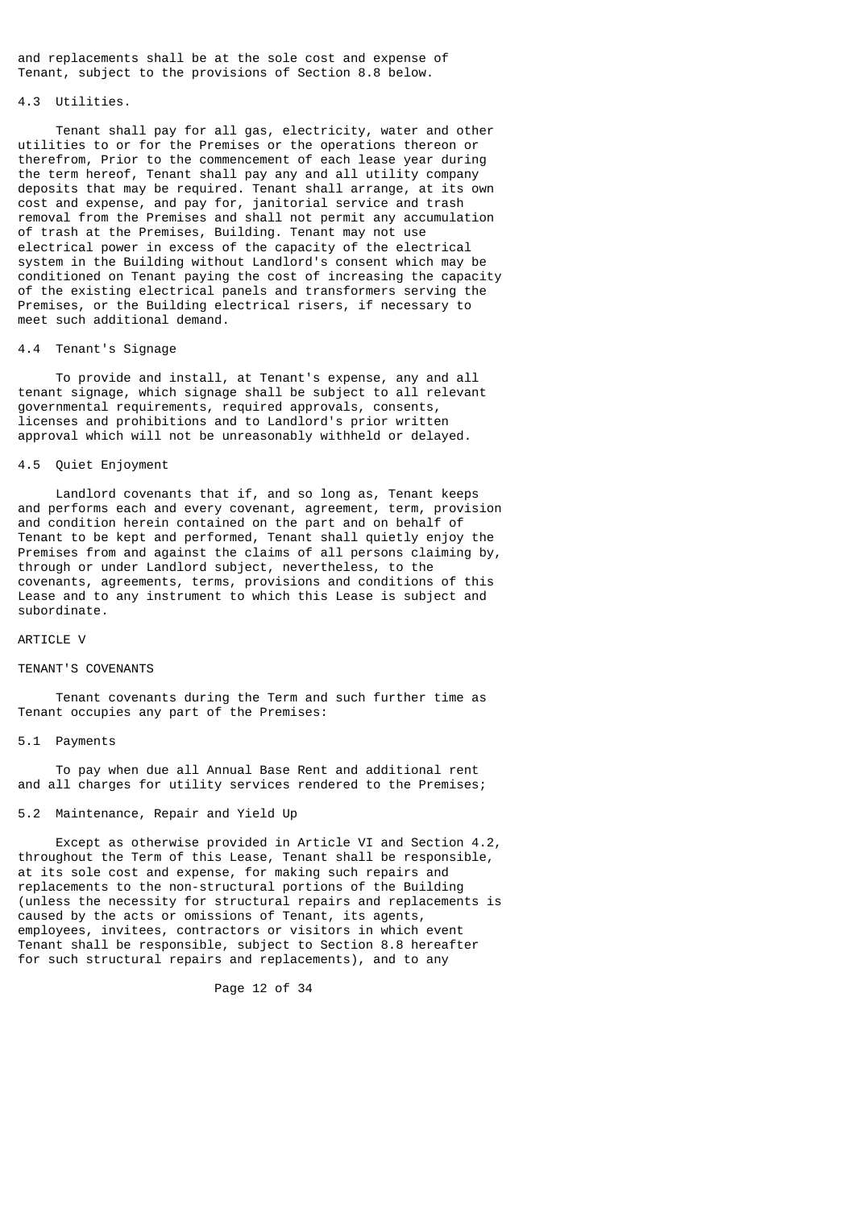and replacements shall be at the sole cost and expense of Tenant, subject to the provisions of Section 8.8 below.

## 4.3 Utilities.

 Tenant shall pay for all gas, electricity, water and other utilities to or for the Premises or the operations thereon or therefrom, Prior to the commencement of each lease year during the term hereof, Tenant shall pay any and all utility company deposits that may be required. Tenant shall arrange, at its own cost and expense, and pay for, janitorial service and trash removal from the Premises and shall not permit any accumulation of trash at the Premises, Building. Tenant may not use electrical power in excess of the capacity of the electrical system in the Building without Landlord's consent which may be conditioned on Tenant paying the cost of increasing the capacity of the existing electrical panels and transformers serving the Premises, or the Building electrical risers, if necessary to meet such additional demand.

#### 4.4 Tenant's Signage

 To provide and install, at Tenant's expense, any and all tenant signage, which signage shall be subject to all relevant governmental requirements, required approvals, consents, licenses and prohibitions and to Landlord's prior written approval which will not be unreasonably withheld or delayed.

## 4.5 Quiet Enjoyment

 Landlord covenants that if, and so long as, Tenant keeps and performs each and every covenant, agreement, term, provision and condition herein contained on the part and on behalf of Tenant to be kept and performed, Tenant shall quietly enjoy the Premises from and against the claims of all persons claiming by, through or under Landlord subject, nevertheless, to the covenants, agreements, terms, provisions and conditions of this Lease and to any instrument to which this Lease is subject and subordinate.

#### **ARTICLE V**

#### TENANT'S COVENANTS

 Tenant covenants during the Term and such further time as Tenant occupies any part of the Premises:

#### 5.1 Payments

 To pay when due all Annual Base Rent and additional rent and all charges for utility services rendered to the Premises;

# 5.2 Maintenance, Repair and Yield Up

 Except as otherwise provided in Article VI and Section 4.2, throughout the Term of this Lease, Tenant shall be responsible, at its sole cost and expense, for making such repairs and replacements to the non-structural portions of the Building (unless the necessity for structural repairs and replacements is caused by the acts or omissions of Tenant, its agents, employees, invitees, contractors or visitors in which event Tenant shall be responsible, subject to Section 8.8 hereafter for such structural repairs and replacements), and to any

#### Page 12 of 34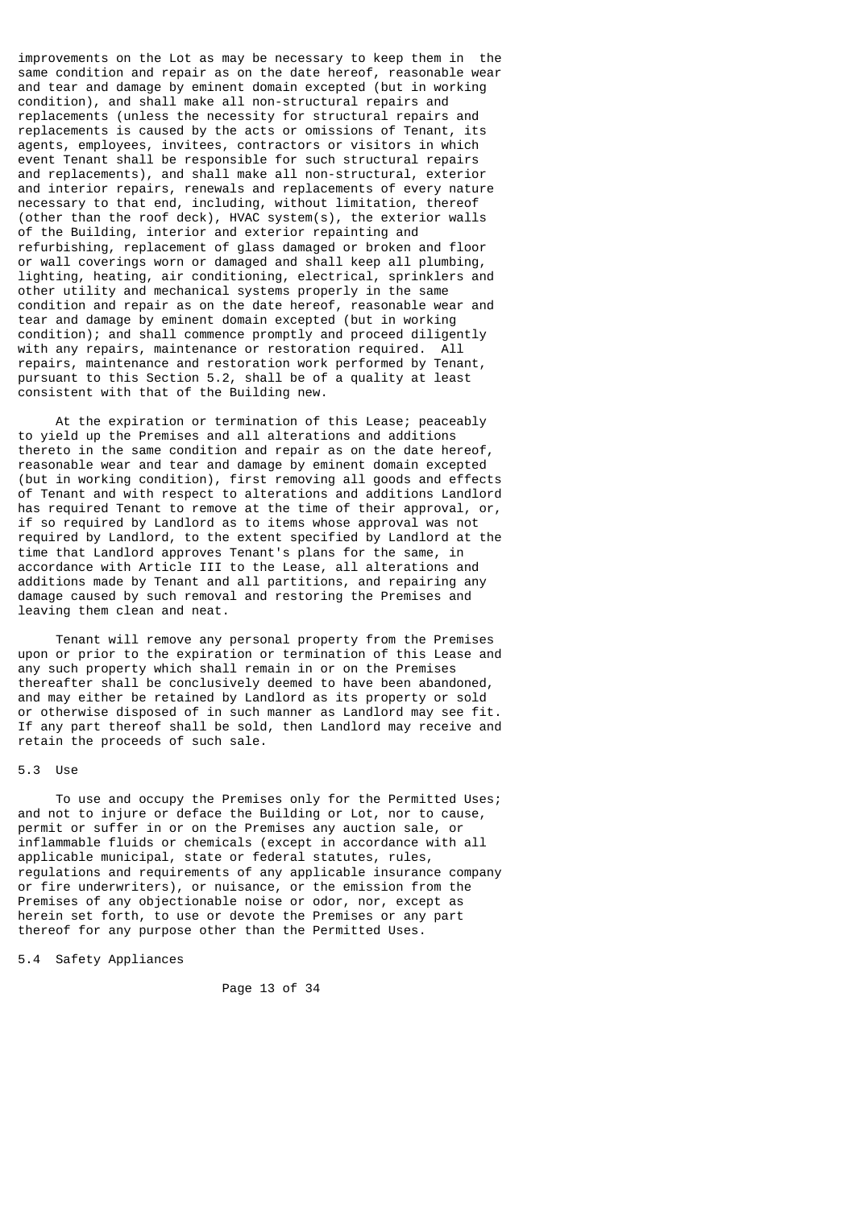improvements on the Lot as may be necessary to keep them in the same condition and repair as on the date hereof, reasonable wear and tear and damage by eminent domain excepted (but in working condition), and shall make all non-structural repairs and replacements (unless the necessity for structural repairs and replacements is caused by the acts or omissions of Tenant, its agents, employees, invitees, contractors or visitors in which event Tenant shall be responsible for such structural repairs and replacements), and shall make all non-structural, exterior and interior repairs, renewals and replacements of every nature necessary to that end, including, without limitation, thereof (other than the roof deck), HVAC system(s), the exterior walls of the Building, interior and exterior repainting and refurbishing, replacement of glass damaged or broken and floor or wall coverings worn or damaged and shall keep all plumbing, lighting, heating, air conditioning, electrical, sprinklers and other utility and mechanical systems properly in the same condition and repair as on the date hereof, reasonable wear and tear and damage by eminent domain excepted (but in working condition); and shall commence promptly and proceed diligently with any repairs, maintenance or restoration required. All repairs, maintenance and restoration work performed by Tenant, pursuant to this Section 5.2, shall be of a quality at least consistent with that of the Building new.

 At the expiration or termination of this Lease; peaceably to yield up the Premises and all alterations and additions thereto in the same condition and repair as on the date hereof, reasonable wear and tear and damage by eminent domain excepted (but in working condition), first removing all goods and effects of Tenant and with respect to alterations and additions Landlord has required Tenant to remove at the time of their approval, or, if so required by Landlord as to items whose approval was not required by Landlord, to the extent specified by Landlord at the time that Landlord approves Tenant's plans for the same, in accordance with Article III to the Lease, all alterations and additions made by Tenant and all partitions, and repairing any damage caused by such removal and restoring the Premises and leaving them clean and neat.

 Tenant will remove any personal property from the Premises upon or prior to the expiration or termination of this Lease and any such property which shall remain in or on the Premises thereafter shall be conclusively deemed to have been abandoned, and may either be retained by Landlord as its property or sold or otherwise disposed of in such manner as Landlord may see fit. If any part thereof shall be sold, then Landlord may receive and retain the proceeds of such sale.

#### 5.3 Use

 To use and occupy the Premises only for the Permitted Uses; and not to injure or deface the Building or Lot, nor to cause, permit or suffer in or on the Premises any auction sale, or inflammable fluids or chemicals (except in accordance with all applicable municipal, state or federal statutes, rules, regulations and requirements of any applicable insurance company or fire underwriters), or nuisance, or the emission from the Premises of any objectionable noise or odor, nor, except as herein set forth, to use or devote the Premises or any part thereof for any purpose other than the Permitted Uses.

## 5.4 Safety Appliances

Page 13 of 34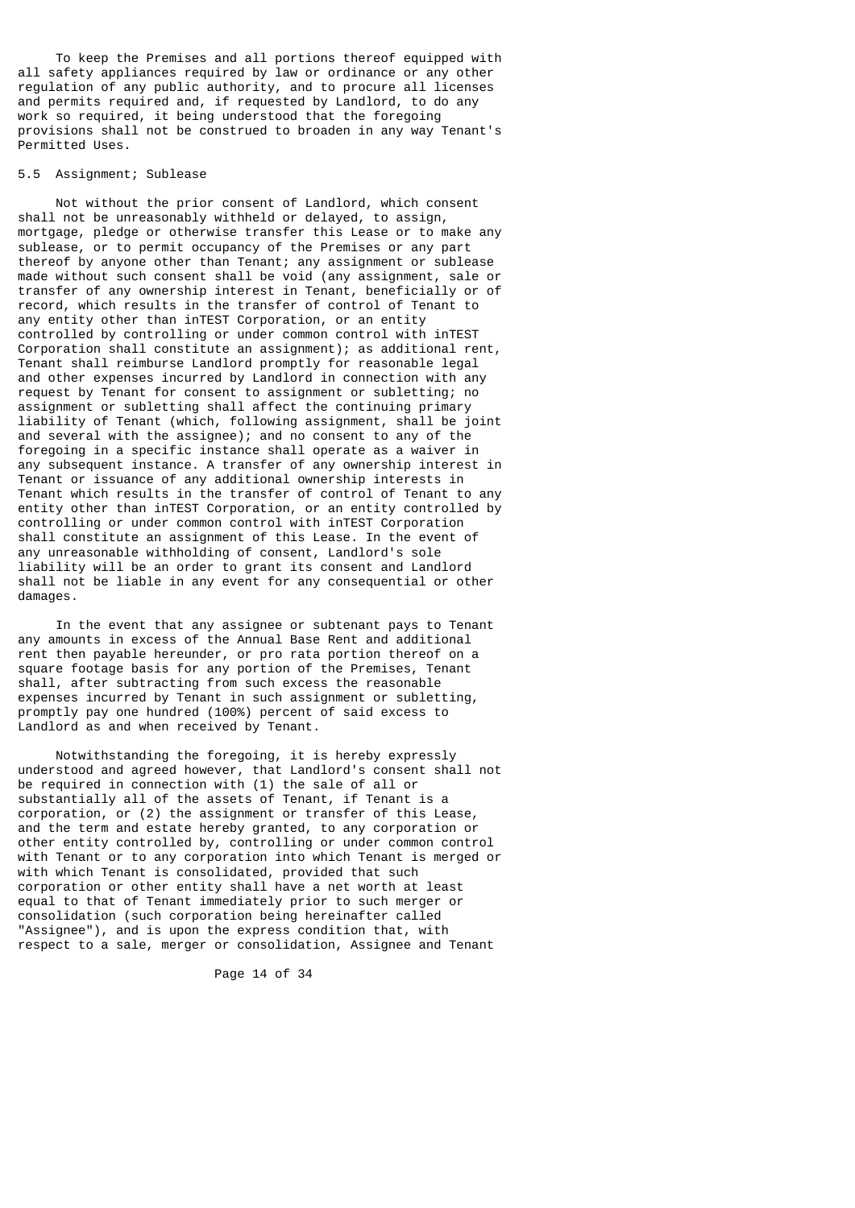To keep the Premises and all portions thereof equipped with all safety appliances required by law or ordinance or any other regulation of any public authority, and to procure all licenses and permits required and, if requested by Landlord, to do any work so required, it being understood that the foregoing provisions shall not be construed to broaden in any way Tenant's Permitted Uses.

## 5.5 Assignment; Sublease

 Not without the prior consent of Landlord, which consent shall not be unreasonably withheld or delayed, to assign, mortgage, pledge or otherwise transfer this Lease or to make any sublease, or to permit occupancy of the Premises or any part thereof by anyone other than Tenant; any assignment or sublease made without such consent shall be void (any assignment, sale or transfer of any ownership interest in Tenant, beneficially or of record, which results in the transfer of control of Tenant to any entity other than inTEST Corporation, or an entity controlled by controlling or under common control with inTEST Corporation shall constitute an assignment); as additional rent, Tenant shall reimburse Landlord promptly for reasonable legal and other expenses incurred by Landlord in connection with any request by Tenant for consent to assignment or subletting; no assignment or subletting shall affect the continuing primary liability of Tenant (which, following assignment, shall be joint and several with the assignee); and no consent to any of the foregoing in a specific instance shall operate as a waiver in any subsequent instance. A transfer of any ownership interest in Tenant or issuance of any additional ownership interests in Tenant which results in the transfer of control of Tenant to any entity other than inTEST Corporation, or an entity controlled by controlling or under common control with inTEST Corporation shall constitute an assignment of this Lease. In the event of any unreasonable withholding of consent, Landlord's sole liability will be an order to grant its consent and Landlord shall not be liable in any event for any consequential or other damages.

 In the event that any assignee or subtenant pays to Tenant any amounts in excess of the Annual Base Rent and additional rent then payable hereunder, or pro rata portion thereof on a square footage basis for any portion of the Premises, Tenant shall, after subtracting from such excess the reasonable expenses incurred by Tenant in such assignment or subletting, promptly pay one hundred (100%) percent of said excess to Landlord as and when received by Tenant.

 Notwithstanding the foregoing, it is hereby expressly understood and agreed however, that Landlord's consent shall not be required in connection with (1) the sale of all or substantially all of the assets of Tenant, if Tenant is a corporation, or (2) the assignment or transfer of this Lease, and the term and estate hereby granted, to any corporation or other entity controlled by, controlling or under common control with Tenant or to any corporation into which Tenant is merged or with which Tenant is consolidated, provided that such corporation or other entity shall have a net worth at least equal to that of Tenant immediately prior to such merger or consolidation (such corporation being hereinafter called "Assignee"), and is upon the express condition that, with respect to a sale, merger or consolidation, Assignee and Tenant

Page 14 of 34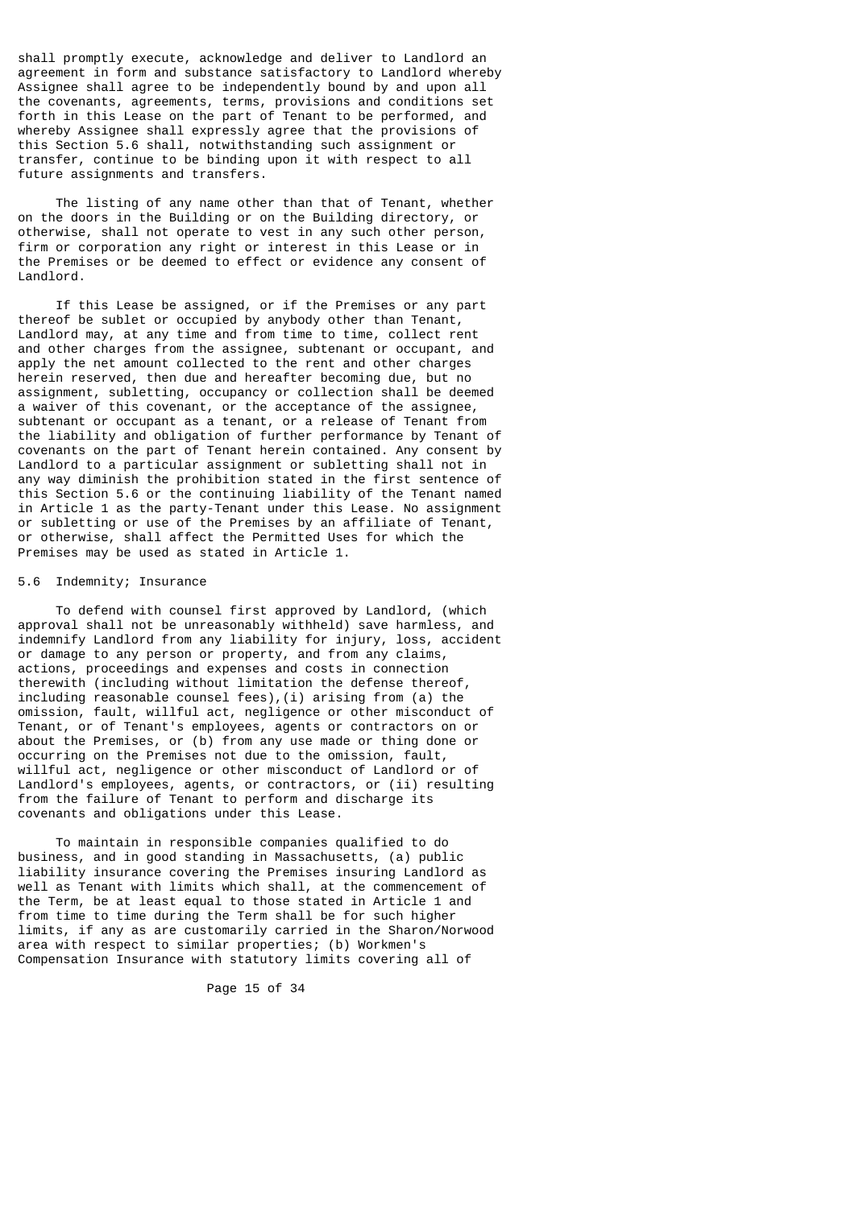shall promptly execute, acknowledge and deliver to Landlord an agreement in form and substance satisfactory to Landlord whereby Assignee shall agree to be independently bound by and upon all the covenants, agreements, terms, provisions and conditions set forth in this Lease on the part of Tenant to be performed, and whereby Assignee shall expressly agree that the provisions of this Section 5.6 shall, notwithstanding such assignment or transfer, continue to be binding upon it with respect to all future assignments and transfers.

 The listing of any name other than that of Tenant, whether on the doors in the Building or on the Building directory, or otherwise, shall not operate to vest in any such other person, firm or corporation any right or interest in this Lease or in the Premises or be deemed to effect or evidence any consent of Landlord.

 If this Lease be assigned, or if the Premises or any part thereof be sublet or occupied by anybody other than Tenant, Landlord may, at any time and from time to time, collect rent and other charges from the assignee, subtenant or occupant, and apply the net amount collected to the rent and other charges herein reserved, then due and hereafter becoming due, but no assignment, subletting, occupancy or collection shall be deemed a waiver of this covenant, or the acceptance of the assignee, subtenant or occupant as a tenant, or a release of Tenant from the liability and obligation of further performance by Tenant of covenants on the part of Tenant herein contained. Any consent by Landlord to a particular assignment or subletting shall not in any way diminish the prohibition stated in the first sentence of this Section 5.6 or the continuing liability of the Tenant named in Article 1 as the party-Tenant under this Lease. No assignment or subletting or use of the Premises by an affiliate of Tenant, or otherwise, shall affect the Permitted Uses for which the Premises may be used as stated in Article 1.

# 5.6 Indemnity; Insurance

 To defend with counsel first approved by Landlord, (which approval shall not be unreasonably withheld) save harmless, and indemnify Landlord from any liability for injury, loss, accident or damage to any person or property, and from any claims, actions, proceedings and expenses and costs in connection therewith (including without limitation the defense thereof, including reasonable counsel fees), (i) arising from (a) the omission, fault, willful act, negligence or other misconduct of Tenant, or of Tenant's employees, agents or contractors on or about the Premises, or (b) from any use made or thing done or occurring on the Premises not due to the omission, fault, willful act, negligence or other misconduct of Landlord or of Landlord's employees, agents, or contractors, or (ii) resulting from the failure of Tenant to perform and discharge its covenants and obligations under this Lease.

 To maintain in responsible companies qualified to do business, and in good standing in Massachusetts, (a) public liability insurance covering the Premises insuring Landlord as well as Tenant with limits which shall, at the commencement of the Term, be at least equal to those stated in Article 1 and from time to time during the Term shall be for such higher limits, if any as are customarily carried in the Sharon/Norwood area with respect to similar properties; (b) Workmen's Compensation Insurance with statutory limits covering all of

#### Page 15 of 34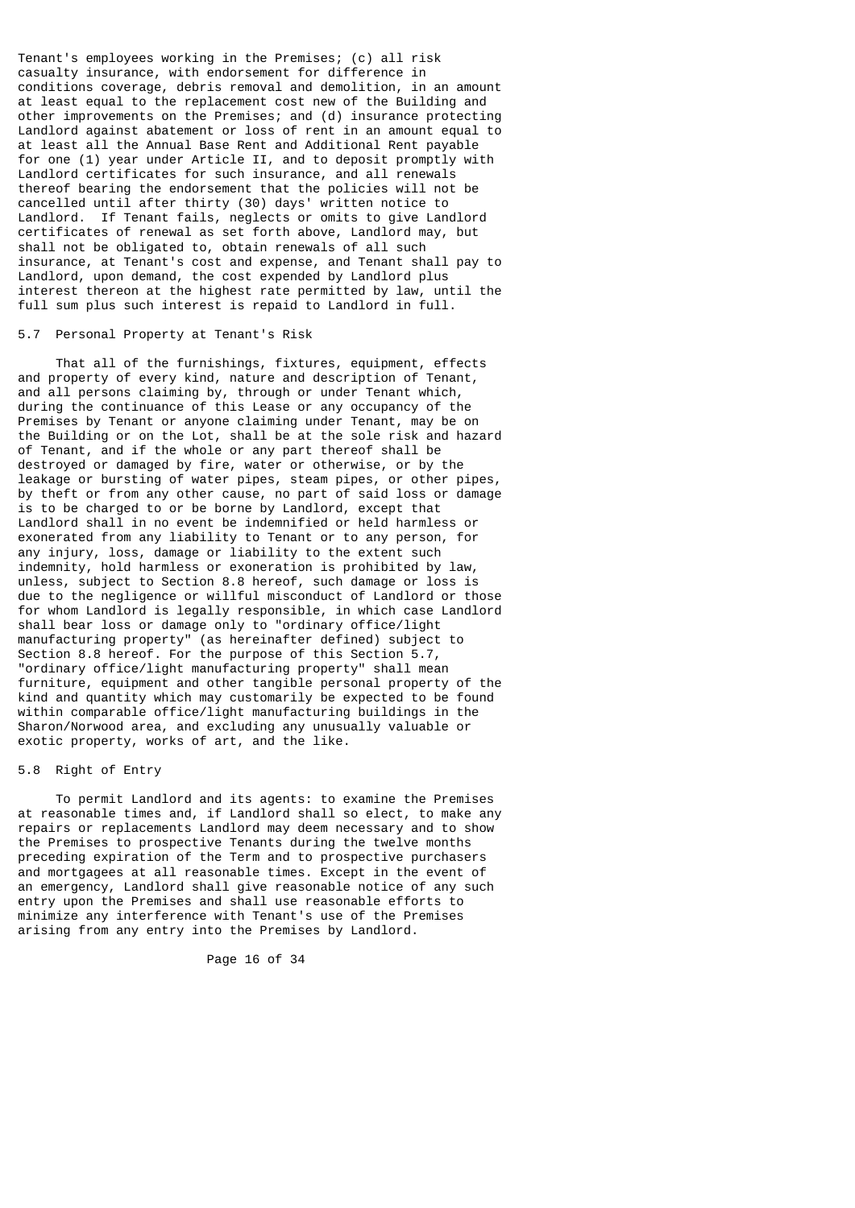Tenant's employees working in the Premises; (c) all risk casualty insurance, with endorsement for difference in conditions coverage, debris removal and demolition, in an amount at least equal to the replacement cost new of the Building and other improvements on the Premises; and (d) insurance protecting Landlord against abatement or loss of rent in an amount equal to at least all the Annual Base Rent and Additional Rent payable for one (1) year under Article II, and to deposit promptly with Landlord certificates for such insurance, and all renewals thereof bearing the endorsement that the policies will not be cancelled until after thirty (30) days' written notice to Landlord. If Tenant fails, neglects or omits to give Landlord certificates of renewal as set forth above, Landlord may, but shall not be obligated to, obtain renewals of all such insurance, at Tenant's cost and expense, and Tenant shall pay to Landlord, upon demand, the cost expended by Landlord plus interest thereon at the highest rate permitted by law, until the full sum plus such interest is repaid to Landlord in full.

# 5.7 Personal Property at Tenant's Risk

 That all of the furnishings, fixtures, equipment, effects and property of every kind, nature and description of Tenant, and all persons claiming by, through or under Tenant which, during the continuance of this Lease or any occupancy of the Premises by Tenant or anyone claiming under Tenant, may be on the Building or on the Lot, shall be at the sole risk and hazard of Tenant, and if the whole or any part thereof shall be destroyed or damaged by fire, water or otherwise, or by the leakage or bursting of water pipes, steam pipes, or other pipes, by theft or from any other cause, no part of said loss or damage is to be charged to or be borne by Landlord, except that Landlord shall in no event be indemnified or held harmless or exonerated from any liability to Tenant or to any person, for any injury, loss, damage or liability to the extent such indemnity, hold harmless or exoneration is prohibited by law, unless, subject to Section 8.8 hereof, such damage or loss is due to the negligence or willful misconduct of Landlord or those for whom Landlord is legally responsible, in which case Landlord shall bear loss or damage only to "ordinary office/light manufacturing property" (as hereinafter defined) subject to Section 8.8 hereof. For the purpose of this Section 5.7, "ordinary office/light manufacturing property" shall mean furniture, equipment and other tangible personal property of the kind and quantity which may customarily be expected to be found within comparable office/light manufacturing buildings in the Sharon/Norwood area, and excluding any unusually valuable or exotic property, works of art, and the like.

## 5.8 Right of Entry

 To permit Landlord and its agents: to examine the Premises at reasonable times and, if Landlord shall so elect, to make any repairs or replacements Landlord may deem necessary and to show the Premises to prospective Tenants during the twelve months preceding expiration of the Term and to prospective purchasers and mortgagees at all reasonable times. Except in the event of an emergency, Landlord shall give reasonable notice of any such entry upon the Premises and shall use reasonable efforts to minimize any interference with Tenant's use of the Premises arising from any entry into the Premises by Landlord.

Page 16 of 34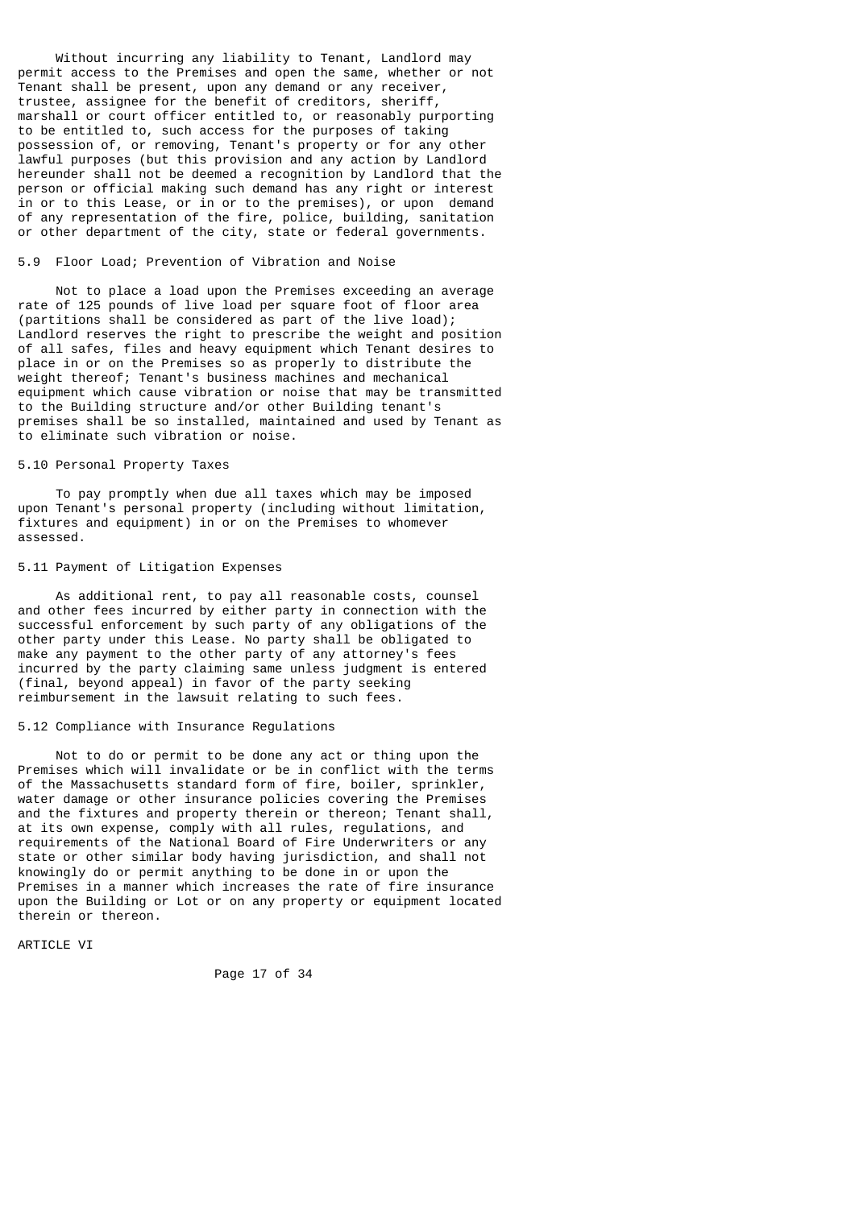Without incurring any liability to Tenant, Landlord may permit access to the Premises and open the same, whether or not Tenant shall be present, upon any demand or any receiver, trustee, assignee for the benefit of creditors, sheriff, marshall or court officer entitled to, or reasonably purporting to be entitled to, such access for the purposes of taking possession of, or removing, Tenant's property or for any other lawful purposes (but this provision and any action by Landlord hereunder shall not be deemed a recognition by Landlord that the person or official making such demand has any right or interest in or to this Lease, or in or to the premises), or upon demand of any representation of the fire, police, building, sanitation or other department of the city, state or federal governments.

# 5.9 Floor Load; Prevention of Vibration and Noise

 Not to place a load upon the Premises exceeding an average rate of 125 pounds of live load per square foot of floor area (partitions shall be considered as part of the live load); Landlord reserves the right to prescribe the weight and position of all safes, files and heavy equipment which Tenant desires to place in or on the Premises so as properly to distribute the weight thereof; Tenant's business machines and mechanical equipment which cause vibration or noise that may be transmitted to the Building structure and/or other Building tenant's premises shall be so installed, maintained and used by Tenant as to eliminate such vibration or noise.

#### 5.10 Personal Property Taxes

 To pay promptly when due all taxes which may be imposed upon Tenant's personal property (including without limitation, fixtures and equipment) in or on the Premises to whomever assessed.

#### 5.11 Payment of Litigation Expenses

 As additional rent, to pay all reasonable costs, counsel and other fees incurred by either party in connection with the successful enforcement by such party of any obligations of the other party under this Lease. No party shall be obligated to make any payment to the other party of any attorney's fees incurred by the party claiming same unless judgment is entered (final, beyond appeal) in favor of the party seeking reimbursement in the lawsuit relating to such fees.

#### 5.12 Compliance with Insurance Regulations

 Not to do or permit to be done any act or thing upon the Premises which will invalidate or be in conflict with the terms of the Massachusetts standard form of fire, boiler, sprinkler, water damage or other insurance policies covering the Premises and the fixtures and property therein or thereon; Tenant shall, at its own expense, comply with all rules, regulations, and requirements of the National Board of Fire Underwriters or any state or other similar body having jurisdiction, and shall not knowingly do or permit anything to be done in or upon the Premises in a manner which increases the rate of fire insurance upon the Building or Lot or on any property or equipment located therein or thereon.

## ARTICLE VI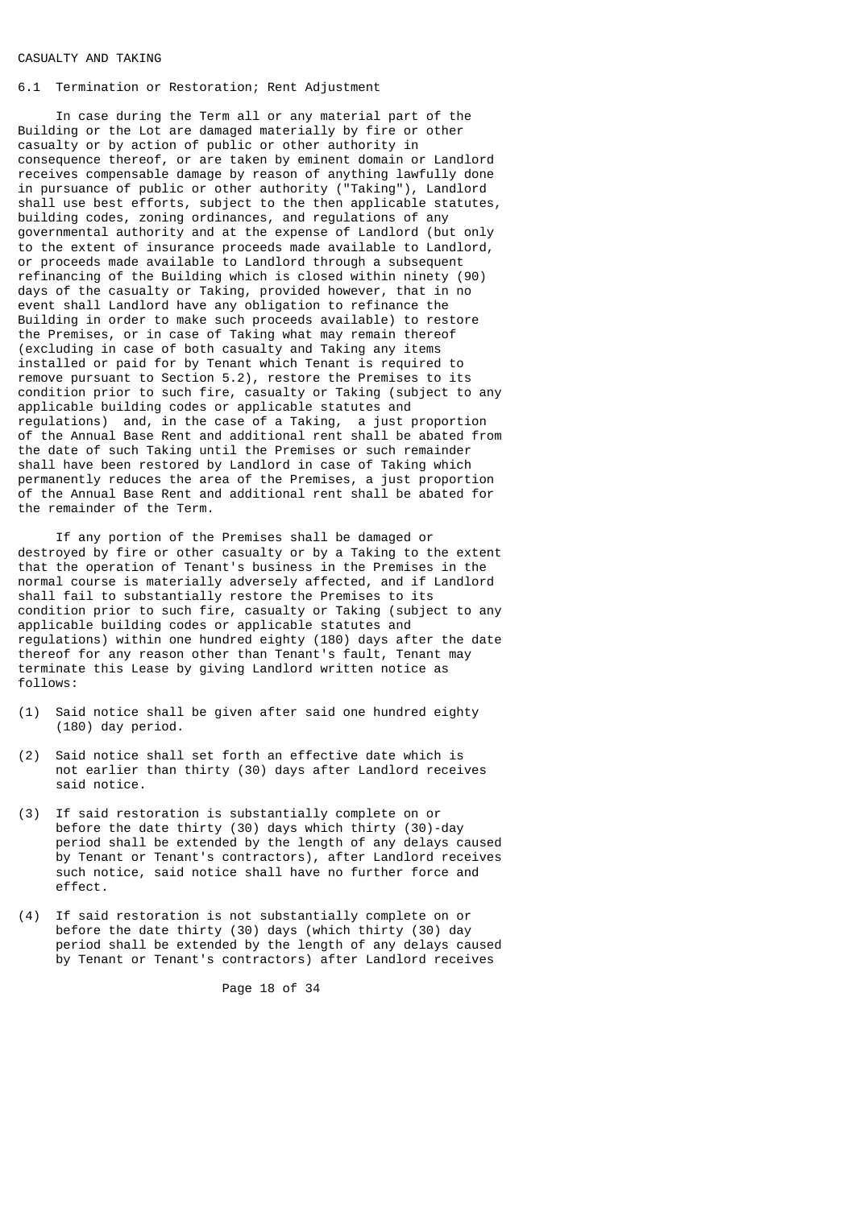# CASUALTY AND TAKING

# 6.1 Termination or Restoration; Rent Adjustment

 In case during the Term all or any material part of the Building or the Lot are damaged materially by fire or other casualty or by action of public or other authority in consequence thereof, or are taken by eminent domain or Landlord receives compensable damage by reason of anything lawfully done in pursuance of public or other authority ("Taking"), Landlord shall use best efforts, subject to the then applicable statutes, building codes, zoning ordinances, and regulations of any governmental authority and at the expense of Landlord (but only to the extent of insurance proceeds made available to Landlord, or proceeds made available to Landlord through a subsequent refinancing of the Building which is closed within ninety (90) days of the casualty or Taking, provided however, that in no event shall Landlord have any obligation to refinance the Building in order to make such proceeds available) to restore the Premises, or in case of Taking what may remain thereof (excluding in case of both casualty and Taking any items installed or paid for by Tenant which Tenant is required to remove pursuant to Section 5.2), restore the Premises to its condition prior to such fire, casualty or Taking (subject to any applicable building codes or applicable statutes and regulations) and, in the case of a Taking, a just proportion of the Annual Base Rent and additional rent shall be abated from the date of such Taking until the Premises or such remainder shall have been restored by Landlord in case of Taking which permanently reduces the area of the Premises, a just proportion of the Annual Base Rent and additional rent shall be abated for the remainder of the Term.

 If any portion of the Premises shall be damaged or destroyed by fire or other casualty or by a Taking to the extent that the operation of Tenant's business in the Premises in the normal course is materially adversely affected, and if Landlord shall fail to substantially restore the Premises to its condition prior to such fire, casualty or Taking (subject to any applicable building codes or applicable statutes and regulations) within one hundred eighty (180) days after the date thereof for any reason other than Tenant's fault, Tenant may terminate this Lease by giving Landlord written notice as follows:

- (1) Said notice shall be given after said one hundred eighty (180) day period.
- (2) Said notice shall set forth an effective date which is not earlier than thirty (30) days after Landlord receives said notice.
- (3) If said restoration is substantially complete on or before the date thirty (30) days which thirty (30)-day period shall be extended by the length of any delays caused by Tenant or Tenant's contractors), after Landlord receives such notice, said notice shall have no further force and effect.
- (4) If said restoration is not substantially complete on or before the date thirty (30) days (which thirty (30) day period shall be extended by the length of any delays caused by Tenant or Tenant's contractors) after Landlord receives

Page 18 of 34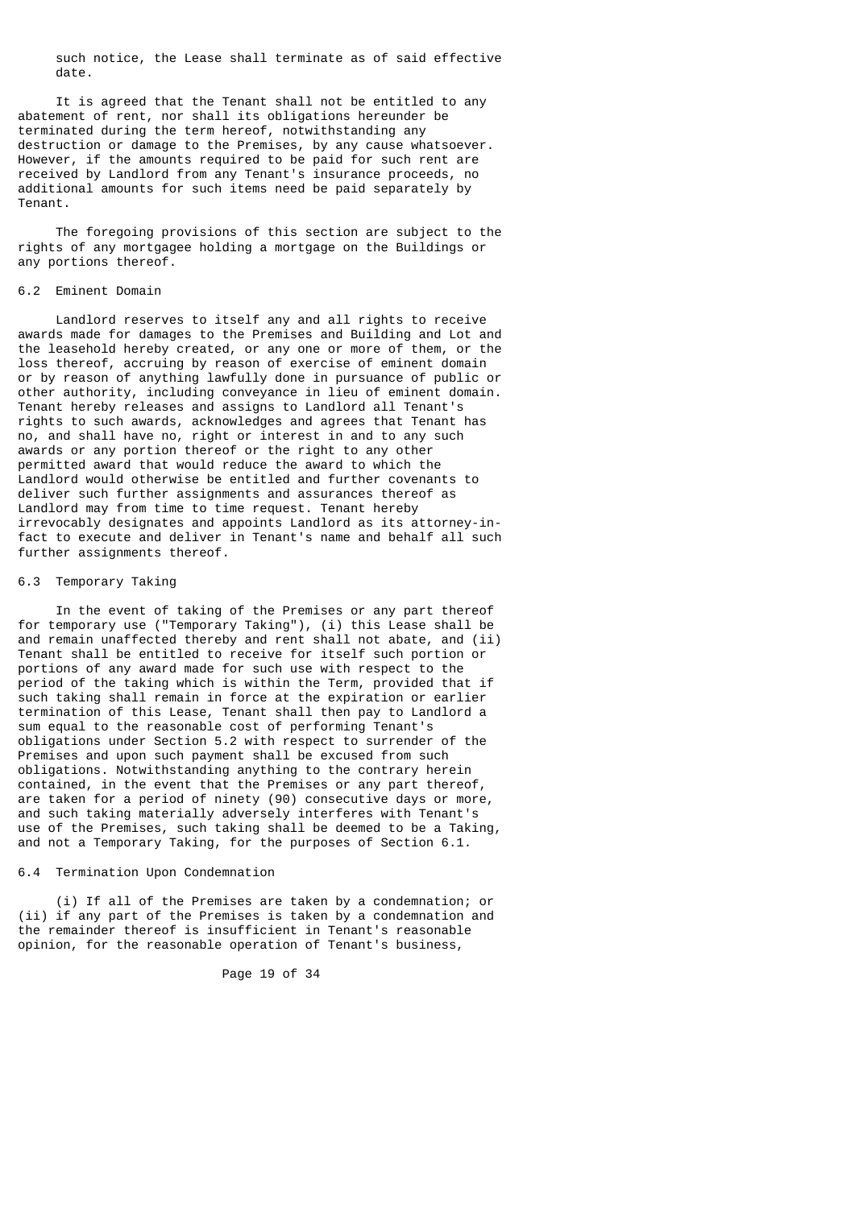such notice, the Lease shall terminate as of said effective date.

 It is agreed that the Tenant shall not be entitled to any abatement of rent, nor shall its obligations hereunder be terminated during the term hereof, notwithstanding any destruction or damage to the Premises, by any cause whatsoever. However, if the amounts required to be paid for such rent are received by Landlord from any Tenant's insurance proceeds, no additional amounts for such items need be paid separately by Tenant.

 The foregoing provisions of this section are subject to the rights of any mortgagee holding a mortgage on the Buildings or any portions thereof.

#### 6.2 Eminent Domain

 Landlord reserves to itself any and all rights to receive awards made for damages to the Premises and Building and Lot and the leasehold hereby created, or any one or more of them, or the loss thereof, accruing by reason of exercise of eminent domain or by reason of anything lawfully done in pursuance of public or other authority, including conveyance in lieu of eminent domain. Tenant hereby releases and assigns to Landlord all Tenant's rights to such awards, acknowledges and agrees that Tenant has no, and shall have no, right or interest in and to any such awards or any portion thereof or the right to any other permitted award that would reduce the award to which the Landlord would otherwise be entitled and further covenants to deliver such further assignments and assurances thereof as Landlord may from time to time request. Tenant hereby irrevocably designates and appoints Landlord as its attorney-infact to execute and deliver in Tenant's name and behalf all such further assignments thereof.

## 6.3 Temporary Taking

 In the event of taking of the Premises or any part thereof for temporary use ("Temporary Taking"), (i) this Lease shall be and remain unaffected thereby and rent shall not abate, and (ii) Tenant shall be entitled to receive for itself such portion or portions of any award made for such use with respect to the period of the taking which is within the Term, provided that if such taking shall remain in force at the expiration or earlier termination of this Lease, Tenant shall then pay to Landlord a sum equal to the reasonable cost of performing Tenant's obligations under Section 5.2 with respect to surrender of the Premises and upon such payment shall be excused from such obligations. Notwithstanding anything to the contrary herein contained, in the event that the Premises or any part thereof, are taken for a period of ninety (90) consecutive days or more, and such taking materially adversely interferes with Tenant's use of the Premises, such taking shall be deemed to be a Taking, and not a Temporary Taking, for the purposes of Section 6.1.

#### 6.4 Termination Upon Condemnation

 (i) If all of the Premises are taken by a condemnation; or (ii) if any part of the Premises is taken by a condemnation and the remainder thereof is insufficient in Tenant's reasonable opinion, for the reasonable operation of Tenant's business,

Page 19 of 34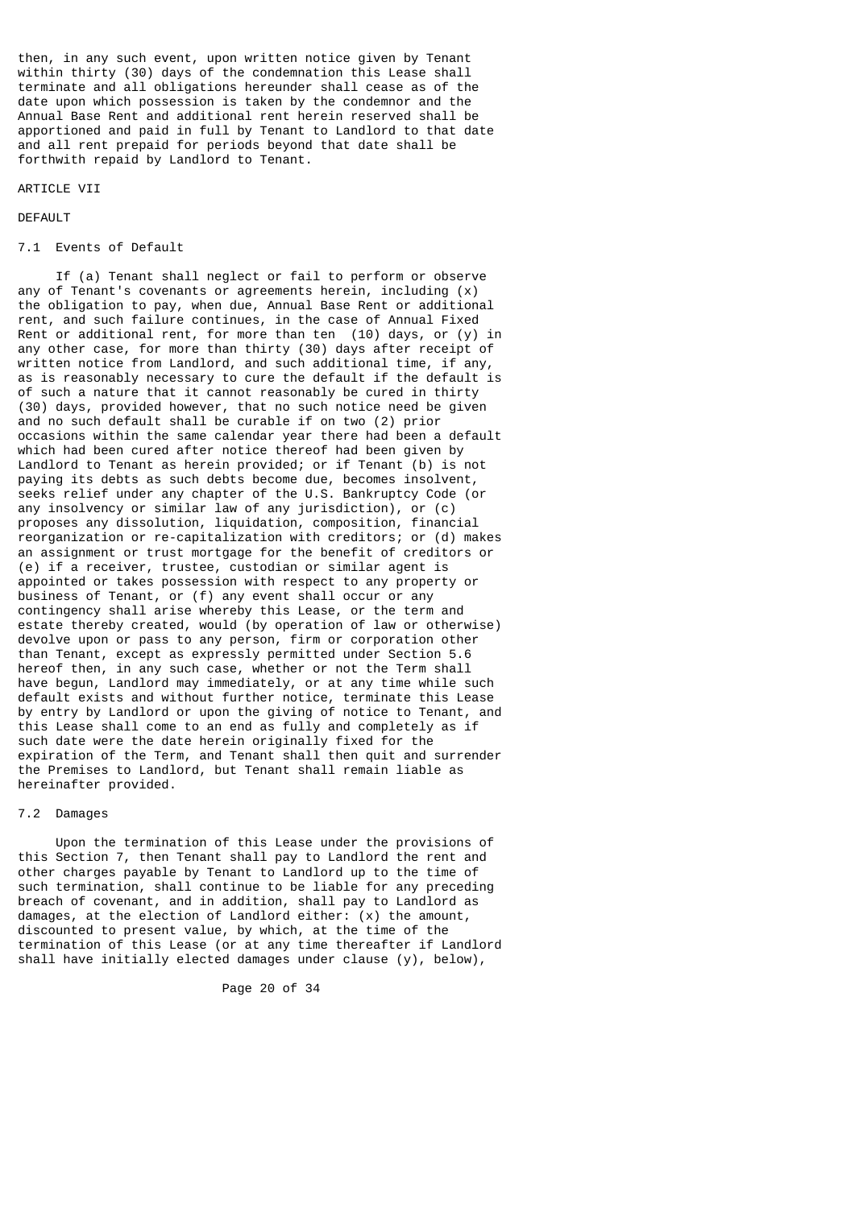then, in any such event, upon written notice given by Tenant within thirty (30) days of the condemnation this Lease shall terminate and all obligations hereunder shall cease as of the date upon which possession is taken by the condemnor and the Annual Base Rent and additional rent herein reserved shall be apportioned and paid in full by Tenant to Landlord to that date and all rent prepaid for periods beyond that date shall be forthwith repaid by Landlord to Tenant.

# ARTICLE VII

# DEFAULT

## 7.1 Events of Default

 If (a) Tenant shall neglect or fail to perform or observe any of Tenant's covenants or agreements herein, including (x) the obligation to pay, when due, Annual Base Rent or additional rent, and such failure continues, in the case of Annual Fixed Rent or additional rent, for more than ten (10) days, or (y) in any other case, for more than thirty (30) days after receipt of written notice from Landlord, and such additional time, if any, as is reasonably necessary to cure the default if the default is of such a nature that it cannot reasonably be cured in thirty (30) days, provided however, that no such notice need be given and no such default shall be curable if on two (2) prior occasions within the same calendar year there had been a default which had been cured after notice thereof had been given by Landlord to Tenant as herein provided; or if Tenant (b) is not paying its debts as such debts become due, becomes insolvent, seeks relief under any chapter of the U.S. Bankruptcy Code (or any insolvency or similar law of any jurisdiction), or (c) proposes any dissolution, liquidation, composition, financial reorganization or re-capitalization with creditors; or (d) makes an assignment or trust mortgage for the benefit of creditors or (e) if a receiver, trustee, custodian or similar agent is appointed or takes possession with respect to any property or business of Tenant, or (f) any event shall occur or any contingency shall arise whereby this Lease, or the term and estate thereby created, would (by operation of law or otherwise) devolve upon or pass to any person, firm or corporation other than Tenant, except as expressly permitted under Section 5.6 hereof then, in any such case, whether or not the Term shall have begun, Landlord may immediately, or at any time while such default exists and without further notice, terminate this Lease by entry by Landlord or upon the giving of notice to Tenant, and this Lease shall come to an end as fully and completely as if such date were the date herein originally fixed for the expiration of the Term, and Tenant shall then quit and surrender the Premises to Landlord, but Tenant shall remain liable as hereinafter provided.

# 7.2 Damages

 Upon the termination of this Lease under the provisions of this Section 7, then Tenant shall pay to Landlord the rent and other charges payable by Tenant to Landlord up to the time of such termination, shall continue to be liable for any preceding breach of covenant, and in addition, shall pay to Landlord as damages, at the election of Landlord either: (x) the amount, discounted to present value, by which, at the time of the termination of this Lease (or at any time thereafter if Landlord shall have initially elected damages under clause (y), below),

Page 20 of 34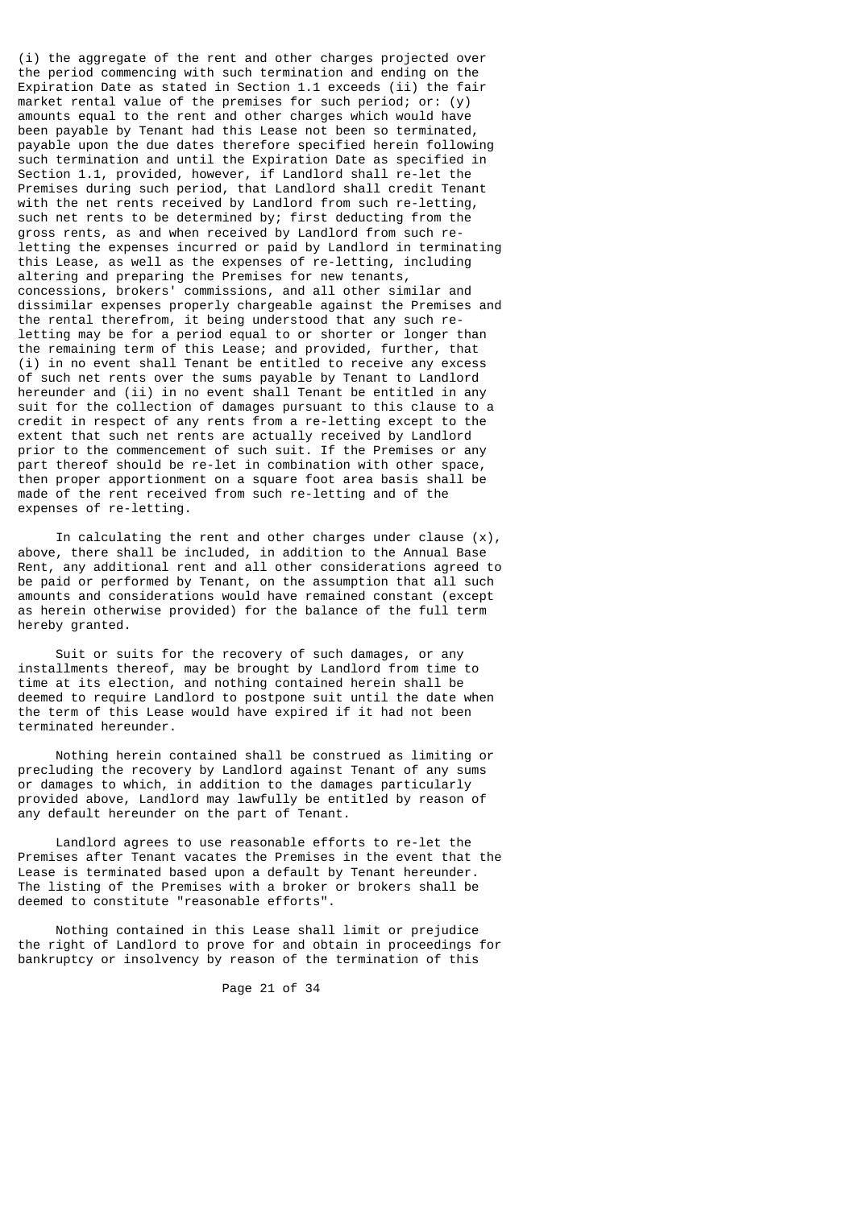(i) the aggregate of the rent and other charges projected over the period commencing with such termination and ending on the Expiration Date as stated in Section 1.1 exceeds (ii) the fair market rental value of the premises for such period; or: (y) amounts equal to the rent and other charges which would have been payable by Tenant had this Lease not been so terminated, payable upon the due dates therefore specified herein following such termination and until the Expiration Date as specified in Section 1.1, provided, however, if Landlord shall re-let the Premises during such period, that Landlord shall credit Tenant with the net rents received by Landlord from such re-letting, such net rents to be determined by; first deducting from the gross rents, as and when received by Landlord from such reletting the expenses incurred or paid by Landlord in terminating this Lease, as well as the expenses of re-letting, including altering and preparing the Premises for new tenants, concessions, brokers' commissions, and all other similar and dissimilar expenses properly chargeable against the Premises and the rental therefrom, it being understood that any such reletting may be for a period equal to or shorter or longer than the remaining term of this Lease; and provided, further, that (i) in no event shall Tenant be entitled to receive any excess of such net rents over the sums payable by Tenant to Landlord hereunder and (ii) in no event shall Tenant be entitled in any suit for the collection of damages pursuant to this clause to a credit in respect of any rents from a re-letting except to the extent that such net rents are actually received by Landlord prior to the commencement of such suit. If the Premises or any part thereof should be re-let in combination with other space, then proper apportionment on a square foot area basis shall be made of the rent received from such re-letting and of the expenses of re-letting.

 In calculating the rent and other charges under clause (x), above, there shall be included, in addition to the Annual Base Rent, any additional rent and all other considerations agreed to be paid or performed by Tenant, on the assumption that all such amounts and considerations would have remained constant (except as herein otherwise provided) for the balance of the full term hereby granted.

 Suit or suits for the recovery of such damages, or any installments thereof, may be brought by Landlord from time to time at its election, and nothing contained herein shall be deemed to require Landlord to postpone suit until the date when the term of this Lease would have expired if it had not been terminated hereunder.

 Nothing herein contained shall be construed as limiting or precluding the recovery by Landlord against Tenant of any sums or damages to which, in addition to the damages particularly provided above, Landlord may lawfully be entitled by reason of any default hereunder on the part of Tenant.

 Landlord agrees to use reasonable efforts to re-let the Premises after Tenant vacates the Premises in the event that the Lease is terminated based upon a default by Tenant hereunder. The listing of the Premises with a broker or brokers shall be deemed to constitute "reasonable efforts".

 Nothing contained in this Lease shall limit or prejudice the right of Landlord to prove for and obtain in proceedings for bankruptcy or insolvency by reason of the termination of this

Page 21 of 34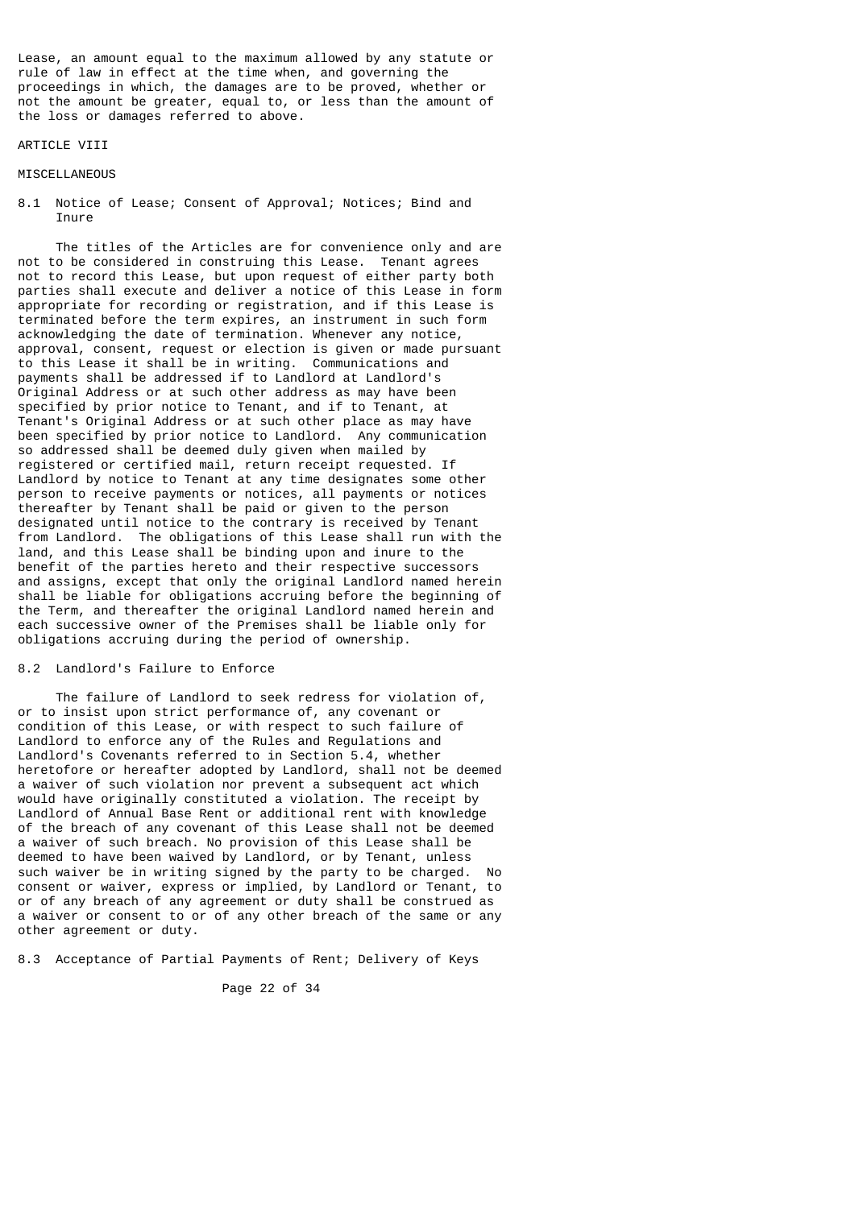Lease, an amount equal to the maximum allowed by any statute or rule of law in effect at the time when, and governing the proceedings in which, the damages are to be proved, whether or not the amount be greater, equal to, or less than the amount of the loss or damages referred to above.

### ARTICLE VIII

#### MISCELLANEOUS

8.1 Notice of Lease; Consent of Approval; Notices; Bind and Inure

 The titles of the Articles are for convenience only and are not to be considered in construing this Lease. Tenant agrees not to record this Lease, but upon request of either party both parties shall execute and deliver a notice of this Lease in form appropriate for recording or registration, and if this Lease is terminated before the term expires, an instrument in such form acknowledging the date of termination. Whenever any notice, approval, consent, request or election is given or made pursuant to this Lease it shall be in writing. Communications and payments shall be addressed if to Landlord at Landlord's Original Address or at such other address as may have been specified by prior notice to Tenant, and if to Tenant, at Tenant's Original Address or at such other place as may have been specified by prior notice to Landlord. Any communication so addressed shall be deemed duly given when mailed by registered or certified mail, return receipt requested. If Landlord by notice to Tenant at any time designates some other person to receive payments or notices, all payments or notices thereafter by Tenant shall be paid or given to the person designated until notice to the contrary is received by Tenant from Landlord. The obligations of this Lease shall run with the land, and this Lease shall be binding upon and inure to the benefit of the parties hereto and their respective successors and assigns, except that only the original Landlord named herein shall be liable for obligations accruing before the beginning of the Term, and thereafter the original Landlord named herein and each successive owner of the Premises shall be liable only for obligations accruing during the period of ownership.

# 8.2 Landlord's Failure to Enforce

 The failure of Landlord to seek redress for violation of, or to insist upon strict performance of, any covenant or condition of this Lease, or with respect to such failure of Landlord to enforce any of the Rules and Regulations and Landlord's Covenants referred to in Section 5.4, whether heretofore or hereafter adopted by Landlord, shall not be deemed a waiver of such violation nor prevent a subsequent act which would have originally constituted a violation. The receipt by Landlord of Annual Base Rent or additional rent with knowledge of the breach of any covenant of this Lease shall not be deemed a waiver of such breach. No provision of this Lease shall be deemed to have been waived by Landlord, or by Tenant, unless such waiver be in writing signed by the party to be charged. No consent or waiver, express or implied, by Landlord or Tenant, to or of any breach of any agreement or duty shall be construed as a waiver or consent to or of any other breach of the same or any other agreement or duty.

8.3 Acceptance of Partial Payments of Rent; Delivery of Keys

Page 22 of 34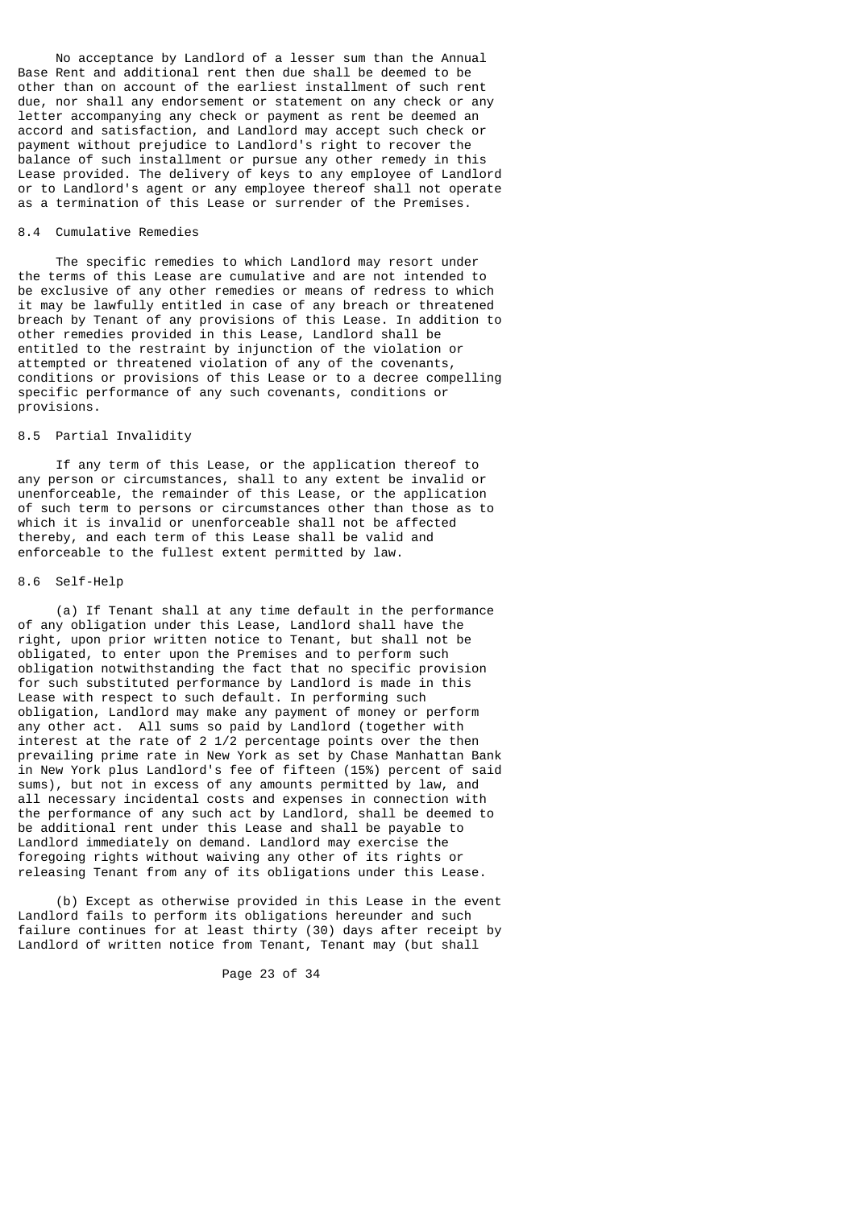No acceptance by Landlord of a lesser sum than the Annual Base Rent and additional rent then due shall be deemed to be other than on account of the earliest installment of such rent due, nor shall any endorsement or statement on any check or any letter accompanying any check or payment as rent be deemed an accord and satisfaction, and Landlord may accept such check or payment without prejudice to Landlord's right to recover the balance of such installment or pursue any other remedy in this Lease provided. The delivery of keys to any employee of Landlord or to Landlord's agent or any employee thereof shall not operate as a termination of this Lease or surrender of the Premises.

#### 8.4 Cumulative Remedies

 The specific remedies to which Landlord may resort under the terms of this Lease are cumulative and are not intended to be exclusive of any other remedies or means of redress to which it may be lawfully entitled in case of any breach or threatened breach by Tenant of any provisions of this Lease. In addition to other remedies provided in this Lease, Landlord shall be entitled to the restraint by injunction of the violation or attempted or threatened violation of any of the covenants, conditions or provisions of this Lease or to a decree compelling specific performance of any such covenants, conditions or provisions.

# 8.5 Partial Invalidity

 If any term of this Lease, or the application thereof to any person or circumstances, shall to any extent be invalid or unenforceable, the remainder of this Lease, or the application of such term to persons or circumstances other than those as to which it is invalid or unenforceable shall not be affected thereby, and each term of this Lease shall be valid and enforceable to the fullest extent permitted by law.

#### 8.6 Self-Help

 (a) If Tenant shall at any time default in the performance of any obligation under this Lease, Landlord shall have the right, upon prior written notice to Tenant, but shall not be obligated, to enter upon the Premises and to perform such obligation notwithstanding the fact that no specific provision for such substituted performance by Landlord is made in this Lease with respect to such default. In performing such obligation, Landlord may make any payment of money or perform any other act. All sums so paid by Landlord (together with interest at the rate of 2 1/2 percentage points over the then prevailing prime rate in New York as set by Chase Manhattan Bank in New York plus Landlord's fee of fifteen (15%) percent of said sums), but not in excess of any amounts permitted by law, and all necessary incidental costs and expenses in connection with the performance of any such act by Landlord, shall be deemed to be additional rent under this Lease and shall be payable to Landlord immediately on demand. Landlord may exercise the foregoing rights without waiving any other of its rights or releasing Tenant from any of its obligations under this Lease.

 (b) Except as otherwise provided in this Lease in the event Landlord fails to perform its obligations hereunder and such failure continues for at least thirty (30) days after receipt by Landlord of written notice from Tenant, Tenant may (but shall

#### Page 23 of 34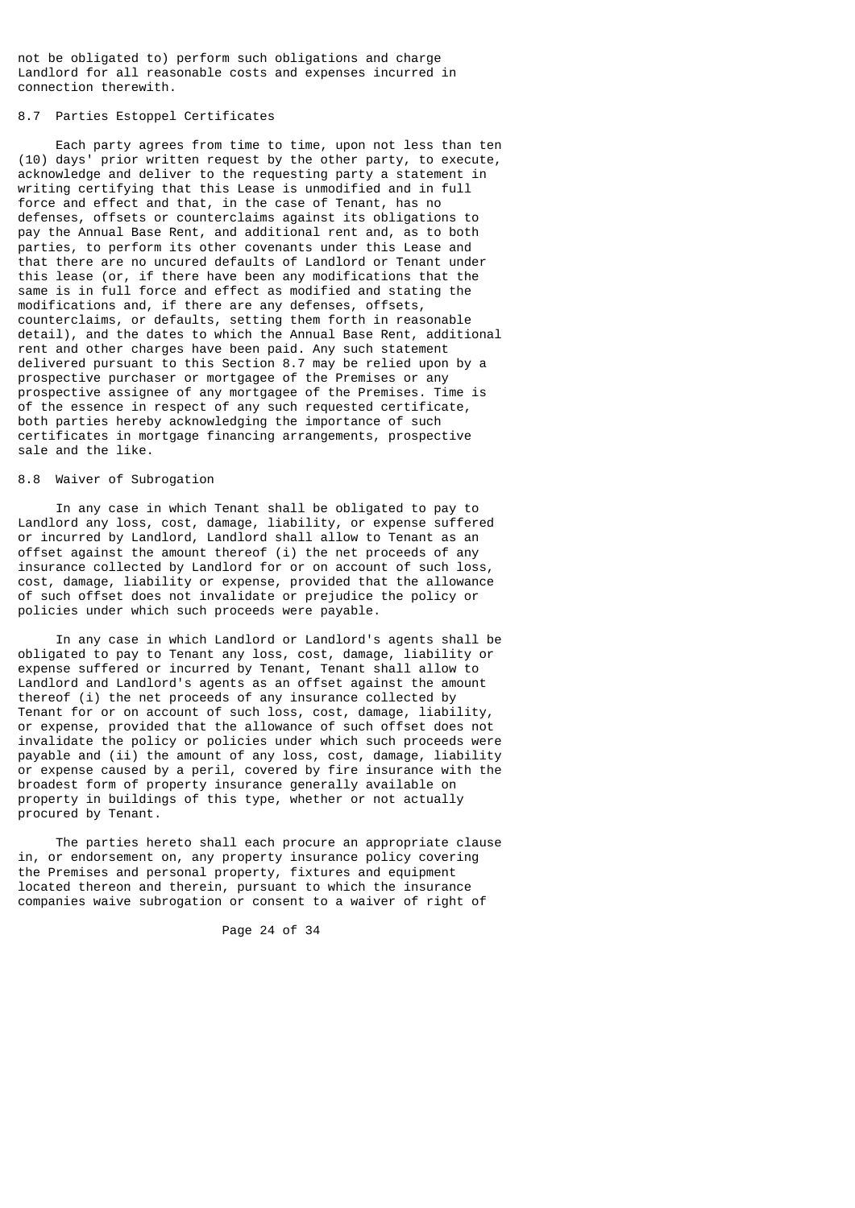not be obligated to) perform such obligations and charge Landlord for all reasonable costs and expenses incurred in connection therewith.

# 8.7 Parties Estoppel Certificates

 Each party agrees from time to time, upon not less than ten (10) days' prior written request by the other party, to execute, acknowledge and deliver to the requesting party a statement in writing certifying that this Lease is unmodified and in full force and effect and that, in the case of Tenant, has no defenses, offsets or counterclaims against its obligations to pay the Annual Base Rent, and additional rent and, as to both parties, to perform its other covenants under this Lease and that there are no uncured defaults of Landlord or Tenant under this lease (or, if there have been any modifications that the same is in full force and effect as modified and stating the modifications and, if there are any defenses, offsets, counterclaims, or defaults, setting them forth in reasonable detail), and the dates to which the Annual Base Rent, additional rent and other charges have been paid. Any such statement delivered pursuant to this Section 8.7 may be relied upon by a prospective purchaser or mortgagee of the Premises or any prospective assignee of any mortgagee of the Premises. Time is of the essence in respect of any such requested certificate, both parties hereby acknowledging the importance of such certificates in mortgage financing arrangements, prospective sale and the like.

# 8.8 Waiver of Subrogation

 In any case in which Tenant shall be obligated to pay to Landlord any loss, cost, damage, liability, or expense suffered or incurred by Landlord, Landlord shall allow to Tenant as an offset against the amount thereof (i) the net proceeds of any insurance collected by Landlord for or on account of such loss, cost, damage, liability or expense, provided that the allowance of such offset does not invalidate or prejudice the policy or policies under which such proceeds were payable.

 In any case in which Landlord or Landlord's agents shall be obligated to pay to Tenant any loss, cost, damage, liability or expense suffered or incurred by Tenant, Tenant shall allow to Landlord and Landlord's agents as an offset against the amount thereof (i) the net proceeds of any insurance collected by Tenant for or on account of such loss, cost, damage, liability, or expense, provided that the allowance of such offset does not invalidate the policy or policies under which such proceeds were payable and (ii) the amount of any loss, cost, damage, liability or expense caused by a peril, covered by fire insurance with the broadest form of property insurance generally available on property in buildings of this type, whether or not actually procured by Tenant.

 The parties hereto shall each procure an appropriate clause in, or endorsement on, any property insurance policy covering the Premises and personal property, fixtures and equipment located thereon and therein, pursuant to which the insurance companies waive subrogation or consent to a waiver of right of

Page 24 of 34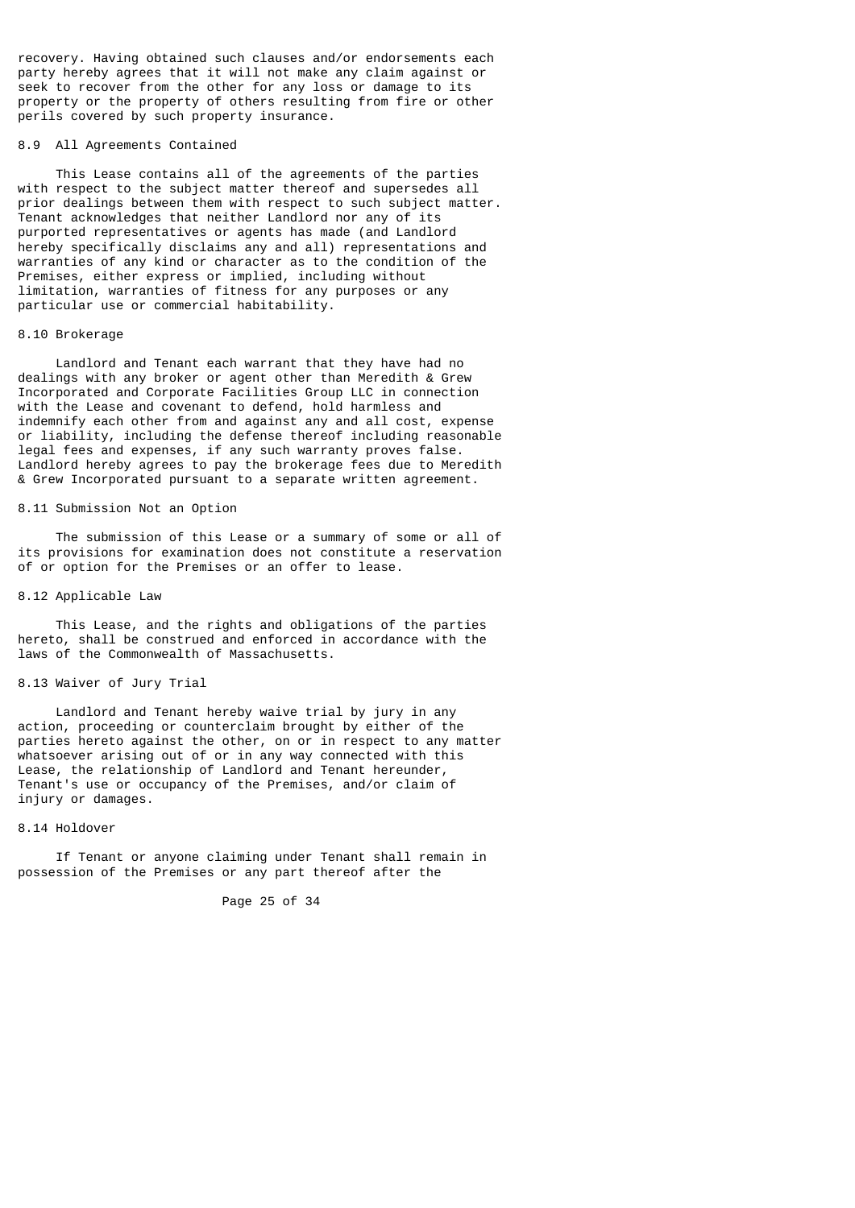recovery. Having obtained such clauses and/or endorsements each party hereby agrees that it will not make any claim against or seek to recover from the other for any loss or damage to its property or the property of others resulting from fire or other perils covered by such property insurance.

#### 8.9 All Agreements Contained

 This Lease contains all of the agreements of the parties with respect to the subject matter thereof and supersedes all prior dealings between them with respect to such subject matter. Tenant acknowledges that neither Landlord nor any of its purported representatives or agents has made (and Landlord hereby specifically disclaims any and all) representations and warranties of any kind or character as to the condition of the Premises, either express or implied, including without limitation, warranties of fitness for any purposes or any particular use or commercial habitability.

## 8.10 Brokerage

 Landlord and Tenant each warrant that they have had no dealings with any broker or agent other than Meredith & Grew Incorporated and Corporate Facilities Group LLC in connection with the Lease and covenant to defend, hold harmless and indemnify each other from and against any and all cost, expense or liability, including the defense thereof including reasonable legal fees and expenses, if any such warranty proves false. Landlord hereby agrees to pay the brokerage fees due to Meredith & Grew Incorporated pursuant to a separate written agreement.

# 8.11 Submission Not an Option

 The submission of this Lease or a summary of some or all of its provisions for examination does not constitute a reservation of or option for the Premises or an offer to lease.

## 8.12 Applicable Law

 This Lease, and the rights and obligations of the parties hereto, shall be construed and enforced in accordance with the laws of the Commonwealth of Massachusetts.

## 8.13 Waiver of Jury Trial

 Landlord and Tenant hereby waive trial by jury in any action, proceeding or counterclaim brought by either of the parties hereto against the other, on or in respect to any matter whatsoever arising out of or in any way connected with this Lease, the relationship of Landlord and Tenant hereunder, Tenant's use or occupancy of the Premises, and/or claim of injury or damages.

## 8.14 Holdover

 If Tenant or anyone claiming under Tenant shall remain in possession of the Premises or any part thereof after the

Page 25 of 34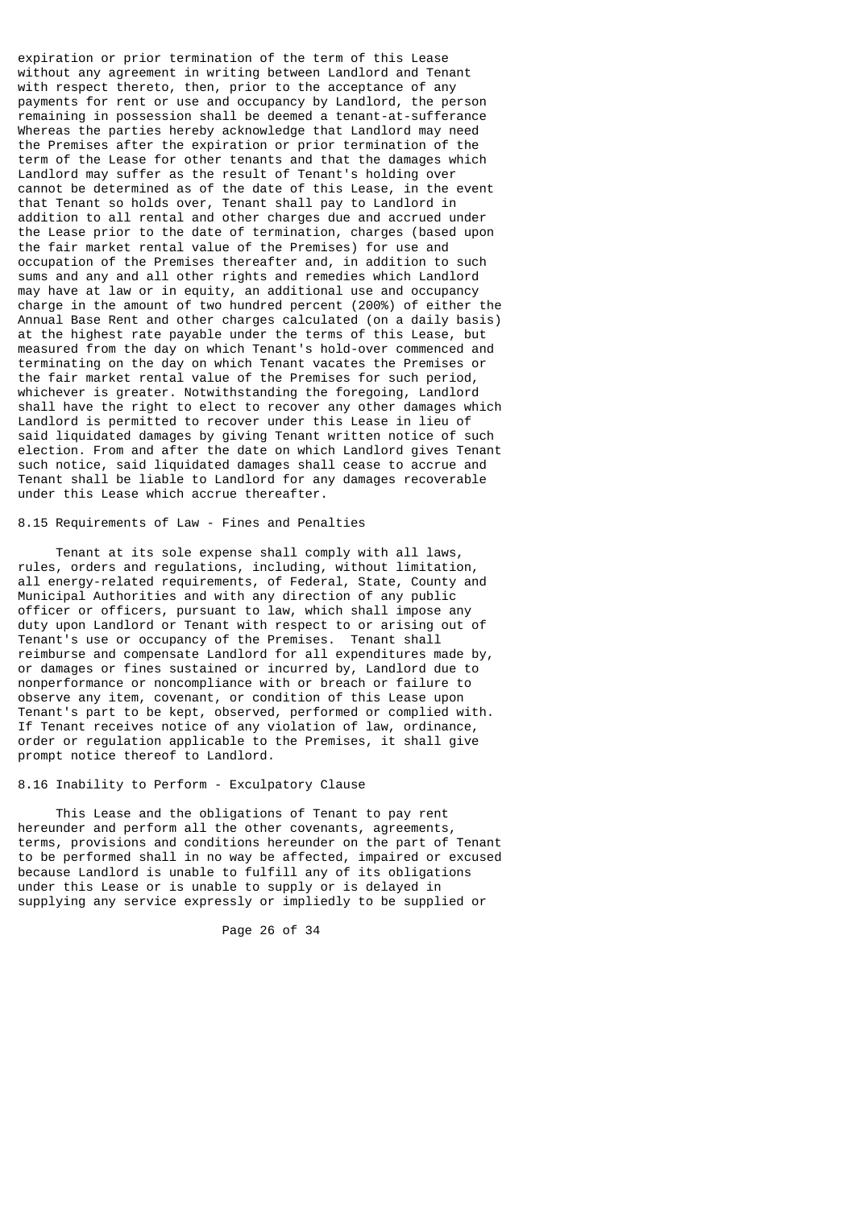expiration or prior termination of the term of this Lease without any agreement in writing between Landlord and Tenant with respect thereto, then, prior to the acceptance of any payments for rent or use and occupancy by Landlord, the person remaining in possession shall be deemed a tenant-at-sufferance Whereas the parties hereby acknowledge that Landlord may need the Premises after the expiration or prior termination of the term of the Lease for other tenants and that the damages which Landlord may suffer as the result of Tenant's holding over cannot be determined as of the date of this Lease, in the event that Tenant so holds over, Tenant shall pay to Landlord in addition to all rental and other charges due and accrued under the Lease prior to the date of termination, charges (based upon the fair market rental value of the Premises) for use and occupation of the Premises thereafter and, in addition to such sums and any and all other rights and remedies which Landlord may have at law or in equity, an additional use and occupancy charge in the amount of two hundred percent (200%) of either the Annual Base Rent and other charges calculated (on a daily basis) at the highest rate payable under the terms of this Lease, but measured from the day on which Tenant's hold-over commenced and terminating on the day on which Tenant vacates the Premises or the fair market rental value of the Premises for such period, whichever is greater. Notwithstanding the foregoing, Landlord shall have the right to elect to recover any other damages which Landlord is permitted to recover under this Lease in lieu of said liquidated damages by giving Tenant written notice of such election. From and after the date on which Landlord gives Tenant such notice, said liquidated damages shall cease to accrue and Tenant shall be liable to Landlord for any damages recoverable under this Lease which accrue thereafter.

#### 8.15 Requirements of Law - Fines and Penalties

 Tenant at its sole expense shall comply with all laws, rules, orders and regulations, including, without limitation, all energy-related requirements, of Federal, State, County and Municipal Authorities and with any direction of any public officer or officers, pursuant to law, which shall impose any duty upon Landlord or Tenant with respect to or arising out of Tenant's use or occupancy of the Premises. Tenant shall reimburse and compensate Landlord for all expenditures made by, or damages or fines sustained or incurred by, Landlord due to nonperformance or noncompliance with or breach or failure to observe any item, covenant, or condition of this Lease upon Tenant's part to be kept, observed, performed or complied with. If Tenant receives notice of any violation of law, ordinance, order or regulation applicable to the Premises, it shall give prompt notice thereof to Landlord.

## 8.16 Inability to Perform - Exculpatory Clause

 This Lease and the obligations of Tenant to pay rent hereunder and perform all the other covenants, agreements, terms, provisions and conditions hereunder on the part of Tenant to be performed shall in no way be affected, impaired or excused because Landlord is unable to fulfill any of its obligations under this Lease or is unable to supply or is delayed in supplying any service expressly or impliedly to be supplied or

Page 26 of 34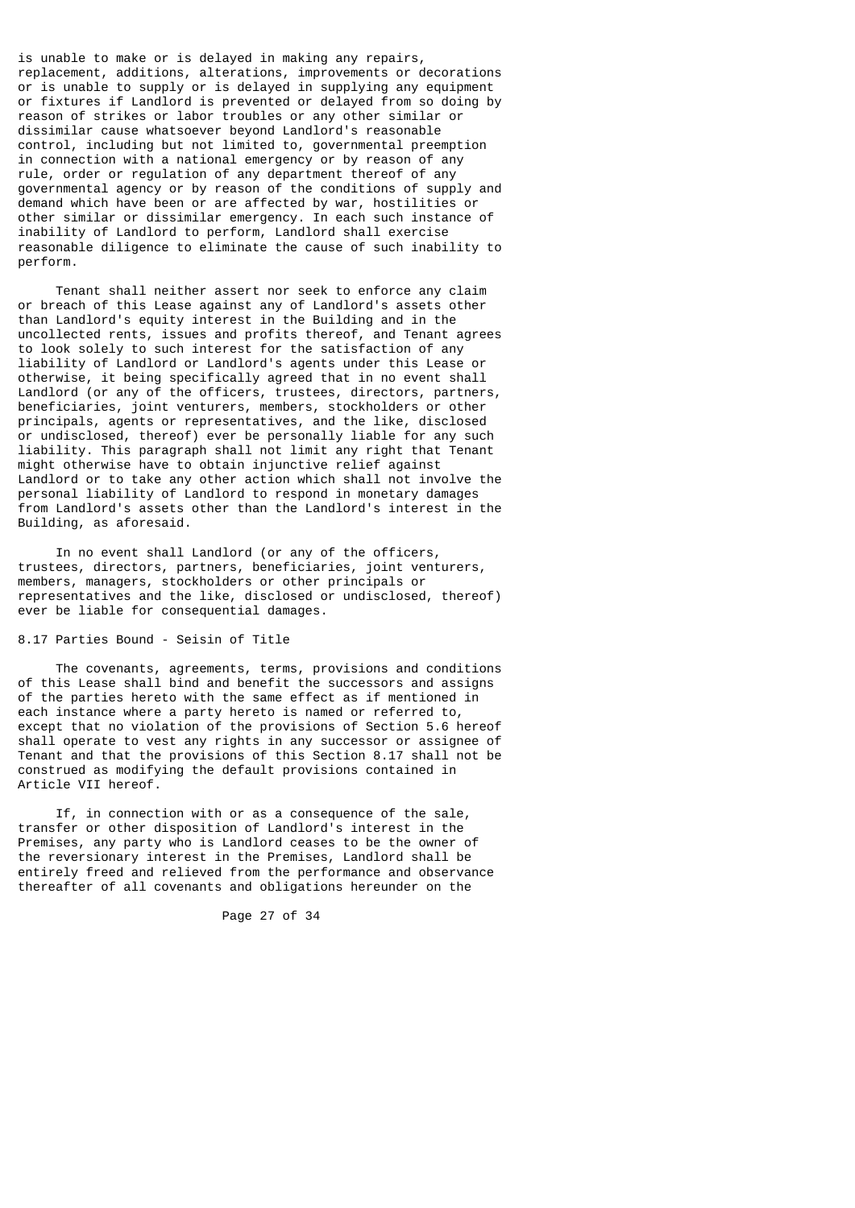is unable to make or is delayed in making any repairs, replacement, additions, alterations, improvements or decorations or is unable to supply or is delayed in supplying any equipment or fixtures if Landlord is prevented or delayed from so doing by reason of strikes or labor troubles or any other similar or dissimilar cause whatsoever beyond Landlord's reasonable control, including but not limited to, governmental preemption in connection with a national emergency or by reason of any rule, order or regulation of any department thereof of any governmental agency or by reason of the conditions of supply and demand which have been or are affected by war, hostilities or other similar or dissimilar emergency. In each such instance of inability of Landlord to perform, Landlord shall exercise reasonable diligence to eliminate the cause of such inability to perform.

 Tenant shall neither assert nor seek to enforce any claim or breach of this Lease against any of Landlord's assets other than Landlord's equity interest in the Building and in the uncollected rents, issues and profits thereof, and Tenant agrees to look solely to such interest for the satisfaction of any liability of Landlord or Landlord's agents under this Lease or otherwise, it being specifically agreed that in no event shall Landlord (or any of the officers, trustees, directors, partners, beneficiaries, joint venturers, members, stockholders or other principals, agents or representatives, and the like, disclosed or undisclosed, thereof) ever be personally liable for any such liability. This paragraph shall not limit any right that Tenant might otherwise have to obtain injunctive relief against Landlord or to take any other action which shall not involve the personal liability of Landlord to respond in monetary damages from Landlord's assets other than the Landlord's interest in the Building, as aforesaid.

 In no event shall Landlord (or any of the officers, trustees, directors, partners, beneficiaries, joint venturers, members, managers, stockholders or other principals or representatives and the like, disclosed or undisclosed, thereof) ever be liable for consequential damages.

## 8.17 Parties Bound - Seisin of Title

 The covenants, agreements, terms, provisions and conditions of this Lease shall bind and benefit the successors and assigns of the parties hereto with the same effect as if mentioned in each instance where a party hereto is named or referred to, except that no violation of the provisions of Section 5.6 hereof shall operate to vest any rights in any successor or assignee of Tenant and that the provisions of this Section 8.17 shall not be construed as modifying the default provisions contained in Article VII hereof.

 If, in connection with or as a consequence of the sale, transfer or other disposition of Landlord's interest in the Premises, any party who is Landlord ceases to be the owner of the reversionary interest in the Premises, Landlord shall be entirely freed and relieved from the performance and observance thereafter of all covenants and obligations hereunder on the

Page 27 of 34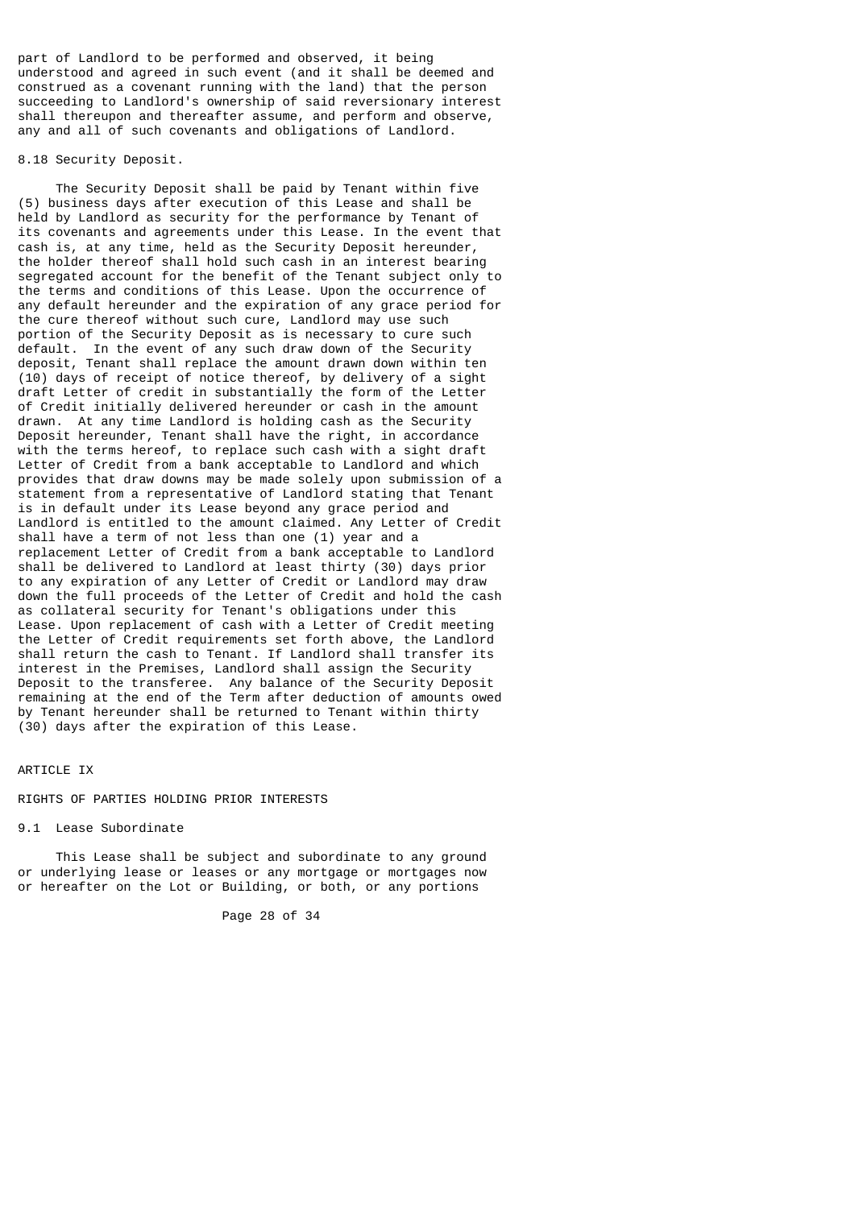part of Landlord to be performed and observed, it being understood and agreed in such event (and it shall be deemed and construed as a covenant running with the land) that the person succeeding to Landlord's ownership of said reversionary interest shall thereupon and thereafter assume, and perform and observe, any and all of such covenants and obligations of Landlord.

#### 8.18 Security Deposit.

 The Security Deposit shall be paid by Tenant within five (5) business days after execution of this Lease and shall be held by Landlord as security for the performance by Tenant of its covenants and agreements under this Lease. In the event that cash is, at any time, held as the Security Deposit hereunder, the holder thereof shall hold such cash in an interest bearing segregated account for the benefit of the Tenant subject only to the terms and conditions of this Lease. Upon the occurrence of any default hereunder and the expiration of any grace period for the cure thereof without such cure, Landlord may use such portion of the Security Deposit as is necessary to cure such default. In the event of any such draw down of the Security deposit, Tenant shall replace the amount drawn down within ten (10) days of receipt of notice thereof, by delivery of a sight draft Letter of credit in substantially the form of the Letter of Credit initially delivered hereunder or cash in the amount drawn. At any time Landlord is holding cash as the Security Deposit hereunder, Tenant shall have the right, in accordance with the terms hereof, to replace such cash with a sight draft Letter of Credit from a bank acceptable to Landlord and which provides that draw downs may be made solely upon submission of a statement from a representative of Landlord stating that Tenant is in default under its Lease beyond any grace period and Landlord is entitled to the amount claimed. Any Letter of Credit shall have a term of not less than one (1) year and a replacement Letter of Credit from a bank acceptable to Landlord shall be delivered to Landlord at least thirty (30) days prior to any expiration of any Letter of Credit or Landlord may draw down the full proceeds of the Letter of Credit and hold the cash as collateral security for Tenant's obligations under this Lease. Upon replacement of cash with a Letter of Credit meeting the Letter of Credit requirements set forth above, the Landlord shall return the cash to Tenant. If Landlord shall transfer its interest in the Premises, Landlord shall assign the Security Deposit to the transferee. Any balance of the Security Deposit remaining at the end of the Term after deduction of amounts owed by Tenant hereunder shall be returned to Tenant within thirty (30) days after the expiration of this Lease.

## ARTICLE IX

# RIGHTS OF PARTIES HOLDING PRIOR INTERESTS

#### 9.1 Lease Subordinate

 This Lease shall be subject and subordinate to any ground or underlying lease or leases or any mortgage or mortgages now or hereafter on the Lot or Building, or both, or any portions

Page 28 of 34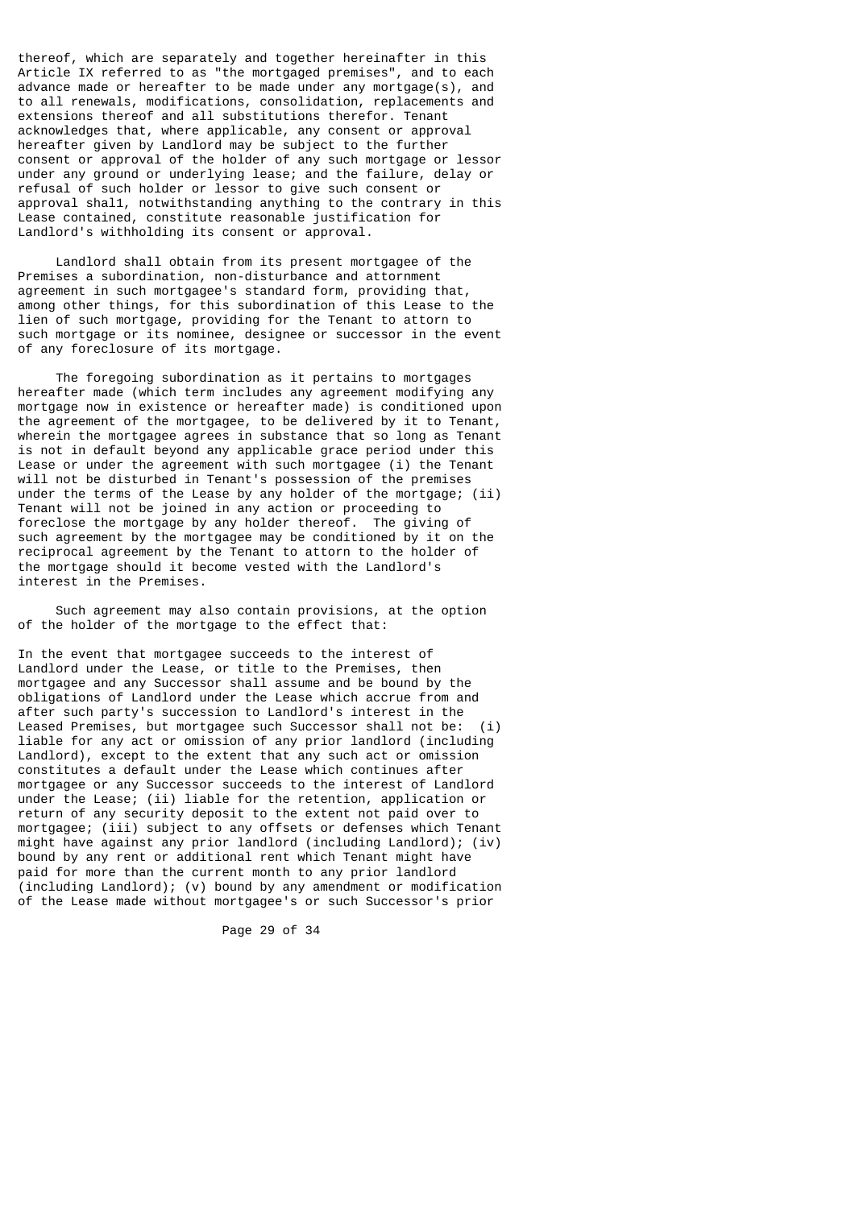thereof, which are separately and together hereinafter in this Article IX referred to as "the mortgaged premises", and to each advance made or hereafter to be made under any mortgage(s), and to all renewals, modifications, consolidation, replacements and extensions thereof and all substitutions therefor. Tenant acknowledges that, where applicable, any consent or approval hereafter given by Landlord may be subject to the further consent or approval of the holder of any such mortgage or lessor under any ground or underlying lease; and the failure, delay or refusal of such holder or lessor to give such consent or approval shal1, notwithstanding anything to the contrary in this Lease contained, constitute reasonable justification for Landlord's withholding its consent or approval.

 Landlord shall obtain from its present mortgagee of the Premises a subordination, non-disturbance and attornment agreement in such mortgagee's standard form, providing that, among other things, for this subordination of this Lease to the lien of such mortgage, providing for the Tenant to attorn to such mortgage or its nominee, designee or successor in the event of any foreclosure of its mortgage.

 The foregoing subordination as it pertains to mortgages hereafter made (which term includes any agreement modifying any mortgage now in existence or hereafter made) is conditioned upon the agreement of the mortgagee, to be delivered by it to Tenant, wherein the mortgagee agrees in substance that so long as Tenant is not in default beyond any applicable grace period under this Lease or under the agreement with such mortgagee (i) the Tenant will not be disturbed in Tenant's possession of the premises under the terms of the Lease by any holder of the mortgage; (ii) Tenant will not be joined in any action or proceeding to foreclose the mortgage by any holder thereof. The giving of such agreement by the mortgagee may be conditioned by it on the reciprocal agreement by the Tenant to attorn to the holder of the mortgage should it become vested with the Landlord's interest in the Premises.

 Such agreement may also contain provisions, at the option of the holder of the mortgage to the effect that:

In the event that mortgagee succeeds to the interest of Landlord under the Lease, or title to the Premises, then mortgagee and any Successor shall assume and be bound by the obligations of Landlord under the Lease which accrue from and after such party's succession to Landlord's interest in the Leased Premises, but mortgagee such Successor shall not be: (i) liable for any act or omission of any prior landlord (including Landlord), except to the extent that any such act or omission constitutes a default under the Lease which continues after mortgagee or any Successor succeeds to the interest of Landlord under the Lease; (ii) liable for the retention, application or return of any security deposit to the extent not paid over to mortgagee; (iii) subject to any offsets or defenses which Tenant might have against any prior landlord (including Landlord); (iv) bound by any rent or additional rent which Tenant might have paid for more than the current month to any prior landlord (including Landlord); (v) bound by any amendment or modification of the Lease made without mortgagee's or such Successor's prior

Page 29 of 34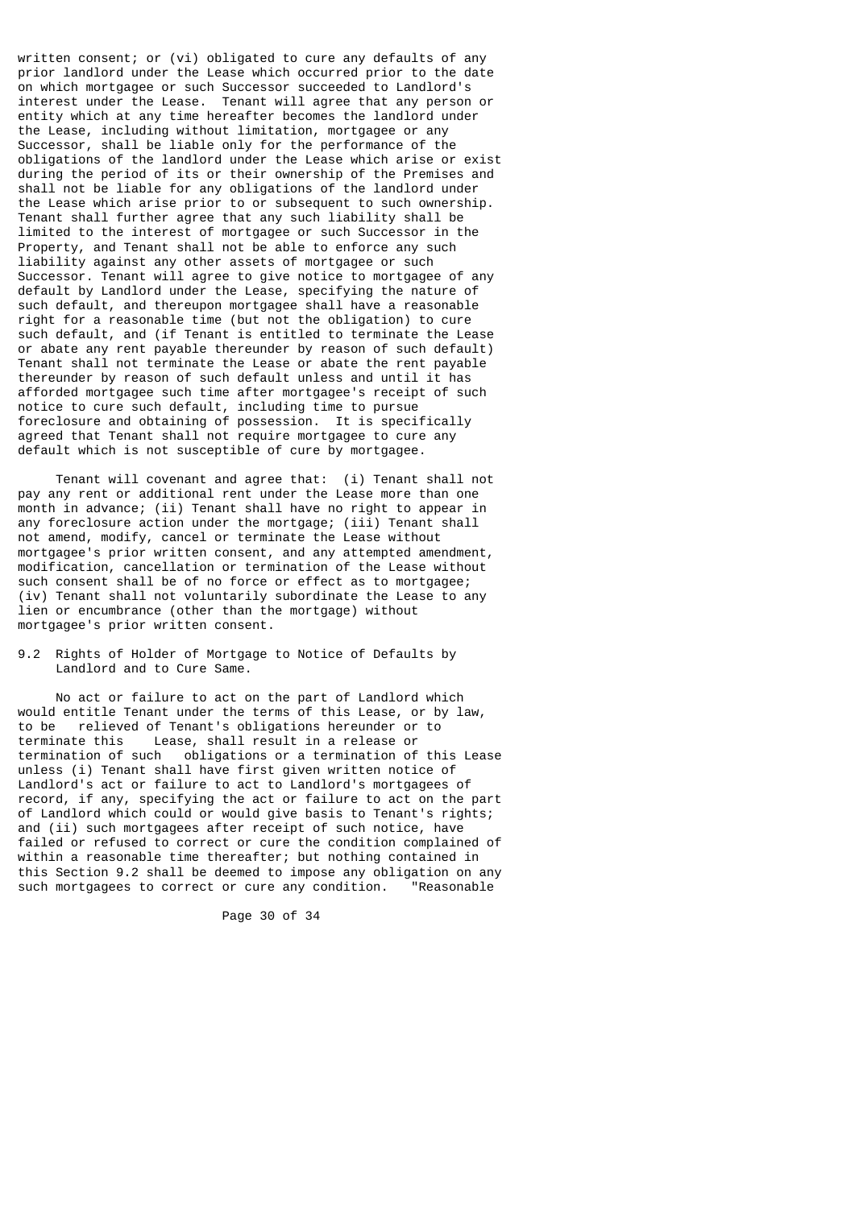written consent; or (vi) obligated to cure any defaults of any prior landlord under the Lease which occurred prior to the date on which mortgagee or such Successor succeeded to Landlord's interest under the Lease. Tenant will agree that any person or entity which at any time hereafter becomes the landlord under the Lease, including without limitation, mortgagee or any Successor, shall be liable only for the performance of the obligations of the landlord under the Lease which arise or exist during the period of its or their ownership of the Premises and shall not be liable for any obligations of the landlord under the Lease which arise prior to or subsequent to such ownership. Tenant shall further agree that any such liability shall be limited to the interest of mortgagee or such Successor in the Property, and Tenant shall not be able to enforce any such liability against any other assets of mortgagee or such Successor. Tenant will agree to give notice to mortgagee of any default by Landlord under the Lease, specifying the nature of such default, and thereupon mortgagee shall have a reasonable right for a reasonable time (but not the obligation) to cure such default, and (if Tenant is entitled to terminate the Lease or abate any rent payable thereunder by reason of such default) Tenant shall not terminate the Lease or abate the rent payable thereunder by reason of such default unless and until it has afforded mortgagee such time after mortgagee's receipt of such notice to cure such default, including time to pursue foreclosure and obtaining of possession. It is specifically agreed that Tenant shall not require mortgagee to cure any default which is not susceptible of cure by mortgagee.

 Tenant will covenant and agree that: (i) Tenant shall not pay any rent or additional rent under the Lease more than one month in advance; (ii) Tenant shall have no right to appear in any foreclosure action under the mortgage; (iii) Tenant shall not amend, modify, cancel or terminate the Lease without mortgagee's prior written consent, and any attempted amendment, modification, cancellation or termination of the Lease without such consent shall be of no force or effect as to mortgagee; (iv) Tenant shall not voluntarily subordinate the Lease to any lien or encumbrance (other than the mortgage) without mortgagee's prior written consent.

9.2 Rights of Holder of Mortgage to Notice of Defaults by Landlord and to Cure Same.

 No act or failure to act on the part of Landlord which would entitle Tenant under the terms of this Lease, or by law,<br>to be relieved of Tenant's obligations hereunder or to relieved of Tenant's obligations hereunder or to terminate this Lease, shall result in a release or termination of such obligations or a termination of this Lease unless (i) Tenant shall have first given written notice of Landlord's act or failure to act to Landlord's mortgagees of record, if any, specifying the act or failure to act on the part of Landlord which could or would give basis to Tenant's rights; and (ii) such mortgagees after receipt of such notice, have failed or refused to correct or cure the condition complained of within a reasonable time thereafter; but nothing contained in this Section 9.2 shall be deemed to impose any obligation on any such mortgagees to correct or cure any condition. "Reasonable such mortgagees to correct or cure any condition.

Page 30 of 34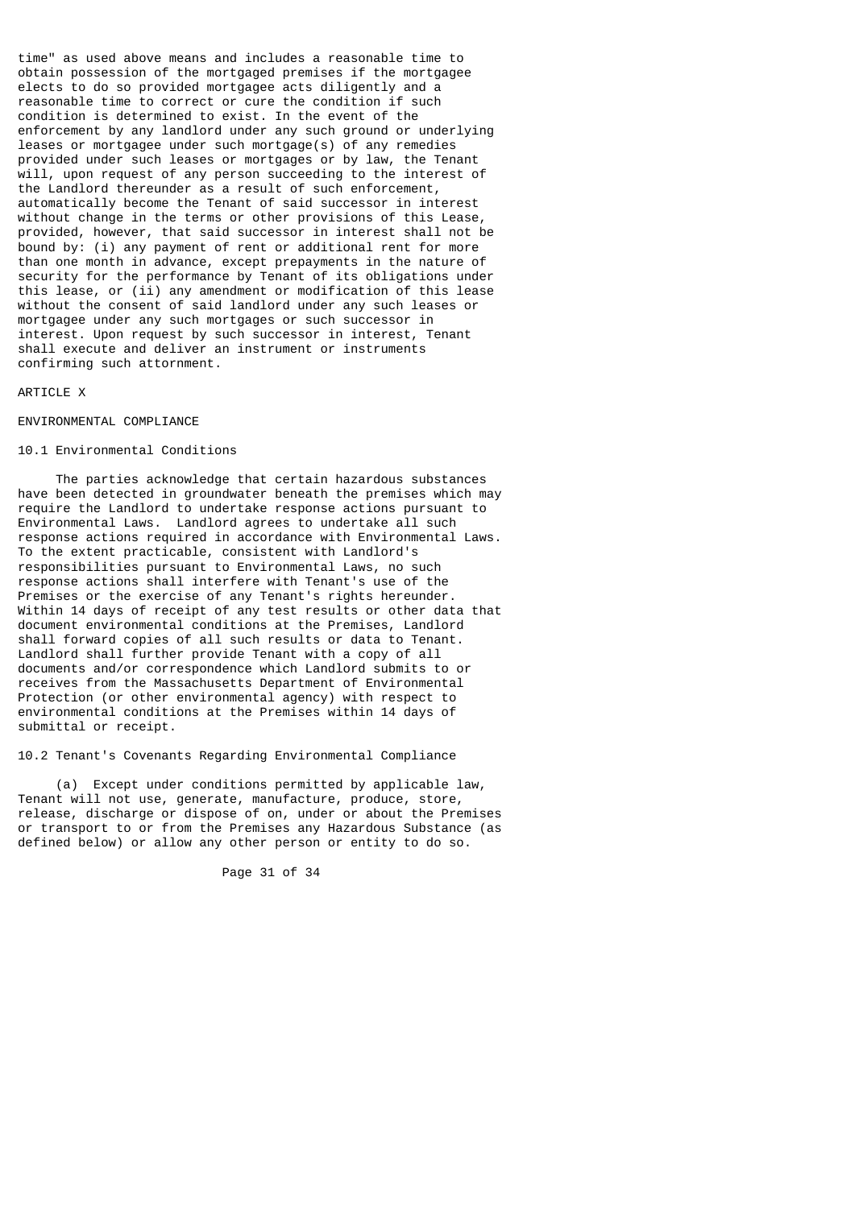time" as used above means and includes a reasonable time to obtain possession of the mortgaged premises if the mortgagee elects to do so provided mortgagee acts diligently and a reasonable time to correct or cure the condition if such condition is determined to exist. In the event of the enforcement by any landlord under any such ground or underlying leases or mortgagee under such mortgage(s) of any remedies provided under such leases or mortgages or by law, the Tenant will, upon request of any person succeeding to the interest of the Landlord thereunder as a result of such enforcement, automatically become the Tenant of said successor in interest without change in the terms or other provisions of this Lease, provided, however, that said successor in interest shall not be bound by: (i) any payment of rent or additional rent for more than one month in advance, except prepayments in the nature of security for the performance by Tenant of its obligations under this lease, or (ii) any amendment or modification of this lease without the consent of said landlord under any such leases or mortgagee under any such mortgages or such successor in interest. Upon request by such successor in interest, Tenant shall execute and deliver an instrument or instruments confirming such attornment.

#### ARTICLE X

## ENVIRONMENTAL COMPLIANCE

## 10.1 Environmental Conditions

 The parties acknowledge that certain hazardous substances have been detected in groundwater beneath the premises which may require the Landlord to undertake response actions pursuant to Environmental Laws. Landlord agrees to undertake all such response actions required in accordance with Environmental Laws. To the extent practicable, consistent with Landlord's responsibilities pursuant to Environmental Laws, no such response actions shall interfere with Tenant's use of the Premises or the exercise of any Tenant's rights hereunder. Within 14 days of receipt of any test results or other data that document environmental conditions at the Premises, Landlord shall forward copies of all such results or data to Tenant. Landlord shall further provide Tenant with a copy of all documents and/or correspondence which Landlord submits to or receives from the Massachusetts Department of Environmental Protection (or other environmental agency) with respect to environmental conditions at the Premises within 14 days of submittal or receipt.

10.2 Tenant's Covenants Regarding Environmental Compliance

 (a) Except under conditions permitted by applicable law, Tenant will not use, generate, manufacture, produce, store, release, discharge or dispose of on, under or about the Premises or transport to or from the Premises any Hazardous Substance (as defined below) or allow any other person or entity to do so.

Page 31 of 34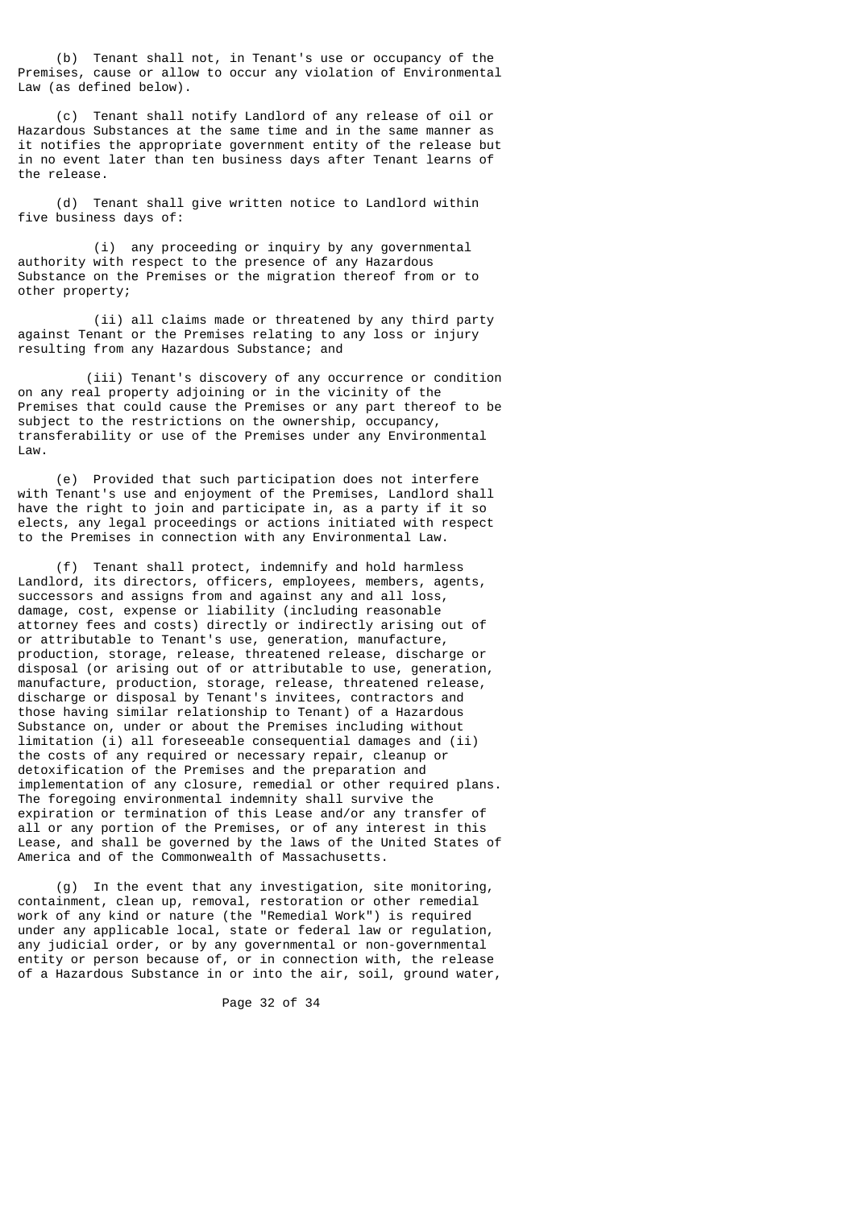(b) Tenant shall not, in Tenant's use or occupancy of the Premises, cause or allow to occur any violation of Environmental Law (as defined below).

 (c) Tenant shall notify Landlord of any release of oil or Hazardous Substances at the same time and in the same manner as it notifies the appropriate government entity of the release but in no event later than ten business days after Tenant learns of the release.

 (d) Tenant shall give written notice to Landlord within five business days of:

 (i) any proceeding or inquiry by any governmental authority with respect to the presence of any Hazardous Substance on the Premises or the migration thereof from or to other property;

 (ii) all claims made or threatened by any third party against Tenant or the Premises relating to any loss or injury resulting from any Hazardous Substance; and

 (iii) Tenant's discovery of any occurrence or condition on any real property adjoining or in the vicinity of the Premises that could cause the Premises or any part thereof to be subject to the restrictions on the ownership, occupancy, transferability or use of the Premises under any Environmental Law.

 (e) Provided that such participation does not interfere with Tenant's use and enjoyment of the Premises, Landlord shall have the right to join and participate in, as a party if it so elects, any legal proceedings or actions initiated with respect to the Premises in connection with any Environmental Law.

 (f) Tenant shall protect, indemnify and hold harmless Landlord, its directors, officers, employees, members, agents, successors and assigns from and against any and all loss, damage, cost, expense or liability (including reasonable attorney fees and costs) directly or indirectly arising out of or attributable to Tenant's use, generation, manufacture, production, storage, release, threatened release, discharge or disposal (or arising out of or attributable to use, generation, manufacture, production, storage, release, threatened release, discharge or disposal by Tenant's invitees, contractors and those having similar relationship to Tenant) of a Hazardous Substance on, under or about the Premises including without limitation (i) all foreseeable consequential damages and (ii) the costs of any required or necessary repair, cleanup or detoxification of the Premises and the preparation and implementation of any closure, remedial or other required plans. The foregoing environmental indemnity shall survive the expiration or termination of this Lease and/or any transfer of all or any portion of the Premises, or of any interest in this Lease, and shall be governed by the laws of the United States of America and of the Commonwealth of Massachusetts.

 (g) In the event that any investigation, site monitoring, containment, clean up, removal, restoration or other remedial work of any kind or nature (the "Remedial Work") is required under any applicable local, state or federal law or regulation, any judicial order, or by any governmental or non-governmental entity or person because of, or in connection with, the release of a Hazardous Substance in or into the air, soil, ground water,

Page 32 of 34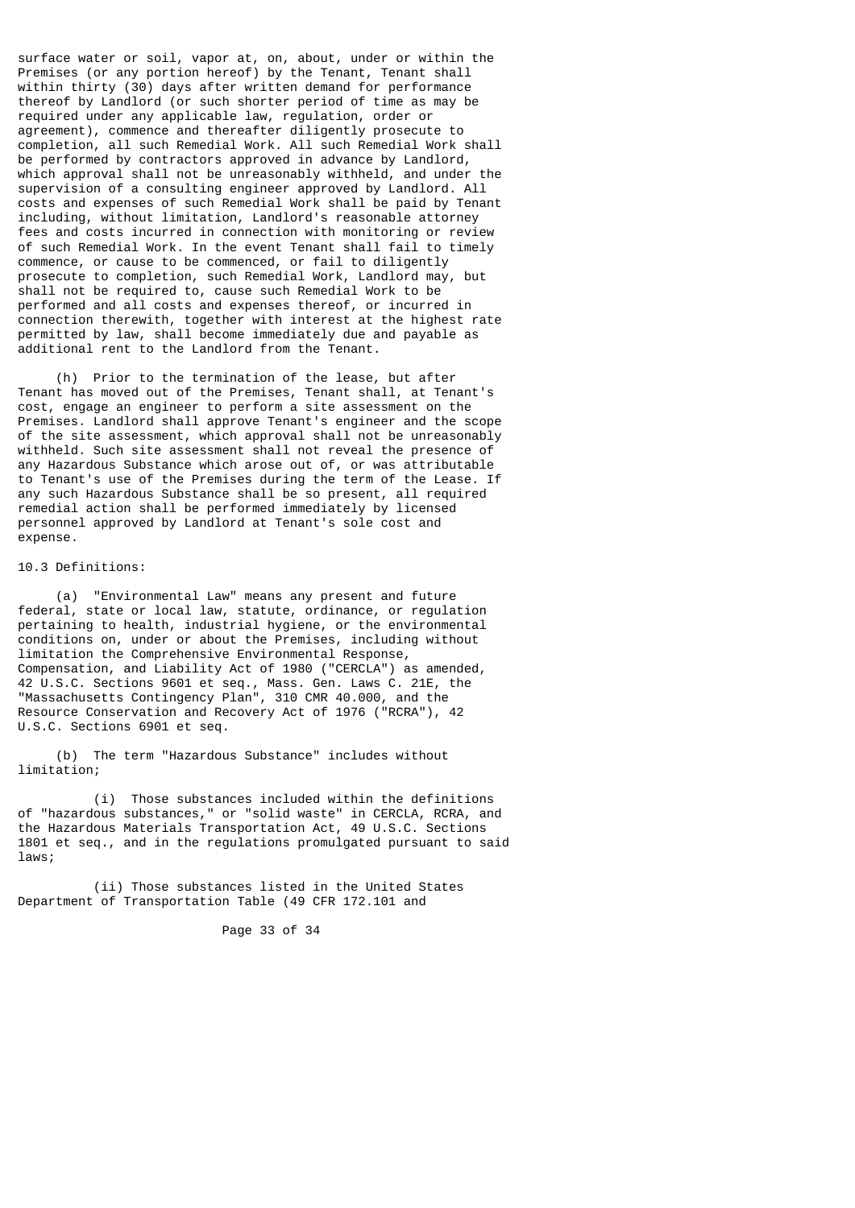surface water or soil, vapor at, on, about, under or within the Premises (or any portion hereof) by the Tenant, Tenant shall within thirty (30) days after written demand for performance thereof by Landlord (or such shorter period of time as may be required under any applicable law, regulation, order or agreement), commence and thereafter diligently prosecute to completion, all such Remedial Work. All such Remedial Work shall be performed by contractors approved in advance by Landlord, which approval shall not be unreasonably withheld, and under the supervision of a consulting engineer approved by Landlord. All costs and expenses of such Remedial Work shall be paid by Tenant including, without limitation, Landlord's reasonable attorney fees and costs incurred in connection with monitoring or review of such Remedial Work. In the event Tenant shall fail to timely commence, or cause to be commenced, or fail to diligently prosecute to completion, such Remedial Work, Landlord may, but shall not be required to, cause such Remedial Work to be performed and all costs and expenses thereof, or incurred in connection therewith, together with interest at the highest rate permitted by law, shall become immediately due and payable as additional rent to the Landlord from the Tenant.

 (h) Prior to the termination of the lease, but after Tenant has moved out of the Premises, Tenant shall, at Tenant's cost, engage an engineer to perform a site assessment on the Premises. Landlord shall approve Tenant's engineer and the scope of the site assessment, which approval shall not be unreasonably withheld. Such site assessment shall not reveal the presence of any Hazardous Substance which arose out of, or was attributable to Tenant's use of the Premises during the term of the Lease. If any such Hazardous Substance shall be so present, all required remedial action shall be performed immediately by licensed personnel approved by Landlord at Tenant's sole cost and expense.

10.3 Definitions:

 (a) "Environmental Law" means any present and future federal, state or local law, statute, ordinance, or regulation pertaining to health, industrial hygiene, or the environmental conditions on, under or about the Premises, including without limitation the Comprehensive Environmental Response, Compensation, and Liability Act of 1980 ("CERCLA") as amended, 42 U.S.C. Sections 9601 et seq., Mass. Gen. Laws C. 21E, the "Massachusetts Contingency Plan", 310 CMR 40.000, and the Resource Conservation and Recovery Act of 1976 ("RCRA"), 42 U.S.C. Sections 6901 et seq.

 (b) The term "Hazardous Substance" includes without limitation;

 (i) Those substances included within the definitions of "hazardous substances," or "solid waste" in CERCLA, RCRA, and the Hazardous Materials Transportation Act, 49 U.S.C. Sections 1801 et seq., and in the regulations promulgated pursuant to said laws;

 (ii) Those substances listed in the United States Department of Transportation Table (49 CFR 172.101 and

Page 33 of 34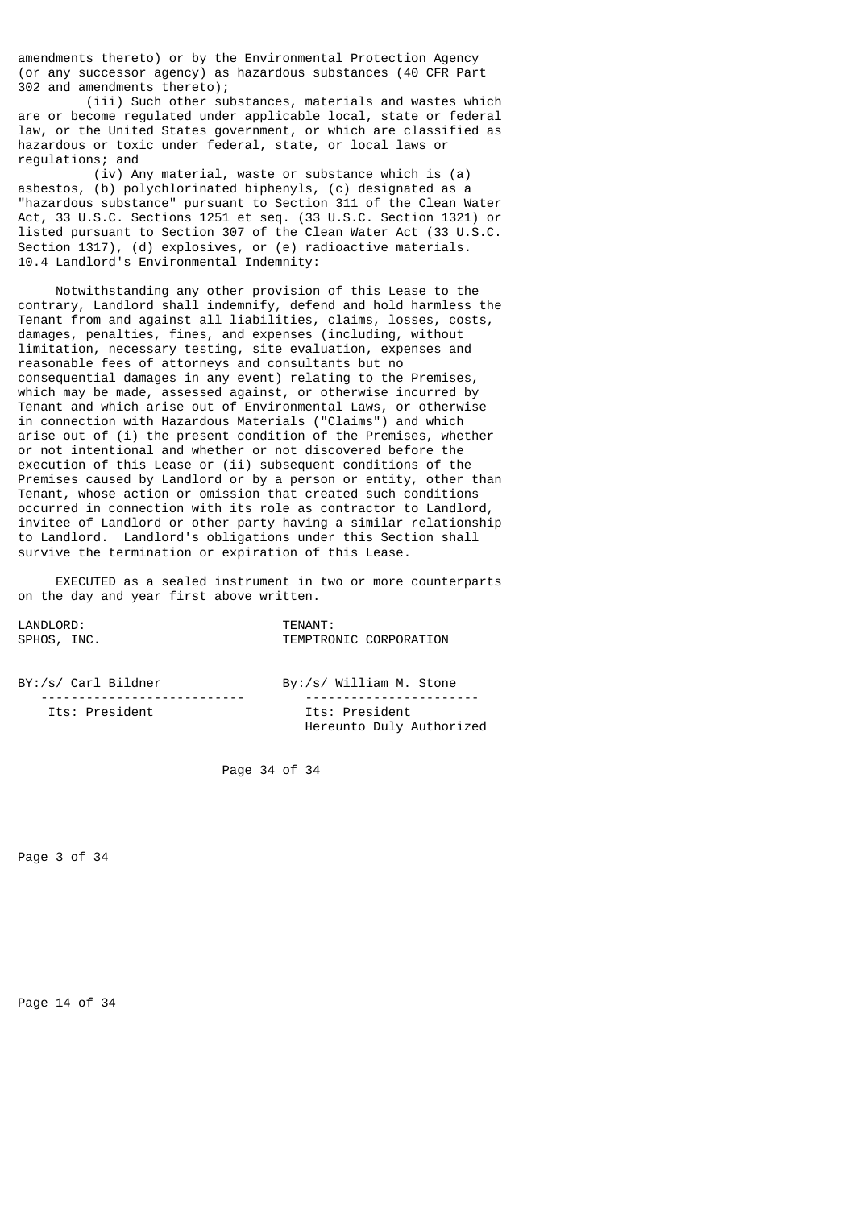amendments thereto) or by the Environmental Protection Agency (or any successor agency) as hazardous substances (40 CFR Part 302 and amendments thereto);

 (iii) Such other substances, materials and wastes which are or become regulated under applicable local, state or federal law, or the United States government, or which are classified as hazardous or toxic under federal, state, or local laws or regulations; and

 (iv) Any material, waste or substance which is (a) asbestos, (b) polychlorinated biphenyls, (c) designated as a "hazardous substance" pursuant to Section 311 of the Clean Water Act, 33 U.S.C. Sections 1251 et seq. (33 U.S.C. Section 1321) or listed pursuant to Section 307 of the Clean Water Act (33 U.S.C. Section 1317), (d) explosives, or (e) radioactive materials. 10.4 Landlord's Environmental Indemnity:

 Notwithstanding any other provision of this Lease to the contrary, Landlord shall indemnify, defend and hold harmless the Tenant from and against all liabilities, claims, losses, costs, damages, penalties, fines, and expenses (including, without limitation, necessary testing, site evaluation, expenses and reasonable fees of attorneys and consultants but no consequential damages in any event) relating to the Premises, which may be made, assessed against, or otherwise incurred by Tenant and which arise out of Environmental Laws, or otherwise in connection with Hazardous Materials ("Claims") and which arise out of (i) the present condition of the Premises, whether or not intentional and whether or not discovered before the execution of this Lease or (ii) subsequent conditions of the Premises caused by Landlord or by a person or entity, other than Tenant, whose action or omission that created such conditions occurred in connection with its role as contractor to Landlord, invitee of Landlord or other party having a similar relationship to Landlord. Landlord's obligations under this Section shall survive the termination or expiration of this Lease.

 EXECUTED as a sealed instrument in two or more counterparts on the day and year first above written.

| LANDLORD:   | TFNANT:                |
|-------------|------------------------|
| SPHOS, INC. | TEMPTRONIC CORPORATION |
|             |                        |
|             |                        |

BY:/s/ Carl Bildner By:/s/ William M. Stone --------------------------- ----------------------- Its: President

Hereunto Duly Authorized

Page 34 of 34

Page 3 of 34

Page 14 of 34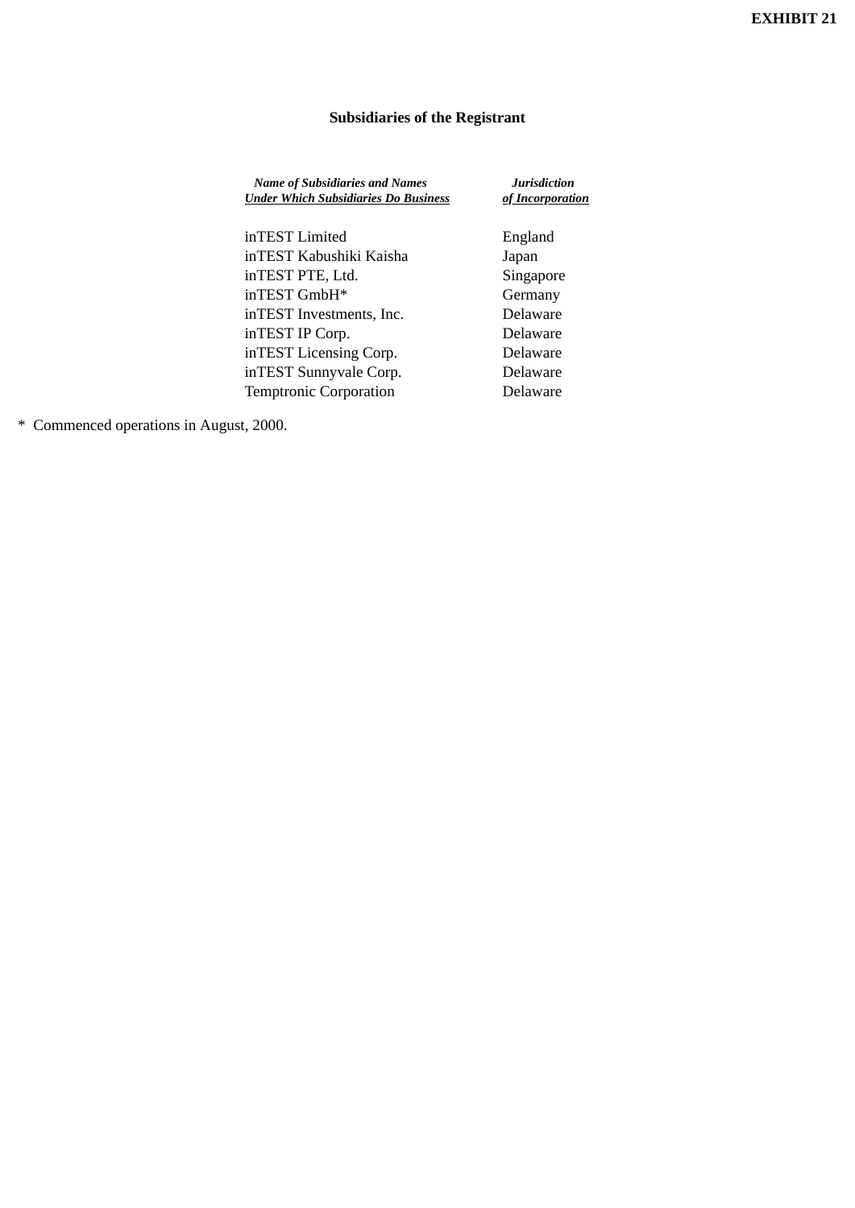# **Subsidiaries of the Registrant**

| <b>Name of Subsidiaries and Names</b> | Jurisdiction     |
|---------------------------------------|------------------|
| Under Which Subsidiaries Do Business  | of Incorporation |
| inTEST Limited<br>. ————————————      | England          |

inTEST Kabushiki Kaisha Japan inTEST PTE, Ltd. Singapore inTEST GmbH\* Germany inTEST Investments, Inc. Delaware inTEST IP Corp. Delaware inTEST Licensing Corp. Delaware inTEST Sunnyvale Corp. Delaware Temptronic Corporation Delaware

\* Commenced operations in August, 2000.